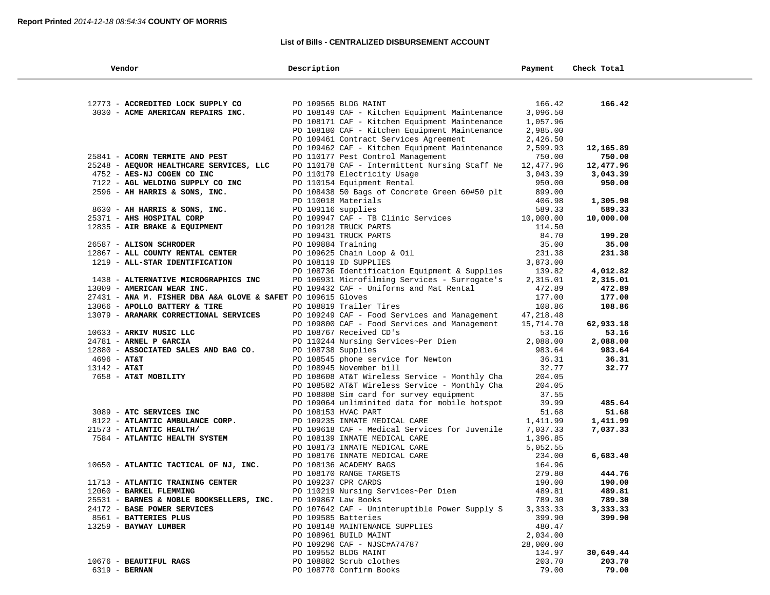#### **List of Bills - CENTRALIZED DISBURSEMENT ACCOUNT**

| Vendor                                                       | Description                                                                           | Payment             | Check Total     |
|--------------------------------------------------------------|---------------------------------------------------------------------------------------|---------------------|-----------------|
|                                                              |                                                                                       |                     |                 |
| 12773 - ACCREDITED LOCK SUPPLY CO                            | PO 109565 BLDG MAINT                                                                  | 166.42              | 166.42          |
| 3030 - ACME AMERICAN REPAIRS INC.                            | PO 108149 CAF - Kitchen Equipment Maintenance                                         | 3,096.50            |                 |
|                                                              | PO 108171 CAF - Kitchen Equipment Maintenance                                         | 1,057.96            |                 |
|                                                              | PO 108180 CAF - Kitchen Equipment Maintenance                                         | 2,985.00            |                 |
|                                                              | PO 109461 Contract Services Agreement                                                 | 2,426.50            |                 |
|                                                              | PO 109462 CAF - Kitchen Equipment Maintenance                                         | 2,599.93            | 12,165.89       |
| 25841 - ACORN TERMITE AND PEST                               | PO 110177 Pest Control Management                                                     | 750.00              | 750.00          |
| 25248 - AEQUOR HEALTHCARE SERVICES, LLC                      | PO 110178 CAF - Intermittent Nursing Staff Ne                                         | 12,477.96           | 12,477.96       |
| 4752 - AES-NJ COGEN CO INC                                   | PO 110179 Electricity Usage                                                           | 3,043.39            | 3,043.39        |
| 7122 - AGL WELDING SUPPLY CO INC                             | PO 110154 Equipment Rental                                                            | 950.00              | 950.00          |
| 2596 - AH HARRIS & SONS, INC.                                | PO 108438 50 Bags of Concrete Green 60#50 plt                                         | 899.00              |                 |
|                                                              | PO 110018 Materials                                                                   | 406.98              | 1,305.98        |
| 8630 - AH HARRIS & SONS, INC.                                | PO 109116 supplies                                                                    | 589.33              | 589.33          |
| 25371 - AHS HOSPITAL CORP                                    | PO 109947 CAF - TB Clinic Services                                                    | 10,000.00           | 10,000.00       |
| 12835 - AIR BRAKE & EQUIPMENT                                | PO 109128 TRUCK PARTS                                                                 | 114.50              |                 |
|                                                              | PO 109431 TRUCK PARTS                                                                 | 84.70               | 199.20          |
| 26587 - ALISON SCHRODER                                      | PO 109884 Training                                                                    | 35.00               | 35.00           |
| 12867 - ALL COUNTY RENTAL CENTER                             | PO 109625 Chain Loop & Oil                                                            | 231.38              | 231.38          |
| 1219 - ALL-STAR IDENTIFICATION                               | PO 108119 ID SUPPLIES                                                                 | 3,873.00            |                 |
|                                                              | PO 108736 Identification Equipment & Supplies                                         | 139.82              | 4,012.82        |
| 1438 - ALTERNATIVE MICROGRAPHICS INC                         | PO 106931 Microfilming Services - Surrogate's                                         | 2,315.01            | 2,315.01        |
| 13009 - AMERICAN WEAR INC.                                   | PO 109432 CAF - Uniforms and Mat Rental                                               | 472.89              | 472.89          |
| 27431 - ANA M. FISHER DBA A&A GLOVE & SAFET PO 109615 Gloves |                                                                                       | 177.00              | 177.00          |
| 13066 - APOLLO BATTERY & TIRE                                | PO 108819 Trailer Tires                                                               | 108.86              | 108.86          |
| 13079 - ARAMARK CORRECTIONAL SERVICES                        | PO 109249 CAF - Food Services and Management                                          | 47,218.48           |                 |
|                                                              | PO 109800 CAF - Food Services and Management                                          | 15,714.70           | 62,933.18       |
| 10633 - ARKIV MUSIC LLC                                      | PO 108767 Received CD's                                                               | 53.16               | 53.16           |
| 24781 - ARNEL P GARCIA                                       | PO 110244 Nursing Services~Per Diem                                                   | 2,088.00            | 2,088.00        |
| 12880 - ASSOCIATED SALES AND BAG CO.                         | PO 108738 Supplies                                                                    | 983.64              | 983.64          |
| $4696 - AT&T$                                                | PO 108545 phone service for Newton                                                    | 36.31               | 36.31           |
| $13142 - AT&T$                                               | PO 108945 November bill                                                               | 32.77               | 32.77           |
| 7658 - AT&T MOBILITY                                         | PO 108608 AT&T Wireless Service - Monthly Cha                                         | 204.05              |                 |
|                                                              | PO 108582 AT&T Wireless Service - Monthly Cha                                         | 204.05              |                 |
|                                                              | PO 108808 Sim card for survey equipment                                               | 37.55               |                 |
|                                                              | PO 109064 unliminited data for mobile hotspot                                         | 39.99               | 485.64          |
| 3089 - ATC SERVICES INC                                      | PO 108153 HVAC PART                                                                   | 51.68               | 51.68           |
| 8122 - ATLANTIC AMBULANCE CORP.                              | PO 109235 INMATE MEDICAL CARE                                                         | 1,411.99            | 1,411.99        |
| 21573 - ATLANTIC HEALTH/                                     | PO 109618 CAF - Medical Services for Juvenile                                         | 7,037.33            | 7,037.33        |
| 7584 - ATLANTIC HEALTH SYSTEM                                | PO 108139 INMATE MEDICAL CARE                                                         | 1,396.85            |                 |
|                                                              | PO 108173 INMATE MEDICAL CARE                                                         | 5,052.55            |                 |
|                                                              | PO 108176 INMATE MEDICAL CARE                                                         | 234.00              | 6,683.40        |
| 10650 - ATLANTIC TACTICAL OF NJ, INC.                        | PO 108136 ACADEMY BAGS                                                                | 164.96              |                 |
|                                                              |                                                                                       | 279.80              | 444.76          |
| 11713 - ATLANTIC TRAINING CENTER                             | PO 108170 RANGE TARGETS<br>PO 109237 CPR CARDS<br>PO 110219 Nursing Services~Per Diem | 190.00              | 190.00          |
| 12060 - BARKEL FLEMMING                                      |                                                                                       | 489.81              | 489.81          |
| 25531 - BARNES & NOBLE BOOKSELLERS, INC.                     | PO 109867 Law Books                                                                   | 789.30              | 789.30          |
| 24172 - BASE POWER SERVICES                                  | PO 107642 CAF - Uninteruptible Power Supply S                                         | 3,333.33            | 3,333.33        |
| 8561 - BATTERIES PLUS                                        | PO 109585 Batteries                                                                   | 399.90              | 399.90          |
| 13259 - BAYWAY LUMBER                                        | PO 108148 MAINTENANCE SUPPLIES                                                        | 480.47              |                 |
|                                                              | PO 108961 BUILD MAINT                                                                 | 2,034.00            |                 |
|                                                              | PO 109296 CAF - NJSC#A74787                                                           | 28,000.00<br>134.97 |                 |
|                                                              | PO 109552 BLDG MAINT                                                                  |                     | 30,649.44       |
| 10676 - BEAUTIFUL RAGS                                       | PO 108882 Scrub clothes                                                               | 203.70<br>79.00     | 203.70<br>79.00 |
| 6319 - BERNAN                                                | PO 108770 Confirm Books                                                               |                     |                 |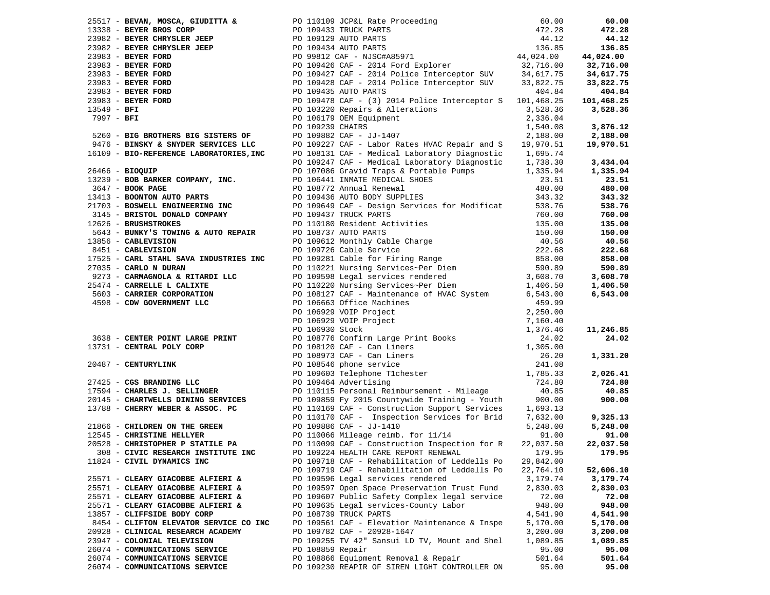|                                        |                  |                                                                                                                                                                                                                                       |           | 60.00      |
|----------------------------------------|------------------|---------------------------------------------------------------------------------------------------------------------------------------------------------------------------------------------------------------------------------------|-----------|------------|
|                                        |                  |                                                                                                                                                                                                                                       |           | 472.28     |
|                                        |                  |                                                                                                                                                                                                                                       |           | 44.12      |
|                                        |                  |                                                                                                                                                                                                                                       |           | 136.85     |
|                                        |                  |                                                                                                                                                                                                                                       |           | 44,024.00  |
|                                        |                  |                                                                                                                                                                                                                                       |           | 32,716.00  |
|                                        |                  |                                                                                                                                                                                                                                       |           | 34,617.75  |
|                                        |                  |                                                                                                                                                                                                                                       |           | 33,822.75  |
|                                        |                  |                                                                                                                                                                                                                                       |           | 404.84     |
|                                        |                  |                                                                                                                                                                                                                                       |           | 101,468.25 |
|                                        |                  |                                                                                                                                                                                                                                       |           | 3,528.36   |
|                                        |                  |                                                                                                                                                                                                                                       |           |            |
|                                        |                  |                                                                                                                                                                                                                                       |           | 3,876.12   |
|                                        |                  |                                                                                                                                                                                                                                       |           |            |
|                                        |                  |                                                                                                                                                                                                                                       |           | 2,188.00   |
|                                        |                  |                                                                                                                                                                                                                                       |           | 19,970.51  |
|                                        |                  |                                                                                                                                                                                                                                       |           |            |
|                                        |                  |                                                                                                                                                                                                                                       |           | 3,434.04   |
|                                        |                  |                                                                                                                                                                                                                                       |           | 1,335.94   |
|                                        |                  |                                                                                                                                                                                                                                       |           | 23.51      |
|                                        |                  |                                                                                                                                                                                                                                       |           | 480.00     |
|                                        |                  |                                                                                                                                                                                                                                       |           | 343.32     |
|                                        |                  |                                                                                                                                                                                                                                       |           | 538.76     |
|                                        |                  |                                                                                                                                                                                                                                       |           | 760.00     |
|                                        |                  |                                                                                                                                                                                                                                       |           | 135.00     |
|                                        |                  |                                                                                                                                                                                                                                       |           | 150.00     |
|                                        |                  |                                                                                                                                                                                                                                       |           | 40.56      |
|                                        |                  |                                                                                                                                                                                                                                       |           | 222.68     |
|                                        |                  |                                                                                                                                                                                                                                       |           | 858.00     |
|                                        |                  |                                                                                                                                                                                                                                       |           | 590.89     |
|                                        |                  | 23313 - BEVAN, MOSCA, GITEUTAN & PO 101313 TRUCK PARTS<br>2338 - BETRIC ENDER TREE POD 101313 TRUCK PARTS<br>2338 - BETRIC CRIMINAL CORP<br>2338 - BETRIC CRIMINAL CORPORATION CONTROL (2338)<br>23381 - BETRIC CORPORATION DO 103413 |           | 3,608.70   |
|                                        |                  |                                                                                                                                                                                                                                       |           | 1,406.50   |
|                                        |                  |                                                                                                                                                                                                                                       |           | 6,543.00   |
|                                        |                  |                                                                                                                                                                                                                                       |           |            |
|                                        |                  |                                                                                                                                                                                                                                       |           |            |
|                                        |                  |                                                                                                                                                                                                                                       |           |            |
|                                        |                  |                                                                                                                                                                                                                                       |           | 11,246.85  |
|                                        |                  |                                                                                                                                                                                                                                       |           | 24.02      |
|                                        |                  |                                                                                                                                                                                                                                       |           |            |
|                                        |                  |                                                                                                                                                                                                                                       |           | 1,331.20   |
|                                        |                  |                                                                                                                                                                                                                                       |           |            |
|                                        |                  |                                                                                                                                                                                                                                       |           | 2,026.41   |
|                                        |                  |                                                                                                                                                                                                                                       |           | 724.80     |
|                                        |                  |                                                                                                                                                                                                                                       |           |            |
|                                        |                  |                                                                                                                                                                                                                                       |           | 40.85      |
|                                        |                  |                                                                                                                                                                                                                                       |           | 900.00     |
|                                        |                  |                                                                                                                                                                                                                                       |           |            |
|                                        |                  |                                                                                                                                                                                                                                       |           | 9,325.13   |
|                                        |                  |                                                                                                                                                                                                                                       |           | 5,248.00   |
|                                        |                  |                                                                                                                                                                                                                                       |           | 91.00      |
|                                        |                  |                                                                                                                                                                                                                                       |           | 22,037.50  |
|                                        |                  |                                                                                                                                                                                                                                       |           | 179.95     |
| 11824 - CIVIL DYNAMICS INC             |                  | PO 109718 CAF - Rehabilitation of Leddells Po                                                                                                                                                                                         | 29,842.00 |            |
|                                        |                  | PO 109719 CAF - Rehabilitation of Leddells Po                                                                                                                                                                                         | 22,764.10 | 52,606.10  |
| 25571 - CLEARY GIACOBBE ALFIERI &      |                  | PO 109596 Legal services rendered                                                                                                                                                                                                     | 3,179.74  | 3,179.74   |
|                                        |                  | PO 109597 Open Space Preservation Trust Fund                                                                                                                                                                                          | 2,830.03  | 2,830.03   |
| 25571 - CLEARY GIACOBBE ALFIERI &      |                  |                                                                                                                                                                                                                                       |           |            |
| 25571 - CLEARY GIACOBBE ALFIERI &      |                  | PO 109607 Public Safety Complex legal service                                                                                                                                                                                         | 72.00     | 72.00      |
| 25571 - CLEARY GIACOBBE ALFIERI &      |                  | PO 109635 Legal services-County Labor                                                                                                                                                                                                 | 948.00    | 948.00     |
| 13857 - CLIFFSIDE BODY CORP            |                  | PO 108739 TRUCK PARTS                                                                                                                                                                                                                 | 4,541.90  | 4,541.90   |
| 8454 - CLIFTON ELEVATOR SERVICE CO INC |                  | PO 109561 CAF - Elevatior Maintenance & Inspe                                                                                                                                                                                         | 5,170.00  | 5,170.00   |
| 20928 - CLINICAL RESEARCH ACADEMY      |                  | PO 109782 CAF - 20928-1647                                                                                                                                                                                                            | 3,200.00  | 3,200.00   |
| 23947 - COLONIAL TELEVISION            |                  | PO 109255 TV 42" Sansui LD TV, Mount and Shel                                                                                                                                                                                         | 1,089.85  | 1,089.85   |
| 26074 - COMMUNICATIONS SERVICE         | PO 108859 Repair |                                                                                                                                                                                                                                       | 95.00     | 95.00      |
| 26074 - COMMUNICATIONS SERVICE         |                  | PO 108866 Equipment Removal & Repair                                                                                                                                                                                                  | 501.64    | 501.64     |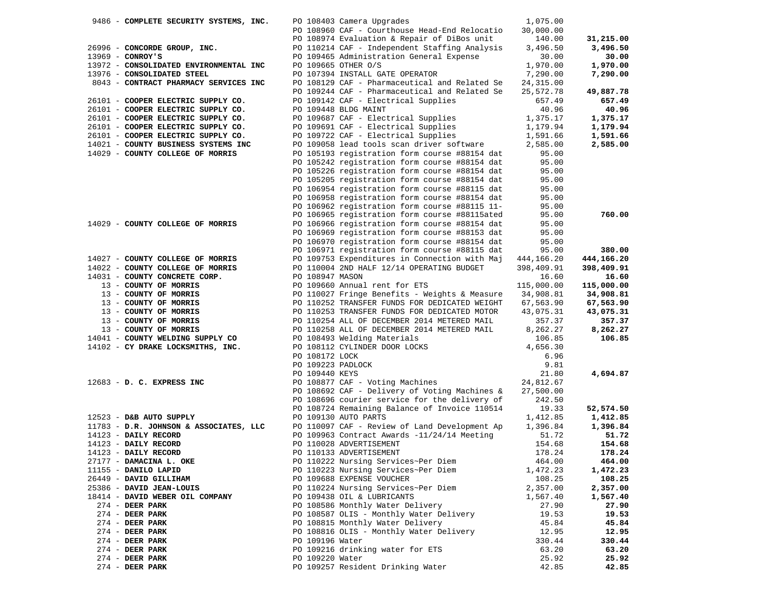| 9486 - COMPLETE SECURITY SYSTEMS, INC. |                   | PO 108403 Camera Upgrades                     | 1,075.00   |            |
|----------------------------------------|-------------------|-----------------------------------------------|------------|------------|
|                                        |                   | PO 108960 CAF - Courthouse Head-End Relocatio | 30,000.00  |            |
|                                        |                   | PO 108974 Evaluation & Repair of DiBos unit   | 140.00     | 31,215.00  |
| 26996 - CONCORDE GROUP, INC.           |                   | PO 110214 CAF - Independent Staffing Analysis | 3,496.50   | 3,496.50   |
| 13969 - CONROY'S                       |                   | PO 109465 Administration General Expense      | 30.00      | 30.00      |
| 13972 - CONSOLIDATED ENVIRONMENTAL INC |                   | PO 109665 OTHER O/S                           | 1,970.00   | 1,970.00   |
| 13976 - CONSOLIDATED STEEL             |                   | PO 107394 INSTALL GATE OPERATOR               | 7,290.00   | 7,290.00   |
| 8043 - CONTRACT PHARMACY SERVICES INC  |                   | PO 108129 CAF - Pharmaceutical and Related Se | 24,315.00  |            |
|                                        |                   | PO 109244 CAF - Pharmaceutical and Related Se | 25,572.78  | 49,887.78  |
| 26101 - COOPER ELECTRIC SUPPLY CO.     |                   | PO 109142 CAF - Electrical Supplies           | 657.49     | 657.49     |
| 26101 - COOPER ELECTRIC SUPPLY CO.     |                   | PO 109448 BLDG MAINT                          | 40.96      | 40.96      |
| 26101 - COOPER ELECTRIC SUPPLY CO.     |                   |                                               | 1,375.17   |            |
|                                        |                   | PO 109687 CAF - Electrical Supplies           |            | 1,375.17   |
| 26101 - COOPER ELECTRIC SUPPLY CO.     |                   | PO 109691 CAF - Electrical Supplies           | 1,179.94   | 1,179.94   |
| 26101 - COOPER ELECTRIC SUPPLY CO.     |                   | PO 109722 CAF - Electrical Supplies           | 1,591.66   | 1,591.66   |
| 14021 - COUNTY BUSINESS SYSTEMS INC    |                   | PO 109058 lead tools scan driver software     | 2,585.00   | 2,585.00   |
| 14029 - COUNTY COLLEGE OF MORRIS       |                   | PO 105193 registration form course #88154 dat | 95.00      |            |
|                                        |                   | PO 105242 registration form course #88154 dat | 95.00      |            |
|                                        |                   | PO 105226 registration form course #88154 dat | 95.00      |            |
|                                        |                   | PO 105205 registration form course #88154 dat | 95.00      |            |
|                                        |                   | PO 106954 registration form course #88115 dat | 95.00      |            |
|                                        |                   | PO 106958 registration form course #88154 dat | 95.00      |            |
|                                        |                   | PO 106962 registration form course #88115 11- | 95.00      |            |
|                                        |                   | PO 106965 registration form course #88115ated | 95.00      | 760.00     |
| 14029 - COUNTY COLLEGE OF MORRIS       |                   | PO 106966 registration form course #88154 dat | 95.00      |            |
|                                        |                   | PO 106969 registration form course #88153 dat | 95.00      |            |
|                                        |                   | PO 106970 registration form course #88154 dat | 95.00      |            |
|                                        |                   | PO 106971 registration form course #88115 dat | 95.00      | 380.00     |
| 14027 - COUNTY COLLEGE OF MORRIS       |                   | PO 109753 Expenditures in Connection with Maj | 444,166.20 |            |
|                                        |                   |                                               |            | 444,166.20 |
| 14022 - COUNTY COLLEGE OF MORRIS       |                   | PO 110004 2ND HALF 12/14 OPERATING BUDGET     | 398,409.91 | 398,409.91 |
| 14031 - COUNTY CONCRETE CORP.          | PO 108947 MASON   |                                               | 16.60      | 16.60      |
| 13 - COUNTY OF MORRIS                  |                   | PO 109660 Annual rent for ETS                 | 115,000.00 | 115,000.00 |
| 13 - COUNTY OF MORRIS                  |                   | PO 110027 Fringe Benefits - Weights & Measure | 34,908.81  | 34,908.81  |
| 13 - COUNTY OF MORRIS                  |                   | PO 110252 TRANSFER FUNDS FOR DEDICATED WEIGHT | 67,563.90  | 67,563.90  |
| 13 - COUNTY OF MORRIS                  |                   | PO 110253 TRANSFER FUNDS FOR DEDICATED MOTOR  | 43,075.31  | 43,075.31  |
| 13 - COUNTY OF MORRIS                  |                   | PO 110254 ALL OF DECEMBER 2014 METERED MAIL   | 357.37     | 357.37     |
| 13 - COUNTY OF MORRIS                  |                   | PO 110258 ALL OF DECEMBER 2014 METERED MAIL   | 8,262.27   | 8,262.27   |
| 14041 - COUNTY WELDING SUPPLY CO       |                   | PO 108493 Welding Materials                   | 106.85     | 106.85     |
| 14102 - CY DRAKE LOCKSMITHS, INC.      |                   | PO 108112 CYLINDER DOOR LOCKS                 | 4,656.30   |            |
|                                        | PO 108172 LOCK    |                                               | 6.96       |            |
|                                        | PO 109223 PADLOCK |                                               | 9.81       |            |
|                                        | PO 109440 KEYS    |                                               | 21.80      | 4,694.87   |
| 12683 - D. C. EXPRESS INC              |                   | PO 108877 CAF - Voting Machines               | 24,812.67  |            |
|                                        |                   | PO 108692 CAF - Delivery of Voting Machines & | 27,500.00  |            |
|                                        |                   | PO 108696 courier service for the delivery of | 242.50     |            |
|                                        |                   | PO 108724 Remaining Balance of Invoice 110514 | 19.33      | 52,574.50  |
| 12523 - D&B AUTO SUPPLY                |                   | PO 109130 AUTO PARTS                          | 1,412.85   | 1,412.85   |
| 11783 - D.R. JOHNSON & ASSOCIATES, LLC |                   | PO 110097 CAF - Review of Land Development Ap | 1,396.84   | 1,396.84   |
| 14123 - DAILY RECORD                   |                   | PO 109963 Contract Awards -11/24/14 Meeting   | 51.72      | 51.72      |
| 14123 - DAILY RECORD                   |                   | PO 110028 ADVERTISEMENT                       | 154.68     | 154.68     |
|                                        |                   |                                               |            |            |
| 14123 - DAILY RECORD                   |                   | PO 110133 ADVERTISEMENT                       | 178.24     | 178.24     |
| 27177 - DAMACINA L. OKE                |                   | PO 110222 Nursing Services~Per Diem           | 464.00     | 464.00     |
| 11155 - DANILO LAPID                   |                   | PO 110223 Nursing Services~Per Diem           | 1,472.23   | 1,472.23   |
| 26449 - DAVID GILLIHAM                 |                   | PO 109688 EXPENSE VOUCHER                     | 108.25     | 108.25     |
| 25386 - DAVID JEAN-LOUIS               |                   | PO 110224 Nursing Services~Per Diem           | 2,357.00   | 2,357.00   |
| 18414 - DAVID WEBER OIL COMPANY        |                   | PO 109438 OIL & LUBRICANTS                    | 1,567.40   | 1,567.40   |
| $274$ - DEER PARK                      |                   | PO 108586 Monthly Water Delivery              | 27.90      | 27.90      |
| 274 - DEER PARK                        |                   | PO 108587 OLIS - Monthly Water Delivery       | 19.53      | 19.53      |
| $274$ - DEER PARK                      |                   | PO 108815 Monthly Water Delivery              | 45.84      | 45.84      |
| $274$ - DEER PARK                      |                   | PO 108816 OLIS - Monthly Water Delivery       | 12.95      | 12.95      |
| $274$ - DEER PARK                      | PO 109196 Water   |                                               | 330.44     | 330.44     |
| $274$ - DEER PARK                      |                   | PO 109216 drinking water for ETS              | 63.20      | 63.20      |
| $274$ - DEER PARK                      | PO 109220 Water   |                                               | 25.92      | 25.92      |
| 274 - DEER PARK                        |                   | PO 109257 Resident Drinking Water             | 42.85      | 42.85      |
|                                        |                   |                                               |            |            |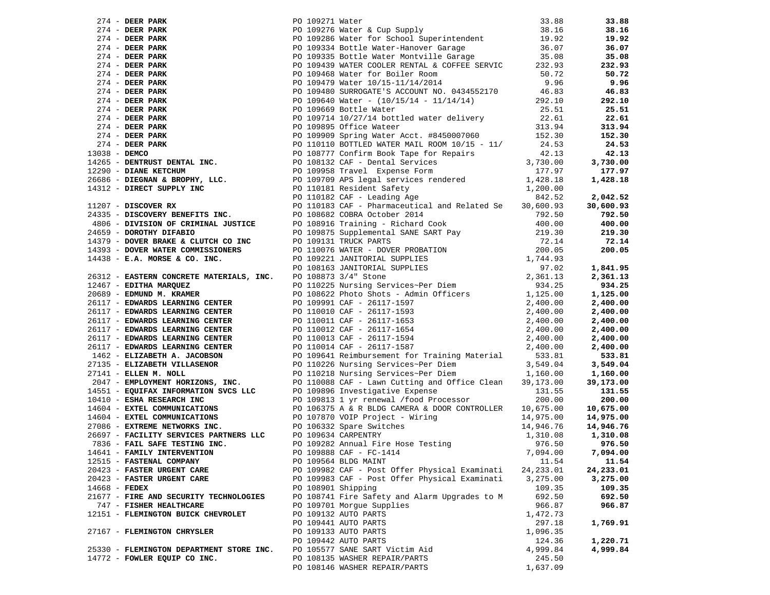|                 |                                          |                    | 771 - 2008 AND 2008 - 2008 - 2008 - 2008 - 2008 - 2008 - 2008 - 2008 - 2008 - 2008 - 2008 - 2008 - 2008 - 2008 - 2008 - 2008 - 2008 - 2008 - 2008 - 2008 - 2008 - 2008 - 2008 - 2008 - 2008 - 2008 - 2008 - 2008 - 2008 - 200 |            |           |
|-----------------|------------------------------------------|--------------------|-------------------------------------------------------------------------------------------------------------------------------------------------------------------------------------------------------------------------------|------------|-----------|
|                 |                                          |                    |                                                                                                                                                                                                                               |            |           |
|                 |                                          |                    |                                                                                                                                                                                                                               |            |           |
|                 |                                          |                    |                                                                                                                                                                                                                               |            |           |
|                 |                                          |                    |                                                                                                                                                                                                                               |            |           |
|                 |                                          |                    |                                                                                                                                                                                                                               |            |           |
|                 |                                          |                    |                                                                                                                                                                                                                               |            |           |
|                 | 12515 - FASTENAL COMPANY                 |                    | PO 109564 BLDG MAINT                                                                                                                                                                                                          | 11.54      | 11.54     |
|                 | 20423 - FASTER URGENT CARE               |                    | PO 109982 CAF - Post Offer Physical Examinati                                                                                                                                                                                 | 24, 233.01 | 24,233.01 |
|                 | 20423 - FASTER URGENT CARE               |                    | PO 109983 CAF - Post Offer Physical Examinati                                                                                                                                                                                 | 3,275.00   | 3,275.00  |
| $14668$ - FEDEX |                                          | PO 108901 Shipping |                                                                                                                                                                                                                               | 109.35     | 109.35    |
|                 | 21677 - FIRE AND SECURITY TECHNOLOGIES   |                    | PO 108741 Fire Safety and Alarm Upgrades to M                                                                                                                                                                                 | 692.50     | 692.50    |
|                 | 747 - FISHER HEALTHCARE                  |                    | PO 109701 Morgue Supplies                                                                                                                                                                                                     | 966.87     | 966.87    |
|                 | 12151 - FLEMINGTON BUICK CHEVROLET       |                    | PO 109132 AUTO PARTS                                                                                                                                                                                                          | 1,472.73   |           |
|                 |                                          |                    | PO 109441 AUTO PARTS                                                                                                                                                                                                          | 297.18     | 1,769.91  |
|                 | 27167 - FLEMINGTON CHRYSLER              |                    | PO 109133 AUTO PARTS                                                                                                                                                                                                          | 1,096.35   |           |
|                 |                                          |                    | PO 109442 AUTO PARTS                                                                                                                                                                                                          | 124.36     | 1,220.71  |
|                 | 25330 - FLEMINGTON DEPARTMENT STORE INC. |                    | PO 105577 SANE SART Victim Aid                                                                                                                                                                                                | 4,999.84   | 4,999.84  |
|                 | 14772 - FOWLER EQUIP CO INC.             |                    | PO 108135 WASHER REPAIR/PARTS                                                                                                                                                                                                 | 245.50     |           |
|                 |                                          |                    | PO 108146 WASHER REPAIR/PARTS                                                                                                                                                                                                 | 1,637.09   |           |
|                 |                                          |                    |                                                                                                                                                                                                                               |            |           |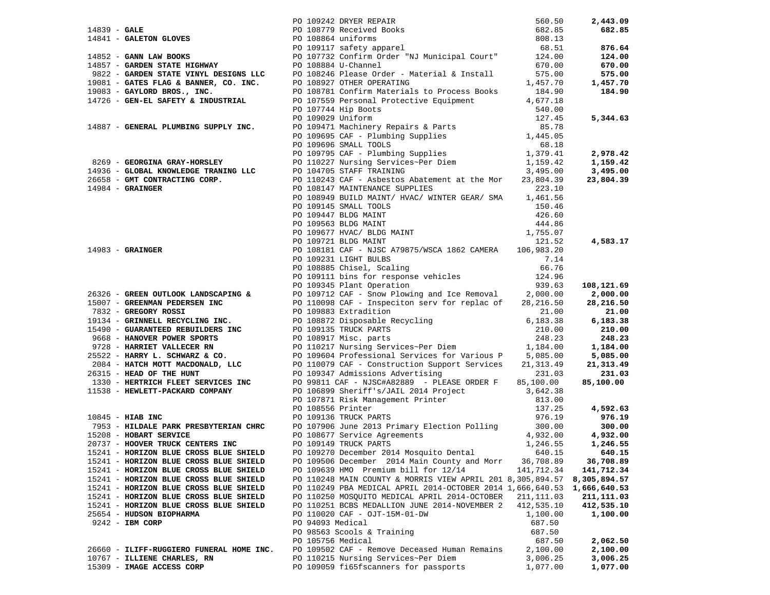|                                                                                                                                                                                                                                             |                  |                                                                                                                                                                                | 560.50           | 2,443.09     |
|---------------------------------------------------------------------------------------------------------------------------------------------------------------------------------------------------------------------------------------------|------------------|--------------------------------------------------------------------------------------------------------------------------------------------------------------------------------|------------------|--------------|
|                                                                                                                                                                                                                                             |                  |                                                                                                                                                                                | 682.85           | 682.85       |
|                                                                                                                                                                                                                                             |                  |                                                                                                                                                                                | 808.13           |              |
|                                                                                                                                                                                                                                             |                  |                                                                                                                                                                                | 68.51            | 876.64       |
| PO 109242 DRYER REPAIR<br>PO 108779 Received Books<br>PO 108779 Received Books<br>PO 108864 uniforms<br>PO 109117 safety apparel<br>PO 109117 safety apparel<br>PO 107732 Confirm Order "NJ Municipal Court"<br>PO 107732 Confirm Order "NJ |                  |                                                                                                                                                                                | 124.00           | 124.00       |
| 14857 - GARDEN STATE HIGHWAY                                                                                                                                                                                                                |                  |                                                                                                                                                                                |                  |              |
|                                                                                                                                                                                                                                             |                  | PO 108884 U-Channel                                                                                                                                                            | 670.00           | 670.00       |
| 9822 - GARDEN STATE VINYL DESIGNS LLC PO 108246 Please Order - Material & Install                                                                                                                                                           |                  |                                                                                                                                                                                | 575.00           | 575.00       |
| 19081 - GATES FLAG & BANNER, CO. INC.                                                                                                                                                                                                       |                  | PO 108927 OTHER OPERATING                                                                                                                                                      | 1,457.70         | 1,457.70     |
| 19083 - GAYLORD BROS., INC.                                                                                                                                                                                                                 |                  | PO 108781 Confirm Materials to Process Books                                                                                                                                   | 184.90           | 184.90       |
| 14726 - GEN-EL SAFETY & INDUSTRIAL                                                                                                                                                                                                          |                  | PO 107559 Personal Protective Equipment                                                                                                                                        | 4,677.18         |              |
|                                                                                                                                                                                                                                             |                  |                                                                                                                                                                                |                  |              |
|                                                                                                                                                                                                                                             |                  |                                                                                                                                                                                |                  | 5,344.63     |
| 14887 - GENERAL PLUMBING SUPPLY INC.                                                                                                                                                                                                        |                  | PO 107744 Hip Boots<br>PO 109029 Uniform<br>PO 109471 Machinery Repairs & Parts<br>PO 109695 CAF - Plumbing Supplies<br>PO 109695 CAF - Plumbing Supplies<br>1,445.05<br>68.18 |                  |              |
|                                                                                                                                                                                                                                             |                  |                                                                                                                                                                                |                  |              |
|                                                                                                                                                                                                                                             |                  | PO 109696 SMALL TOOLS                                                                                                                                                          | 68.18            |              |
|                                                                                                                                                                                                                                             |                  |                                                                                                                                                                                |                  | 2,978.42     |
| 8269 - GEORGINA GRAY-HORSLEY                                                                                                                                                                                                                |                  |                                                                                                                                                                                |                  |              |
|                                                                                                                                                                                                                                             |                  | PO 109090 SMALL 100LS<br>PO 109795 CAF - Plumbing Supplies<br>PO 10227 Nursing Services~Per Diem<br>1,159.42<br>PO 104705 STAFF TRAINING<br>3,495.00                           |                  | 1,159.42     |
| 14936 - GLOBAL KNOWLEDGE TRANING LLC                                                                                                                                                                                                        |                  |                                                                                                                                                                                |                  | 3,495.00     |
| 26658 - GMT CONTRACTING CORP.<br>14984 - GRAINGER                                                                                                                                                                                           |                  | PO 110243 CAF - Asbestos Abatement at the Mor                                                                                                                                  | 23,804.39        | 23,804.39    |
|                                                                                                                                                                                                                                             |                  | PO 108147 MAINTENANCE SUPPLIES                                                                                                                                                 | 223.10           |              |
|                                                                                                                                                                                                                                             |                  | PO 108949 BUILD MAINT/ HVAC/ WINTER GEAR/ SMA 1,461.56                                                                                                                         |                  |              |
|                                                                                                                                                                                                                                             |                  |                                                                                                                                                                                |                  |              |
|                                                                                                                                                                                                                                             |                  |                                                                                                                                                                                |                  |              |
|                                                                                                                                                                                                                                             |                  |                                                                                                                                                                                |                  |              |
|                                                                                                                                                                                                                                             |                  |                                                                                                                                                                                |                  |              |
|                                                                                                                                                                                                                                             |                  |                                                                                                                                                                                |                  | 4,583.17     |
| $14983 -$ GRAINGER                                                                                                                                                                                                                          |                  | PO 108181 CAF - NJSC A79875/WSCA 1862 CAMERA 106,983.20                                                                                                                        |                  |              |
|                                                                                                                                                                                                                                             |                  |                                                                                                                                                                                |                  |              |
|                                                                                                                                                                                                                                             |                  |                                                                                                                                                                                |                  |              |
|                                                                                                                                                                                                                                             |                  |                                                                                                                                                                                |                  |              |
|                                                                                                                                                                                                                                             |                  | PO 109231 LIGHT BULBS<br>PO 108885 Chisel, Scaling<br>PO 109111 bins for response vehicles<br>124.96<br>939.63                                                                 |                  | 108,121.69   |
| 26326 - GREEN OUTLOOK LANDSCAPING &                                                                                                                                                                                                         |                  | PO 109712 CAF - Snow Plowing and Ice Removal $2,000.00$                                                                                                                        |                  | 2,000.00     |
| 15007 - GREENMAN PEDERSEN INC                                                                                                                                                                                                               |                  | PO 110098 CAF - Inspeciton serv for replac of                                                                                                                                  | 28,216.50        | 28,216.50    |
| 7832 - GREGORY ROSSI                                                                                                                                                                                                                        |                  | PO 109883 Extradition                                                                                                                                                          | 21.00            | 21.00        |
| 19134 - GRINNELL RECYCLING INC.                                                                                                                                                                                                             |                  |                                                                                                                                                                                | 6,183.38         | 6,183.38     |
|                                                                                                                                                                                                                                             |                  |                                                                                                                                                                                |                  | 210.00       |
| 15490 - GUARANTEED REBUILDERS INC<br>2008 - The Marine Boston Andrea School (19913 Miles Boston)<br>9668 - HANOVER POWER SPORTS                                                                                                             |                  | PO 109883 Extradition<br>PO 108872 Disposable Recycling<br>PO 109135 TRUCK PARTS<br>PO 108917 Misc. parts                                                                      | 210.00<br>248.23 | 248.23       |
|                                                                                                                                                                                                                                             |                  |                                                                                                                                                                                |                  |              |
| 9728 - HARRIET VALLECER RN<br>25522 - HARRIET VALLECER RN<br>25522 - HARRY L. SCHWARZ & CO. 2009604 Professional Services for Various P 5,085.00                                                                                            |                  |                                                                                                                                                                                |                  | 1,184.00     |
|                                                                                                                                                                                                                                             |                  |                                                                                                                                                                                |                  | 5,085.00     |
| 2084 - HATCH MOTT MACDONALD, LLC                                                                                                                                                                                                            |                  | PO 110079 CAF - Construction Support Services                                                                                                                                  | 21,313.49        | 21,313.49    |
| 26315 - HEAD OF THE HUNT                                                                                                                                                                                                                    |                  | PO 109347 Admissions Advertising                                                                                                                                               | 231.03           | 231.03       |
| 1330 - HERTRICH FLEET SERVICES INC                                                                                                                                                                                                          |                  | PO 99811 CAF - NJSC#A82889 - PLEASE ORDER F                                                                                                                                    | 85,100.00        | 85,100.00    |
| 11538 - HEWLETT-PACKARD COMPANY                                                                                                                                                                                                             |                  |                                                                                                                                                                                |                  |              |
|                                                                                                                                                                                                                                             |                  |                                                                                                                                                                                |                  |              |
|                                                                                                                                                                                                                                             |                  | PO 106899 Sheriff's/JAIL 2014 Project 3,642.38<br>PO 107871 Risk Management Printer 813.00<br>PO 108556 Printer 137.25<br>PO 109136 TRUCK PARTS 976.19                         |                  | 4,592.63     |
| $10845$ - HIAB INC                                                                                                                                                                                                                          |                  |                                                                                                                                                                                |                  | 976.19       |
| 7953 - HILDALE PARK PRESBYTERIAN CHRC                                                                                                                                                                                                       |                  | PO 107906 June 2013 Primary Election Polling                                                                                                                                   | 300.00           | 300.00       |
| 15208 - HOBART SERVICE                                                                                                                                                                                                                      |                  | PO 108677 Service Agreements<br>201110 Three Press of the Case of the Case of the Case of the Case of the Case of the Case of the Case of the                                  | 4,932.00         | 4,932.00     |
| 20737 - HOOVER TRUCK CENTERS INC                                                                                                                                                                                                            |                  | PO 109149 TRUCK PARTS                                                                                                                                                          | 1,246.55         | 1,246.55     |
| 15241 - HORIZON BLUE CROSS BLUE SHIELD                                                                                                                                                                                                      |                  | PO 109270 December 2014 Mosquito Dental                                                                                                                                        | 640.15           | 640.15       |
| 15241 - HORIZON BLUE CROSS BLUE SHIELD                                                                                                                                                                                                      |                  | PO 109506 December 2014 Main County and Morr                                                                                                                                   | 36,708.89        | 36,708.89    |
| 15241 - HORIZON BLUE CROSS BLUE SHIELD                                                                                                                                                                                                      |                  | PO 109639 HMO Premium bill for 12/14                                                                                                                                           | 141,712.34       | 141,712.34   |
| 15241 - HORIZON BLUE CROSS BLUE SHIELD                                                                                                                                                                                                      |                  | PO 110248 MAIN COUNTY & MORRIS VIEW APRIL 201 8,305,894.57                                                                                                                     |                  | 8,305,894.57 |
| 15241 - HORIZON BLUE CROSS BLUE SHIELD                                                                                                                                                                                                      |                  | PO 110249 PBA MEDICAL APRIL 2014-OCTOBER 2014 1,666,640.53                                                                                                                     |                  | 1,666,640.53 |
| 15241 - HORIZON BLUE CROSS BLUE SHIELD                                                                                                                                                                                                      |                  | PO 110250 MOSQUITO MEDICAL APRIL 2014-OCTOBER                                                                                                                                  | 211, 111.03      | 211,111.03   |
| 15241 - HORIZON BLUE CROSS BLUE SHIELD                                                                                                                                                                                                      |                  | PO 110251 BCBS MEDALLION JUNE 2014-NOVEMBER 2                                                                                                                                  | 412,535.10       | 412,535.10   |
| 25654 - HUDSON BIOPHARMA                                                                                                                                                                                                                    |                  | PO 110020 CAF - OJT-15M-01-DW                                                                                                                                                  | 1,100.00         | 1,100.00     |
| $9242$ - IBM CORP                                                                                                                                                                                                                           | PO 94093 Medical |                                                                                                                                                                                | 687.50           |              |
|                                                                                                                                                                                                                                             |                  | PO 98563 Scools & Training                                                                                                                                                     | 687.50           |              |
|                                                                                                                                                                                                                                             |                  | PO 105756 Medical                                                                                                                                                              | 687.50           | 2,062.50     |
| 26660 - ILIFF-RUGGIERO FUNERAL HOME INC.                                                                                                                                                                                                    |                  | PO 109502 CAF - Remove Deceased Human Remains                                                                                                                                  | 2,100.00         | 2,100.00     |
| 10767 - ILLIENE CHARLES, RN                                                                                                                                                                                                                 |                  | PO 110215 Nursing Services~Per Diem                                                                                                                                            | 3,006.25         | 3,006.25     |
| 15309 - IMAGE ACCESS CORP                                                                                                                                                                                                                   |                  | PO 109059 fi65fscanners for passports                                                                                                                                          |                  |              |
|                                                                                                                                                                                                                                             |                  |                                                                                                                                                                                | 1,077.00         | 1,077.00     |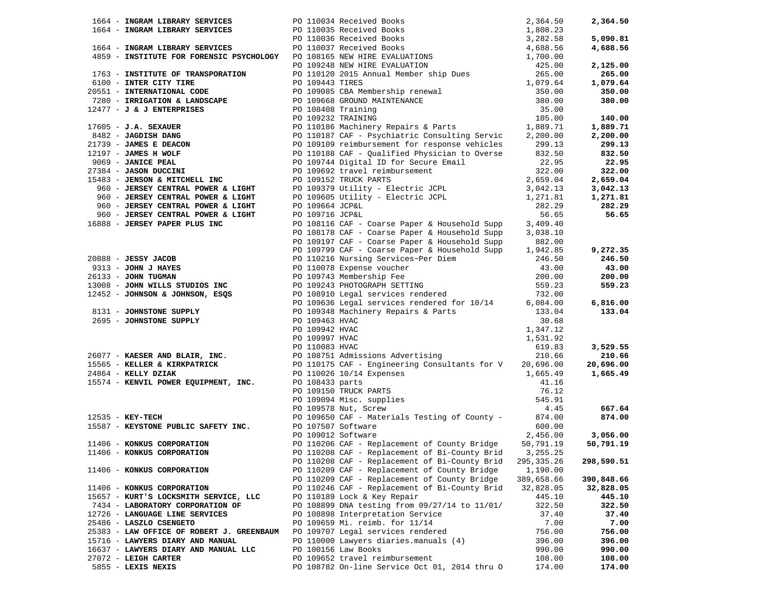| 1664 - INGRAM LIBRARY SERVICES PO 110034 Received Books 2,364.50<br>1664 - INGRAM LIBRARY SERVICES PO 110035 Received Books 1,808.23<br>1664 - INGRAM LIBRARY SERVICES PO 110036 Received Books 3,282.58<br>1664 - INSTITUTE FOR FORENS   |                    |                                                        |              | 2,364.50   |
|-------------------------------------------------------------------------------------------------------------------------------------------------------------------------------------------------------------------------------------------|--------------------|--------------------------------------------------------|--------------|------------|
|                                                                                                                                                                                                                                           |                    |                                                        |              |            |
|                                                                                                                                                                                                                                           |                    |                                                        |              | 5,090.81   |
|                                                                                                                                                                                                                                           |                    |                                                        |              | 4,688.56   |
|                                                                                                                                                                                                                                           |                    |                                                        |              |            |
|                                                                                                                                                                                                                                           |                    |                                                        |              | 2,125.00   |
|                                                                                                                                                                                                                                           |                    |                                                        |              | 265.00     |
|                                                                                                                                                                                                                                           |                    |                                                        |              | 1,079.64   |
|                                                                                                                                                                                                                                           |                    |                                                        |              | 350.00     |
|                                                                                                                                                                                                                                           |                    |                                                        |              | 380.00     |
|                                                                                                                                                                                                                                           |                    |                                                        |              |            |
|                                                                                                                                                                                                                                           |                    |                                                        |              | 140.00     |
|                                                                                                                                                                                                                                           |                    |                                                        |              | 1,889.71   |
|                                                                                                                                                                                                                                           |                    |                                                        |              | 2,200.00   |
|                                                                                                                                                                                                                                           |                    |                                                        |              | 299.13     |
|                                                                                                                                                                                                                                           |                    |                                                        |              | 832.50     |
|                                                                                                                                                                                                                                           |                    |                                                        |              | 22.95      |
|                                                                                                                                                                                                                                           |                    |                                                        |              | 322.00     |
|                                                                                                                                                                                                                                           |                    |                                                        |              | 2,659.04   |
|                                                                                                                                                                                                                                           |                    |                                                        | 3,042.13     | 3,042.13   |
|                                                                                                                                                                                                                                           |                    |                                                        | 1,271.81     | 1,271.81   |
|                                                                                                                                                                                                                                           |                    |                                                        | 282.29       | 282.29     |
|                                                                                                                                                                                                                                           |                    |                                                        | 56.65        | 56.65      |
| 16888 - JERSEY PAPER PLUS INC                                                                                                                                                                                                             |                    | PO 108116 CAF - Coarse Paper & Household Supp          | 3,409.40     |            |
| 960 - JERSEY CENTRAL POWER & LIGHT<br>960 - JERSEY CENTRAL POWER & LIGHT<br>960 - JERSEY CENTRAL POWER & LIGHT<br>960 - JERSEY CENTRAL POWER & LIGHT<br>960 - JERSEY CENTRAL POWER & LIGHT<br>960 - JERSEY CENTRAL POWER & LIGHT<br>960 - |                    | PO 108178 CAF - Coarse Paper & Household Supp          | 3,038.10     |            |
|                                                                                                                                                                                                                                           |                    | PO 109197 CAF - Coarse Paper & Household Supp          | 882.00       |            |
|                                                                                                                                                                                                                                           |                    | PO 109799 CAF - Coarse Paper & Household Supp          | 1,942.85     | 9,272.35   |
|                                                                                                                                                                                                                                           |                    |                                                        |              | 246.50     |
|                                                                                                                                                                                                                                           |                    |                                                        |              | 43.00      |
|                                                                                                                                                                                                                                           |                    |                                                        |              | 200.00     |
|                                                                                                                                                                                                                                           |                    |                                                        |              | 559.23     |
|                                                                                                                                                                                                                                           |                    |                                                        |              |            |
|                                                                                                                                                                                                                                           |                    |                                                        |              | 6,816.00   |
|                                                                                                                                                                                                                                           |                    |                                                        |              | 133.04     |
| 2695 - JOHNSTONE SUPPLY                                                                                                                                                                                                                   | PO 109463 HVAC     |                                                        | 30.68        |            |
|                                                                                                                                                                                                                                           | PO 109942 HVAC     |                                                        | 1,347.12     |            |
|                                                                                                                                                                                                                                           | PO 109997 HVAC     |                                                        | 1,531.92     |            |
| 26077 - <b>KAESER AND BLAIR, INC.</b><br>20.66 <sup>20.66</sup> PO 108751 Admissions Advertising<br>210.66 20,696.00 20,696.00 20,696.00 PO 108751 Admissions Advertising                                                                 |                    |                                                        |              | 3,529.55   |
|                                                                                                                                                                                                                                           |                    |                                                        |              | 210.66     |
|                                                                                                                                                                                                                                           |                    |                                                        |              | 20,696.00  |
| $24864$ - KELLY DZIAK                                                                                                                                                                                                                     |                    | PO 110026 10/14 Expenses                               | 1,665.49     | 1,665.49   |
| 15574 - KENVIL POWER EQUIPMENT, INC.                                                                                                                                                                                                      | PO 108433 parts    |                                                        | 41.16        |            |
|                                                                                                                                                                                                                                           |                    | PO 109150 TRUCK PARTS<br>PO 109094 Misc. supplies      | 76.12        |            |
|                                                                                                                                                                                                                                           |                    |                                                        | 545.91       |            |
|                                                                                                                                                                                                                                           |                    | PO 109578 Nut, Screw                                   | 4.45         | 667.64     |
| $12535 - KEY-TECH$                                                                                                                                                                                                                        |                    | PO 109650 CAF - Materials Testing of County - 874.00   |              | 874.00     |
| 15587 - KEYSTONE PUBLIC SAFETY INC. PO 107507 Software                                                                                                                                                                                    |                    |                                                        | 600.00       |            |
|                                                                                                                                                                                                                                           | PO 109012 Software |                                                        | 2,456.00     | 3,056.00   |
| 11406 - KONKUS CORPORATION                                                                                                                                                                                                                |                    | PO 110206 CAF - Replacement of County Bridge           | 50,791.19    | 50,791.19  |
| 11406 - KONKUS CORPORATION                                                                                                                                                                                                                |                    | PO 110208 CAF - Replacement of Bi-County Brid 3,255.25 |              |            |
|                                                                                                                                                                                                                                           |                    | PO 110208 CAF - Replacement of Bi-County Brid          | 295, 335. 26 | 298,590.51 |
| 11406 - KONKUS CORPORATION                                                                                                                                                                                                                |                    | PO 110209 CAF - Replacement of County Bridge           | 1,190.00     |            |
|                                                                                                                                                                                                                                           |                    | PO 110209 CAF - Replacement of County Bridge           | 389,658.66   | 390,848.66 |
| 11406 - KONKUS CORPORATION                                                                                                                                                                                                                |                    | PO 110246 CAF - Replacement of Bi-County Brid          | 32,828.05    | 32,828.05  |
| 15657 - KURT'S LOCKSMITH SERVICE, LLC                                                                                                                                                                                                     |                    | PO 110189 Lock & Key Repair                            | 445.10       | 445.10     |
| 7434 - LABORATORY CORPORATION OF                                                                                                                                                                                                          |                    | PO 108899 DNA testing from 09/27/14 to 11/01/          | 322.50       | 322.50     |
| 12726 - LANGUAGE LINE SERVICES                                                                                                                                                                                                            |                    | PO 108898 Interpretation Service                       | 37.40        | 37.40      |
| 25486 - LASZLO CSENGETO                                                                                                                                                                                                                   |                    | PO 109659 Mi. reimb. for 11/14                         | 7.00         | 7.00       |
| 25383 - LAW OFFICE OF ROBERT J. GREENBAUM                                                                                                                                                                                                 |                    | PO 109707 Legal services rendered                      | 756.00       | 756.00     |
| 15716 - LAWYERS DIARY AND MANUAL                                                                                                                                                                                                          |                    | PO 110000 Lawyers diaries.manuals (4)                  | 396.00       | 396.00     |
| 16637 - LAWYERS DIARY AND MANUAL LLC                                                                                                                                                                                                      |                    | PO 100156 Law Books                                    | 990.00       | 990.00     |
| 27072 - LEIGH CARTER                                                                                                                                                                                                                      |                    | PO 109652 travel reimbursement                         | 108.00       | 108.00     |
| 5855 - LEXIS NEXIS                                                                                                                                                                                                                        |                    | PO 108782 On-line Service Oct 01, 2014 thru O          | 174.00       | 174.00     |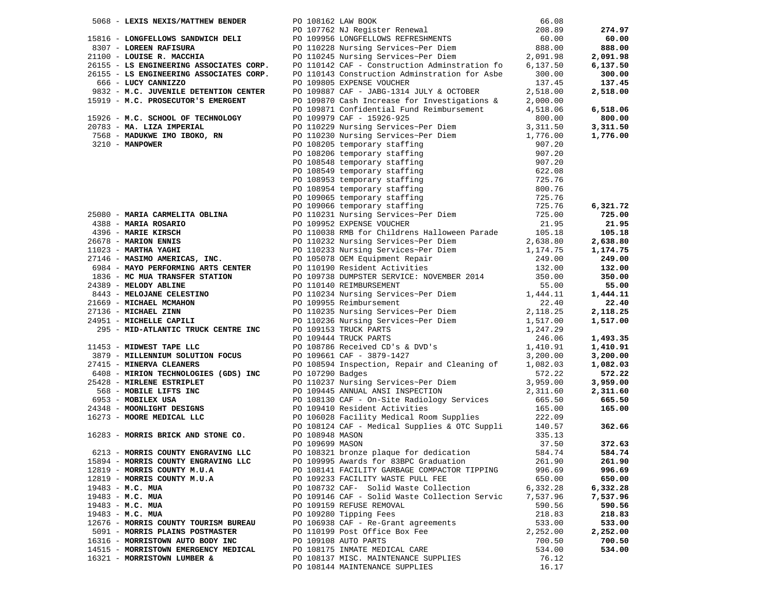|                    |                                                    |                 | 5068 - LEXIS NEXIS/MATTHEW BENDER<br>PO 108162 LAW BOOK<br>PO 108162 LAW BOOK<br>PO 107652 NUTRIEM PO 10762 NUTRIEM PO 10762 NUTRIEM 208.89<br>3307 - LOREEN RAFISURA<br>PO 110228 Nursing Services-Per Diem<br>201100 - LOUISE R. MACCHI |                      | 274.97               |
|--------------------|----------------------------------------------------|-----------------|-------------------------------------------------------------------------------------------------------------------------------------------------------------------------------------------------------------------------------------------|----------------------|----------------------|
|                    |                                                    |                 |                                                                                                                                                                                                                                           |                      | 60.00                |
|                    |                                                    |                 |                                                                                                                                                                                                                                           |                      | 888.00               |
|                    |                                                    |                 |                                                                                                                                                                                                                                           |                      | 2,091.98             |
|                    |                                                    |                 |                                                                                                                                                                                                                                           |                      | 6,137.50             |
|                    |                                                    |                 |                                                                                                                                                                                                                                           |                      |                      |
|                    |                                                    |                 |                                                                                                                                                                                                                                           |                      | 300.00               |
|                    |                                                    |                 |                                                                                                                                                                                                                                           |                      | 137.45               |
|                    |                                                    |                 |                                                                                                                                                                                                                                           |                      | 2,518.00             |
|                    |                                                    |                 |                                                                                                                                                                                                                                           |                      |                      |
|                    |                                                    |                 |                                                                                                                                                                                                                                           |                      | 6,518.06             |
|                    |                                                    |                 |                                                                                                                                                                                                                                           |                      | 800.00               |
|                    |                                                    |                 |                                                                                                                                                                                                                                           |                      | 3,311.50             |
|                    |                                                    |                 |                                                                                                                                                                                                                                           |                      | 1,776.00             |
|                    |                                                    |                 |                                                                                                                                                                                                                                           |                      |                      |
|                    |                                                    |                 |                                                                                                                                                                                                                                           |                      |                      |
|                    |                                                    |                 |                                                                                                                                                                                                                                           |                      |                      |
|                    |                                                    |                 |                                                                                                                                                                                                                                           |                      |                      |
|                    |                                                    |                 |                                                                                                                                                                                                                                           |                      |                      |
|                    |                                                    |                 |                                                                                                                                                                                                                                           |                      |                      |
|                    |                                                    |                 |                                                                                                                                                                                                                                           |                      |                      |
|                    |                                                    |                 |                                                                                                                                                                                                                                           |                      |                      |
|                    |                                                    |                 |                                                                                                                                                                                                                                           |                      | 6,321.72             |
|                    |                                                    |                 |                                                                                                                                                                                                                                           |                      | 725.00               |
|                    |                                                    |                 |                                                                                                                                                                                                                                           |                      | 21.95                |
|                    |                                                    |                 |                                                                                                                                                                                                                                           |                      | 105.18               |
|                    |                                                    |                 |                                                                                                                                                                                                                                           |                      | 2,638.80             |
|                    |                                                    |                 |                                                                                                                                                                                                                                           |                      | 1,174.75             |
|                    |                                                    |                 |                                                                                                                                                                                                                                           |                      | 249.00               |
|                    |                                                    |                 |                                                                                                                                                                                                                                           |                      | 132.00               |
|                    |                                                    |                 |                                                                                                                                                                                                                                           |                      | 350.00               |
|                    |                                                    |                 |                                                                                                                                                                                                                                           |                      | 55.00                |
|                    |                                                    |                 |                                                                                                                                                                                                                                           |                      | 1,444.11             |
|                    |                                                    |                 |                                                                                                                                                                                                                                           |                      | 22.40                |
|                    |                                                    |                 |                                                                                                                                                                                                                                           |                      |                      |
|                    |                                                    |                 |                                                                                                                                                                                                                                           |                      | 2,118.25             |
|                    |                                                    |                 |                                                                                                                                                                                                                                           |                      | 1,517.00             |
|                    |                                                    |                 |                                                                                                                                                                                                                                           |                      |                      |
|                    |                                                    |                 |                                                                                                                                                                                                                                           |                      | 1,493.35             |
|                    |                                                    |                 | 19919 M.C. PROSECUTOR'S BMERGERY PO 102970 Cash Interests for Investigations & 2,000,000<br>19928 M.C. SCHOLOGY PRODUCTION POUR CONTINUES (2000) 2000 - 1992-422<br>2009 MARIA CANNELITA ORDER AND STORE (2000) 2000 - 1992-422<br>       |                      | 1,410.91             |
|                    |                                                    |                 |                                                                                                                                                                                                                                           |                      | 3,200.00             |
|                    |                                                    |                 |                                                                                                                                                                                                                                           |                      | 1,082.03             |
|                    |                                                    |                 |                                                                                                                                                                                                                                           |                      | 572.22               |
|                    |                                                    |                 |                                                                                                                                                                                                                                           |                      | 3,959.00             |
|                    |                                                    |                 |                                                                                                                                                                                                                                           |                      | 2,311.60             |
|                    |                                                    |                 |                                                                                                                                                                                                                                           |                      | 665.50               |
|                    |                                                    |                 |                                                                                                                                                                                                                                           |                      | 165.00               |
|                    |                                                    |                 |                                                                                                                                                                                                                                           |                      |                      |
|                    |                                                    |                 |                                                                                                                                                                                                                                           |                      | 362.66               |
|                    | 16283 - MORRIS BRICK AND STONE CO. PO 108948 MASON |                 |                                                                                                                                                                                                                                           | 335.13               |                      |
|                    |                                                    | PO 109699 MASON |                                                                                                                                                                                                                                           | 37.50                | 372.63               |
|                    | 6213 - MORRIS COUNTY ENGRAVING LLC                 |                 | PO 108321 bronze plaque for dedication                                                                                                                                                                                                    | 584.74               | 584.74               |
|                    | 15894 - MORRIS COUNTY ENGRAVING LLC                |                 | PO 109995 Awards for 83BPC Graduation                                                                                                                                                                                                     | 261.90               | 261.90               |
|                    | 12819 - MORRIS COUNTY M.U.A                        |                 | PO 108141 FACILITY GARBAGE COMPACTOR TIPPING                                                                                                                                                                                              | 996.69               | 996.69               |
|                    | 12819 - MORRIS COUNTY M.U.A                        |                 | PO 109233 FACILITY WASTE PULL FEE                                                                                                                                                                                                         | 650.00               | 650.00               |
|                    |                                                    |                 | PO 108732 CAF- Solid Waste Collection                                                                                                                                                                                                     |                      |                      |
| $19483 - M.C. MUA$ |                                                    |                 | PO 109146 CAF - Solid Waste Collection Servic                                                                                                                                                                                             | 6,332.28<br>7,537.96 | 6,332.28<br>7,537.96 |
| 19483 - M.C. MUA   |                                                    |                 |                                                                                                                                                                                                                                           |                      |                      |
| 19483 - M.C. MUA   |                                                    |                 | PO 109159 REFUSE REMOVAL                                                                                                                                                                                                                  | 590.56               | 590.56               |
| 19483 - M.C. MUA   |                                                    |                 | PO 109280 Tipping Fees                                                                                                                                                                                                                    | 218.83               | 218.83               |
|                    | 12676 - MORRIS COUNTY TOURISM BUREAU               |                 | PO 106938 CAF - Re-Grant agreements                                                                                                                                                                                                       | 533.00               | 533.00               |
|                    | 5091 - MORRIS PLAINS POSTMASTER                    |                 | PO 110199 Post Office Box Fee                                                                                                                                                                                                             | 2,252.00             | 2,252.00             |
|                    | 16316 - MORRISTOWN AUTO BODY INC                   |                 | PO 109108 AUTO PARTS                                                                                                                                                                                                                      | 700.50               | 700.50               |
|                    | 14515 - MORRISTOWN EMERGENCY MEDICAL               |                 | PO 108175 INMATE MEDICAL CARE                                                                                                                                                                                                             | 534.00               | 534.00               |
|                    | 16321 - MORRISTOWN LUMBER &                        |                 | PO 108137 MISC. MAINTENANCE SUPPLIES                                                                                                                                                                                                      | 76.12                |                      |
|                    |                                                    |                 | PO 108144 MAINTENANCE SUPPLIES                                                                                                                                                                                                            | 16.17                |                      |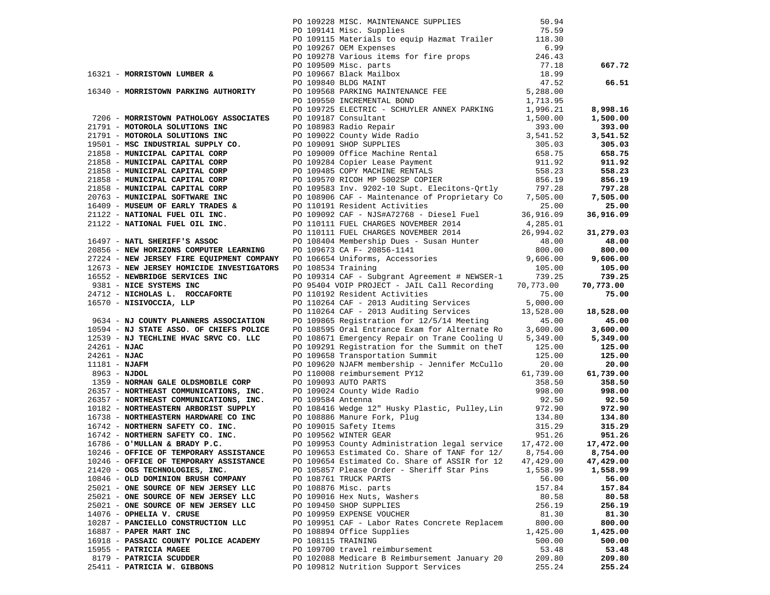|                                                                                                                                                                                                                                   |                    | PO 109228 MISC. MAINTENANCE SUPPLIES 50.94<br>PO 109141 Misc. Supplies 75.59<br>PO 109115 Materials to equip Hazmat Trailer 118.30<br>6.99 |           |           |
|-----------------------------------------------------------------------------------------------------------------------------------------------------------------------------------------------------------------------------------|--------------------|--------------------------------------------------------------------------------------------------------------------------------------------|-----------|-----------|
|                                                                                                                                                                                                                                   |                    |                                                                                                                                            |           |           |
|                                                                                                                                                                                                                                   |                    |                                                                                                                                            |           |           |
|                                                                                                                                                                                                                                   |                    |                                                                                                                                            |           |           |
|                                                                                                                                                                                                                                   |                    |                                                                                                                                            |           |           |
|                                                                                                                                                                                                                                   |                    |                                                                                                                                            |           |           |
|                                                                                                                                                                                                                                   |                    |                                                                                                                                            |           |           |
|                                                                                                                                                                                                                                   |                    |                                                                                                                                            |           |           |
|                                                                                                                                                                                                                                   |                    |                                                                                                                                            |           |           |
|                                                                                                                                                                                                                                   |                    |                                                                                                                                            |           |           |
|                                                                                                                                                                                                                                   |                    |                                                                                                                                            |           |           |
|                                                                                                                                                                                                                                   |                    |                                                                                                                                            |           |           |
|                                                                                                                                                                                                                                   |                    |                                                                                                                                            |           |           |
|                                                                                                                                                                                                                                   |                    |                                                                                                                                            |           |           |
|                                                                                                                                                                                                                                   |                    |                                                                                                                                            |           |           |
|                                                                                                                                                                                                                                   |                    |                                                                                                                                            |           |           |
|                                                                                                                                                                                                                                   |                    |                                                                                                                                            |           |           |
|                                                                                                                                                                                                                                   |                    |                                                                                                                                            |           |           |
|                                                                                                                                                                                                                                   |                    |                                                                                                                                            |           |           |
|                                                                                                                                                                                                                                   |                    |                                                                                                                                            |           |           |
|                                                                                                                                                                                                                                   |                    |                                                                                                                                            |           |           |
|                                                                                                                                                                                                                                   |                    |                                                                                                                                            |           |           |
|                                                                                                                                                                                                                                   |                    |                                                                                                                                            |           |           |
|                                                                                                                                                                                                                                   |                    |                                                                                                                                            |           |           |
|                                                                                                                                                                                                                                   |                    |                                                                                                                                            |           |           |
|                                                                                                                                                                                                                                   |                    |                                                                                                                                            |           |           |
|                                                                                                                                                                                                                                   |                    |                                                                                                                                            |           |           |
|                                                                                                                                                                                                                                   |                    |                                                                                                                                            |           |           |
|                                                                                                                                                                                                                                   |                    |                                                                                                                                            |           |           |
|                                                                                                                                                                                                                                   |                    |                                                                                                                                            |           |           |
|                                                                                                                                                                                                                                   |                    |                                                                                                                                            |           |           |
|                                                                                                                                                                                                                                   |                    |                                                                                                                                            |           |           |
| 16321 MORAISTON LUMBER A DO 19911S MARTING UP and Top Terms of the 111.52<br>16321 MORAISTON LUMBER A DO 199278 Various of the proper of 116.53<br>16340 MORAISTON PARTING AUTIONATY PO 19928 Various And the proper of the prope |                    |                                                                                                                                            |           |           |
|                                                                                                                                                                                                                                   |                    |                                                                                                                                            |           |           |
|                                                                                                                                                                                                                                   |                    |                                                                                                                                            |           |           |
|                                                                                                                                                                                                                                   |                    |                                                                                                                                            |           |           |
| 12539 - NJ TECHLINE HVAC SRVC CO. LLC                                                                                                                                                                                             |                    | PO 108671 Emergency Repair on Trane Cooling U $5,349.00$ $5,349.00$                                                                        |           |           |
| $24261 - NJAC$                                                                                                                                                                                                                    |                    |                                                                                                                                            |           | 125.00    |
|                                                                                                                                                                                                                                   |                    | PO 109291 Registration for the Summit on the T125.00<br>PO 109658 Transportation Summit 125.00                                             |           | 125.00    |
| 24261 - NJAC<br>24261 - NJAC<br>11181 - NJAFM<br>8963 - NJDOL                                                                                                                                                                     |                    | PO 109620 NJAFM membership - Jennifer McCullo 20.00                                                                                        |           | 20.00     |
|                                                                                                                                                                                                                                   |                    |                                                                                                                                            |           | 61,739.00 |
|                                                                                                                                                                                                                                   |                    |                                                                                                                                            |           | 358.50    |
|                                                                                                                                                                                                                                   |                    |                                                                                                                                            |           | 998.00    |
|                                                                                                                                                                                                                                   |                    |                                                                                                                                            |           | 92.50     |
|                                                                                                                                                                                                                                   |                    |                                                                                                                                            |           | 972.90    |
|                                                                                                                                                                                                                                   |                    |                                                                                                                                            |           | 134.80    |
|                                                                                                                                                                                                                                   |                    |                                                                                                                                            |           | 315.29    |
|                                                                                                                                                                                                                                   |                    |                                                                                                                                            |           | 951.26    |
|                                                                                                                                                                                                                                   |                    |                                                                                                                                            |           | 17,472.00 |
| 10246 - OFFICE OF TEMPORARY ASSISTANCE PO 109653 Estimated Co. Share of TANF for 12/ 8,754.00 8,754.00                                                                                                                            |                    |                                                                                                                                            |           |           |
| 10246 - OFFICE OF TEMPORARY ASSISTANCE                                                                                                                                                                                            |                    | PO 109654 Estimated Co. Share of ASSIR for 12                                                                                              | 47,429.00 | 47,429.00 |
| 21420 - OGS TECHNOLOGIES, INC.                                                                                                                                                                                                    |                    | PO 105857 Please Order - Sheriff Star Pins                                                                                                 | 1,558.99  | 1,558.99  |
| 10846 - OLD DOMINION BRUSH COMPANY                                                                                                                                                                                                |                    | PO 108761 TRUCK PARTS                                                                                                                      | 56.00     | 56.00     |
| 25021 - ONE SOURCE OF NEW JERSEY LLC                                                                                                                                                                                              |                    | PO 108876 Misc. parts                                                                                                                      | 157.84    | 157.84    |
| 25021 - ONE SOURCE OF NEW JERSEY LLC                                                                                                                                                                                              |                    | PO 109016 Hex Nuts, Washers                                                                                                                | 80.58     | 80.58     |
| 25021 - ONE SOURCE OF NEW JERSEY LLC                                                                                                                                                                                              |                    | PO 109450 SHOP SUPPLIES                                                                                                                    | 256.19    | 256.19    |
| 14076 - OPHELIA V. CRUSE                                                                                                                                                                                                          |                    | PO 109959 EXPENSE VOUCHER                                                                                                                  | 81.30     | 81.30     |
| 10287 - PANCIELLO CONSTRUCTION LLC                                                                                                                                                                                                |                    | PO 109951 CAF - Labor Rates Concrete Replacem                                                                                              | 800.00    | 800.00    |
| 16887 - PAPER MART INC                                                                                                                                                                                                            |                    | PO 108894 Office Supplies                                                                                                                  | 1,425.00  | 1,425.00  |
| 16918 - PASSAIC COUNTY POLICE ACADEMY                                                                                                                                                                                             | PO 108115 TRAINING |                                                                                                                                            | 500.00    | 500.00    |
| 15955 - PATRICIA MAGEE                                                                                                                                                                                                            |                    | PO 109700 travel reimbursement                                                                                                             | 53.48     | 53.48     |
| 8179 - PATRICIA SCUDDER                                                                                                                                                                                                           |                    | PO 102088 Medicare B Reimbursement January 20                                                                                              | 209.80    | 209.80    |
| 25411 - PATRICIA W. GIBBONS                                                                                                                                                                                                       |                    | PO 109812 Nutrition Support Services                                                                                                       | 255.24    | 255.24    |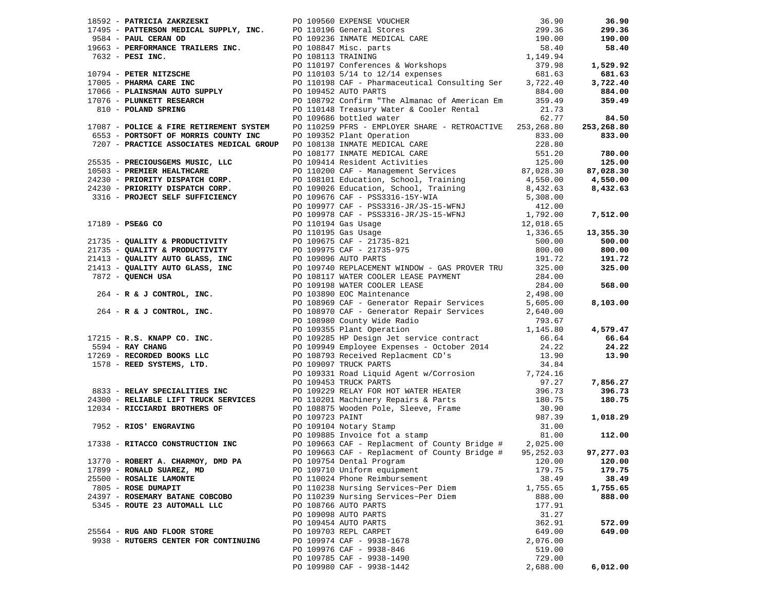|                                      |  | 18592 - PATRICIA ZAKRZESKI PO 109560 EXPENSE VOUCHER<br>17495 - PATRICSON MEDICAL SUPPLY, INC. PO 109236 INMATE MEDICAL CARE<br>9584 - PAUL CERAN OD<br>19663 - PERFORMANCE TRAILERS INC. PO 109236 INMATE MEDICAL CARE<br>19663 - PE |          | 36.90      |
|--------------------------------------|--|---------------------------------------------------------------------------------------------------------------------------------------------------------------------------------------------------------------------------------------|----------|------------|
|                                      |  |                                                                                                                                                                                                                                       |          | 299.36     |
|                                      |  |                                                                                                                                                                                                                                       |          | 190.00     |
|                                      |  |                                                                                                                                                                                                                                       |          | 58.40      |
|                                      |  |                                                                                                                                                                                                                                       |          |            |
|                                      |  |                                                                                                                                                                                                                                       |          | 1,529.92   |
|                                      |  |                                                                                                                                                                                                                                       |          | 681.63     |
|                                      |  |                                                                                                                                                                                                                                       |          | 3,722.40   |
|                                      |  |                                                                                                                                                                                                                                       |          | 884.00     |
|                                      |  |                                                                                                                                                                                                                                       |          |            |
|                                      |  |                                                                                                                                                                                                                                       |          | 359.49     |
|                                      |  |                                                                                                                                                                                                                                       |          |            |
|                                      |  |                                                                                                                                                                                                                                       |          | 84.50      |
|                                      |  | 17087 - POLICE & FIRE RETIREMENT SYSTEM PO 110259 PFRS - EMPLOYER SHARE - RETROACTIVE 253, 268.80                                                                                                                                     |          | 253,268.80 |
|                                      |  |                                                                                                                                                                                                                                       |          | 833.00     |
|                                      |  |                                                                                                                                                                                                                                       |          |            |
|                                      |  |                                                                                                                                                                                                                                       |          | 780.00     |
|                                      |  |                                                                                                                                                                                                                                       |          | 125.00     |
|                                      |  |                                                                                                                                                                                                                                       |          | 87,028.30  |
|                                      |  |                                                                                                                                                                                                                                       |          | 4,550.00   |
|                                      |  |                                                                                                                                                                                                                                       |          | 8,432.63   |
|                                      |  |                                                                                                                                                                                                                                       |          |            |
|                                      |  |                                                                                                                                                                                                                                       |          |            |
|                                      |  |                                                                                                                                                                                                                                       |          |            |
|                                      |  |                                                                                                                                                                                                                                       |          | 7,512.00   |
|                                      |  |                                                                                                                                                                                                                                       |          |            |
|                                      |  |                                                                                                                                                                                                                                       |          | 13,355.30  |
|                                      |  |                                                                                                                                                                                                                                       |          | 500.00     |
|                                      |  |                                                                                                                                                                                                                                       |          | 800.00     |
|                                      |  |                                                                                                                                                                                                                                       |          | 191.72     |
|                                      |  |                                                                                                                                                                                                                                       |          | 325.00     |
|                                      |  |                                                                                                                                                                                                                                       |          |            |
|                                      |  |                                                                                                                                                                                                                                       |          | 568.00     |
|                                      |  |                                                                                                                                                                                                                                       |          |            |
|                                      |  |                                                                                                                                                                                                                                       |          | 8,103.00   |
|                                      |  |                                                                                                                                                                                                                                       |          |            |
|                                      |  |                                                                                                                                                                                                                                       |          |            |
|                                      |  |                                                                                                                                                                                                                                       |          | 4,579.47   |
|                                      |  |                                                                                                                                                                                                                                       |          | 66.64      |
|                                      |  |                                                                                                                                                                                                                                       |          | 24.22      |
|                                      |  |                                                                                                                                                                                                                                       |          | 13.90      |
|                                      |  |                                                                                                                                                                                                                                       |          |            |
|                                      |  |                                                                                                                                                                                                                                       |          |            |
|                                      |  |                                                                                                                                                                                                                                       |          |            |
|                                      |  |                                                                                                                                                                                                                                       |          | 7,856.27   |
|                                      |  |                                                                                                                                                                                                                                       |          | 396.73     |
|                                      |  |                                                                                                                                                                                                                                       |          | 180.75     |
|                                      |  |                                                                                                                                                                                                                                       |          |            |
|                                      |  | 17087 - POLATIC FIREM METHEMAS SPECIES (1919) 19165 bythe SHARK - HETROLOGY - POLATIC 23, 202, 202<br>1923) - PARCYCONTER METHEMA (1917) 2013 CHAIR PROPERTIES (1918) 2013<br>1923) - PARCYCONTER METHEMA (1918) 2013 CHAIR PROPE     |          | 1,018.29   |
|                                      |  |                                                                                                                                                                                                                                       |          |            |
|                                      |  |                                                                                                                                                                                                                                       |          | 112.00     |
|                                      |  | 17338 - RITACCO CONSTRUCTION INC<br>PO 109663 CAF - Replacment of County Bridge #2,025.00                                                                                                                                             |          |            |
|                                      |  | PO 109663 CAF - Replacment of County Bridge #95,252.03                                                                                                                                                                                |          | 97,277.03  |
| 13770 - ROBERT A. CHARMOY, DMD PA    |  | PO 109754 Dental Program                                                                                                                                                                                                              | 120.00   | 120.00     |
| 17899 - RONALD SUAREZ, MD            |  | PO 109710 Uniform equipment                                                                                                                                                                                                           | 179.75   | 179.75     |
| 25500 - ROSALIE LAMONTE              |  | PO 110024 Phone Reimbursement                                                                                                                                                                                                         | 38.49    | 38.49      |
| 7805 - ROSE DUMAPIT                  |  | PO 110238 Nursing Services~Per Diem                                                                                                                                                                                                   | 1,755.65 | 1,755.65   |
|                                      |  |                                                                                                                                                                                                                                       |          |            |
| 24397 - ROSEMARY BATANE COBCOBO      |  | PO 110239 Nursing Services~Per Diem                                                                                                                                                                                                   | 888.00   | 888.00     |
| 5345 - ROUTE 23 AUTOMALL LLC         |  | PO 108766 AUTO PARTS                                                                                                                                                                                                                  | 177.91   |            |
|                                      |  | PO 109098 AUTO PARTS                                                                                                                                                                                                                  | 31.27    |            |
|                                      |  | PO 109454 AUTO PARTS                                                                                                                                                                                                                  | 362.91   | 572.09     |
| 25564 - RUG AND FLOOR STORE          |  | PO 109703 REPL CARPET                                                                                                                                                                                                                 | 649.00   | 649.00     |
| 9938 - RUTGERS CENTER FOR CONTINUING |  | PO 109974 CAF - 9938-1678                                                                                                                                                                                                             | 2,076.00 |            |
|                                      |  | PO 109976 CAF - 9938-846                                                                                                                                                                                                              | 519.00   |            |
|                                      |  | PO 109785 CAF - 9938-1490                                                                                                                                                                                                             | 729.00   |            |
|                                      |  | PO 109980 CAF - 9938-1442                                                                                                                                                                                                             | 2,688.00 | 6,012.00   |
|                                      |  |                                                                                                                                                                                                                                       |          |            |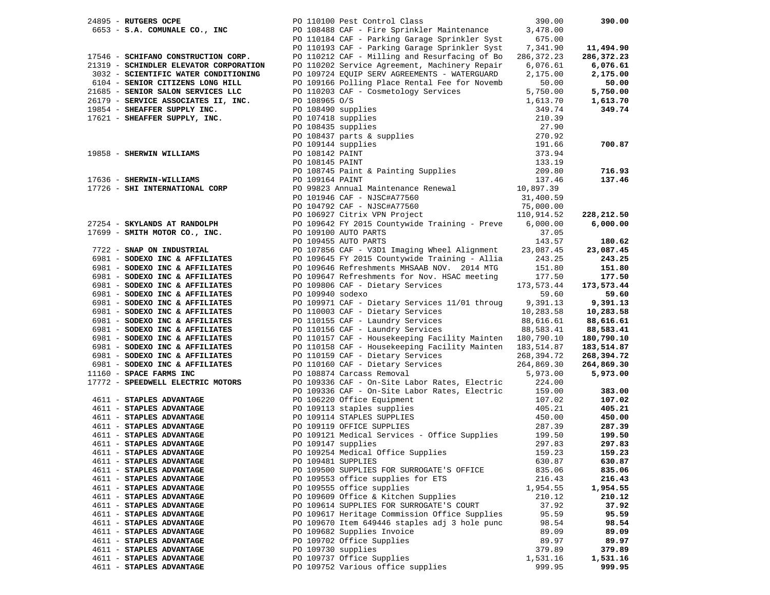| PO 110100 Pest Control Class<br>24895 - RUTGERS OCPE                                                                                                                                                                                      |                    |                                                                                                                                                                                                                                                                      | 390.00     | 390.00     |
|-------------------------------------------------------------------------------------------------------------------------------------------------------------------------------------------------------------------------------------------|--------------------|----------------------------------------------------------------------------------------------------------------------------------------------------------------------------------------------------------------------------------------------------------------------|------------|------------|
|                                                                                                                                                                                                                                           |                    | 6653 - S.A. COMUNALE CO., INC<br>6653 - S.A. COMUNALE CO., INC<br>PO 110184 CAF - Parking Garage Sprinkler Syst                                                                                                                                                      | 3,478.00   |            |
|                                                                                                                                                                                                                                           |                    |                                                                                                                                                                                                                                                                      | 675.00     |            |
|                                                                                                                                                                                                                                           |                    | PO 110193 CAF - Parking Garage Sprinkler Syst                                                                                                                                                                                                                        | 7,341.90   | 11,494.90  |
| 17546 - SCHIFANO CONSTRUCTION CORP.                                                                                                                                                                                                       |                    | PO 110212 CAF - Milling and Resurfacing of Bo                                                                                                                                                                                                                        | 286,372.23 | 286,372.23 |
| 21319 - SCHINDLER ELEVATOR CORPORATION                                                                                                                                                                                                    |                    | PO 110202 Service Agreement, Machinery Repair                                                                                                                                                                                                                        | 6,076.61   | 6,076.61   |
|                                                                                                                                                                                                                                           |                    | PO 109724 EQUIP SERV AGREEMENTS - WATERGUARD                                                                                                                                                                                                                         | 2,175.00   | 2,175.00   |
| 3032 - SCIENTIFIC WATER CONDITIONALS<br>6104 - SENIOR CITIZENS LONG HILL<br>21685 - SENIOR SALON SERVICES LLC<br>26179 - SERVICE ASSOCIATES II, INC.<br>19854 - SHEAFFER SUPPLY INC.<br>17621 - SHEAFFER SUPPLY, INC.<br>17621 - SHEAFFER |                    | PO 109166 Polling Place Rental Fee for Novemb                                                                                                                                                                                                                        | 50.00      | 50.00      |
|                                                                                                                                                                                                                                           |                    |                                                                                                                                                                                                                                                                      | 5,750.00   | 5,750.00   |
|                                                                                                                                                                                                                                           |                    |                                                                                                                                                                                                                                                                      |            | 1,613.70   |
|                                                                                                                                                                                                                                           |                    |                                                                                                                                                                                                                                                                      |            | 349.74     |
|                                                                                                                                                                                                                                           |                    |                                                                                                                                                                                                                                                                      |            |            |
|                                                                                                                                                                                                                                           |                    |                                                                                                                                                                                                                                                                      |            |            |
|                                                                                                                                                                                                                                           |                    |                                                                                                                                                                                                                                                                      |            |            |
|                                                                                                                                                                                                                                           |                    |                                                                                                                                                                                                                                                                      |            |            |
|                                                                                                                                                                                                                                           |                    |                                                                                                                                                                                                                                                                      |            | 700.87     |
|                                                                                                                                                                                                                                           |                    |                                                                                                                                                                                                                                                                      |            |            |
|                                                                                                                                                                                                                                           |                    | 0.00019144<br>19854 - SHEAFFER SUPPLY INC.<br>19854 - SHEAFFER SUPPLY INC.<br>19854 - SHEAFFER SUPPLY INC.<br>20108435 supplies<br>210.39<br>27.90<br>27.90<br>27.90<br>27.90<br>27.90<br>27.90<br>27.90<br>27.90<br>27.90<br>27.90<br>27.90<br>27.90<br>27.90<br>27 |            |            |
|                                                                                                                                                                                                                                           |                    |                                                                                                                                                                                                                                                                      |            | 716.93     |
|                                                                                                                                                                                                                                           |                    |                                                                                                                                                                                                                                                                      |            | 137.46     |
|                                                                                                                                                                                                                                           |                    |                                                                                                                                                                                                                                                                      |            |            |
|                                                                                                                                                                                                                                           |                    |                                                                                                                                                                                                                                                                      |            |            |
|                                                                                                                                                                                                                                           |                    |                                                                                                                                                                                                                                                                      |            |            |
|                                                                                                                                                                                                                                           |                    |                                                                                                                                                                                                                                                                      |            | 228,212.50 |
|                                                                                                                                                                                                                                           |                    |                                                                                                                                                                                                                                                                      |            | 6,000.00   |
|                                                                                                                                                                                                                                           |                    |                                                                                                                                                                                                                                                                      |            |            |
|                                                                                                                                                                                                                                           |                    | PO 109496 CHE PO 109464 Example 2013 MHz PO 109445 EV 2015 Countywide Training - Allia 243.25<br>PO 109466 CHE PO 10945 EV 2015 Countywide Training - Preve 6,000.00<br>PO 109455 AUTO PARTS<br>PO 109455 AUTO PARTS<br>PO 109455 AUTO                               |            | 180.62     |
|                                                                                                                                                                                                                                           |                    |                                                                                                                                                                                                                                                                      |            | 23,087.45  |
|                                                                                                                                                                                                                                           |                    |                                                                                                                                                                                                                                                                      |            | 243.25     |
| 6981 - SODEXO INC & AFFILIATES                                                                                                                                                                                                            |                    | PO 109646 Refreshments MHSAAB NOV. 2014 MTG                                                                                                                                                                                                                          | 151.80     | 151.80     |
| 6981 - SODEXO INC & AFFILIATES                                                                                                                                                                                                            |                    | PO 109647 Refreshments for Nov. HSAC meeting                                                                                                                                                                                                                         | 177.50     | 177.50     |
| 6981 - SODEXO INC & AFFILIATES                                                                                                                                                                                                            |                    | PO 109806 CAF - Dietary Services                                                                                                                                                                                                                                     | 173,573.44 | 173,573.44 |
| 6981 - SODEXO INC & AFFILIATES                                                                                                                                                                                                            | PO 109940 sodexo   |                                                                                                                                                                                                                                                                      | 59.60      | 59.60      |
| 6981 - SODEXO INC & AFFILIATES                                                                                                                                                                                                            |                    |                                                                                                                                                                                                                                                                      |            | 9,391.13   |
|                                                                                                                                                                                                                                           |                    | PO $109971$ CAF - Dietary Services $11/01$ throug 9,391.13<br>PO 110003 CAF - Dietary Services 10,283.58                                                                                                                                                             |            |            |
| 6981 - SODEXO INC & AFFILIATES                                                                                                                                                                                                            |                    | PO 110003 CAP - $\mu$ 1.<br>PO 110155 CAF - Laundry Services                                                                                                                                                                                                         |            | 10,283.58  |
| 6981 - SODEXO INC & AFFILIATES                                                                                                                                                                                                            |                    |                                                                                                                                                                                                                                                                      | 88,616.61  | 88,616.61  |
| 6981 - SODEXO INC & AFFILIATES                                                                                                                                                                                                            |                    | PO 110156 CAF - Laundry Services                                                                                                                                                                                                                                     | 88,583.41  | 88,583.41  |
| 6981 - SODEXO INC & AFFILIATES                                                                                                                                                                                                            |                    | PO 110157 CAF - Housekeeping Facility Mainten 180,790.10<br>PO 110157 CAF - Housekeeping Facility Mainten 180,790.10<br>PO 110158 CAF - Housekeeping Facility Mainten 183,514.87                                                                                     |            | 180,790.10 |
| 6981 - SODEXO INC & AFFILIATES                                                                                                                                                                                                            |                    |                                                                                                                                                                                                                                                                      |            | 183,514.87 |
| 6981 - SODEXO INC & AFFILIATES                                                                                                                                                                                                            |                    |                                                                                                                                                                                                                                                                      |            | 268,394.72 |
| 6981 - SODEXO INC & AFFILIATES                                                                                                                                                                                                            |                    | PO 110159 CAF - Dietary Services 268,394.72<br>PO 110160 CAF - Dietary Services 264,869.30<br>PO 108874 Carcass Removal 5,973.00                                                                                                                                     |            | 264,869.30 |
| 11160 - SPACE FARMS INC                                                                                                                                                                                                                   |                    | PO 108874 Carcass Removal                                                                                                                                                                                                                                            | 5,973.00   | 5,973.00   |
|                                                                                                                                                                                                                                           |                    | 17772 - SPEEDWELL ELECTRIC MOTORS PO 109336 CAF - On-Site Labor Rates, Electric                                                                                                                                                                                      |            |            |
|                                                                                                                                                                                                                                           |                    |                                                                                                                                                                                                                                                                      |            | 383.00     |
| 4611 - STAPLES ADVANTAGE                                                                                                                                                                                                                  |                    | 224.00<br>PO 109336 CAF - On-Site Labor Rates, Electric 224.00<br>PO 106220 Office Equipment 107.02<br>PO 109113 staples supplies 405.21<br>PO 109114 STAPLES SUPPLIES 450.00<br>PO 109119 OFFICE SUPPLIES 287.39<br>PO 109121 Medical Ser                           |            | 107.02     |
| 4611 - STAPLES ADVANTAGE                                                                                                                                                                                                                  |                    |                                                                                                                                                                                                                                                                      |            | 405.21     |
| 4611 - STAPLES ADVANTAGE                                                                                                                                                                                                                  |                    |                                                                                                                                                                                                                                                                      |            | 450.00     |
| 4611 - STAPLES ADVANTAGE                                                                                                                                                                                                                  |                    |                                                                                                                                                                                                                                                                      |            | 287.39     |
| 4611 - STAPLES ADVANTAGE                                                                                                                                                                                                                  |                    |                                                                                                                                                                                                                                                                      |            | 199.50     |
| 4611 - STAPLES ADVANTAGE                                                                                                                                                                                                                  |                    |                                                                                                                                                                                                                                                                      |            | 297.83     |
| 4611 - STAPLES ADVANTAGE                                                                                                                                                                                                                  |                    | PO 109254 Medical Office Supplies 159.23                                                                                                                                                                                                                             |            | 159.23     |
| 4611 - STAPLES ADVANTAGE                                                                                                                                                                                                                  | PO 109481 SUPPLIES |                                                                                                                                                                                                                                                                      | 630.87     | 630.87     |
| 4611 - STAPLES ADVANTAGE                                                                                                                                                                                                                  |                    | PO 109500 SUPPLIES FOR SURROGATE'S OFFICE                                                                                                                                                                                                                            | 835.06     | 835.06     |
| 4611 - STAPLES ADVANTAGE                                                                                                                                                                                                                  |                    | PO 109553 office supplies for ETS                                                                                                                                                                                                                                    | 216.43     | 216.43     |
| 4611 - STAPLES ADVANTAGE                                                                                                                                                                                                                  |                    | PO 109555 office supplies                                                                                                                                                                                                                                            | 1,954.55   | 1,954.55   |
| 4611 - STAPLES ADVANTAGE                                                                                                                                                                                                                  |                    | PO 109609 Office & Kitchen Supplies                                                                                                                                                                                                                                  | 210.12     | 210.12     |
| 4611 - STAPLES ADVANTAGE                                                                                                                                                                                                                  |                    | PO 109614 SUPPLIES FOR SURROGATE'S COURT                                                                                                                                                                                                                             | 37.92      | 37.92      |
| 4611 - STAPLES ADVANTAGE                                                                                                                                                                                                                  |                    | PO 109617 Heritage Commission Office Supplies                                                                                                                                                                                                                        | 95.59      | 95.59      |
| 4611 - STAPLES ADVANTAGE                                                                                                                                                                                                                  |                    | PO 109670 Item 649446 staples adj 3 hole punc                                                                                                                                                                                                                        | 98.54      | 98.54      |
| 4611 - STAPLES ADVANTAGE                                                                                                                                                                                                                  |                    | PO 109682 Supplies Invoice                                                                                                                                                                                                                                           | 89.09      | 89.09      |
| 4611 - STAPLES ADVANTAGE                                                                                                                                                                                                                  |                    | PO 109702 Office Supplies                                                                                                                                                                                                                                            |            | 89.97      |
|                                                                                                                                                                                                                                           |                    |                                                                                                                                                                                                                                                                      | 89.97      |            |
| 4611 - STAPLES ADVANTAGE                                                                                                                                                                                                                  | PO 109730 supplies |                                                                                                                                                                                                                                                                      | 379.89     | 379.89     |
| 4611 - STAPLES ADVANTAGE                                                                                                                                                                                                                  |                    | PO 109737 Office Supplies                                                                                                                                                                                                                                            | 1,531.16   | 1,531.16   |
| 4611 - STAPLES ADVANTAGE                                                                                                                                                                                                                  |                    | PO 109752 Various office supplies                                                                                                                                                                                                                                    | 999.95     | 999.95     |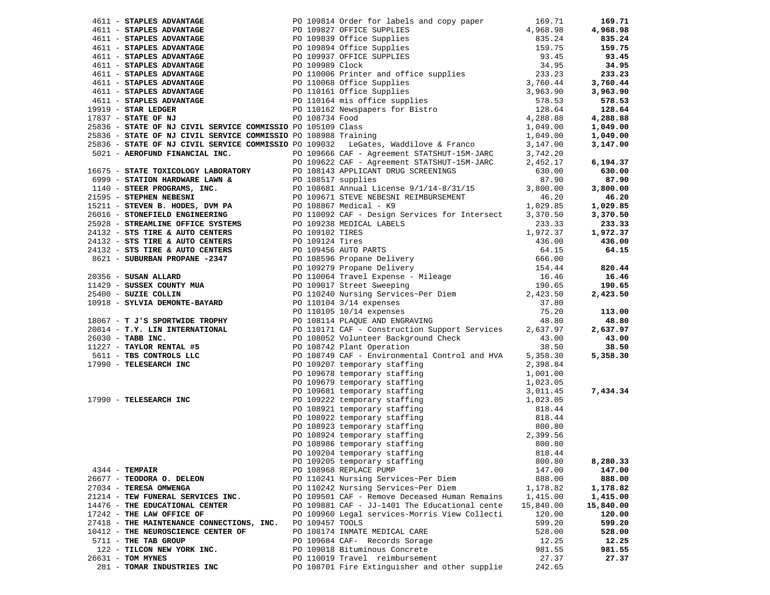|                                           |                 |                                                                                                                                                                                                                              |           | 169.71    |
|-------------------------------------------|-----------------|------------------------------------------------------------------------------------------------------------------------------------------------------------------------------------------------------------------------------|-----------|-----------|
|                                           |                 |                                                                                                                                                                                                                              |           | 4,968.98  |
|                                           |                 |                                                                                                                                                                                                                              |           | 835.24    |
|                                           |                 |                                                                                                                                                                                                                              |           | 159.75    |
|                                           |                 |                                                                                                                                                                                                                              |           | 93.45     |
|                                           |                 |                                                                                                                                                                                                                              |           | 34.95     |
|                                           |                 |                                                                                                                                                                                                                              |           | 233.23    |
|                                           |                 |                                                                                                                                                                                                                              |           | 3,760.44  |
|                                           |                 |                                                                                                                                                                                                                              |           | 3,963.90  |
|                                           |                 |                                                                                                                                                                                                                              |           |           |
|                                           |                 |                                                                                                                                                                                                                              |           | 578.53    |
|                                           |                 |                                                                                                                                                                                                                              |           | 128.64    |
|                                           |                 |                                                                                                                                                                                                                              |           | 4,288.88  |
|                                           |                 |                                                                                                                                                                                                                              |           | 1,049.00  |
|                                           |                 |                                                                                                                                                                                                                              |           | 1,049.00  |
|                                           |                 |                                                                                                                                                                                                                              |           | 3,147.00  |
|                                           |                 |                                                                                                                                                                                                                              |           |           |
|                                           |                 |                                                                                                                                                                                                                              |           | 6,194.37  |
|                                           |                 |                                                                                                                                                                                                                              |           | 630.00    |
|                                           |                 |                                                                                                                                                                                                                              |           | 87.90     |
|                                           |                 |                                                                                                                                                                                                                              |           | 3,800.00  |
|                                           |                 |                                                                                                                                                                                                                              |           | 46.20     |
|                                           |                 |                                                                                                                                                                                                                              |           | 1,029.85  |
|                                           |                 |                                                                                                                                                                                                                              |           |           |
|                                           |                 |                                                                                                                                                                                                                              |           | 3,370.50  |
|                                           |                 |                                                                                                                                                                                                                              |           | 233.33    |
|                                           |                 |                                                                                                                                                                                                                              |           | 1,972.37  |
|                                           |                 |                                                                                                                                                                                                                              |           | 436.00    |
|                                           |                 |                                                                                                                                                                                                                              |           | 64.15     |
|                                           |                 |                                                                                                                                                                                                                              |           |           |
|                                           |                 |                                                                                                                                                                                                                              |           | 820.44    |
|                                           |                 |                                                                                                                                                                                                                              |           | 16.46     |
|                                           |                 |                                                                                                                                                                                                                              |           | 190.65    |
|                                           |                 |                                                                                                                                                                                                                              |           | 2,423.50  |
|                                           |                 | 4611 - REVIEW AND 1990 - 1993 - 1993 - 1994 - 1994 - 1994 - 1994 - 1994 - 1994 - 1994 - 1994 - 1994 - 1994 - 1994 - 1994 - 1994 - 1994 - 1994 - 1994 - 1994 - 1994 - 1994 - 1994 - 1994 - 1994 - 1994 - 1994 - 1994 - 1994 - |           |           |
|                                           |                 |                                                                                                                                                                                                                              |           | 113.00    |
|                                           |                 |                                                                                                                                                                                                                              |           | 48.80     |
|                                           |                 |                                                                                                                                                                                                                              |           | 2,637.97  |
|                                           |                 |                                                                                                                                                                                                                              |           | 43.00     |
|                                           |                 |                                                                                                                                                                                                                              |           | 38.50     |
|                                           |                 |                                                                                                                                                                                                                              |           | 5,358.30  |
|                                           |                 |                                                                                                                                                                                                                              |           |           |
|                                           |                 |                                                                                                                                                                                                                              |           |           |
|                                           |                 |                                                                                                                                                                                                                              |           |           |
|                                           |                 |                                                                                                                                                                                                                              |           | 7,434.34  |
|                                           |                 |                                                                                                                                                                                                                              |           |           |
|                                           |                 |                                                                                                                                                                                                                              |           |           |
|                                           |                 |                                                                                                                                                                                                                              |           |           |
|                                           |                 |                                                                                                                                                                                                                              |           |           |
|                                           |                 |                                                                                                                                                                                                                              |           |           |
|                                           |                 |                                                                                                                                                                                                                              |           |           |
|                                           |                 |                                                                                                                                                                                                                              |           |           |
|                                           |                 |                                                                                                                                                                                                                              |           |           |
|                                           |                 | PO 109205 temporary staffing                                                                                                                                                                                                 | 800.80    | 8,280.33  |
| $4344$ - TEMPAIR                          |                 | PO 108968 REPLACE PUMP                                                                                                                                                                                                       | 147.00    | 147.00    |
| 26677 - TEODORA O. DELEON                 |                 | PO 110241 Nursing Services~Per Diem                                                                                                                                                                                          | 888.00    | 888.00    |
| 27034 - TERESA OMWENGA                    |                 | PO 110242 Nursing Services~Per Diem                                                                                                                                                                                          | 1,178.82  | 1,178.82  |
| 21214 - TEW FUNERAL SERVICES INC.         |                 | PO 109501 CAF - Remove Deceased Human Remains                                                                                                                                                                                | 1,415.00  | 1,415.00  |
| 14476 - THE EDUCATIONAL CENTER            |                 | PO 109881 CAF - JJ-1401 The Educational cente                                                                                                                                                                                | 15,840.00 | 15,840.00 |
| 17242 - THE LAW OFFICE OF                 |                 | PO 109960 Legal services-Morris View Collecti                                                                                                                                                                                | 120.00    | 120.00    |
| 27418 - THE MAINTENANCE CONNECTIONS, INC. | PO 109457 TOOLS |                                                                                                                                                                                                                              | 599.20    | 599.20    |
| 10412 - THE NEUROSCIENCE CENTER OF        |                 | PO 108174 INMATE MEDICAL CARE                                                                                                                                                                                                | 528.00    | 528.00    |
| 5711 - THE TAB GROUP                      |                 | PO 109684 CAF- Records Sorage                                                                                                                                                                                                | 12.25     | 12.25     |
| 122 - TILCON NEW YORK INC.                |                 | PO 109018 Bituminous Concrete                                                                                                                                                                                                | 981.55    | 981.55    |
| 26631 - TOM MYNES                         |                 | PO 110019 Travel reimbursement                                                                                                                                                                                               | 27.37     | 27.37     |
| 281 - TOMAR INDUSTRIES INC                |                 | PO 108701 Fire Extinguisher and other supplie                                                                                                                                                                                | 242.65    |           |
|                                           |                 |                                                                                                                                                                                                                              |           |           |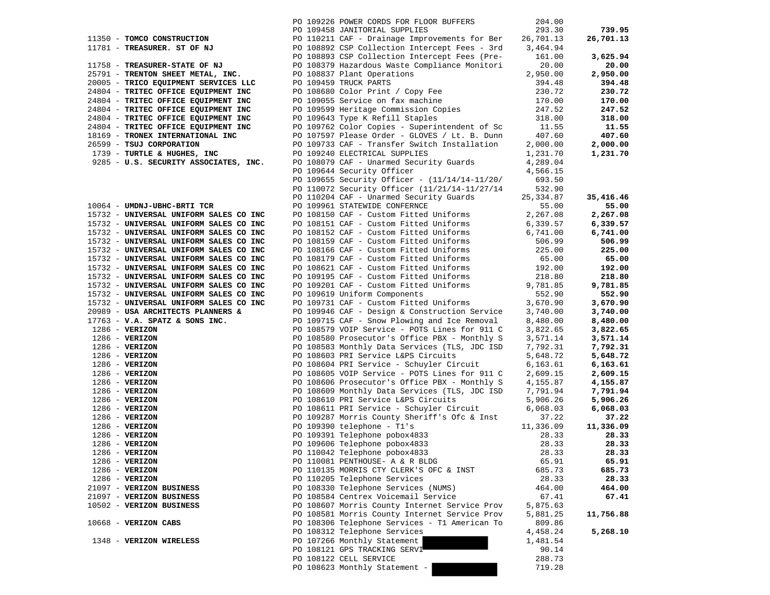|                                              | PO 109226 POWER CORDS FOR FLOOR BUFFERS                                      | 204.00             |                    |
|----------------------------------------------|------------------------------------------------------------------------------|--------------------|--------------------|
|                                              | PO 109458 JANITORIAL SUPPLIES                                                | 293.30             | 739.95             |
| 11350 - TOMCO CONSTRUCTION                   | PO 110211 CAF - Drainage Improvements for Ber                                | 26,701.13          | 26,701.13          |
| 11781 - TREASURER. ST OF NJ                  | PO 108892 CSP Collection Intercept Fees - 3rd                                | 3,464.94           |                    |
|                                              | PO 108893 CSP Collection Intercept Fees (Pre-                                | 161.00             | 3,625.94           |
| 11758 - TREASURER-STATE OF NJ                | PO 108379 Hazardous Waste Compliance Monitori                                | 20.00              | 20.00              |
| 25791 - TRENTON SHEET METAL, INC.            | PO 108837 Plant Operations                                                   | 2,950.00           | 2,950.00           |
| 20005 - TRICO EQUIPMENT SERVICES LLC         | PO 109459 TRUCK PARTS                                                        | 394.48             | 394.48             |
| 24804 - TRITEC OFFICE EQUIPMENT INC          | PO 108680 Color Print / Copy Fee<br>PO 109055 Service on fax machine         | 230.72             | 230.72             |
| 24804 - TRITEC OFFICE EQUIPMENT INC          |                                                                              | 170.00             | 170.00             |
| 24804 - TRITEC OFFICE EQUIPMENT INC          | PO 109599 Heritage Commission Copies<br>PO 109599 Heritage Commission Copies | 247.52             | 247.52             |
| 24804 - TRITEC OFFICE EQUIPMENT INC          | PO 109643 Type K Refill Staples                                              | 318.00             | 318.00             |
| 24804 - TRITEC OFFICE EQUIPMENT INC          | PO 109762 Color Copies - Superintendent of Sc                                | 11.55              | 11.55              |
| 18169 - TRONEX INTERNATIONAL INC             | PO 107597 Please Order - GLOVES / Lt. B. Dunn                                | 407.60             | 407.60             |
| 26599 - TSUJ CORPORATION                     | PO 109733 CAF - Transfer Switch Installation                                 | 2,000.00           | 2,000.00           |
| 1739 - TURTLE & HUGHES, INC                  | PO 109240 ELECTRICAL SUPPLIES                                                | 1,231.70           | 1,231.70           |
| 9285 - U.S. SECURITY ASSOCIATES, INC.        | PO 108079 CAF - Unarmed Security Guards                                      | 4,289.04           |                    |
|                                              | PO 109644 Security Officer                                                   | 4,566.15           |                    |
|                                              | PO 109655 Security Officer - $(11/14/14-11/20/$                              | 693.50             |                    |
|                                              | PO 110072 Security Officer (11/21/14-11/27/14                                | 532.90             |                    |
| 10064 - UMDNJ-UBHC-BRTI TCR                  | PO 110204 CAF - Unarmed Security Guards                                      | 25,334.87<br>55.00 | 35,416.46<br>55.00 |
| 15732 - UNIVERSAL UNIFORM SALES CO INC       | PO 109961 STATEWIDE CONFERNCE<br>PO 108150 CAF - Custom Fitted Uniforms      | 2,267.08           | 2,267.08           |
| 15732 - UNIVERSAL UNIFORM SALES CO INC       | PO 108151 CAF - Custom Fitted Uniforms                                       | 6,339.57           | 6,339.57           |
| 15732 - UNIVERSAL UNIFORM SALES CO INC       | PO 108152 CAF - Custom Fitted Uniforms                                       | 6,741.00           | 6,741.00           |
| 15732 - UNIVERSAL UNIFORM SALES CO INC       | PO 108159 CAF - Custom Fitted Uniforms                                       | 506.99             | 506.99             |
| 15732 - UNIVERSAL UNIFORM SALES CO INC       | PO 108166 CAF - Custom Fitted Uniforms                                       | 225.00             | 225.00             |
| 15732 - UNIVERSAL UNIFORM SALES CO INC       | PO 108179 CAF - Custom Fitted Uniforms                                       | 65.00              | 65.00              |
| 15732 - UNIVERSAL UNIFORM SALES CO INC       | PO 108621 CAF - Custom Fitted Uniforms                                       | 192.00             | 192.00             |
| 15732 - UNIVERSAL UNIFORM SALES CO INC       | PO 109195 CAF - Custom Fitted Uniforms                                       | 218.80             | 218.80             |
| 15732 - UNIVERSAL UNIFORM SALES CO INC       | PO 109201 CAF - Custom Fitted Uniforms                                       | 9,781.85           | 9,781.85           |
| 15732 - UNIVERSAL UNIFORM SALES CO INC       | PO 109619 Uniform Components                                                 | 552.90             | 552.90             |
| 15732 - UNIVERSAL UNIFORM SALES CO INC       | PO 109731 CAF - Custom Fitted Uniforms                                       | 3,670.90           | 3,670.90           |
| 20989 - USA ARCHITECTS PLANNERS &            | PO 109946 CAF - Design & Construction Service                                | 3,740.00           | 3,740.00           |
| $17763$ - V.A. SPATZ & SONS INC.             | PO 109715 CAF - Snow Plowing and Ice Removal                                 | 8,480.00           | 8,480.00           |
| $1286 - VERIZON$                             | PO 108579 VOIP Service - POTS Lines for 911 C                                | 3,822.65           | 3,822.65           |
| $1286$ - VERIZON                             | PO 108580 Prosecutor's Office PBX - Monthly S                                | 3,571.14           | 3,571.14           |
| $1286$ - VERIZON                             | PO 108583 Monthly Data Services (TLS, JDC ISD                                | 7,792.31           | 7,792.31           |
| $1286 - VERIZON$                             | PO 108603 PRI Service L&PS Circuits                                          | 5,648.72           | 5,648.72           |
| $1286 - VERIZON$                             | PO 108604 PRI Service - Schuyler Circuit                                     | 6,163.61           | 6,163.61           |
| $1286 - VERIZON$                             | PO 108605 VOIP Service - POTS Lines for 911 C                                | 2,609.15           | 2,609.15           |
| $1286 - VERIZON$                             | PO 108606 Prosecutor's Office PBX - Monthly S                                | 4,155.87           | 4,155.87           |
| $1286$ - VERIZON                             | PO 108609 Monthly Data Services (TLS, JDC ISD                                | 7,791.94           | 7,791.94           |
| $1286$ - VERIZON                             | PO 108610 PRI Service L&PS Circuits                                          | 5,906.26           | 5,906.26           |
| $1286$ - VERIZON                             | PO 108611 PRI Service - Schuyler Circuit                                     | 6,068.03           | 6,068.03           |
| $1286$ - VERIZON                             | PO 109287 Morris County Sheriff's Ofc & Inst                                 | 37.22              | 37.22              |
| $1286 - VERIZON$                             | PO 109390 telephone - T1's<br>PO 109391 Telephone pobox4833                  | 11,336.09          | 11,336.09          |
| $1286$ - VERIZON                             |                                                                              | 28.33              | 28.33              |
| $1286$ - VERIZON                             | PO 109606 Telephone pobox4833                                                | 28.33              | 28.33              |
| 1286 - VERIZON                               | PO 110042 Telephone pobox4833                                                | 28.33              | 28.33              |
| $1286$ - VERIZON                             | PO 110081 PENTHOUSE- A & R BLDG                                              | 65.91              | 65.91<br>685.73    |
| $1286 - VERIZON$                             | PO 110135 MORRIS CTY CLERK'S OFC & INST                                      | 685.73             |                    |
| $1286$ - VERIZON<br>21097 - VERIZON BUSINESS | PO 110205 Telephone Services<br>PO 108330 Telephone Services (NUMS)          | 28.33<br>464.00    | 28.33<br>464.00    |
| 21097 - VERIZON BUSINESS                     | PO 108584 Centrex Voicemail Service                                          | 67.41              | 67.41              |
| 10502 - VERIZON BUSINESS                     | PO 108607 Morris County Internet Service Prov                                | 5,875.63           |                    |
|                                              | PO 108581 Morris County Internet Service Prov                                | 5,881.25           | 11,756.88          |
| 10668 - VERIZON CABS                         | PO 108306 Telephone Services - T1 American To                                | 809.86             |                    |
|                                              | PO 108312 Telephone Services                                                 | 4,458.24           | 5,268.10           |
| 1348 - VERIZON WIRELESS                      | PO 107266 Monthly Statement                                                  | 1,481.54           |                    |
|                                              | PO 108121 GPS TRACKING SERVI                                                 | 90.14              |                    |
|                                              | PO 108122 CELL SERVICE                                                       | 288.73             |                    |
|                                              | PO 108623 Monthly Statement -                                                | 719.28             |                    |
|                                              |                                                                              |                    |                    |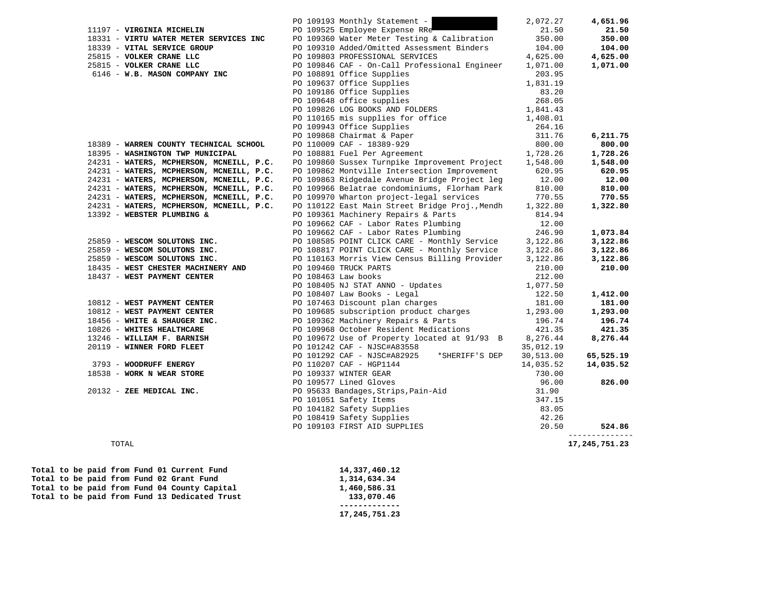|                                                                                          | PO 109193 Monthly Statement -                                                                                                                                                                                                                  | 2,072.27  | 4,651.96                 |
|------------------------------------------------------------------------------------------|------------------------------------------------------------------------------------------------------------------------------------------------------------------------------------------------------------------------------------------------|-----------|--------------------------|
| 11197 - VIRGINIA MICHELIN                                                                | PO 109525 Employee Expense RRe                                                                                                                                                                                                                 | 21.50     | 21.50                    |
|                                                                                          | 18331 - VIRTU WATER METER SERVICES INC<br>18339 - VITAL SERVICE GROUP<br>25815 - VOLKER CRANE LLC<br>25815 - VOLKER CRANE LLC<br>25815 - VOLKER CRANE LLC<br>25815 - VOLKER CRANE LLC<br>25815 - VOLKER CRANE LLC<br>25815 - VOLKER CRANE LL   | 350.00    | 350.00                   |
|                                                                                          |                                                                                                                                                                                                                                                | 104.00    | 104.00                   |
|                                                                                          |                                                                                                                                                                                                                                                | 4,625.00  | 4,625.00                 |
|                                                                                          |                                                                                                                                                                                                                                                | 1,071.00  | 1,071.00                 |
| CRANE LLC<br>25815 - VOLKER CRANE LLC<br>6146 - W P YTT<br>6146 - W.B. MASON COMPANY INC | PO 108891 Office Supplies                                                                                                                                                                                                                      | 203.95    |                          |
|                                                                                          |                                                                                                                                                                                                                                                |           |                          |
|                                                                                          |                                                                                                                                                                                                                                                |           |                          |
|                                                                                          |                                                                                                                                                                                                                                                |           |                          |
|                                                                                          |                                                                                                                                                                                                                                                |           |                          |
|                                                                                          |                                                                                                                                                                                                                                                |           |                          |
|                                                                                          | PO 108891 Office Supplies<br>PO 109637 Office Supplies<br>PO 109186 Office Supplies<br>PO 109186 Office Supplies<br>PO 109648 office supplies<br>PO 109826 LOG BOOKS AND FOLDERS<br>PO 109826 LOG BOOKS AND FOLDERS<br>PO 100943 Office Supp   |           |                          |
|                                                                                          |                                                                                                                                                                                                                                                |           | 6,211.75                 |
| 18389 - WARREN COUNTY TECHNICAL SCHOOL                                                   |                                                                                                                                                                                                                                                |           | 800.00                   |
| 18395 - WASHINGTON TWP MUNICIPAL                                                         |                                                                                                                                                                                                                                                |           | 1,728.26                 |
| 24231 - WATERS, MCPHERSON, MCNEILL, P.C.                                                 | PO 109860 Sussex Turnpike Improvement Project 1,548.00                                                                                                                                                                                         |           | 1,548.00                 |
| 24231 - WATERS, MCPHERSON, MCNEILL, P.C.                                                 | PO 109862 Montville Intersection Improvement                                                                                                                                                                                                   | 620.95    | 620.95                   |
| 24231 - WATERS, MCPHERSON, MCNEILL, P.C.                                                 | PO 109863 Ridgedale Avenue Bridge Project leg                                                                                                                                                                                                  | 12.00     | 12.00                    |
| 24231 - WATERS, MCPHERSON, MCNEILL, P.C.                                                 | PO 109966 Belatrae condominiums, Florham Park                                                                                                                                                                                                  | 810.00    | 810.00                   |
| 24231 - WATERS, MCPHERSON, MCNEILL, P.C.                                                 | PO 109970 Wharton project-legal services                                                                                                                                                                                                       | 770.55    | 770.55                   |
| 24231 - WATERS, MCPHERSON, MCNEILL, P.C.                                                 | PO 110122 East Main Street Bridge Proj., Mendh                                                                                                                                                                                                 | 1,322.80  | 1,322.80                 |
| 13392 - WEBSTER PLUMBING &                                                               | PO 109361 Machinery Repairs & Parts                                                                                                                                                                                                            | 814.94    |                          |
|                                                                                          |                                                                                                                                                                                                                                                | 12.00     |                          |
|                                                                                          | PO 109662 CAF - Labor Rates Plumbing                                                                                                                                                                                                           |           |                          |
|                                                                                          | PO 109662 CAF - Labor Rates Plumbing                                                                                                                                                                                                           | 246.90    | 1,073.84                 |
| 25859 - WESCOM SOLUTONS INC.                                                             | PO 108585 POINT CLICK CARE - Monthly Service<br>PO 108817 POINT CLICK CARE - Monthly Service                                                                                                                                                   | 3,122.86  | 3,122.86                 |
| 25859 - WESCOM SOLUTONS INC.                                                             |                                                                                                                                                                                                                                                | 3,122.86  | 3,122.86                 |
| 25859 - WESCOM SOLUTONS INC.                                                             | PO 110163 Morris View Census Billing Provider<br>PO 109460 TRUCK PARTS                                                                                                                                                                         | 3,122.86  | 3,122.86                 |
| 18435 - WEST CHESTER MACHINERY AND                                                       |                                                                                                                                                                                                                                                | 210.00    | 210.00                   |
| 18437 - WEST PAYMENT CENTER                                                              | PO 108463 Law books                                                                                                                                                                                                                            | 212.00    |                          |
|                                                                                          | PO 108405 NJ STAT ANNO - Updates                                                                                                                                                                                                               | 1,077.50  |                          |
|                                                                                          |                                                                                                                                                                                                                                                |           | 1,412.00                 |
|                                                                                          |                                                                                                                                                                                                                                                |           | 181.00                   |
|                                                                                          |                                                                                                                                                                                                                                                |           | 1,293.00                 |
|                                                                                          |                                                                                                                                                                                                                                                |           | 196.74                   |
|                                                                                          |                                                                                                                                                                                                                                                |           | 421.35                   |
|                                                                                          |                                                                                                                                                                                                                                                |           | 8,276.44                 |
|                                                                                          |                                                                                                                                                                                                                                                |           |                          |
|                                                                                          | 10812 - WEST PAYMENT CENTER<br>10812 - WEST PAYMENT CENTER<br>10812 - WEST PAYMENT CENTER<br>10812 - WEST PAYMENT CENTER<br>10826 - WHITE & SHAUGER INC.<br>10826 - WHITE & SHAUGER INC.<br>196.74<br>10826 - WILLIAM F. BARNISH<br>20119 - WI |           | 65,525.19                |
|                                                                                          |                                                                                                                                                                                                                                                | 14,035.52 | 14,035.52                |
|                                                                                          |                                                                                                                                                                                                                                                | 730.00    |                          |
|                                                                                          |                                                                                                                                                                                                                                                | 96.00     | 826.00                   |
|                                                                                          |                                                                                                                                                                                                                                                | 31.90     |                          |
|                                                                                          |                                                                                                                                                                                                                                                | 347.15    |                          |
|                                                                                          |                                                                                                                                                                                                                                                | 83.05     |                          |
|                                                                                          |                                                                                                                                                                                                                                                | 42.26     |                          |
|                                                                                          | 3793 - WOODRUFF ENERGY<br>18538 - WORK N WEAR STORE<br>20132 - ZEE MEDICAL INC.<br>20132 - ZEE MEDICAL INC.<br>20132 - ZEE MEDICAL INC.<br>20132 - ZEE MEDICAL INC.<br>20132 - ZEE MEDICAL INC.<br>2019577 Lined Gloves<br>2019577 Lined Glove | 20.50     | 524.86<br>-------------- |
| TOTAL                                                                                    |                                                                                                                                                                                                                                                |           | 17, 245, 751.23          |

| Total to be paid from Fund 01 Current Fund    | 14,337,460.12 |
|-----------------------------------------------|---------------|
| Total to be paid from Fund 02 Grant Fund      | 1,314,634.34  |
| Total to be paid from Fund 04 County Capital  | 1,460,586.31  |
| Total to be paid from Fund 13 Dedicated Trust | 133,070.46    |
|                                               |               |
|                                               | 17,245,751.23 |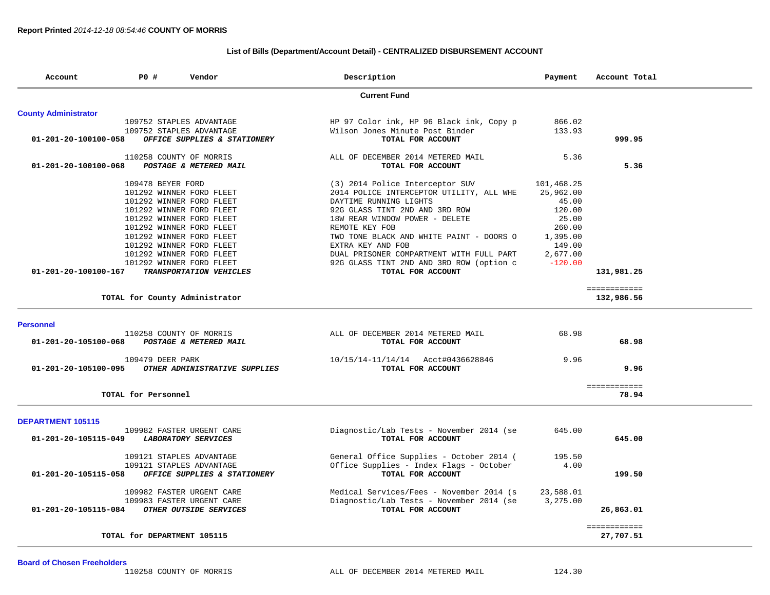## **List of Bills (Department/Account Detail) - CENTRALIZED DISBURSEMENT ACCOUNT**

| Account                     | PO #                        | Vendor                         | Description                              | Payment    | Account Total         |
|-----------------------------|-----------------------------|--------------------------------|------------------------------------------|------------|-----------------------|
|                             |                             |                                | <b>Current Fund</b>                      |            |                       |
| <b>County Administrator</b> |                             |                                |                                          |            |                       |
|                             |                             | 109752 STAPLES ADVANTAGE       | HP 97 Color ink, HP 96 Black ink, Copy p | 866.02     |                       |
|                             |                             | 109752 STAPLES ADVANTAGE       | Wilson Jones Minute Post Binder          | 133.93     |                       |
| 01-201-20-100100-058        |                             | OFFICE SUPPLIES & STATIONERY   | TOTAL FOR ACCOUNT                        |            | 999.95                |
|                             |                             | 110258 COUNTY OF MORRIS        | ALL OF DECEMBER 2014 METERED MAIL        | 5.36       |                       |
| 01-201-20-100100-068        |                             | POSTAGE & METERED MAIL         | TOTAL FOR ACCOUNT                        |            | 5.36                  |
|                             | 109478 BEYER FORD           |                                | (3) 2014 Police Interceptor SUV          | 101,468.25 |                       |
|                             |                             | 101292 WINNER FORD FLEET       | 2014 POLICE INTERCEPTOR UTILITY, ALL WHE | 25,962.00  |                       |
|                             |                             | 101292 WINNER FORD FLEET       | DAYTIME RUNNING LIGHTS                   | 45.00      |                       |
|                             |                             | 101292 WINNER FORD FLEET       | 92G GLASS TINT 2ND AND 3RD ROW           | 120.00     |                       |
|                             |                             | 101292 WINNER FORD FLEET       | 18W REAR WINDOW POWER - DELETE           | 25.00      |                       |
|                             |                             | 101292 WINNER FORD FLEET       | REMOTE KEY FOB                           | 260.00     |                       |
|                             |                             | 101292 WINNER FORD FLEET       | TWO TONE BLACK AND WHITE PAINT - DOORS O | 1,395.00   |                       |
|                             |                             | 101292 WINNER FORD FLEET       | EXTRA KEY AND FOB                        | 149.00     |                       |
|                             |                             | 101292 WINNER FORD FLEET       | DUAL PRISONER COMPARTMENT WITH FULL PART | 2,677.00   |                       |
|                             |                             | 101292 WINNER FORD FLEET       | 92G GLASS TINT 2ND AND 3RD ROW (option c | $-120.00$  |                       |
| 01-201-20-100100-167        |                             | TRANSPORTATION VEHICLES        | TOTAL FOR ACCOUNT                        |            | 131,981.25            |
|                             |                             |                                |                                          |            | ============          |
|                             |                             | TOTAL for County Administrator |                                          |            | 132,986.56            |
| <b>Personnel</b>            |                             |                                |                                          |            |                       |
|                             |                             | 110258 COUNTY OF MORRIS        | ALL OF DECEMBER 2014 METERED MAIL        | 68.98      |                       |
| 01-201-20-105100-068        |                             | POSTAGE & METERED MAIL         | TOTAL FOR ACCOUNT                        |            | 68.98                 |
|                             |                             |                                |                                          |            |                       |
|                             | 109479 DEER PARK            |                                | 10/15/14-11/14/14 Acct#0436628846        | 9.96       |                       |
| 01-201-20-105100-095        |                             | OTHER ADMINISTRATIVE SUPPLIES  | TOTAL FOR ACCOUNT                        |            | 9.96                  |
|                             |                             |                                |                                          |            |                       |
|                             | TOTAL for Personnel         |                                |                                          |            | ============<br>78.94 |
|                             |                             |                                |                                          |            |                       |
| <b>DEPARTMENT 105115</b>    |                             |                                |                                          |            |                       |
|                             |                             | 109982 FASTER URGENT CARE      | Diagnostic/Lab Tests - November 2014 (se | 645.00     |                       |
| 01-201-20-105115-049        |                             | LABORATORY SERVICES            | TOTAL FOR ACCOUNT                        |            | 645.00                |
|                             |                             | 109121 STAPLES ADVANTAGE       | General Office Supplies - October 2014 ( | 195.50     |                       |
|                             |                             | 109121 STAPLES ADVANTAGE       | Office Supplies - Index Flags - October  | 4.00       |                       |
| 01-201-20-105115-058        |                             | OFFICE SUPPLIES & STATIONERY   | TOTAL FOR ACCOUNT                        |            | 199.50                |
|                             |                             |                                |                                          |            |                       |
|                             |                             | 109982 FASTER URGENT CARE      | Medical Services/Fees - November 2014 (s | 23,588.01  |                       |
|                             |                             | 109983 FASTER URGENT CARE      | Diagnostic/Lab Tests - November 2014 (se | 3,275.00   |                       |
| 01-201-20-105115-084        |                             | OTHER OUTSIDE SERVICES         | TOTAL FOR ACCOUNT                        |            | 26,863.01             |
|                             |                             |                                |                                          |            | ============          |
|                             | TOTAL for DEPARTMENT 105115 |                                |                                          |            | 27,707.51             |
|                             |                             |                                |                                          |            |                       |

**Board of Chosen Freeholders**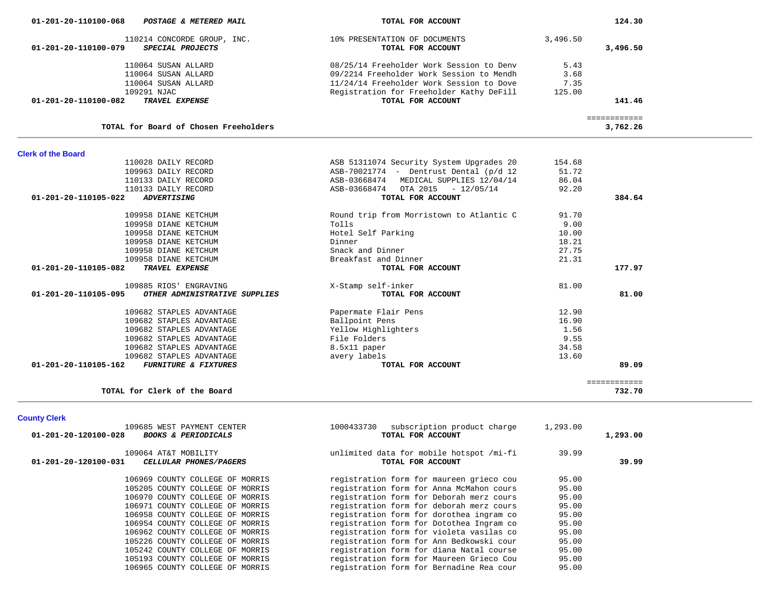|                                                                                      |                                                                                                                                  |                      | 124.30                   |  |
|--------------------------------------------------------------------------------------|----------------------------------------------------------------------------------------------------------------------------------|----------------------|--------------------------|--|
| 110214 CONCORDE GROUP, INC.<br>01-201-20-110100-079<br>SPECIAL PROJECTS              | 10% PRESENTATION OF DOCUMENTS<br>TOTAL FOR ACCOUNT                                                                               | 3,496.50             | 3,496.50                 |  |
| 110064 SUSAN ALLARD<br>110064 SUSAN ALLARD<br>110064 SUSAN ALLARD                    | 08/25/14 Freeholder Work Session to Denv<br>09/2214 Freeholder Work Session to Mendh<br>11/24/14 Freeholder Work Session to Dove | 5.43<br>3.68<br>7.35 |                          |  |
| 109291 NJAC<br>TRAVEL EXPENSE<br>01-201-20-110100-082                                | Registration for Freeholder Kathy DeFill<br>TOTAL FOR ACCOUNT                                                                    | 125.00               | 141.46                   |  |
| TOTAL for Board of Chosen Freeholders                                                |                                                                                                                                  |                      | ============<br>3,762.26 |  |
| <b>Clerk of the Board</b>                                                            |                                                                                                                                  |                      |                          |  |
| 110028 DAILY RECORD                                                                  | ASB 51311074 Security System Upgrades 20                                                                                         | 154.68               |                          |  |
| 109963 DAILY RECORD                                                                  | ASB-70021774 - Dentrust Dental (p/d 12                                                                                           | 51.72                |                          |  |
| 110133 DAILY RECORD                                                                  | ASB-03668474 MEDICAL SUPPLIES 12/04/14                                                                                           | 86.04                |                          |  |
| 110133 DAILY RECORD                                                                  | ASB-03668474 OTA 2015 - 12/05/14                                                                                                 | 92.20                |                          |  |
| 01-201-20-110105-022<br><b>ADVERTISING</b>                                           | TOTAL FOR ACCOUNT                                                                                                                |                      | 384.64                   |  |
|                                                                                      |                                                                                                                                  |                      |                          |  |
| 109958 DIANE KETCHUM                                                                 | Round trip from Morristown to Atlantic C                                                                                         | 91.70                |                          |  |
| 109958 DIANE KETCHUM                                                                 | Tolls                                                                                                                            | 9.00                 |                          |  |
|                                                                                      |                                                                                                                                  |                      |                          |  |
| 109958 DIANE KETCHUM                                                                 | Hotel Self Parking                                                                                                               | 10.00                |                          |  |
| 109958 DIANE KETCHUM                                                                 | Dinner                                                                                                                           | 18.21                |                          |  |
| 109958 DIANE KETCHUM                                                                 | Snack and Dinner                                                                                                                 | 27.75                |                          |  |
| 109958 DIANE KETCHUM                                                                 | Breakfast and Dinner                                                                                                             | 21.31                |                          |  |
| 01-201-20-110105-082<br>TRAVEL EXPENSE                                               | TOTAL FOR ACCOUNT                                                                                                                |                      | 177.97                   |  |
| 109885 RIOS' ENGRAVING                                                               | X-Stamp self-inker                                                                                                               | 81.00                |                          |  |
| 01-201-20-110105-095<br>OTHER ADMINISTRATIVE SUPPLIES                                | TOTAL FOR ACCOUNT                                                                                                                |                      | 81.00                    |  |
| 109682 STAPLES ADVANTAGE                                                             | Papermate Flair Pens                                                                                                             | 12.90                |                          |  |
| 109682 STAPLES ADVANTAGE                                                             | Ballpoint Pens                                                                                                                   | 16.90                |                          |  |
| 109682 STAPLES ADVANTAGE                                                             | Yellow Highlighters                                                                                                              | 1.56                 |                          |  |
|                                                                                      |                                                                                                                                  | 9.55                 |                          |  |
| 109682 STAPLES ADVANTAGE                                                             | File Folders                                                                                                                     |                      |                          |  |
| 109682 STAPLES ADVANTAGE                                                             | 8.5x11 paper                                                                                                                     | 34.58                |                          |  |
| 109682 STAPLES ADVANTAGE                                                             | avery labels                                                                                                                     | 13.60                |                          |  |
| 01-201-20-110105-162<br><b>FURNITURE &amp; FIXTURES</b>                              | TOTAL FOR ACCOUNT                                                                                                                |                      | 89.09                    |  |
| TOTAL for Clerk of the Board                                                         |                                                                                                                                  |                      | ============<br>732.70   |  |
|                                                                                      |                                                                                                                                  |                      |                          |  |
| <b>County Clerk</b>                                                                  |                                                                                                                                  |                      |                          |  |
| 109685 WEST PAYMENT CENTER<br>01-201-20-120100-028<br><b>BOOKS &amp; PERIODICALS</b> | 1000433730 subscription product charge<br>TOTAL FOR ACCOUNT                                                                      | 1,293.00             | 1,293.00                 |  |
| 109064 AT&T MOBILITY<br>01-201-20-120100-031<br>CELLULAR PHONES/PAGERS               | unlimited data for mobile hotspot /mi-fi<br>TOTAL FOR ACCOUNT                                                                    | 39.99                | 39.99                    |  |

106969 COUNTY COLLEGE OF MORRIS registration form for maureen grieco cou  $95.00$ <br>105205 COUNTY COLLEGE OF MORRIS registration form for Anna McMahon cours 95.00 105205 COUNTY COLLEGE OF MORRIS Tegistration form for Anna McMahon cours 95.00<br>106970 COUNTY COLLEGE OF MORRIS registration form for Deborah merz cours 95.00 106970 COUNTY COLLEGE OF MORRIS registration form for Deborah merz cours 95.00<br>106971 COUNTY COLLEGE OF MORRIS registration form for deborah merz cours 95.00 106971 COUNTY COLLEGE OF MORRIS registration form for deborah merz cours 95.00<br>106958 COUNTY COLLEGE OF MORRIS registration form for dorothea ingram co 95.00 106958 COUNTY COLLEGE OF MORRIS registration form for dorothea ingram co  $95.00$ <br>106954 COUNTY COLLEGE OF MORRIS registration form for Dotothea Ingram co  $95.00$ 106954 COUNTY COLLEGE OF MORRIS registration form for Dotothea Ingram co 95.00 106962 COUNTY COLLEGE OF MORRIS registration form for violeta vasilas co 35.00<br>105226 COUNTY COLLEGE OF MORRIS registration form for Ann Bedkowski cour 95.00 105226 COUNTY COLLEGE OF MORRIS registration form for Ann Bedkowski cour 95.00 105242 COUNTY COLLEGE OF MORRIS registration form for diana Natal course 95.00 105193 COUNTY COLLEGE OF MORRIS registration form for Maureen Grieco Cou 95.00 registration form for Bernadine Rea cour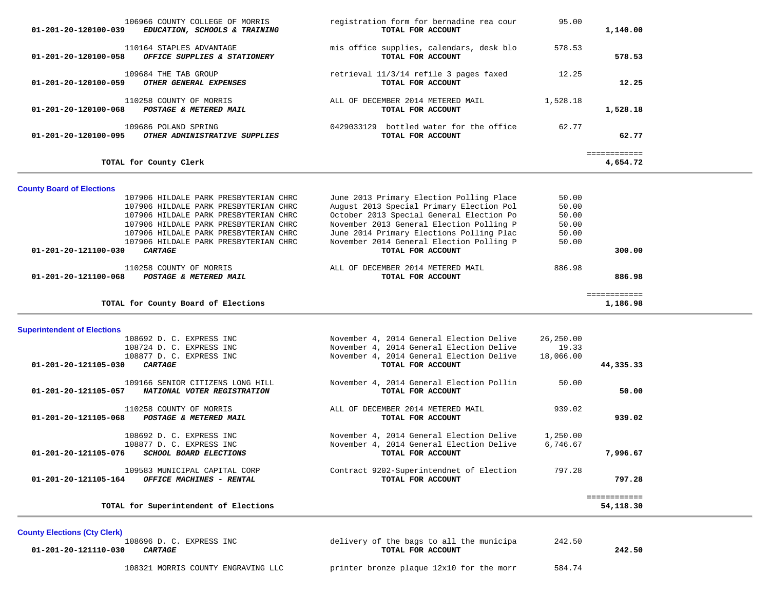| 106966 COUNTY COLLEGE OF MORRIS<br>EDUCATION, SCHOOLS & TRAINING<br>01-201-20-120100-039                                                                                                                                                                                              | registration form for bernadine rea cour<br>TOTAL FOR ACCOUNT                                                                                                                                                                                                                             | 95.00                                              | 1,140.00                  |
|---------------------------------------------------------------------------------------------------------------------------------------------------------------------------------------------------------------------------------------------------------------------------------------|-------------------------------------------------------------------------------------------------------------------------------------------------------------------------------------------------------------------------------------------------------------------------------------------|----------------------------------------------------|---------------------------|
| 110164 STAPLES ADVANTAGE                                                                                                                                                                                                                                                              | mis office supplies, calendars, desk blo                                                                                                                                                                                                                                                  | 578.53                                             |                           |
| OFFICE SUPPLIES & STATIONERY<br>01-201-20-120100-058                                                                                                                                                                                                                                  | TOTAL FOR ACCOUNT                                                                                                                                                                                                                                                                         |                                                    | 578.53                    |
| 109684 THE TAB GROUP<br>OTHER GENERAL EXPENSES<br>01-201-20-120100-059                                                                                                                                                                                                                | retrieval 11/3/14 refile 3 pages faxed<br>TOTAL FOR ACCOUNT                                                                                                                                                                                                                               | 12.25                                              | 12.25                     |
| 110258 COUNTY OF MORRIS<br>POSTAGE & METERED MAIL<br>01-201-20-120100-068                                                                                                                                                                                                             | ALL OF DECEMBER 2014 METERED MAIL<br>TOTAL FOR ACCOUNT                                                                                                                                                                                                                                    | 1,528.18                                           | 1,528.18                  |
| 109686 POLAND SPRING<br>OTHER ADMINISTRATIVE SUPPLIES<br>01-201-20-120100-095                                                                                                                                                                                                         | 0429033129 bottled water for the office<br>TOTAL FOR ACCOUNT                                                                                                                                                                                                                              | 62.77                                              | 62.77                     |
| TOTAL for County Clerk                                                                                                                                                                                                                                                                |                                                                                                                                                                                                                                                                                           |                                                    | ============<br>4,654.72  |
| <b>County Board of Elections</b>                                                                                                                                                                                                                                                      |                                                                                                                                                                                                                                                                                           |                                                    |                           |
| 107906 HILDALE PARK PRESBYTERIAN CHRC<br>107906 HILDALE PARK PRESBYTERIAN CHRC<br>107906 HILDALE PARK PRESBYTERIAN CHRC<br>107906 HILDALE PARK PRESBYTERIAN CHRC<br>107906 HILDALE PARK PRESBYTERIAN CHRC<br>107906 HILDALE PARK PRESBYTERIAN CHRC<br>CARTAGE<br>01-201-20-121100-030 | June 2013 Primary Election Polling Place<br>August 2013 Special Primary Election Pol<br>October 2013 Special General Election Po<br>November 2013 General Election Polling P<br>June 2014 Primary Elections Polling Plac<br>November 2014 General Election Polling P<br>TOTAL FOR ACCOUNT | 50.00<br>50.00<br>50.00<br>50.00<br>50.00<br>50.00 | 300.00                    |
| 110258 COUNTY OF MORRIS<br>01-201-20-121100-068 POSTAGE & METERED MAIL                                                                                                                                                                                                                | ALL OF DECEMBER 2014 METERED MAIL<br>TOTAL FOR ACCOUNT                                                                                                                                                                                                                                    | 886.98                                             | 886.98                    |
| TOTAL for County Board of Elections                                                                                                                                                                                                                                                   |                                                                                                                                                                                                                                                                                           |                                                    | ============<br>1,186.98  |
| <b>Superintendent of Elections</b>                                                                                                                                                                                                                                                    |                                                                                                                                                                                                                                                                                           |                                                    |                           |
| 108692 D. C. EXPRESS INC<br>108724 D. C. EXPRESS INC<br>108877 D. C. EXPRESS INC<br>01-201-20-121105-030<br><i><b>CARTAGE</b></i>                                                                                                                                                     | November 4, 2014 General Election Delive<br>November 4, 2014 General Election Delive<br>November 4, 2014 General Election Delive<br>TOTAL FOR ACCOUNT                                                                                                                                     | 26,250.00<br>19.33<br>18,066.00                    | 44,335.33                 |
| 109166 SENIOR CITIZENS LONG HILL<br>01-201-20-121105-057 NATIONAL VOTER REGISTRATION                                                                                                                                                                                                  | November 4, 2014 General Election Pollin<br>TOTAL FOR ACCOUNT                                                                                                                                                                                                                             | 50.00                                              | 50.00                     |
| 110258 COUNTY OF MORRIS<br>01-201-20-121105-068 POSTAGE & METERED MAIL                                                                                                                                                                                                                | ALL OF DECEMBER 2014 METERED MAIL<br>TOTAL FOR ACCOUNT                                                                                                                                                                                                                                    | 939.02                                             | 939.02                    |
| 108692 D. C. EXPRESS INC<br>108877 D. C. EXPRESS INC<br>01-201-20-121105-076<br>SCHOOL BOARD ELECTIONS                                                                                                                                                                                | November 4, 2014 General Election Delive<br>November 4, 2014 General Election Delive<br>TOTAL FOR ACCOUNT                                                                                                                                                                                 | 1,250.00<br>6,746.67                               | 7,996.67                  |
| 109583 MUNICIPAL CAPITAL CORP<br>01-201-20-121105-164 OFFICE MACHINES - RENTAL                                                                                                                                                                                                        | Contract 9202-Superintendnet of Election<br>TOTAL FOR ACCOUNT                                                                                                                                                                                                                             | 797.28                                             | 797.28                    |
| TOTAL for Superintendent of Elections                                                                                                                                                                                                                                                 |                                                                                                                                                                                                                                                                                           |                                                    | ============<br>54,118.30 |

County Elections (Cty Clerk)<br>108696 D. C. EXPRESS INC  **01-201-20-121110-030** *CARTAGE* **TOTAL FOR ACCOUNT 242.50**

delivery of the bags to all the municipa 242.50<br>TOTAL FOR ACCOUNT

108321 MORRIS COUNTY ENGRAVING LLC printer bronze plaque 12x10 for the morr 584.74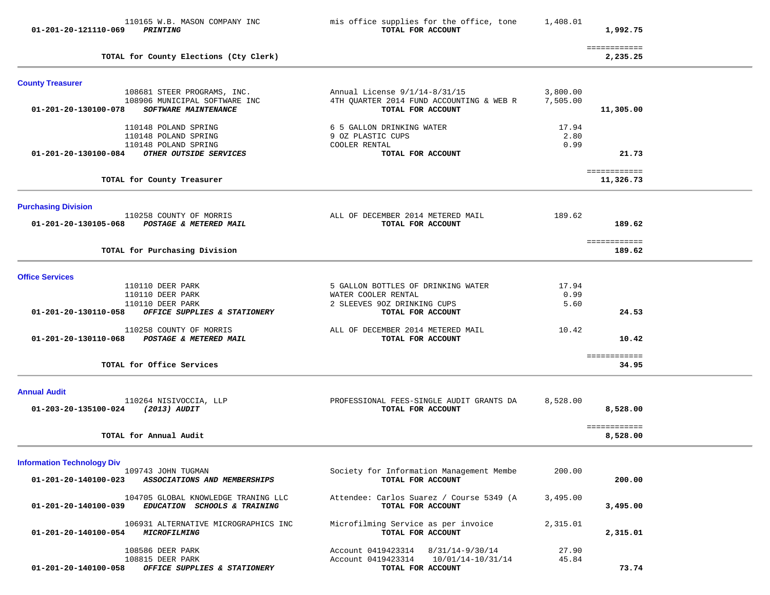| 01-201-20-121110-069                                     | 110165 W.B. MASON COMPANY INC<br><b>PRINTING</b>                                            | mis office supplies for the office, tone<br>TOTAL FOR ACCOUNT                                      | 1,408.01              | 1,992.75                  |  |
|----------------------------------------------------------|---------------------------------------------------------------------------------------------|----------------------------------------------------------------------------------------------------|-----------------------|---------------------------|--|
|                                                          | TOTAL for County Elections (Cty Clerk)                                                      |                                                                                                    |                       | ============<br>2,235.25  |  |
| <b>County Treasurer</b>                                  |                                                                                             |                                                                                                    |                       |                           |  |
| 01-201-20-130100-078                                     | 108681 STEER PROGRAMS, INC.<br>108906 MUNICIPAL SOFTWARE INC<br><b>SOFTWARE MAINTENANCE</b> | Annual License $9/1/14-8/31/15$<br>4TH QUARTER 2014 FUND ACCOUNTING & WEB R<br>TOTAL FOR ACCOUNT   | 3,800.00<br>7,505.00  | 11,305.00                 |  |
|                                                          | 110148 POLAND SPRING<br>110148 POLAND SPRING<br>110148 POLAND SPRING                        | 6 5 GALLON DRINKING WATER<br>9 OZ PLASTIC CUPS<br>COOLER RENTAL                                    | 17.94<br>2.80<br>0.99 |                           |  |
| 01-201-20-130100-084                                     | OTHER OUTSIDE SERVICES                                                                      | TOTAL FOR ACCOUNT                                                                                  |                       | 21.73                     |  |
|                                                          | TOTAL for County Treasurer                                                                  |                                                                                                    |                       | ============<br>11,326.73 |  |
| <b>Purchasing Division</b><br>01-201-20-130105-068       | 110258 COUNTY OF MORRIS<br>POSTAGE & METERED MAIL                                           | ALL OF DECEMBER 2014 METERED MAIL<br>TOTAL FOR ACCOUNT                                             | 189.62                | 189.62                    |  |
|                                                          | TOTAL for Purchasing Division                                                               |                                                                                                    |                       | ============<br>189.62    |  |
| <b>Office Services</b>                                   |                                                                                             |                                                                                                    |                       |                           |  |
|                                                          | 110110 DEER PARK<br>110110 DEER PARK<br>110110 DEER PARK                                    | 5 GALLON BOTTLES OF DRINKING WATER<br>WATER COOLER RENTAL<br>2 SLEEVES 90Z DRINKING CUPS           | 17.94<br>0.99<br>5.60 |                           |  |
| 01-201-20-130110-058<br>01-201-20-130110-068             | OFFICE SUPPLIES & STATIONERY<br>110258 COUNTY OF MORRIS<br>POSTAGE & METERED MAIL           | TOTAL FOR ACCOUNT<br>ALL OF DECEMBER 2014 METERED MAIL<br>TOTAL FOR ACCOUNT                        | 10.42                 | 24.53<br>10.42            |  |
|                                                          | TOTAL for Office Services                                                                   |                                                                                                    |                       | ============<br>34.95     |  |
|                                                          |                                                                                             |                                                                                                    |                       |                           |  |
| <b>Annual Audit</b><br>01-203-20-135100-024 (2013) AUDIT | 110264 NISIVOCCIA, LLP                                                                      | PROFESSIONAL FEES-SINGLE AUDIT GRANTS DA<br>TOTAL FOR ACCOUNT                                      | 8,528.00              | 8,528.00                  |  |
|                                                          | TOTAL for Annual Audit                                                                      |                                                                                                    |                       | ============<br>8,528.00  |  |
| <b>Information Technology Div</b>                        |                                                                                             |                                                                                                    |                       |                           |  |
| 01-201-20-140100-023                                     | 109743 JOHN TUGMAN<br>ASSOCIATIONS AND MEMBERSHIPS                                          | Society for Information Management Membe<br>TOTAL FOR ACCOUNT                                      | 200.00                | 200.00                    |  |
| 01-201-20-140100-039                                     | 104705 GLOBAL KNOWLEDGE TRANING LLC<br>EDUCATION SCHOOLS & TRAINING                         | Attendee: Carlos Suarez / Course 5349 (A<br>TOTAL FOR ACCOUNT                                      | 3,495.00              | 3,495.00                  |  |
| 01-201-20-140100-054                                     | 106931 ALTERNATIVE MICROGRAPHICS INC<br>MICROFILMING                                        | Microfilming Service as per invoice<br>TOTAL FOR ACCOUNT                                           | 2,315.01              | 2,315.01                  |  |
| 01-201-20-140100-058                                     | 108586 DEER PARK<br>108815 DEER PARK<br>OFFICE SUPPLIES & STATIONERY                        | Account 0419423314 8/31/14-9/30/14<br>Account 0419423314<br>10/01/14-10/31/14<br>TOTAL FOR ACCOUNT | 27.90<br>45.84        | 73.74                     |  |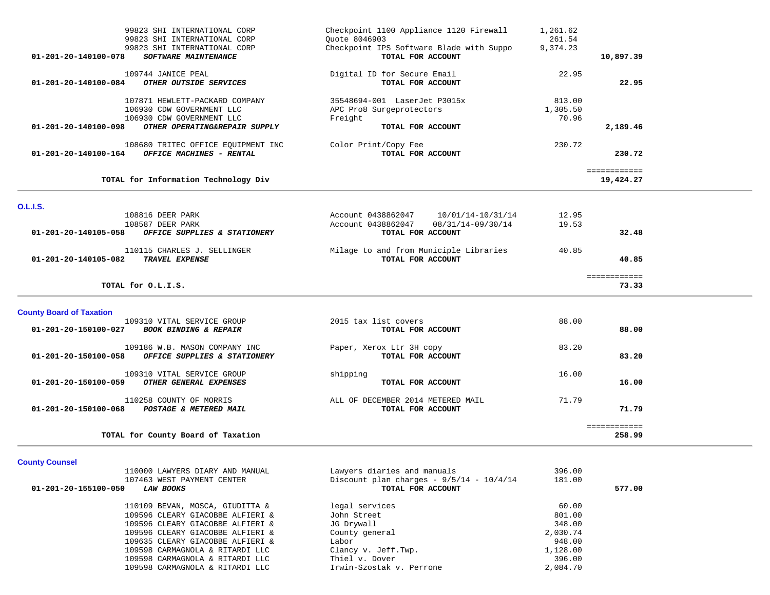|                                                         | TOTAL for County Board of Taxation                                                                                        |                                                                                                         |                             | ============<br>258.99    |  |
|---------------------------------------------------------|---------------------------------------------------------------------------------------------------------------------------|---------------------------------------------------------------------------------------------------------|-----------------------------|---------------------------|--|
| 01-201-20-150100-068                                    | 110258 COUNTY OF MORRIS<br>POSTAGE & METERED MAIL                                                                         | ALL OF DECEMBER 2014 METERED MAIL<br>TOTAL FOR ACCOUNT                                                  | 71.79                       | 71.79                     |  |
| 01-201-20-150100-059                                    | 109310 VITAL SERVICE GROUP<br>OTHER GENERAL EXPENSES                                                                      | shipping<br>TOTAL FOR ACCOUNT                                                                           | 16.00                       | 16.00                     |  |
| 01-201-20-150100-058                                    | 109186 W.B. MASON COMPANY INC<br>OFFICE SUPPLIES & STATIONERY                                                             | Paper, Xerox Ltr 3H copy<br>TOTAL FOR ACCOUNT                                                           | 83.20                       | 83.20                     |  |
| <b>County Board of Taxation</b><br>01-201-20-150100-027 | 109310 VITAL SERVICE GROUP<br><b>BOOK BINDING &amp; REPAIR</b>                                                            | 2015 tax list covers<br>TOTAL FOR ACCOUNT                                                               | 88.00                       | 88.00                     |  |
| TOTAL for O.L.I.S.                                      |                                                                                                                           |                                                                                                         |                             | ============<br>73.33     |  |
| 01-201-20-140105-082                                    | 110115 CHARLES J. SELLINGER<br><b>TRAVEL EXPENSE</b>                                                                      | Milage to and from Municiple Libraries<br>TOTAL FOR ACCOUNT                                             | 40.85                       | 40.85                     |  |
| 01-201-20-140105-058                                    | 108816 DEER PARK<br>108587 DEER PARK<br>OFFICE SUPPLIES & STATIONERY                                                      | Account 0438862047<br>10/01/14-10/31/14<br>08/31/14-09/30/14<br>Account 0438862047<br>TOTAL FOR ACCOUNT | 12.95<br>19.53              | 32.48                     |  |
| <b>O.L.I.S.</b>                                         |                                                                                                                           |                                                                                                         |                             |                           |  |
|                                                         | TOTAL for Information Technology Div                                                                                      |                                                                                                         |                             | ============<br>19,424.27 |  |
| 01-201-20-140100-164                                    | 108680 TRITEC OFFICE EQUIPMENT INC<br>OFFICE MACHINES - RENTAL                                                            | Color Print/Copy Fee<br>TOTAL FOR ACCOUNT                                                               | 230.72                      | 230.72                    |  |
| 01-201-20-140100-098                                    | 107871 HEWLETT-PACKARD COMPANY<br>106930 CDW GOVERNMENT LLC<br>106930 CDW GOVERNMENT LLC<br>OTHER OPERATING&REPAIR SUPPLY | 35548694-001 LaserJet P3015x<br>APC Pro8 Surgeprotectors<br>Freight<br>TOTAL FOR ACCOUNT                | 813.00<br>1,305.50<br>70.96 | 2,189.46                  |  |
| 01-201-20-140100-084                                    | 109744 JANICE PEAL<br>OTHER OUTSIDE SERVICES                                                                              | Digital ID for Secure Email<br>TOTAL FOR ACCOUNT                                                        | 22.95                       | 22.95                     |  |
| 01-201-20-140100-078                                    | 99823 SHI INTERNATIONAL CORP<br>99823 SHI INTERNATIONAL CORP<br>SOFTWARE MAINTENANCE                                      | Ouote 8046903<br>Checkpoint IPS Software Blade with Suppo<br>TOTAL FOR ACCOUNT                          | 261.54<br>9,374.23          | 10,897.39                 |  |
|                                                         | 99823 SHI INTERNATIONAL CORP                                                                                              | Checkpoint 1100 Appliance 1120 Firewall                                                                 | 1,261.62                    |                           |  |

# **County Counsel**

| 110000 LAWYERS DIARY AND MANUAL                 | Lawyers diaries and manuals                  | 396.00   |        |
|-------------------------------------------------|----------------------------------------------|----------|--------|
| 107463 WEST PAYMENT CENTER                      | Discount plan charges - $9/5/14$ - $10/4/14$ | 181.00   |        |
| 01-201-20-155100-050<br><i><b>LAW BOOKS</b></i> | TOTAL FOR ACCOUNT                            |          | 577.00 |
| 110109 BEVAN, MOSCA, GIUDITTA &                 | legal services                               | 60.00    |        |
| 109596 CLEARY GIACOBBE ALFIERI &                | John Street                                  | 801.00   |        |
| 109596 CLEARY GIACOBBE ALFIERI &                | JG Drywall                                   | 348.00   |        |
| 109596 CLEARY GIACOBBE ALFIERI &                | County general                               | 2,030.74 |        |
| 109635 CLEARY GIACOBBE ALFIERI &                | Labor                                        | 948.00   |        |
| 109598 CARMAGNOLA & RITARDI LLC                 | Clancy v. Jeff.Twp.                          | 1,128.00 |        |
| 109598 CARMAGNOLA & RITARDI LLC                 | Thiel v. Dover                               | 396.00   |        |
| 109598 CARMAGNOLA & RITARDI LLC                 | Irwin-Szostak v. Perrone                     | 2,084.70 |        |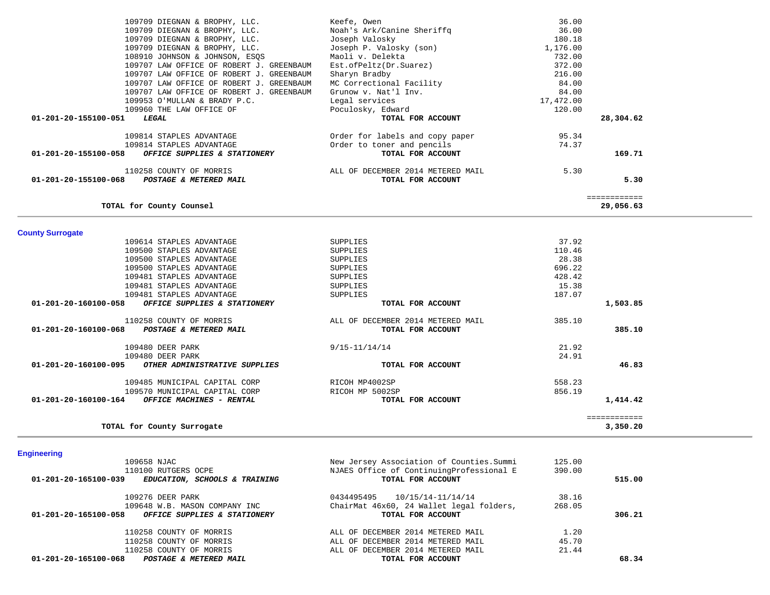|                         | 109709 DIEGNAN & BROPHY, LLC.                           | Keefe, Owen                               | 36.00     |              |  |
|-------------------------|---------------------------------------------------------|-------------------------------------------|-----------|--------------|--|
|                         | 109709 DIEGNAN & BROPHY, LLC.                           | Noah's Ark/Canine Sheriffq                | 36.00     |              |  |
|                         | 109709 DIEGNAN & BROPHY, LLC.                           | Joseph Valosky                            | 180.18    |              |  |
|                         | 109709 DIEGNAN & BROPHY, LLC.                           | Joseph P. Valosky (son)                   | 1,176.00  |              |  |
|                         | 108910 JOHNSON & JOHNSON, ESQS                          | Maoli v. Delekta                          | 732.00    |              |  |
|                         | 109707 LAW OFFICE OF ROBERT J. GREENBAUM                | Est.ofPeltz(Dr.Suarez)                    | 372.00    |              |  |
|                         | 109707 LAW OFFICE OF ROBERT J. GREENBAUM                | Sharyn Bradby                             | 216.00    |              |  |
|                         | 109707 LAW OFFICE OF ROBERT J. GREENBAUM                | MC Correctional Facility                  | 84.00     |              |  |
|                         |                                                         |                                           |           |              |  |
|                         | 109707 LAW OFFICE OF ROBERT J. GREENBAUM                | Grunow v. Nat'l Inv.                      | 84.00     |              |  |
|                         | 109953 O'MULLAN & BRADY P.C.                            | Legal services                            | 17,472.00 |              |  |
|                         | 109960 THE LAW OFFICE OF                                | Poculosky, Edward                         | 120.00    |              |  |
| 01-201-20-155100-051    | LEGAL                                                   | TOTAL FOR ACCOUNT                         |           | 28,304.62    |  |
|                         | 109814 STAPLES ADVANTAGE                                | Order for labels and copy paper           | 95.34     |              |  |
|                         | 109814 STAPLES ADVANTAGE                                | Order to toner and pencils                | 74.37     |              |  |
| 01-201-20-155100-058    |                                                         | TOTAL FOR ACCOUNT                         |           | 169.71       |  |
|                         | OFFICE SUPPLIES & STATIONERY                            |                                           |           |              |  |
|                         | 110258 COUNTY OF MORRIS                                 | ALL OF DECEMBER 2014 METERED MAIL         | 5.30      |              |  |
| 01-201-20-155100-068    | <b>POSTAGE &amp; METERED MAIL</b>                       | TOTAL FOR ACCOUNT                         |           | 5.30         |  |
|                         |                                                         |                                           |           |              |  |
|                         |                                                         |                                           |           | ============ |  |
|                         | TOTAL for County Counsel                                |                                           |           | 29,056.63    |  |
|                         |                                                         |                                           |           |              |  |
| <b>County Surrogate</b> |                                                         |                                           |           |              |  |
|                         | 109614 STAPLES ADVANTAGE                                | <b>SUPPLIES</b>                           | 37.92     |              |  |
|                         | 109500 STAPLES ADVANTAGE                                | SUPPLIES                                  | 110.46    |              |  |
|                         | 109500 STAPLES ADVANTAGE                                | SUPPLIES                                  | 28.38     |              |  |
|                         | 109500 STAPLES ADVANTAGE                                | SUPPLIES                                  | 696.22    |              |  |
|                         |                                                         |                                           | 428.42    |              |  |
|                         | 109481 STAPLES ADVANTAGE                                | SUPPLIES                                  |           |              |  |
|                         | 109481 STAPLES ADVANTAGE                                | SUPPLIES                                  | 15.38     |              |  |
|                         | 109481 STAPLES ADVANTAGE                                | SUPPLIES                                  | 187.07    |              |  |
| 01-201-20-160100-058    | OFFICE SUPPLIES & STATIONERY                            | TOTAL FOR ACCOUNT                         |           | 1,503.85     |  |
|                         | 110258 COUNTY OF MORRIS                                 | ALL OF DECEMBER 2014 METERED MAIL         | 385.10    |              |  |
|                         | 01-201-20-160100-068 POSTAGE & METERED MAIL             | TOTAL FOR ACCOUNT                         |           | 385.10       |  |
|                         |                                                         |                                           |           |              |  |
|                         | 109480 DEER PARK                                        | $9/15 - 11/14/14$                         | 21.92     |              |  |
|                         | 109480 DEER PARK                                        |                                           | 24.91     |              |  |
|                         | 01-201-20-160100-095 OTHER ADMINISTRATIVE SUPPLIES      | TOTAL FOR ACCOUNT                         |           | 46.83        |  |
|                         |                                                         |                                           |           |              |  |
|                         | 109485 MUNICIPAL CAPITAL CORP                           | RICOH MP4002SP                            | 558.23    |              |  |
|                         | 109570 MUNICIPAL CAPITAL CORP                           | RICOH MP 5002SP                           | 856.19    |              |  |
|                         | $01 - 201 - 20 - 160100 - 164$ OFFICE MACHINES - RENTAL | TOTAL FOR ACCOUNT                         |           | 1,414.42     |  |
|                         |                                                         |                                           |           | ============ |  |
|                         | TOTAL for County Surrogate                              |                                           |           | 3,350.20     |  |
|                         |                                                         |                                           |           |              |  |
|                         |                                                         |                                           |           |              |  |
| <b>Engineering</b>      |                                                         |                                           |           |              |  |
|                         | 109658 NJAC                                             | New Jersey Association of Counties. Summi | 125.00    |              |  |
|                         | 110100 RUTGERS OCPE                                     | NJAES Office of ContinuingProfessional E  | 390.00    |              |  |
| 01-201-20-165100-039    | EDUCATION, SCHOOLS & TRAINING                           | TOTAL FOR ACCOUNT                         |           | 515.00       |  |
|                         |                                                         | 0434495495<br>10/15/14-11/14/14           | 38.16     |              |  |
|                         | 109276 DEER PARK<br>109648 W.B. MASON COMPANY INC       | ChairMat 46x60, 24 Wallet legal folders.  | 268.05    |              |  |
|                         |                                                         |                                           |           |              |  |

| 109648 W.B. MASON COMPANY INC<br>01-201-20-165100-058<br><i>OFFICE SUPPLIES &amp; STATIONERY</i> | ChairMat 46x60, 24 Wallet legal folders,<br>TOTAL FOR ACCOUNT | 268.05 | 306.21 |
|--------------------------------------------------------------------------------------------------|---------------------------------------------------------------|--------|--------|
| 110258 COUNTY OF MORRIS                                                                          | ALL OF DECEMBER 2014 METERED MAIL                             | 1.20   |        |
| 110258 COUNTY OF MORRIS                                                                          | ALL OF DECEMBER 2014 METERED MAIL                             | 45.70  |        |
| 110258 COUNTY OF MORRIS                                                                          | ALL OF DECEMBER 2014 METERED MAIL                             | 21.44  |        |
| 01-201-20-165100-068<br><b>POSTAGE &amp; METERED MAIL</b>                                        | TOTAL FOR ACCOUNT                                             |        | 68.34  |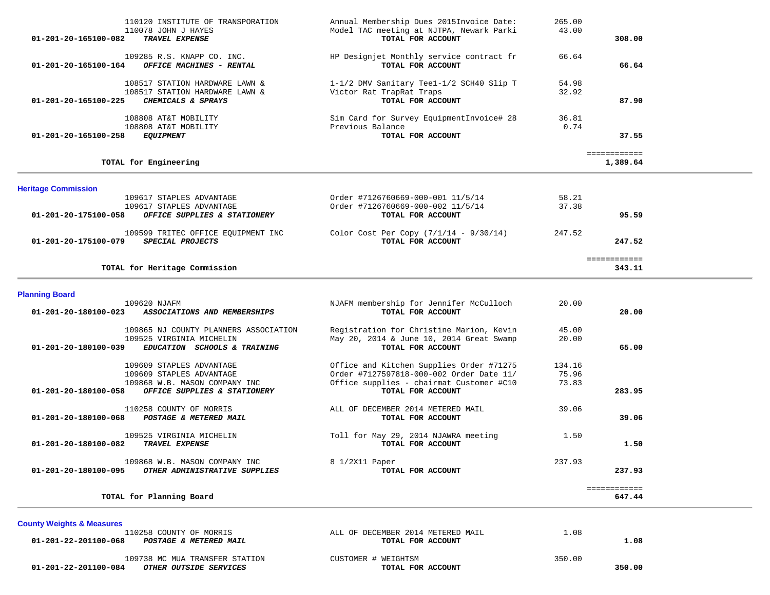| 110120 INSTITUTE OF TRANSPORATION<br>110078 JOHN J HAYES<br>01-201-20-165100-082<br>TRAVEL EXPENSE                        | Annual Membership Dues 2015Invoice Date:<br>Model TAC meeting at NJTPA, Newark Parki<br>TOTAL FOR ACCOUNT                        | 265.00<br>43.00          | 308.00                   |
|---------------------------------------------------------------------------------------------------------------------------|----------------------------------------------------------------------------------------------------------------------------------|--------------------------|--------------------------|
| 109285 R.S. KNAPP CO. INC.<br>OFFICE MACHINES - RENTAL<br>01-201-20-165100-164                                            | HP Designjet Monthly service contract fr<br>TOTAL FOR ACCOUNT                                                                    | 66.64                    | 66.64                    |
| 108517 STATION HARDWARE LAWN &<br>108517 STATION HARDWARE LAWN &<br>CHEMICALS & SPRAYS<br>01-201-20-165100-225            | 1-1/2 DMV Sanitary Teel-1/2 SCH40 Slip T<br>Victor Rat TrapRat Traps<br>TOTAL FOR ACCOUNT                                        | 54.98<br>32.92           | 87.90                    |
| 108808 AT&T MOBILITY<br>108808 AT&T MOBILITY<br><b>EQUIPMENT</b><br>01-201-20-165100-258                                  | Sim Card for Survey EquipmentInvoice# 28<br>Previous Balance<br>TOTAL FOR ACCOUNT                                                | 36.81<br>0.74            | 37.55                    |
| TOTAL for Engineering                                                                                                     |                                                                                                                                  |                          | ============<br>1,389.64 |
| <b>Heritage Commission</b>                                                                                                |                                                                                                                                  |                          |                          |
| 109617 STAPLES ADVANTAGE<br>109617 STAPLES ADVANTAGE<br>01-201-20-175100-058<br>OFFICE SUPPLIES & STATIONERY              | Order #7126760669-000-001 11/5/14<br>Order #7126760669-000-002 11/5/14<br>TOTAL FOR ACCOUNT                                      | 58.21<br>37.38           | 95.59                    |
| 109599 TRITEC OFFICE EQUIPMENT INC<br>SPECIAL PROJECTS<br>01-201-20-175100-079                                            | Color Cost Per Copy $(7/1/14 - 9/30/14)$<br>TOTAL FOR ACCOUNT                                                                    | 247.52                   | 247.52                   |
| TOTAL for Heritage Commission                                                                                             |                                                                                                                                  |                          | ============<br>343.11   |
| <b>Planning Board</b>                                                                                                     |                                                                                                                                  |                          |                          |
| 109620 NJAFM<br>ASSOCIATIONS AND MEMBERSHIPS<br>01-201-20-180100-023                                                      | NJAFM membership for Jennifer McCulloch<br>TOTAL FOR ACCOUNT                                                                     | 20.00                    | 20.00                    |
| 109865 NJ COUNTY PLANNERS ASSOCIATION<br>109525 VIRGINIA MICHELIN<br>01-201-20-180100-039<br>EDUCATION SCHOOLS & TRAINING | Registration for Christine Marion, Kevin<br>May 20, 2014 & June 10, 2014 Great Swamp<br>TOTAL FOR ACCOUNT                        | 45.00<br>20.00           | 65.00                    |
| 109609 STAPLES ADVANTAGE<br>109609 STAPLES ADVANTAGE<br>109868 W.B. MASON COMPANY INC                                     | Office and Kitchen Supplies Order #71275<br>Order #7127597818-000-002 Order Date 11/<br>Office supplies - chairmat Customer #C10 | 134.16<br>75.96<br>73.83 |                          |
| 01-201-20-180100-058<br>OFFICE SUPPLIES & STATIONERY                                                                      | TOTAL FOR ACCOUNT                                                                                                                |                          | 283.95                   |
| 110258 COUNTY OF MORRIS<br>01-201-20-180100-068<br>POSTAGE & METERED MAIL                                                 | ALL OF DECEMBER 2014 METERED MAIL<br>TOTAL FOR ACCOUNT                                                                           | 39.06                    | 39.06                    |
| 109525 VIRGINIA MICHELIN<br>01-201-20-180100-082<br>TRAVEL EXPENSE                                                        | Toll for May 29, 2014 NJAWRA meeting<br>TOTAL FOR ACCOUNT                                                                        | 1.50                     | 1.50                     |
| 109868 W.B. MASON COMPANY INC<br>OTHER ADMINISTRATIVE SUPPLIES<br>01-201-20-180100-095                                    | 8 1/2X11 Paper<br>TOTAL FOR ACCOUNT                                                                                              | 237.93                   | 237.93                   |
|                                                                                                                           |                                                                                                                                  |                          |                          |

**County Weights & Measures** ALL OF DECEMBER 2014 METERED MAIL 1.08<br>TOTAL FOR ACCOUNT  **01-201-22-201100-068** *POSTAGE & METERED MAIL* **TOTAL FOR ACCOUNT 1.08**

109738 MC MUA TRANSFER STATION CUSTOMER # WEIGHTSM **350.00**<br>19 **OTHER OUTSIDE SERVICES CONSTITUTE ACCOUNT 01-201-22-201100-084** *OTHER OUTSIDE SERVICES* **TOTAL FOR ACCOUNT 350.00**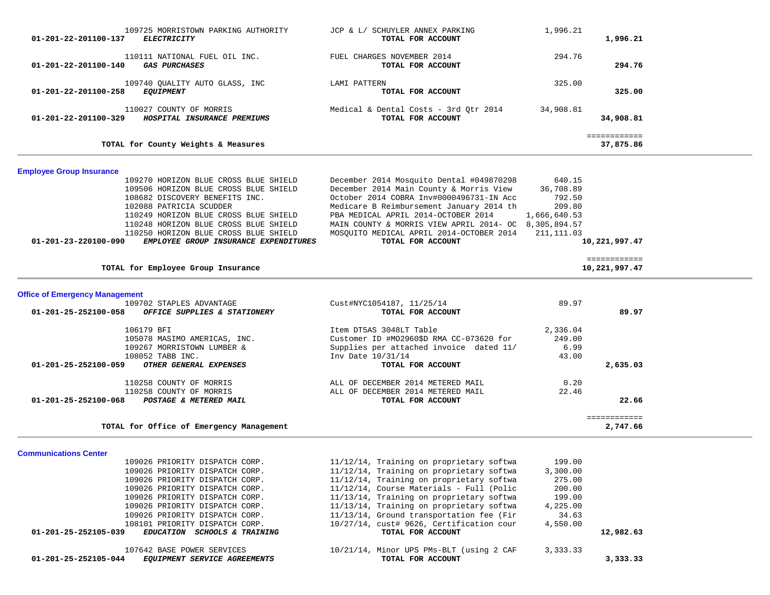| 109725 MORRISTOWN PARKING AUTHORITY<br>01-201-22-201100-137<br><b>ELECTRICITY</b>                                                                                                                                                                                                                                                       | JCP & L/ SCHUYLER ANNEX PARKING<br>TOTAL FOR ACCOUNT                                                                                                                                                                                                                                                                                                                              | 1,996.21                                                                          | 1,996.21                      |  |
|-----------------------------------------------------------------------------------------------------------------------------------------------------------------------------------------------------------------------------------------------------------------------------------------------------------------------------------------|-----------------------------------------------------------------------------------------------------------------------------------------------------------------------------------------------------------------------------------------------------------------------------------------------------------------------------------------------------------------------------------|-----------------------------------------------------------------------------------|-------------------------------|--|
| 110111 NATIONAL FUEL OIL INC.<br><b>GAS PURCHASES</b><br>01-201-22-201100-140                                                                                                                                                                                                                                                           | FUEL CHARGES NOVEMBER 2014<br>TOTAL FOR ACCOUNT                                                                                                                                                                                                                                                                                                                                   | 294.76                                                                            | 294.76                        |  |
| 109740 QUALITY AUTO GLASS, INC<br><b>EQUIPMENT</b><br>01-201-22-201100-258                                                                                                                                                                                                                                                              | LAMI PATTERN<br>TOTAL FOR ACCOUNT                                                                                                                                                                                                                                                                                                                                                 | 325.00                                                                            | 325.00                        |  |
| 110027 COUNTY OF MORRIS<br>HOSPITAL INSURANCE PREMIUMS<br>01-201-22-201100-329                                                                                                                                                                                                                                                          | Medical & Dental Costs - 3rd Qtr 2014<br>TOTAL FOR ACCOUNT                                                                                                                                                                                                                                                                                                                        | 34,908.81                                                                         | 34,908.81                     |  |
| TOTAL for County Weights & Measures                                                                                                                                                                                                                                                                                                     |                                                                                                                                                                                                                                                                                                                                                                                   |                                                                                   | ============<br>37,875.86     |  |
| <b>Employee Group Insurance</b>                                                                                                                                                                                                                                                                                                         |                                                                                                                                                                                                                                                                                                                                                                                   |                                                                                   |                               |  |
| 109270 HORIZON BLUE CROSS BLUE SHIELD<br>109506 HORIZON BLUE CROSS BLUE SHIELD<br>108682 DISCOVERY BENEFITS INC.<br>102088 PATRICIA SCUDDER<br>110249 HORIZON BLUE CROSS BLUE SHIELD<br>110248 HORIZON BLUE CROSS BLUE SHIELD<br>110250 HORIZON BLUE CROSS BLUE SHIELD<br>EMPLOYEE GROUP INSURANCE EXPENDITURES<br>01-201-23-220100-090 | December 2014 Mosquito Dental #049870298<br>December 2014 Main County & Morris View<br>October 2014 COBRA Inv#0000496731-IN Acc<br>Medicare B Reimbursement January 2014 th<br>PBA MEDICAL APRIL 2014-OCTOBER 2014<br>MAIN COUNTY & MORRIS VIEW APRIL 2014- OC 8,305,894.57<br>MOSOUITO MEDICAL APRIL 2014-OCTOBER 2014<br>TOTAL FOR ACCOUNT                                      | 640.15<br>36,708.89<br>792.50<br>209.80<br>1,666,640.53<br>211, 111.03            | 10,221,997.47                 |  |
| TOTAL for Employee Group Insurance                                                                                                                                                                                                                                                                                                      |                                                                                                                                                                                                                                                                                                                                                                                   |                                                                                   | ============<br>10,221,997.47 |  |
| <b>Office of Emergency Management</b>                                                                                                                                                                                                                                                                                                   |                                                                                                                                                                                                                                                                                                                                                                                   |                                                                                   |                               |  |
| 109702 STAPLES ADVANTAGE<br>01-201-25-252100-058<br>OFFICE SUPPLIES & STATIONERY                                                                                                                                                                                                                                                        | Cust#NYC1054187, 11/25/14<br>TOTAL FOR ACCOUNT                                                                                                                                                                                                                                                                                                                                    | 89.97                                                                             | 89.97                         |  |
| 106179 BFI<br>105078 MASIMO AMERICAS, INC.<br>109267 MORRISTOWN LUMBER &<br>108052 TABB INC.<br>OTHER GENERAL EXPENSES<br>01-201-25-252100-059                                                                                                                                                                                          | Item DT5AS 3048LT Table<br>Customer ID #MO2960\$D RMA CC-073620 for<br>Supplies per attached invoice dated 11/<br>Inv Date 10/31/14<br>TOTAL FOR ACCOUNT                                                                                                                                                                                                                          | 2,336.04<br>249.00<br>6.99<br>43.00                                               | 2,635.03                      |  |
| 110258 COUNTY OF MORRIS<br>110258 COUNTY OF MORRIS<br>01-201-25-252100-068<br>POSTAGE & METERED MAIL                                                                                                                                                                                                                                    | ALL OF DECEMBER 2014 METERED MAIL<br>ALL OF DECEMBER 2014 METERED MAIL<br>TOTAL FOR ACCOUNT                                                                                                                                                                                                                                                                                       | 0.20<br>22.46                                                                     | 22.66                         |  |
| TOTAL for Office of Emergency Management                                                                                                                                                                                                                                                                                                |                                                                                                                                                                                                                                                                                                                                                                                   |                                                                                   | ============<br>2,747.66      |  |
| <b>Communications Center</b>                                                                                                                                                                                                                                                                                                            |                                                                                                                                                                                                                                                                                                                                                                                   |                                                                                   |                               |  |
| 109026 PRIORITY DISPATCH CORP.<br>109026 PRIORITY DISPATCH CORP.<br>109026 PRIORITY DISPATCH CORP.<br>109026 PRIORITY DISPATCH CORP.<br>109026 PRIORITY DISPATCH CORP.<br>109026 PRIORITY DISPATCH CORP.<br>109026 PRIORITY DISPATCH CORP.<br>108101 PRIORITY DISPATCH CORP.<br>01-201-25-252105-039<br>EDUCATION SCHOOLS & TRAINING    | 11/12/14, Training on proprietary softwa<br>11/12/14, Training on proprietary softwa<br>11/12/14, Training on proprietary softwa<br>11/12/14, Course Materials - Full (Polic<br>11/13/14, Training on proprietary softwa<br>11/13/14, Training on proprietary softwa<br>11/13/14, Ground transportation fee (Fir<br>10/27/14, cust# 9626, Certification cour<br>TOTAL FOR ACCOUNT | 199.00<br>3,300.00<br>275.00<br>200.00<br>199.00<br>4,225.00<br>34.63<br>4,550.00 | 12,982.63                     |  |

107642 BASE POWER SERVICES 10/21/14, Minor UPS PMs-BLT (using 2 CAF 3,333.33<br>**4** EQUIPMENT SERVICE AGREEMENTS TOTAL FOR ACCOUNT  **01-201-25-252105-044** *EQUIPMENT SERVICE AGREEMENTS* **TOTAL FOR ACCOUNT 3,333.33**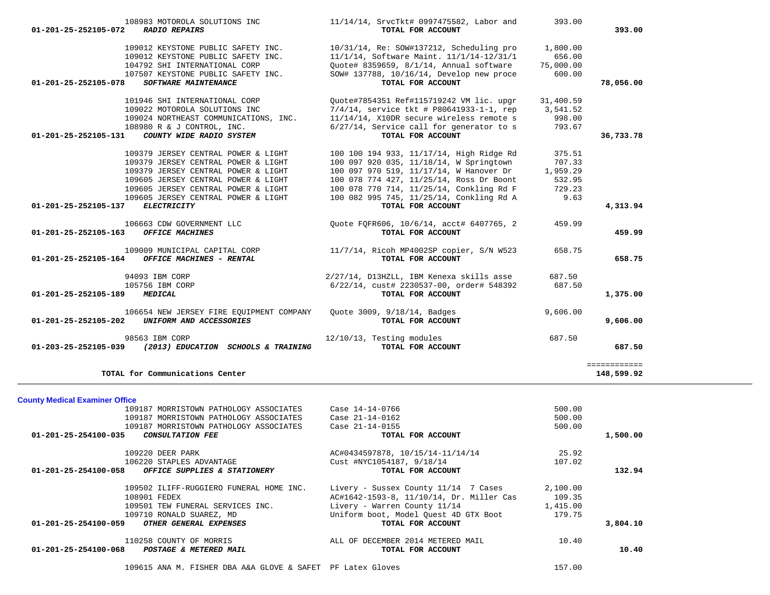| 109012 KEYSTONE PUBLIC SAFETY INC.<br>109012 KEYSTONE PUBLIC SAFETY INC.<br>104792 SHI INTERNATIONAL CORP<br>107507 KEYSTONE PUBLIC SAFETY INC.                                                 | 10/31/14, Re: SOW#137212, Scheduling pro<br>11/1/14, Software Maint. 11/1/14-12/31/1<br>Quote# 8359659, 8/1/14, Annual software<br>SOW# 137788, 10/16/14, Develop new proce                                            | 1,800.00<br>656.00<br>75,000.00<br>600.00      |                            |
|-------------------------------------------------------------------------------------------------------------------------------------------------------------------------------------------------|------------------------------------------------------------------------------------------------------------------------------------------------------------------------------------------------------------------------|------------------------------------------------|----------------------------|
| 01-201-25-252105-078<br>SOFTWARE MAINTENANCE                                                                                                                                                    | TOTAL FOR ACCOUNT                                                                                                                                                                                                      |                                                | 78,056.00                  |
| 101946 SHI INTERNATIONAL CORP<br>109022 MOTOROLA SOLUTIONS INC<br>109024 NORTHEAST COMMUNICATIONS, INC.<br>108980 R & J CONTROL, INC.<br>COUNTY WIDE RADIO SYSTEM<br>01-201-25-252105-131       | Quote#7854351 Ref#115719242 VM lic. upgr<br>$7/4/14$ , service tkt # P80641933-1-1, rep<br>11/14/14, X10DR secure wireless remote s<br>6/27/14, Service call for generator to s<br>TOTAL FOR ACCOUNT                   | 31,400.59<br>3,541.52<br>998.00<br>793.67      | 36,733.78                  |
| 109379 JERSEY CENTRAL POWER & LIGHT                                                                                                                                                             | 100 100 194 933, 11/17/14, High Ridge Rd                                                                                                                                                                               | 375.51                                         |                            |
| 109379 JERSEY CENTRAL POWER & LIGHT<br>109379 JERSEY CENTRAL POWER & LIGHT<br>109605 JERSEY CENTRAL POWER & LIGHT<br>109605 JERSEY CENTRAL POWER & LIGHT<br>109605 JERSEY CENTRAL POWER & LIGHT | 100 097 920 035, 11/18/14, W Springtown<br>100 097 970 519, 11/17/14, W Hanover Dr<br>100 078 774 427, 11/25/14, Ross Dr Boont<br>100 078 770 714, 11/25/14, Conkling Rd F<br>100 082 995 745, 11/25/14, Conkling Rd A | 707.33<br>1,959.29<br>532.95<br>729.23<br>9.63 |                            |
| 01-201-25-252105-137<br><b>ELECTRICITY</b>                                                                                                                                                      | TOTAL FOR ACCOUNT                                                                                                                                                                                                      |                                                | 4,313.94                   |
| 106663 CDW GOVERNMENT LLC<br>01-201-25-252105-163<br><b>OFFICE MACHINES</b>                                                                                                                     | Quote FQFR606, 10/6/14, acct# 6407765, 2<br>TOTAL FOR ACCOUNT                                                                                                                                                          | 459.99                                         | 459.99                     |
| 109009 MUNICIPAL CAPITAL CORP<br>01-201-25-252105-164<br>OFFICE MACHINES - RENTAL                                                                                                               | 11/7/14, Ricoh MP4002SP copier, S/N W523<br>TOTAL FOR ACCOUNT                                                                                                                                                          | 658.75                                         | 658.75                     |
| 94093 IBM CORP<br>105756 IBM CORP                                                                                                                                                               | 2/27/14, D13HZLL, IBM Kenexa skills asse<br>6/22/14, cust# 2230537-00, order# 548392                                                                                                                                   | 687.50                                         |                            |
| 01-201-25-252105-189<br><b>MEDICAL</b>                                                                                                                                                          | TOTAL FOR ACCOUNT                                                                                                                                                                                                      | 687.50                                         | 1,375.00                   |
| 106654 NEW JERSEY FIRE EOUIPMENT COMPANY<br>UNIFORM AND ACCESSORIES<br>01-201-25-252105-202                                                                                                     | Ouote 3009, 9/18/14, Badges<br>TOTAL FOR ACCOUNT                                                                                                                                                                       | 9,606.00                                       | 9,606.00                   |
| 98563 IBM CORP<br>01-203-25-252105-039 (2013) EDUCATION SCHOOLS & TRAINING                                                                                                                      | 12/10/13, Testing modules<br>TOTAL FOR ACCOUNT                                                                                                                                                                         | 687.50                                         | 687.50                     |
| TOTAL for Communications Center                                                                                                                                                                 |                                                                                                                                                                                                                        |                                                | ============<br>148,599.92 |
| <b>County Medical Examiner Office</b>                                                                                                                                                           |                                                                                                                                                                                                                        |                                                |                            |
| 109187 MORRISTOWN PATHOLOGY ASSOCIATES<br>109187 MORRISTOWN PATHOLOGY ASSOCIATES<br>109187 MORRISTOWN PATHOLOGY ASSOCIATES                                                                      | Case 14-14-0766<br>Case 21-14-0162<br>Case 21-14-0155                                                                                                                                                                  | 500.00<br>500.00<br>500.00                     |                            |
| 01-201-25-254100-035<br>CONSULTATION FEE                                                                                                                                                        | TOTAL FOR ACCOUNT                                                                                                                                                                                                      |                                                | 1,500.00                   |
| 109220 DEER PARK<br>106220 STAPLES ADVANTAGE                                                                                                                                                    | AC#0434597878, 10/15/14-11/14/14<br>Cust #NYC1054187, 9/18/14                                                                                                                                                          | 25.92<br>107.02                                |                            |
| 01-201-25-254100-058<br>OFFICE SUPPLIES & STATIONERY                                                                                                                                            | TOTAL FOR ACCOUNT                                                                                                                                                                                                      |                                                | 132.94                     |
| 109502 ILIFF-RUGGIERO FUNERAL HOME INC.<br>108901 FEDEX<br>109501 TEW FUNERAL SERVICES INC.<br>109710 RONALD SUAREZ, MD                                                                         | Livery - Sussex County 11/14 7 Cases<br>AC#1642-1593-8, 11/10/14, Dr. Miller Cas<br>Livery - Warren County 11/14<br>Uniform boot, Model Quest 4D GTX Boot                                                              | 2,100.00<br>109.35<br>1,415.00<br>179.75       |                            |
| OTHER GENERAL EXPENSES<br>$01 - 201 - 25 - 254100 - 059$                                                                                                                                        | TOTAL FOR ACCOUNT                                                                                                                                                                                                      |                                                | 3,804.10                   |
| 110258 COUNTY OF MORRIS<br>01-201-25-254100-068<br>POSTAGE & METERED MAIL                                                                                                                       | ALL OF DECEMBER 2014 METERED MAIL<br>TOTAL FOR ACCOUNT                                                                                                                                                                 | 10.40                                          | 10.40                      |
| 109615 ANA M. FISHER DBA A&A GLOVE & SAFET PF Latex Gloves                                                                                                                                      |                                                                                                                                                                                                                        | 157.00                                         |                            |

108983 MOTOROLA SOLUTIONS INC  $11/14/14$ , SrvcTkt# 0997475582, Labor and 393.00<br>**2 RADIO REPAIRS TOTAL FOR ACCOUNT 01-201-25-252105-072** *RADIO REPAIRS* **TOTAL FOR ACCOUNT 393.00**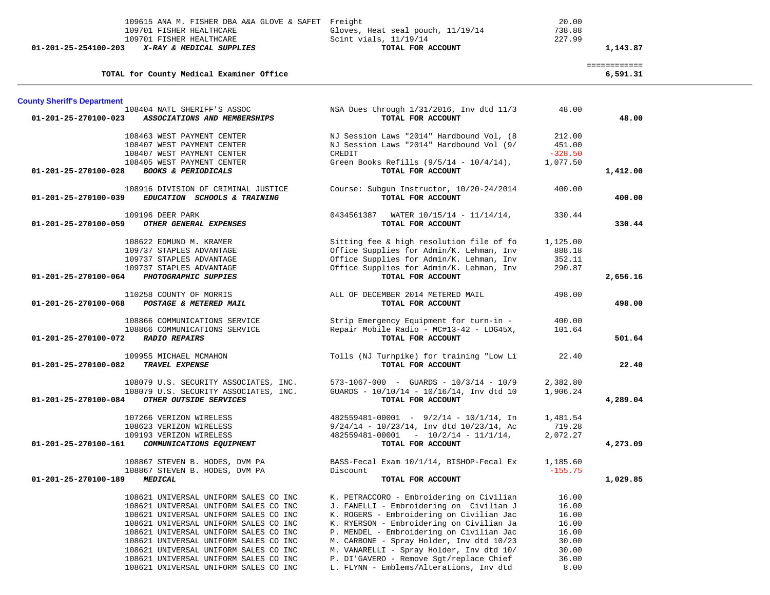| 109701 FISHER HEALTHCARE<br>109701 FISHER HEALTHCARE<br>01-201-25-254100-203<br>X-RAY & MEDICAL SUPPLIES                                                    | 109615 ANA M. FISHER DBA A&A GLOVE & SAFET Freight                                                                                                                                                                                                                                                                                                                            | Gloves, Heat seal pouch, 11/19/14<br>Scint vials, 11/19/14<br>TOTAL FOR ACCOUNT                                                                                                                                                                                                                                                                                                                       | 20.00<br>738.88<br>227.99                                                    | 1,143.87                 |
|-------------------------------------------------------------------------------------------------------------------------------------------------------------|-------------------------------------------------------------------------------------------------------------------------------------------------------------------------------------------------------------------------------------------------------------------------------------------------------------------------------------------------------------------------------|-------------------------------------------------------------------------------------------------------------------------------------------------------------------------------------------------------------------------------------------------------------------------------------------------------------------------------------------------------------------------------------------------------|------------------------------------------------------------------------------|--------------------------|
| TOTAL for County Medical Examiner Office                                                                                                                    |                                                                                                                                                                                                                                                                                                                                                                               |                                                                                                                                                                                                                                                                                                                                                                                                       |                                                                              | ============<br>6,591.31 |
| <b>County Sheriff's Department</b>                                                                                                                          |                                                                                                                                                                                                                                                                                                                                                                               |                                                                                                                                                                                                                                                                                                                                                                                                       |                                                                              |                          |
| 108404 NATL SHERIFF'S ASSOC<br>$01 - 201 - 25 - 270100 - 023$                                                                                               | ASSOCIATIONS AND MEMBERSHIPS                                                                                                                                                                                                                                                                                                                                                  | NSA Dues through 1/31/2016, Inv dtd 11/3<br>TOTAL FOR ACCOUNT                                                                                                                                                                                                                                                                                                                                         | 48.00                                                                        | 48.00                    |
| 108463 WEST PAYMENT CENTER<br>108407 WEST PAYMENT CENTER<br>108407 WEST PAYMENT CENTER                                                                      |                                                                                                                                                                                                                                                                                                                                                                               | NJ Session Laws "2014" Hardbound Vol, (8<br>NJ Session Laws "2014" Hardbound Vol (9/<br>CREDIT                                                                                                                                                                                                                                                                                                        | 212.00<br>451.00<br>$-328.50$                                                |                          |
| 108405 WEST PAYMENT CENTER<br><b>BOOKS &amp; PERIODICALS</b><br>01-201-25-270100-028                                                                        |                                                                                                                                                                                                                                                                                                                                                                               | Green Books Refills $(9/5/14 - 10/4/14)$ ,<br>TOTAL FOR ACCOUNT                                                                                                                                                                                                                                                                                                                                       | 1,077.50                                                                     | 1,412.00                 |
| 01-201-25-270100-039                                                                                                                                        | 108916 DIVISION OF CRIMINAL JUSTICE<br>EDUCATION SCHOOLS & TRAINING                                                                                                                                                                                                                                                                                                           | Course: Subgun Instructor, 10/20-24/2014<br>TOTAL FOR ACCOUNT                                                                                                                                                                                                                                                                                                                                         | 400.00                                                                       | 400.00                   |
| 109196 DEER PARK<br>01-201-25-270100-059<br>OTHER GENERAL EXPENSES                                                                                          |                                                                                                                                                                                                                                                                                                                                                                               | $0434561387$ WATER $10/15/14 - 11/14/14$ ,<br>TOTAL FOR ACCOUNT                                                                                                                                                                                                                                                                                                                                       | 330.44                                                                       | 330.44                   |
| 108622 EDMUND M. KRAMER<br>109737 STAPLES ADVANTAGE<br>109737 STAPLES ADVANTAGE<br>109737 STAPLES ADVANTAGE<br>01-201-25-270100-064<br>PHOTOGRAPHIC SUPPIES |                                                                                                                                                                                                                                                                                                                                                                               | Sitting fee & high resolution file of fo<br>Office Supplies for Admin/K. Lehman, Inv<br>Office Supplies for Admin/K. Lehman, Inv<br>Office Supplies for Admin/K. Lehman, Inv<br>TOTAL FOR ACCOUNT                                                                                                                                                                                                     | 1,125.00<br>888.18<br>352.11<br>290.87                                       | 2,656.16                 |
| 110258 COUNTY OF MORRIS<br>01-201-25-270100-068<br>POSTAGE & METERED MAIL                                                                                   |                                                                                                                                                                                                                                                                                                                                                                               | ALL OF DECEMBER 2014 METERED MAIL<br>TOTAL FOR ACCOUNT                                                                                                                                                                                                                                                                                                                                                | 498.00                                                                       | 498.00                   |
| 108866 COMMUNICATIONS SERVICE<br>108866 COMMUNICATIONS SERVICE<br>01-201-25-270100-072<br><b>RADIO REPAIRS</b>                                              |                                                                                                                                                                                                                                                                                                                                                                               | Strip Emergency Equipment for turn-in -<br>Repair Mobile Radio - MC#13-42 - LDG45X,<br>TOTAL FOR ACCOUNT                                                                                                                                                                                                                                                                                              | 400.00<br>101.64                                                             | 501.64                   |
| 109955 MICHAEL MCMAHON<br>01-201-25-270100-082<br>TRAVEL EXPENSE                                                                                            |                                                                                                                                                                                                                                                                                                                                                                               | Tolls (NJ Turnpike) for training "Low Li<br>TOTAL FOR ACCOUNT                                                                                                                                                                                                                                                                                                                                         | 22.40                                                                        | 22.40                    |
| 01-201-25-270100-084<br>OTHER OUTSIDE SERVICES                                                                                                              | 108079 U.S. SECURITY ASSOCIATES, INC.<br>108079 U.S. SECURITY ASSOCIATES, INC.                                                                                                                                                                                                                                                                                                | $573-1067-000$ - GUARDS - $10/3/14$ - $10/9$<br>GUARDS - 10/10/14 - 10/16/14, Inv dtd 10<br>TOTAL FOR ACCOUNT                                                                                                                                                                                                                                                                                         | 2,382.80<br>1,906.24                                                         | 4,289.04                 |
| 107266 VERIZON WIRELESS<br>108623 VERIZON WIRELESS<br>109193 VERIZON WIRELESS<br>01-201-25-270100-161                                                       | COMMUNICATIONS EQUIPMENT                                                                                                                                                                                                                                                                                                                                                      | $482559481 - 00001 - 9/2/14 - 10/1/14$ , In<br>$9/24/14 - 10/23/14$ , Inv dtd $10/23/14$ , Ac<br>$482559481 - 00001 - 10/2/14 - 11/1/14$ ,<br>TOTAL FOR ACCOUNT                                                                                                                                                                                                                                       | 1,481.54<br>719.28<br>2,072.27                                               | 4,273.09                 |
| 108867 STEVEN B. HODES, DVM PA<br>108867 STEVEN B. HODES, DVM PA<br>01-201-25-270100-189<br>MEDICAL                                                         |                                                                                                                                                                                                                                                                                                                                                                               | BASS-Fecal Exam 10/1/14, BISHOP-Fecal Ex<br>Discount<br>TOTAL FOR ACCOUNT                                                                                                                                                                                                                                                                                                                             | 1,185.60<br>$-155.75$                                                        | 1,029.85                 |
|                                                                                                                                                             | 108621 UNIVERSAL UNIFORM SALES CO INC<br>108621 UNIVERSAL UNIFORM SALES CO INC<br>108621 UNIVERSAL UNIFORM SALES CO INC<br>108621 UNIVERSAL UNIFORM SALES CO INC<br>108621 UNIVERSAL UNIFORM SALES CO INC<br>108621 UNIVERSAL UNIFORM SALES CO INC<br>108621 UNIVERSAL UNIFORM SALES CO INC<br>108621 UNIVERSAL UNIFORM SALES CO INC<br>108621 UNIVERSAL UNIFORM SALES CO INC | K. PETRACCORO - Embroidering on Civilian<br>J. FANELLI - Embroidering on Civilian J<br>K. ROGERS - Embroidering on Civilian Jac<br>K. RYERSON - Embroidering on Civilian Ja<br>P. MENDEL - Embroidering on Civilian Jac<br>M. CARBONE - Spray Holder, Inv dtd 10/23<br>M. VANARELLI - Spray Holder, Inv dtd 10/<br>P. DI'GAVERO - Remove Sqt/replace Chief<br>L. FLYNN - Emblems/Alterations, Inv dtd | 16.00<br>16.00<br>16.00<br>16.00<br>16.00<br>30.00<br>30.00<br>36.00<br>8.00 |                          |

\_\_\_

-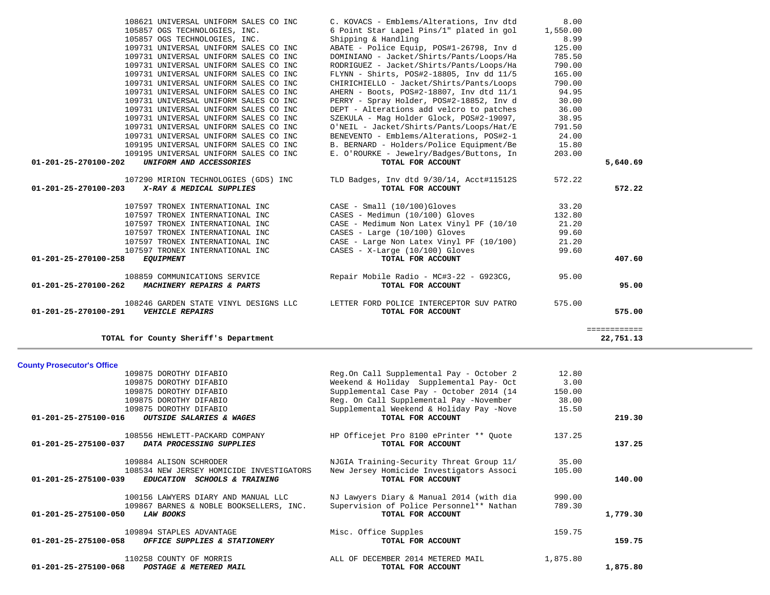| 109875 DOROTHY DIFABIO                                                                           | Reg.On Call Supplemental Pay - October 2                      | 12.80    |          |
|--------------------------------------------------------------------------------------------------|---------------------------------------------------------------|----------|----------|
| 109875 DOROTHY DIFABIO                                                                           | Weekend & Holiday Supplemental Pay- Oct                       | 3.00     |          |
| 109875 DOROTHY DIFABIO                                                                           | Supplemental Case Pay - October 2014 (14                      | 150.00   |          |
| 109875 DOROTHY DIFABIO                                                                           | Reg. On Call Supplemental Pay -November                       | 38.00    |          |
| 109875 DOROTHY DIFABIO                                                                           | Supplemental Weekend & Holiday Pay -Nove                      | 15.50    |          |
| 01-201-25-275100-016<br>OUTSIDE SALARIES & WAGES                                                 | TOTAL FOR ACCOUNT                                             |          | 219.30   |
| 108556 HEWLETT-PACKARD COMPANY                                                                   | HP Officejet Pro 8100 ePrinter ** Quote                       | 137.25   |          |
| 01-201-25-275100-037<br>DATA PROCESSING SUPPLIES                                                 | TOTAL FOR ACCOUNT                                             |          | 137.25   |
| 109884 ALISON SCHRODER                                                                           | NJGIA Training-Security Threat Group 11/                      | 35.00    |          |
| 108534 NEW JERSEY HOMICIDE INVESTIGATORS<br>01-201-25-275100-039<br>EDUCATION SCHOOLS & TRAINING | New Jersey Homicide Investigators Associ<br>TOTAL FOR ACCOUNT | 105.00   | 140.00   |
|                                                                                                  |                                                               |          |          |
| 100156 LAWYERS DIARY AND MANUAL LLC                                                              | NJ Lawyers Diary & Manual 2014 (with dia                      | 990.00   |          |
| 109867 BARNES & NOBLE BOOKSELLERS, INC.                                                          | Supervision of Police Personnel** Nathan                      | 789.30   |          |
| 01-201-25-275100-050<br><b>LAW BOOKS</b>                                                         | TOTAL FOR ACCOUNT                                             |          | 1,779.30 |
| 109894 STAPLES ADVANTAGE                                                                         | Misc. Office Supples                                          | 159.75   |          |
| 01-201-25-275100-058<br>OFFICE SUPPLIES & STATIONERY                                             | TOTAL FOR ACCOUNT                                             |          | 159.75   |
| 110258 COUNTY OF MORRIS                                                                          | ALL OF DECEMBER 2014 METERED MAIL                             | 1,875.80 |          |
| 01-201-25-275100-068<br>POSTAGE & METERED MAIL                                                   | TOTAL FOR ACCOUNT                                             |          | 1,875.80 |

**County Prosecutor's Office**<br>109875 DOROTHY DIFABIO

| 108621 UNIVERSAL UNIFORM SALES CO INC             | C. KOVACS - Emblems/Alterations, Inv dtd | 8.00     |              |
|---------------------------------------------------|------------------------------------------|----------|--------------|
| 105857 OGS TECHNOLOGIES, INC.                     | 6 Point Star Lapel Pins/1" plated in gol | 1,550.00 |              |
| 105857 OGS TECHNOLOGIES, INC.                     | Shipping & Handling                      | 8.99     |              |
| 109731 UNIVERSAL UNIFORM SALES CO INC             | ABATE - Police Equip, POS#1-26798, Inv d | 125.00   |              |
| 109731 UNIVERSAL UNIFORM SALES CO INC             | DOMINIANO - Jacket/Shirts/Pants/Loops/Ha | 785.50   |              |
| 109731 UNIVERSAL UNIFORM SALES CO INC             | RODRIGUEZ - Jacket/Shirts/Pants/Loops/Ha | 790.00   |              |
| 109731 UNIVERSAL UNIFORM SALES CO INC             | FLYNN - Shirts, POS#2-18805, Inv dd 11/5 | 165.00   |              |
| 109731 UNIVERSAL UNIFORM SALES CO INC             | CHIRICHIELLO - Jacket/Shirts/Pants/Loops | 790.00   |              |
| 109731 UNIVERSAL UNIFORM SALES CO INC             | AHERN - Boots, POS#2-18807, Inv dtd 11/1 | 94.95    |              |
| 109731 UNIVERSAL UNIFORM SALES CO INC             | PERRY - Spray Holder, POS#2-18852, Inv d | 30.00    |              |
| 109731 UNIVERSAL UNIFORM SALES CO INC             | DEPT - Alterations add velcro to patches | 36.00    |              |
| 109731 UNIVERSAL UNIFORM SALES CO INC             | SZEKULA - Mag Holder Glock, POS#2-19097, | 38.95    |              |
| 109731 UNIVERSAL UNIFORM SALES CO INC             | O'NEIL - Jacket/Shirts/Pants/Loops/Hat/E | 791.50   |              |
| 109731 UNIVERSAL UNIFORM SALES CO INC             | BENEVENTO - Emblems/Alterations, POS#2-1 | 24.00    |              |
| 109195 UNIVERSAL UNIFORM SALES CO INC             | B. BERNARD - Holders/Police Equipment/Be | 15.80    |              |
| 109195 UNIVERSAL UNIFORM SALES CO INC             | E. O'ROURKE - Jewelry/Badges/Buttons, In | 203.00   |              |
| 01-201-25-270100-202<br>UNIFORM AND ACCESSORIES   | TOTAL FOR ACCOUNT                        |          | 5,640.69     |
| 107290 MIRION TECHNOLOGIES (GDS) INC              | TLD Badges, Inv dtd 9/30/14, Acct#11512S | 572.22   |              |
| X-RAY & MEDICAL SUPPLIES<br>01-201-25-270100-203  | TOTAL FOR ACCOUNT                        |          | 572.22       |
|                                                   |                                          |          |              |
| 107597 TRONEX INTERNATIONAL INC                   | $CASE - Small (10/100)Gloves$            | 33.20    |              |
| 107597 TRONEX INTERNATIONAL INC                   | CASES - Medimun (10/100) Gloves          | 132.80   |              |
| 107597 TRONEX INTERNATIONAL INC                   | CASE - Medimum Non Latex Vinyl PF (10/10 | 21.20    |              |
| 107597 TRONEX INTERNATIONAL INC                   | CASES - Large (10/100) Gloves            | 99.60    |              |
| 107597 TRONEX INTERNATIONAL INC                   | CASE - Large Non Latex Vinyl PF (10/100) | 21.20    |              |
| 107597 TRONEX INTERNATIONAL INC                   | CASES - X-Large (10/100) Gloves          | 99.60    |              |
| 01-201-25-270100-258<br><b>EQUIPMENT</b>          | TOTAL FOR ACCOUNT                        |          | 407.60       |
| 108859 COMMUNICATIONS SERVICE                     | Repair Mobile Radio - MC#3-22 - G923CG,  | 95.00    |              |
| MACHINERY REPAIRS & PARTS<br>01-201-25-270100-262 | TOTAL FOR ACCOUNT                        |          | 95.00        |
| 108246 GARDEN STATE VINYL DESIGNS LLC             | LETTER FORD POLICE INTERCEPTOR SUV PATRO | 575.00   |              |
| 01-201-25-270100-291<br><b>VEHICLE REPAIRS</b>    | TOTAL FOR ACCOUNT                        |          | 575.00       |
|                                                   |                                          |          | ============ |
| TOTAL for County Sheriff's Department             |                                          |          | 22,751.13    |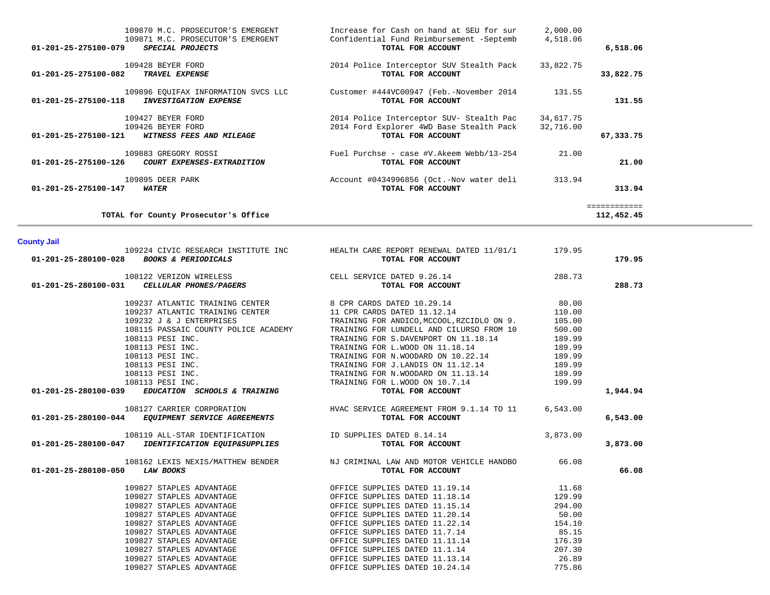| 6,518.06                   | 2,000.00<br>4,518.06   | Increase for Cash on hand at SEU for sur<br>Confidential Fund Reimbursement -Septemb<br>TOTAL FOR ACCOUNT | 109870 M.C. PROSECUTOR'S EMERGENT<br>109871 M.C. PROSECUTOR'S EMERGENT<br>01-201-25-275100-079<br>SPECIAL PROJECTS |
|----------------------------|------------------------|-----------------------------------------------------------------------------------------------------------|--------------------------------------------------------------------------------------------------------------------|
| 33,822.75                  | 33,822.75              | 2014 Police Interceptor SUV Stealth Pack<br>TOTAL FOR ACCOUNT                                             | 109428 BEYER FORD<br>01-201-25-275100-082<br>TRAVEL EXPENSE                                                        |
| 131.55                     | 131.55                 | Customer #444VC00947 (Feb.-November 2014<br>TOTAL FOR ACCOUNT                                             | 109896 EQUIFAX INFORMATION SVCS LLC<br>01-201-25-275100-118<br><b>INVESTIGATION EXPENSE</b>                        |
| 67,333.75                  | 34,617.75<br>32,716.00 | 2014 Police Interceptor SUV- Stealth Pac<br>2014 Ford Explorer 4WD Base Stealth Pack<br>TOTAL FOR ACCOUNT | 109427 BEYER FORD<br>109426 BEYER FORD<br>01-201-25-275100-121<br>WITNESS FEES AND MILEAGE                         |
| 21.00                      | 21.00                  | Fuel Purchse - case #V.Akeem Webb/13-254<br>TOTAL FOR ACCOUNT                                             | 109883 GREGORY ROSSI<br>01-201-25-275100-126<br>COURT EXPENSES-EXTRADITION                                         |
| 313.94                     | 313.94                 | Account #0434996856 (Oct.-Nov water deli<br>TOTAL FOR ACCOUNT                                             | 109895 DEER PARK<br>01-201-25-275100-147<br><i><b>WATER</b></i>                                                    |
| ============<br>112,452.45 |                        |                                                                                                           | TOTAL for County Prosecutor's Office                                                                               |

## **County Jail**

| 01-201-25-280100-028 BOOKS & PERIODICALS                                                                                              | 109224 CIVIC RESEARCH INSTITUTE INC HEALTH CARE REPORT RENEWAL DATED 11/01/1 179.95<br>TOTAL FOR ACCOUNT                                                                                                                                                                                                                                                                  |                     | 179.95   |
|---------------------------------------------------------------------------------------------------------------------------------------|---------------------------------------------------------------------------------------------------------------------------------------------------------------------------------------------------------------------------------------------------------------------------------------------------------------------------------------------------------------------------|---------------------|----------|
| $108122 \text{ VERIZON WIRELESS}$ 288.73<br>01-201-25-280100-031 <i>CELLULAR PHONES/PAGERS</i> CELL SERVICE DATED 9.26.14             |                                                                                                                                                                                                                                                                                                                                                                           |                     | 288.73   |
|                                                                                                                                       | 109237 ATLANTIC TRAINING CENTER 8 CPR CARDS DATED 10.29.14 80.00                                                                                                                                                                                                                                                                                                          |                     |          |
|                                                                                                                                       | 109237 ATLANTIC TRAINING CENTER $11$ CPR CARDS DATED $11.12.14$ $110.00$                                                                                                                                                                                                                                                                                                  |                     |          |
| 109232 J & J ENTERPRISES                                                                                                              | TRAINING FOR ANDICO, MCCOOL, RZCIDLO ON 9. 105.00                                                                                                                                                                                                                                                                                                                         |                     |          |
|                                                                                                                                       | 108115 PASSAIC COUNTY POLICE ACADEMY TRAINING FOR LUNDELL AND CILURSO FROM 10                                                                                                                                                                                                                                                                                             | 500.00              |          |
|                                                                                                                                       | 108113 PESI INC.<br>108113 PESI INC.<br>108113 PESI INC.<br>108113 PESI INC.<br>108113 PESI INC.<br>108113 PESI INC.<br>108113 PESI INC.<br>108113 PESI INC.<br>108113 PESI INC.<br>108113 PESI INC.<br>108113 PESI INC.<br>108113 PESI INC.<br>108113                                                                                                                    |                     |          |
|                                                                                                                                       |                                                                                                                                                                                                                                                                                                                                                                           |                     |          |
|                                                                                                                                       |                                                                                                                                                                                                                                                                                                                                                                           |                     |          |
|                                                                                                                                       |                                                                                                                                                                                                                                                                                                                                                                           |                     |          |
|                                                                                                                                       |                                                                                                                                                                                                                                                                                                                                                                           |                     |          |
|                                                                                                                                       |                                                                                                                                                                                                                                                                                                                                                                           |                     |          |
| 01-201-25-280100-039 EDUCATION SCHOOLS & TRAINING                                                                                     | TOTAL FOR ACCOUNT                                                                                                                                                                                                                                                                                                                                                         |                     | 1,944.94 |
| $108127 \text{ CARTER CORPORTION}$ 108127 CARRIER CORPORATION<br>108127 CARRIER CORPORATION<br>TOTAL FOR ACCOUNT<br>TOTAL FOR ACCOUNT |                                                                                                                                                                                                                                                                                                                                                                           |                     | 6,543.00 |
|                                                                                                                                       |                                                                                                                                                                                                                                                                                                                                                                           |                     |          |
|                                                                                                                                       |                                                                                                                                                                                                                                                                                                                                                                           |                     | 3,873.00 |
| 01-201-25-280100-050 LAW BOOKS                                                                                                        | 108162 LEXIS NEXIS/MATTHEW BENDER NJ CRIMINAL LAW AND MOTOR VEHICLE HANDBO 66.08<br>TOTAL FOR ACCOUNT                                                                                                                                                                                                                                                                     |                     | 66.08    |
|                                                                                                                                       |                                                                                                                                                                                                                                                                                                                                                                           |                     |          |
|                                                                                                                                       |                                                                                                                                                                                                                                                                                                                                                                           | 11.68               |          |
|                                                                                                                                       |                                                                                                                                                                                                                                                                                                                                                                           | 129.99              |          |
|                                                                                                                                       |                                                                                                                                                                                                                                                                                                                                                                           | 294.00              |          |
|                                                                                                                                       |                                                                                                                                                                                                                                                                                                                                                                           | $50.00$<br>$154.10$ |          |
|                                                                                                                                       |                                                                                                                                                                                                                                                                                                                                                                           |                     |          |
|                                                                                                                                       | $109827 STAPLES ADVANTAGE\n109827 STAPLES ADVANTAGE\n109827 STAPLES ADVANTAGE\n109827 STAPLES ADVANTAGE\n109827 STAPLES ADVANTAGE\n109827 STAPLES ADVANTAGE\n109827 STAPLES ADVANTAGE\n109827 STAPLES ADVANTAGE\n109827 STAPLES ADVANTAGE\n109827 STAPLES ADVANTAGE\n109827 STAPLES ADVANTAGE\n109827 STAPLES ADVANTAGE\n109827 STAPLES ADVANTAGE\n109827 STAPLES ADVANT$ | 85.15<br>176.39     |          |
|                                                                                                                                       |                                                                                                                                                                                                                                                                                                                                                                           |                     |          |
|                                                                                                                                       |                                                                                                                                                                                                                                                                                                                                                                           | 207.30              |          |
|                                                                                                                                       |                                                                                                                                                                                                                                                                                                                                                                           | 26.89               |          |
|                                                                                                                                       |                                                                                                                                                                                                                                                                                                                                                                           | 775.86              |          |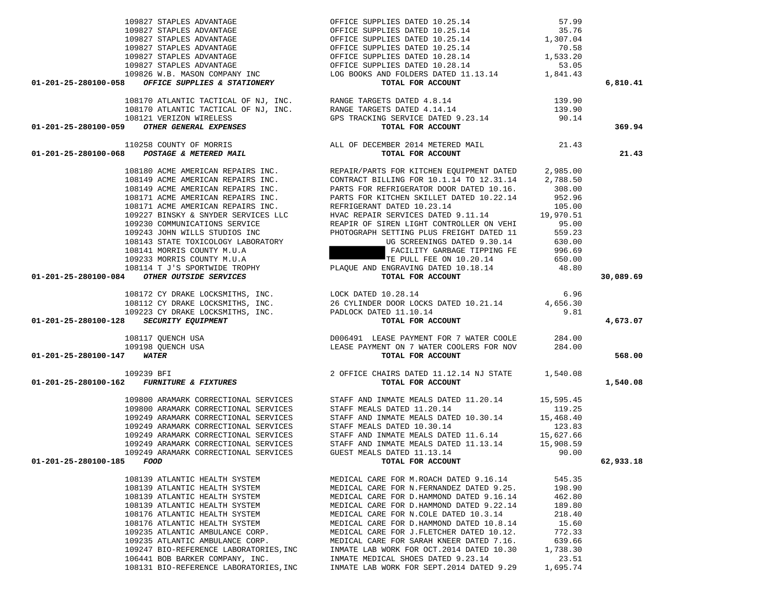| $109827 STAPLES ADVANTAGE\n109827 STAPLES ADVANTAGE\n109827 STAPLES ADVANTAGE\n109827 STAPLES ADVANTAGE\n109827 STAPLES ADVANTAGE\n109827 STAPLES ADVANTAGE\n109827 STAPLES ADVANTAGE\n109827 STAPLES ADVANTAGE\n109827 STAPLES ADVANTAGE\n109827 STAPLES ADVANTAGE\n109827 STAPLES ADVANTAGE\n109827 STAPLES ADVANTAGE\n109826 W.B. MASON COMPANTAGE\n109826 W.B.$ |                                                                                                                                                                                                                                                                                                                                                                                                                 |          |           |
|---------------------------------------------------------------------------------------------------------------------------------------------------------------------------------------------------------------------------------------------------------------------------------------------------------------------------------------------------------------------|-----------------------------------------------------------------------------------------------------------------------------------------------------------------------------------------------------------------------------------------------------------------------------------------------------------------------------------------------------------------------------------------------------------------|----------|-----------|
|                                                                                                                                                                                                                                                                                                                                                                     |                                                                                                                                                                                                                                                                                                                                                                                                                 |          |           |
|                                                                                                                                                                                                                                                                                                                                                                     |                                                                                                                                                                                                                                                                                                                                                                                                                 |          |           |
|                                                                                                                                                                                                                                                                                                                                                                     |                                                                                                                                                                                                                                                                                                                                                                                                                 |          |           |
|                                                                                                                                                                                                                                                                                                                                                                     |                                                                                                                                                                                                                                                                                                                                                                                                                 |          |           |
|                                                                                                                                                                                                                                                                                                                                                                     |                                                                                                                                                                                                                                                                                                                                                                                                                 |          |           |
|                                                                                                                                                                                                                                                                                                                                                                     |                                                                                                                                                                                                                                                                                                                                                                                                                 |          | 6,810.41  |
|                                                                                                                                                                                                                                                                                                                                                                     |                                                                                                                                                                                                                                                                                                                                                                                                                 |          |           |
|                                                                                                                                                                                                                                                                                                                                                                     |                                                                                                                                                                                                                                                                                                                                                                                                                 |          |           |
|                                                                                                                                                                                                                                                                                                                                                                     |                                                                                                                                                                                                                                                                                                                                                                                                                 |          |           |
|                                                                                                                                                                                                                                                                                                                                                                     |                                                                                                                                                                                                                                                                                                                                                                                                                 |          |           |
|                                                                                                                                                                                                                                                                                                                                                                     |                                                                                                                                                                                                                                                                                                                                                                                                                 |          | 369.94    |
|                                                                                                                                                                                                                                                                                                                                                                     |                                                                                                                                                                                                                                                                                                                                                                                                                 |          |           |
|                                                                                                                                                                                                                                                                                                                                                                     |                                                                                                                                                                                                                                                                                                                                                                                                                 |          |           |
|                                                                                                                                                                                                                                                                                                                                                                     |                                                                                                                                                                                                                                                                                                                                                                                                                 |          | 21.43     |
|                                                                                                                                                                                                                                                                                                                                                                     |                                                                                                                                                                                                                                                                                                                                                                                                                 |          |           |
|                                                                                                                                                                                                                                                                                                                                                                     |                                                                                                                                                                                                                                                                                                                                                                                                                 |          |           |
|                                                                                                                                                                                                                                                                                                                                                                     |                                                                                                                                                                                                                                                                                                                                                                                                                 |          |           |
|                                                                                                                                                                                                                                                                                                                                                                     |                                                                                                                                                                                                                                                                                                                                                                                                                 |          |           |
|                                                                                                                                                                                                                                                                                                                                                                     |                                                                                                                                                                                                                                                                                                                                                                                                                 |          |           |
|                                                                                                                                                                                                                                                                                                                                                                     |                                                                                                                                                                                                                                                                                                                                                                                                                 |          |           |
|                                                                                                                                                                                                                                                                                                                                                                     |                                                                                                                                                                                                                                                                                                                                                                                                                 |          |           |
| 01-201-25-280100-058 OFFICE SUPPLIES & STATIONERY TOTAL FOR ACCOUNT 10319.90<br>103170 ATLANTIC TACTICAL OF NJ, INC. RANGE TARGETS DATED 41.1.4<br>103170 ATLANTIC TACTICAL OF NJ, INC. RANGE TARGETS DATED 4.14.14<br>103170 ATLAN                                                                                                                                 |                                                                                                                                                                                                                                                                                                                                                                                                                 |          |           |
|                                                                                                                                                                                                                                                                                                                                                                     |                                                                                                                                                                                                                                                                                                                                                                                                                 |          |           |
|                                                                                                                                                                                                                                                                                                                                                                     |                                                                                                                                                                                                                                                                                                                                                                                                                 |          |           |
|                                                                                                                                                                                                                                                                                                                                                                     |                                                                                                                                                                                                                                                                                                                                                                                                                 |          |           |
|                                                                                                                                                                                                                                                                                                                                                                     |                                                                                                                                                                                                                                                                                                                                                                                                                 |          |           |
|                                                                                                                                                                                                                                                                                                                                                                     |                                                                                                                                                                                                                                                                                                                                                                                                                 |          |           |
|                                                                                                                                                                                                                                                                                                                                                                     |                                                                                                                                                                                                                                                                                                                                                                                                                 |          | 30,089.69 |
|                                                                                                                                                                                                                                                                                                                                                                     |                                                                                                                                                                                                                                                                                                                                                                                                                 |          |           |
|                                                                                                                                                                                                                                                                                                                                                                     |                                                                                                                                                                                                                                                                                                                                                                                                                 |          |           |
|                                                                                                                                                                                                                                                                                                                                                                     |                                                                                                                                                                                                                                                                                                                                                                                                                 |          |           |
|                                                                                                                                                                                                                                                                                                                                                                     |                                                                                                                                                                                                                                                                                                                                                                                                                 |          |           |
| 01-201-25-280100-128 SECURITY EQUIPMENT                                                                                                                                                                                                                                                                                                                             | $\begin{array}{cccc} 108172 & \text{CY} & \text{DRAKE} & \text{LOCKSMITHS}, & \text{INC}. & & \text{LOCK} & \text{DATED} & 10.28.14 & & & 6.96 \\ 108112 & \text{CY} & \text{DRAKE} & \text{LOCKSMITHS}, & \text{INC.} & & 26 & \text{CYLINDER} & \text{DOOR} & \text{LOCKS} & \text{DATED} & 10.21.14 & & 4,656.30 \\ 109223 & \text{CY} & \text{DRAKE} & \text{LOCKSMITHS}, & \text{INC.} & & \text{PADLOCK}$ |          | 4,673.07  |
|                                                                                                                                                                                                                                                                                                                                                                     |                                                                                                                                                                                                                                                                                                                                                                                                                 |          |           |
|                                                                                                                                                                                                                                                                                                                                                                     |                                                                                                                                                                                                                                                                                                                                                                                                                 |          |           |
| 01-201-25-280100-147 WATER                                                                                                                                                                                                                                                                                                                                          |                                                                                                                                                                                                                                                                                                                                                                                                                 |          |           |
|                                                                                                                                                                                                                                                                                                                                                                     |                                                                                                                                                                                                                                                                                                                                                                                                                 |          | 568.00    |
| 109239 BFI 109239 BFI 201-201-25-280100-162 <i>FURNITURE &amp; FIXTURES</i> 2 OFFICE CHAIRS DATED 11.12.14 NJ STATE 1,540.08                                                                                                                                                                                                                                        |                                                                                                                                                                                                                                                                                                                                                                                                                 |          |           |
|                                                                                                                                                                                                                                                                                                                                                                     |                                                                                                                                                                                                                                                                                                                                                                                                                 |          | 1,540.08  |
|                                                                                                                                                                                                                                                                                                                                                                     |                                                                                                                                                                                                                                                                                                                                                                                                                 |          |           |
|                                                                                                                                                                                                                                                                                                                                                                     |                                                                                                                                                                                                                                                                                                                                                                                                                 |          |           |
|                                                                                                                                                                                                                                                                                                                                                                     |                                                                                                                                                                                                                                                                                                                                                                                                                 |          |           |
|                                                                                                                                                                                                                                                                                                                                                                     |                                                                                                                                                                                                                                                                                                                                                                                                                 |          |           |
|                                                                                                                                                                                                                                                                                                                                                                     |                                                                                                                                                                                                                                                                                                                                                                                                                 |          |           |
|                                                                                                                                                                                                                                                                                                                                                                     |                                                                                                                                                                                                                                                                                                                                                                                                                 |          |           |
|                                                                                                                                                                                                                                                                                                                                                                     |                                                                                                                                                                                                                                                                                                                                                                                                                 |          |           |
|                                                                                                                                                                                                                                                                                                                                                                     |                                                                                                                                                                                                                                                                                                                                                                                                                 | 90.00    |           |
| $01-201-25-280100-185$ FOOD                                                                                                                                                                                                                                                                                                                                         | 109249 ARAMARK CORRECTIONAL SERVICES GUEST MEALS DATED 11.13.14 FOOD TOTAL FOR ACCOUNT                                                                                                                                                                                                                                                                                                                          |          | 62,933.18 |
|                                                                                                                                                                                                                                                                                                                                                                     |                                                                                                                                                                                                                                                                                                                                                                                                                 |          |           |
| 108139 ATLANTIC HEALTH SYSTEM                                                                                                                                                                                                                                                                                                                                       | MEDICAL CARE FOR M.ROACH DATED 9.16.14                                                                                                                                                                                                                                                                                                                                                                          | 545.35   |           |
| 108139 ATLANTIC HEALTH SYSTEM                                                                                                                                                                                                                                                                                                                                       | MEDICAL CARE FOR N. FERNANDEZ DATED 9.25.                                                                                                                                                                                                                                                                                                                                                                       | 198.90   |           |
| 108139 ATLANTIC HEALTH SYSTEM                                                                                                                                                                                                                                                                                                                                       | MEDICAL CARE FOR D. HAMMOND DATED 9.16.14                                                                                                                                                                                                                                                                                                                                                                       | 462.80   |           |
| 108139 ATLANTIC HEALTH SYSTEM                                                                                                                                                                                                                                                                                                                                       | MEDICAL CARE FOR D. HAMMOND DATED 9.22.14                                                                                                                                                                                                                                                                                                                                                                       | 189.80   |           |
| 108176 ATLANTIC HEALTH SYSTEM                                                                                                                                                                                                                                                                                                                                       | MEDICAL CARE FOR N.COLE DATED 10.3.14                                                                                                                                                                                                                                                                                                                                                                           | 218.40   |           |
| 108176 ATLANTIC HEALTH SYSTEM                                                                                                                                                                                                                                                                                                                                       | MEDICAL CARE FOR D. HAMMOND DATED 10.8.14                                                                                                                                                                                                                                                                                                                                                                       | 15.60    |           |
| 109235 ATLANTIC AMBULANCE CORP.                                                                                                                                                                                                                                                                                                                                     | MEDICAL CARE FOR J.FLETCHER DATED 10.12.                                                                                                                                                                                                                                                                                                                                                                        | 772.33   |           |
| 109235 ATLANTIC AMBULANCE CORP.                                                                                                                                                                                                                                                                                                                                     | MEDICAL CARE FOR SARAH KNEER DATED 7.16.                                                                                                                                                                                                                                                                                                                                                                        | 639.66   |           |
| 109247 BIO-REFERENCE LABORATORIES, INC                                                                                                                                                                                                                                                                                                                              | INMATE LAB WORK FOR OCT. 2014 DATED 10.30                                                                                                                                                                                                                                                                                                                                                                       | 1,738.30 |           |
| 106441 BOB BARKER COMPANY, INC.                                                                                                                                                                                                                                                                                                                                     | INMATE MEDICAL SHOES DATED 9.23.14                                                                                                                                                                                                                                                                                                                                                                              | 23.51    |           |
| 108131 BIO-REFERENCE LABORATORIES, INC                                                                                                                                                                                                                                                                                                                              | INMATE LAB WORK FOR SEPT.2014 DATED 9.29                                                                                                                                                                                                                                                                                                                                                                        | 1,695.74 |           |

109827 STAPLES ADVANTAGE OFFICE SUPPLIES DATED 10.25.14 57.99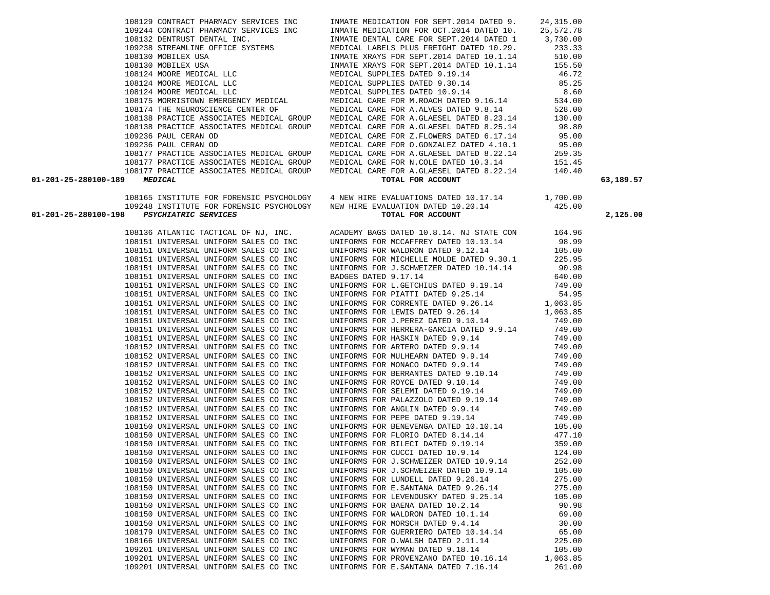| 01-201-25-280100-198 PSYCHIATRIC SERVICES | 109248 INSTITUTE FOR FORENSIC PSYCHOLOGY MEW HIRE EVALUATION DATED 10.20.14<br>TOTAL FOR ACCOUNT                                                                                                                                           | 425.00 | 2,125.00 |
|-------------------------------------------|--------------------------------------------------------------------------------------------------------------------------------------------------------------------------------------------------------------------------------------------|--------|----------|
|                                           | 108136 ATLANTIC TACTICAL OF NJ, INC. ACADEMY BAGS DATED 10.8.14. NJ STATE CON 164.96                                                                                                                                                       |        |          |
|                                           | 108151 UNIVERSAL UNIFORM SALES CO INC UNIFORMS FOR MCCAFFREY DATED 10.13.14                                                                                                                                                                | 98.99  |          |
| 108151 UNIVERSAL UNIFORM SALES CO INC     | UNIFORMS FOR WALDRON DATED 9.12.14                                                                                                                                                                                                         | 105.00 |          |
| 108151 UNIVERSAL UNIFORM SALES CO INC     | UNIFORMS FOR MICHELLE MOLDE DATED 9.30.1                                                                                                                                                                                                   | 225.95 |          |
| 108151 UNIVERSAL UNIFORM SALES CO INC     | UNIFORMS FOR J.SCHWEIZER DATED 10.14.14                                                                                                                                                                                                    | 90.98  |          |
| 108151 UNIVERSAL UNIFORM SALES CO INC     | BADGES DATED 9.17.14                                                                                                                                                                                                                       | 640.00 |          |
| 108151 UNIVERSAL UNIFORM SALES CO INC     | UNIFORMS FOR L.GETCHIUS DATED 9.19.14 749.00                                                                                                                                                                                               |        |          |
| 108151 UNIVERSAL UNIFORM SALES CO INC     | UNIFORMS FOR PIATTI DATED 9.25.14                                                                                                                                                                                                          | 54.95  |          |
| 108151 UNIVERSAL UNIFORM SALES CO INC     | UNIFORMS FOR CORRENTE DATED 9.26.14 1,063.85                                                                                                                                                                                               |        |          |
| 108151 UNIVERSAL UNIFORM SALES CO INC     |                                                                                                                                                                                                                                            |        |          |
| 108151 UNIVERSAL UNIFORM SALES CO INC     | UNIFORMS FOR LEWIS DATED 9.26.14 1,063.85<br>UNIFORMS FOR J.PEREZ DATED 9.10.14 749.00                                                                                                                                                     |        |          |
| 108151 UNIVERSAL UNIFORM SALES CO INC     | UNIFORMS FOR HERRERA-GARCIA DATED 9.9.14 749.00                                                                                                                                                                                            |        |          |
| 108151 UNIVERSAL UNIFORM SALES CO INC     | UNIFORMS FOR HASKIN DATED 9.9.14                                                                                                                                                                                                           | 749.00 |          |
| 108152 UNIVERSAL UNIFORM SALES CO INC     | UNIFORMS FOR ARTERO DATED 9.9.14<br>UNIFORMS FOR MULHEARN DATED 9.9.14<br>UNIFORMS FOR MONACO DATED 9.9.14                                                                                                                                 | 749.00 |          |
| 108152 UNIVERSAL UNIFORM SALES CO INC     |                                                                                                                                                                                                                                            | 749.00 |          |
| 108152 UNIVERSAL UNIFORM SALES CO INC     |                                                                                                                                                                                                                                            | 749.00 |          |
| 108152 UNIVERSAL UNIFORM SALES CO INC     | UNIFORMS FOR MULHEARN DATED 9.9.14<br>UNIFORMS FOR MONACO DATED 9.9.14<br>UNIFORMS FOR BERRANTES DATED 9.10.14<br>UNIFORMS FOR ROYCE DATED 9.10.14                                                                                         | 749.00 |          |
| 108152 UNIVERSAL UNIFORM SALES CO INC     |                                                                                                                                                                                                                                            | 749.00 |          |
| 108152 UNIVERSAL UNIFORM SALES CO INC     | UNIFORMS FOR SELEMI DATED 9.19.14<br>UNIFORMS FOR PALAZZOLO DATED 9.19.14<br>UNIFORMS FOR PALAZZOLO DATED 9.9.14<br>UNIFORMS FOR ANGLIN DATED 9.9.14<br>UNIFORMS FOR PEPE DATED 9.19.14<br>UNIFORMS FOR BENEVENGA DATED 10.10.14<br>UNIFOR |        |          |
| 108152 UNIVERSAL UNIFORM SALES CO INC     |                                                                                                                                                                                                                                            |        |          |
| 108152 UNIVERSAL UNIFORM SALES CO INC     |                                                                                                                                                                                                                                            |        |          |
| 108152 UNIVERSAL UNIFORM SALES CO INC     |                                                                                                                                                                                                                                            |        |          |
| 108150 UNIVERSAL UNIFORM SALES CO INC     |                                                                                                                                                                                                                                            |        |          |
| 108150 UNIVERSAL UNIFORM SALES CO INC     | UNIFORMS FOR FLORIO DATED 8.14.14 477.10                                                                                                                                                                                                   |        |          |
| 108150 UNIVERSAL UNIFORM SALES CO INC     | UNIFORMS FOR BILECI DATED 9.19.14<br>UNIFORMS FOR CUCCI DATED 10.9.14<br>UNIFORMS FOR J.SCHWEIZER DATED 10.9.14                                                                                                                            | 359.00 |          |
| 108150 UNIVERSAL UNIFORM SALES CO INC     |                                                                                                                                                                                                                                            | 124.00 |          |
| 108150 UNIVERSAL UNIFORM SALES CO INC     |                                                                                                                                                                                                                                            | 252.00 |          |
| 108150 UNIVERSAL UNIFORM SALES CO INC     | UNIFORMS FOR J.SCHWEIZER DATED 10.9.14                                                                                                                                                                                                     | 105.00 |          |
| 108150 UNIVERSAL UNIFORM SALES CO INC     | UNIFORMS FOR LUNDELL DATED 9.26.14                                                                                                                                                                                                         | 275.00 |          |
| 108150 UNIVERSAL UNIFORM SALES CO INC     | UNIFORMS FOR E.SANTANA DATED 9.26.14                                                                                                                                                                                                       | 275.00 |          |
| 108150 UNIVERSAL UNIFORM SALES CO INC     |                                                                                                                                                                                                                                            |        |          |
| 108150 UNIVERSAL UNIFORM SALES CO INC     | UNIFORMS FOR LEVENDUSKY DATED $9.25.14$ 105.00<br>UNIFORMS FOR BAENA DATED $10.2.14$ 90.98                                                                                                                                                 |        |          |
| 108150 UNIVERSAL UNIFORM SALES CO INC     | UNIFORMS FOR WALDRON DATED 10.1.14 69.00                                                                                                                                                                                                   |        |          |
| 108150 UNIVERSAL UNIFORM SALES CO INC     | UNIFORMS FOR MORSCH DATED 9.4.14 30.00                                                                                                                                                                                                     |        |          |
| 108179 UNIVERSAL UNIFORM SALES CO INC     | UNIFORMS FOR GUERRIERO DATED 10.14.14                                                                                                                                                                                                      | 65.00  |          |
| 108166 UNIVERSAL UNIFORM SALES CO INC     | UNIFORMS FOR D.WALSH DATED 2.11.14<br>UNIFORMS FOR WYMAN DATED 9.18.14                                                                                                                                                                     | 225.00 |          |
| 109201 UNIVERSAL UNIFORM SALES CO INC     |                                                                                                                                                                                                                                            | 105.00 |          |
| 109201 UNIVERSAL UNIFORM SALES CO INC     | UNIFORMS FOR PROVENZANO DATED 10.16.14 1,063.85                                                                                                                                                                                            |        |          |
| 109201 UNIVERSAL UNIFORM SALES CO INC     | UNIFORMS FOR E.SANTANA DATED 7.16.14                                                                                                                                                                                                       | 261.00 |          |

108165 INSTITUTE FOR FORENSIC PSYCHOLOGY 4 NEW HIRE EVALUATIONS DATED 10.17.14 1,700.00

## **01-201-25-280100-189** *MEDICAL* **TOTAL FOR ACCOUNT 63,189.57**

 108129 CONTRACT PHARMACY SERVICES INC INMATE MEDICATION FOR SEPT.2014 DATED 9. 24,315.00 109244 CONTRACT PHARMACY SERVICES INC INMATE MEDICATION FOR OCT.2014 DATED 10. 25,572.78 109238 STREAMLINE OFFICE SYSTEMS MEDICAL LABELS PLUS FREIGHT DATED 10.29. 233.33<br>109130 MOBILEX USA MEDICAL ARRYS FOR SEPT.2014 DATED 10.1.14 510.00 108130 MOBILEX USA INMATE XRAYS FOR SEPT.2014 DATED 10.1.14 510.00 108130 MOBILEX USA 155.50<br>108124 MOORE MEDICAL LLC 10.1.14 155.50 MEDICAL SUPPLIES DATED 9.19.14 16.72 108124 MOORE MEDICAL LLC MEDICAL SUPPLIES DATED 9.19.14 46.72 108124 MOORE MEDICAL LLC MEDICAL SUPPLIES DATED 9.30.14 85.25 108124 MOORE MEDICAL LLC MEDICAL SUPPLIES DATED 10.9.14 8.60 108175 MORRISTOWN EMERGENCY MEDICAL MEDICAL CARE FOR M.ROACH DATED 9.16.14 534.00<br>108174 THE NEUROSCIENCE CENTER OF MEDICAL CARE FOR A.ALVES DATED 9.8.14 528.00 108174 THE NEUROSCIENCE CENTER OF MEDICAL CARE FOR A.ALVES DATED 9.8.14 528.00<br>108138 PRACTICE ASSOCIATES MEDICAL GROUP MEDICAL CARE FOR A.GLAESEL DATED 8.23.14 130.00 108138 PRACTICE ASSOCIATES MEDICAL GROUP MEDICAL CARE FOR A.GLAESEL DATED 8.25.14 98.80<br>109236 PAUL CERAN OD MEDICAL CARE FOR Z.FLOWERS DATED 6.17.14 95.00 109236 PAUL CERAN OD MEDICAL CARE FOR Z.FLOWERS DATED 6.17.14 95.00 109236 PAUL CERAN OD MEDICAL CARE FOR O.GONZALEZ DATED 4.10.1 95.00 108177 PRACTICE ASSOCIATES MEDICAL GROUP MEDICAL CARE FOR A.GLAESEL DATED 8.22.14 259.35 108177 PRACTICE ASSOCIATES MEDICAL GROUP MEDICAL CARE FOR N.COLE DATED 10.3.14 151.45<br>108177 PRACTICE ASSOCIATES MEDICAL GROUP MEDICAL CARE FOR A.GLAESEL DATED 8.22.14 140.40 MEDICAL CARE FOR A.GLAESEL DATED 8.22.14<br>**TOTAL FOR ACCOUNT** 

1NMATE DENTAL CARE FOR SEPT.2014 DATED 1 3,730.00<br>MEDICAL LABELS PLUS FREIGHT DATED 10.29. 233.33 1108138 MEDICAL CARE FOR A.GLAESEL DATED 8.23.14<br>130.00 MEDICAL CARE FOR A.GLAESEL DATED 8.25.14 130.00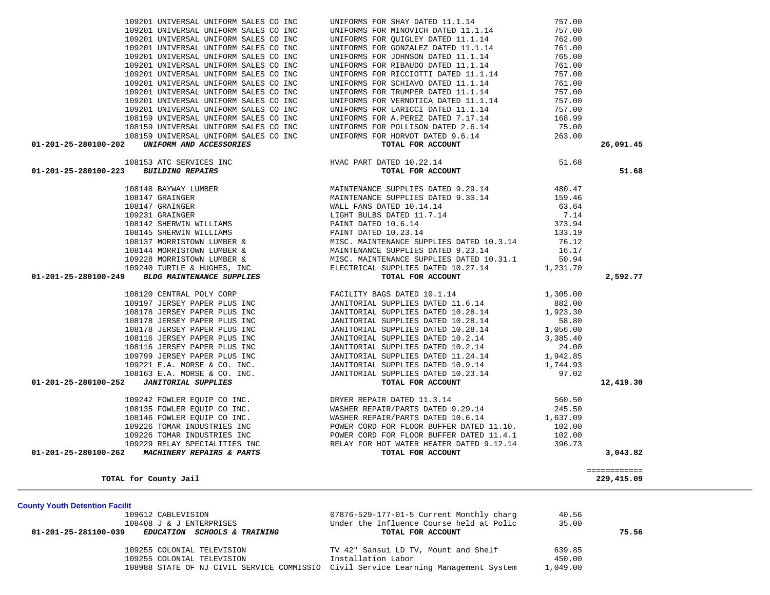| 108408 J & J ENTERPRISES                                                            | Under the Influence Course held at Polic | 35.00    |       |
|-------------------------------------------------------------------------------------|------------------------------------------|----------|-------|
| 01-201-25-281100-039<br><b>EDUCATION SCHOOLS &amp; TRAINING</b>                     | TOTAL FOR ACCOUNT                        |          | 75.56 |
| 109255 COLONIAL TELEVISION                                                          | TV 42" Sansui LD TV, Mount and Shelf     | 639.85   |       |
|                                                                                     |                                          |          |       |
| 109255 COLONIAL TELEVISION                                                          | Installation Labor                       | 450.00   |       |
| 108988 STATE OF NJ CIVIL SERVICE COMMISSIO Civil Service Learning Management System |                                          | 1,049.00 |       |

07876-529-177-01-5 Current Monthly charg 40.56

**County Youth Detention Facilit**

| 109201 UNIVERSAL UNIFORM SALES CO INC                                                                                                                                                                                                                                                                                                 | UNIFORMS FOR MINOVICH DATED 11.1.14                                                                                                                                                                                                      | 757.00 |              |
|---------------------------------------------------------------------------------------------------------------------------------------------------------------------------------------------------------------------------------------------------------------------------------------------------------------------------------------|------------------------------------------------------------------------------------------------------------------------------------------------------------------------------------------------------------------------------------------|--------|--------------|
| 109201 UNIVERSAL UNIFORM SALES CO INC                                                                                                                                                                                                                                                                                                 |                                                                                                                                                                                                                                          |        |              |
| 109201 UNIVERSAL UNIFORM SALES CO INC                                                                                                                                                                                                                                                                                                 |                                                                                                                                                                                                                                          |        |              |
| 109201 UNIVERSAL UNIFORM SALES CO INC                                                                                                                                                                                                                                                                                                 |                                                                                                                                                                                                                                          |        |              |
| 109201 UNIVERSAL UNIFORM SALES CO INC                                                                                                                                                                                                                                                                                                 |                                                                                                                                                                                                                                          |        |              |
| 109201 UNIVERSAL UNIFORM SALES CO INC                                                                                                                                                                                                                                                                                                 |                                                                                                                                                                                                                                          |        |              |
| 109201 UNIVERSAL UNIFORM SALES CO INC                                                                                                                                                                                                                                                                                                 |                                                                                                                                                                                                                                          |        |              |
| 109201 UNIVERSAL UNIFORM SALES CO INC                                                                                                                                                                                                                                                                                                 |                                                                                                                                                                                                                                          |        |              |
| 109201 UNIVERSAL UNIFORM SALES CO INC                                                                                                                                                                                                                                                                                                 | UNIFORMS FOR MINOVICH DATED 11.1.14 757.00<br>UNIFORMS FOR QUIGLEY DATED 11.1.14 762.00<br>UNIFORMS FOR GONZALEZ DATED 11.1.14 761.00<br>UNIFORMS FOR SUBAUDO DATED 11.1.14 765.00<br>UNIFORMS FOR RIBAUDO DATED 11.1.14 761.00<br>UNIFO |        |              |
| 109201 UNIVERSAL UNIFORM SALES CO INC                                                                                                                                                                                                                                                                                                 |                                                                                                                                                                                                                                          |        |              |
|                                                                                                                                                                                                                                                                                                                                       |                                                                                                                                                                                                                                          |        |              |
|                                                                                                                                                                                                                                                                                                                                       |                                                                                                                                                                                                                                          |        |              |
|                                                                                                                                                                                                                                                                                                                                       |                                                                                                                                                                                                                                          |        |              |
|                                                                                                                                                                                                                                                                                                                                       |                                                                                                                                                                                                                                          |        | 26,091.45    |
|                                                                                                                                                                                                                                                                                                                                       |                                                                                                                                                                                                                                          |        |              |
|                                                                                                                                                                                                                                                                                                                                       |                                                                                                                                                                                                                                          |        | 51.68        |
| $\begin{tabular}{cccc} \textbf{01-201-25-280100-201~in 170788501. & 757.00 \\ \hline 109159~UNIVERSLL. & 707.00 \\ \hline 109159~UNIVERSLL. & 707.00 \\ \hline 109159~UNIVERSLL. & 707.00 \\ \hline 109159~UNIVERSLL. & 707.00 \\ \hline 109159~UNIVERSLL. & 707.00 \\ \hline 109159~UNIVERSLL. & 707.00 \\ \hline 109159~UNIVERSLL.$ |                                                                                                                                                                                                                                          |        |              |
|                                                                                                                                                                                                                                                                                                                                       |                                                                                                                                                                                                                                          |        |              |
|                                                                                                                                                                                                                                                                                                                                       |                                                                                                                                                                                                                                          |        |              |
|                                                                                                                                                                                                                                                                                                                                       |                                                                                                                                                                                                                                          |        |              |
|                                                                                                                                                                                                                                                                                                                                       |                                                                                                                                                                                                                                          |        |              |
|                                                                                                                                                                                                                                                                                                                                       |                                                                                                                                                                                                                                          |        |              |
|                                                                                                                                                                                                                                                                                                                                       |                                                                                                                                                                                                                                          |        |              |
|                                                                                                                                                                                                                                                                                                                                       |                                                                                                                                                                                                                                          |        |              |
|                                                                                                                                                                                                                                                                                                                                       |                                                                                                                                                                                                                                          |        |              |
|                                                                                                                                                                                                                                                                                                                                       |                                                                                                                                                                                                                                          |        |              |
|                                                                                                                                                                                                                                                                                                                                       |                                                                                                                                                                                                                                          |        | 2,592.77     |
|                                                                                                                                                                                                                                                                                                                                       |                                                                                                                                                                                                                                          |        |              |
|                                                                                                                                                                                                                                                                                                                                       |                                                                                                                                                                                                                                          |        |              |
|                                                                                                                                                                                                                                                                                                                                       |                                                                                                                                                                                                                                          |        |              |
|                                                                                                                                                                                                                                                                                                                                       |                                                                                                                                                                                                                                          |        |              |
|                                                                                                                                                                                                                                                                                                                                       |                                                                                                                                                                                                                                          |        |              |
|                                                                                                                                                                                                                                                                                                                                       |                                                                                                                                                                                                                                          |        |              |
|                                                                                                                                                                                                                                                                                                                                       |                                                                                                                                                                                                                                          |        |              |
|                                                                                                                                                                                                                                                                                                                                       |                                                                                                                                                                                                                                          |        |              |
|                                                                                                                                                                                                                                                                                                                                       |                                                                                                                                                                                                                                          |        |              |
|                                                                                                                                                                                                                                                                                                                                       |                                                                                                                                                                                                                                          |        |              |
|                                                                                                                                                                                                                                                                                                                                       |                                                                                                                                                                                                                                          |        | 12,419.30    |
|                                                                                                                                                                                                                                                                                                                                       |                                                                                                                                                                                                                                          |        |              |
|                                                                                                                                                                                                                                                                                                                                       |                                                                                                                                                                                                                                          |        |              |
|                                                                                                                                                                                                                                                                                                                                       |                                                                                                                                                                                                                                          |        |              |
|                                                                                                                                                                                                                                                                                                                                       |                                                                                                                                                                                                                                          |        |              |
|                                                                                                                                                                                                                                                                                                                                       |                                                                                                                                                                                                                                          |        |              |
|                                                                                                                                                                                                                                                                                                                                       |                                                                                                                                                                                                                                          |        |              |
|                                                                                                                                                                                                                                                                                                                                       |                                                                                                                                                                                                                                          |        |              |
| 01-201-25-260100-233<br>108102 CENTRAL POLY CORE (MATITORAL SUPPLIES DATED 10.1.14<br>108197 JERSEY PAPER PLUS INC<br>109197 JERSEY PAPER PLUS INC<br>108176 JERSEY PAPER PLUS INC<br>108176 JERSEY PAPER PLUS INC<br>108176 JERSEY PAPER                                                                                             |                                                                                                                                                                                                                                          |        | 3,043.82     |
|                                                                                                                                                                                                                                                                                                                                       |                                                                                                                                                                                                                                          |        | ============ |
| TOTAL for County Jail                                                                                                                                                                                                                                                                                                                 |                                                                                                                                                                                                                                          |        | 229,415.09   |

109201 UNIVERSAL UNIFORM SALES CO INC<br>109201 UNIVERSAL UNIFORM SALES CO INC UNIFORMS FOR MINOVICH DATED 11.1.14 757.00<br>109201 UNIVERSAL UNIFORM SALES CO INC UNIFORMS FOR OUTGLEY DATED 11.1.14 752.00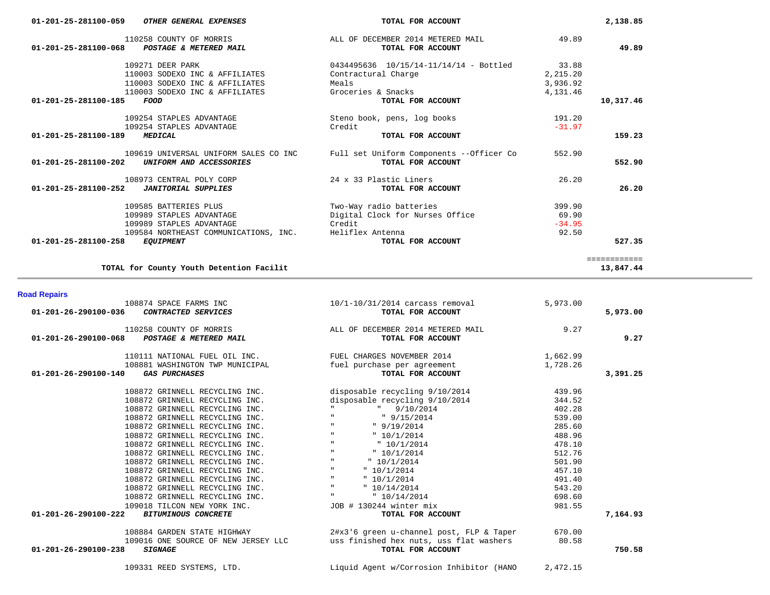109331 REED SYSTEMS, LTD. Liquid Agent w/Corrosion Inhibitor (HANO 2,472.15

| 108874 SPACE FARMS INC<br>01-201-26-290100-036<br>CONTRACTED SERVICES           | $10/1-10/31/2014$ carcass removal<br>TOTAL FOR ACCOUNT | 5,973.00 | 5,973.00 |
|---------------------------------------------------------------------------------|--------------------------------------------------------|----------|----------|
| 110258 COUNTY OF MORRIS<br>POSTAGE & METERED MAIL<br>01-201-26-290100-068       | ALL OF DECEMBER 2014 METERED MAIL<br>TOTAL FOR ACCOUNT | 9.27     | 9.27     |
| 110111 NATIONAL FUEL OIL INC. THE PUEL CHARGES NOVEMBER 2014                    |                                                        | 1,662.99 |          |
| 108881 WASHINGTON TWP MUNICIPAL<br>01-201-26-290100-140<br><b>GAS PURCHASES</b> | fuel purchase per agreement<br>TOTAL FOR ACCOUNT       | 1,728.26 | 3,391.25 |
| 108872 GRINNELL RECYCLING INC.                                                  | disposable recycling 9/10/2014                         | 439.96   |          |
| 108872 GRINNELL RECYCLING INC.                                                  | disposable recycling 9/10/2014                         | 344.52   |          |
| 108872 GRINNELL RECYCLING INC.                                                  | $"$ 9/10/2014                                          | 402.28   |          |
| 108872 GRINNELL RECYCLING INC.                                                  | $\mathbf{H}$<br>9/15/2014                              | 539.00   |          |
| 108872 GRINNELL RECYCLING INC.                                                  | $\mathbf{H}$<br>" 9/19/2014                            | 285.60   |          |
| 108872 GRINNELL RECYCLING INC.                                                  | $\mathbf{H}$<br>" 10/1/2014                            | 488.96   |          |
| 108872 GRINNELL RECYCLING INC.                                                  | $\mathbf{H}$<br>" 10/1/2014                            | 478.10   |          |
| 108872 GRINNELL RECYCLING INC.                                                  | $\mathbf{H}$<br>" 10/1/2014                            | 512.76   |          |
| 108872 GRINNELL RECYCLING INC.                                                  | $\mathbf{H}$<br>" 10/1/2014                            | 501.90   |          |
| 108872 GRINNELL RECYCLING INC.                                                  | $\mathbf{H}$<br>" 10/1/2014                            | 457.10   |          |
| 108872 GRINNELL RECYCLING INC.                                                  | $\mathbf{H}$<br>" 10/1/2014                            | 491.40   |          |
| 108872 GRINNELL RECYCLING INC.                                                  | $\mathbf{H}$<br>"10/14/2014                            | 543.20   |          |
| 108872 GRINNELL RECYCLING INC.                                                  | <b>H</b> Contract<br>" 10/14/2014                      | 698.60   |          |
| 109018 TILCON NEW YORK INC.                                                     | JOB # 130244 winter mix                                | 981.55   |          |
| 01-201-26-290100-222<br><b>BITUMINOUS CONCRETE</b>                              | TOTAL FOR ACCOUNT                                      |          | 7,164.93 |
| 108884 GARDEN STATE HIGHWAY                                                     | 2#x3'6 green u-channel post, FLP & Taper               | 670.00   |          |
| 109016 ONE SOURCE OF NEW JERSEY LLC                                             | uss finished hex nuts, uss flat washers                | 80.58    |          |
| 01-201-26-290100-238<br><b>SIGNAGE</b>                                          | TOTAL FOR ACCOUNT                                      |          | 750.58   |

#### **Road Repairs**

| 110258 COUNTY OF MORRIS<br>01-201-25-281100-068<br>POSTAGE & METERED MAIL | ALL OF DECEMBER 2014 METERED MAIL<br>TOTAL FOR ACCOUNT | 49.89    | 49.89        |
|---------------------------------------------------------------------------|--------------------------------------------------------|----------|--------------|
| 109271 DEER PARK                                                          | 0434495636 10/15/14-11/14/14 - Bottled                 | 33.88    |              |
| 110003 SODEXO INC & AFFILIATES                                            | Contractural Charge                                    | 2,215.20 |              |
| 110003 SODEXO INC & AFFILIATES                                            | Meals                                                  | 3,936.92 |              |
| 110003 SODEXO INC & AFFILIATES                                            | Groceries & Snacks                                     | 4,131.46 |              |
| 01-201-25-281100-185<br>FOOD                                              | TOTAL FOR ACCOUNT                                      |          | 10,317.46    |
| 109254 STAPLES ADVANTAGE                                                  | Steno book, pens, log books                            | 191.20   |              |
| 109254 STAPLES ADVANTAGE                                                  | Credit                                                 | $-31.97$ |              |
| 01-201-25-281100-189<br><b>MEDICAL</b>                                    | TOTAL FOR ACCOUNT                                      |          | 159.23       |
| 109619 UNIVERSAL UNIFORM SALES CO INC                                     | Full set Uniform Components --Officer Co               | 552.90   |              |
| $01 - 201 - 25 - 281100 - 202$<br>UNIFORM AND ACCESSORIES                 | TOTAL FOR ACCOUNT                                      |          | 552.90       |
| 108973 CENTRAL POLY CORP                                                  | 24 x 33 Plastic Liners                                 | 26.20    |              |
| 01-201-25-281100-252<br><b>JANITORIAL SUPPLIES</b>                        | TOTAL FOR ACCOUNT                                      |          | 26.20        |
| 109585 BATTERIES PLUS                                                     | Two-Way radio batteries                                | 399.90   |              |
| 109989 STAPLES ADVANTAGE                                                  | Digital Clock for Nurses Office                        | 69.90    |              |
| 109989 STAPLES ADVANTAGE                                                  | Credit                                                 | $-34.95$ |              |
| 109584 NORTHEAST COMMUNICATIONS, INC.                                     | Heliflex Antenna                                       | 92.50    |              |
| $01 - 201 - 25 - 281100 - 258$<br><b>EOUIPMENT</b>                        | TOTAL FOR ACCOUNT                                      |          | 527.35       |
|                                                                           |                                                        |          | ============ |
| TOTAL for County Youth Detention Facilit                                  |                                                        |          | 13,847.44    |

 **01-201-25-281100-059** *OTHER GENERAL EXPENSES* **TOTAL FOR ACCOUNT 2,138.85**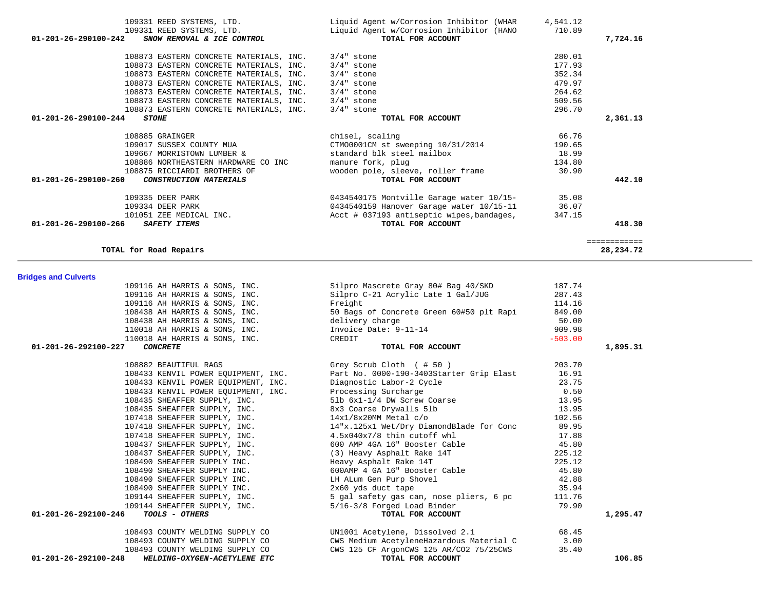|                                                                 | 909.98                                                                                                                                                                                                                                                                          |                                                                                                                                                                                                                                                                                                                                                                                                                                                                                                                  |
|-----------------------------------------------------------------|---------------------------------------------------------------------------------------------------------------------------------------------------------------------------------------------------------------------------------------------------------------------------------|------------------------------------------------------------------------------------------------------------------------------------------------------------------------------------------------------------------------------------------------------------------------------------------------------------------------------------------------------------------------------------------------------------------------------------------------------------------------------------------------------------------|
| 110018 AH HARRIS & SONS, INC. CREDIT                            | $-503.00$                                                                                                                                                                                                                                                                       |                                                                                                                                                                                                                                                                                                                                                                                                                                                                                                                  |
| TOTAL FOR ACCOUNT                                               |                                                                                                                                                                                                                                                                                 | 1,895.31                                                                                                                                                                                                                                                                                                                                                                                                                                                                                                         |
| 108882 BEAUTIFUL RAGS Grey Scrub Cloth (#50)                    | 203.70                                                                                                                                                                                                                                                                          |                                                                                                                                                                                                                                                                                                                                                                                                                                                                                                                  |
| 108433 KENVIL POWER EQUIPMENT, INC.                             |                                                                                                                                                                                                                                                                                 |                                                                                                                                                                                                                                                                                                                                                                                                                                                                                                                  |
| 108433 KENVIL POWER EQUIPMENT, INC.<br>Diagnostic Labor-2 Cycle | 23.75                                                                                                                                                                                                                                                                           |                                                                                                                                                                                                                                                                                                                                                                                                                                                                                                                  |
|                                                                 | 0.50                                                                                                                                                                                                                                                                            |                                                                                                                                                                                                                                                                                                                                                                                                                                                                                                                  |
|                                                                 |                                                                                                                                                                                                                                                                                 |                                                                                                                                                                                                                                                                                                                                                                                                                                                                                                                  |
|                                                                 | 13.95                                                                                                                                                                                                                                                                           |                                                                                                                                                                                                                                                                                                                                                                                                                                                                                                                  |
| 107418 SHEAFFER SUPPLY, INC. 14x1/8x20MM Metal c/o              | 102.56                                                                                                                                                                                                                                                                          |                                                                                                                                                                                                                                                                                                                                                                                                                                                                                                                  |
|                                                                 |                                                                                                                                                                                                                                                                                 |                                                                                                                                                                                                                                                                                                                                                                                                                                                                                                                  |
| 107418 SHEAFFER SUPPLY, INC. 4.5x040x7/8 thin cutoff whl        | 17.88                                                                                                                                                                                                                                                                           |                                                                                                                                                                                                                                                                                                                                                                                                                                                                                                                  |
|                                                                 |                                                                                                                                                                                                                                                                                 |                                                                                                                                                                                                                                                                                                                                                                                                                                                                                                                  |
|                                                                 | 225.12                                                                                                                                                                                                                                                                          |                                                                                                                                                                                                                                                                                                                                                                                                                                                                                                                  |
|                                                                 |                                                                                                                                                                                                                                                                                 |                                                                                                                                                                                                                                                                                                                                                                                                                                                                                                                  |
|                                                                 |                                                                                                                                                                                                                                                                                 |                                                                                                                                                                                                                                                                                                                                                                                                                                                                                                                  |
| 108490 SHEAFFER SUPPLY INC.<br>LH ALum Gen Purp Shovel          | 42.88                                                                                                                                                                                                                                                                           |                                                                                                                                                                                                                                                                                                                                                                                                                                                                                                                  |
| 108490 SHEAFFER SUPPLY INC. 2x60 yds duct tape                  |                                                                                                                                                                                                                                                                                 |                                                                                                                                                                                                                                                                                                                                                                                                                                                                                                                  |
|                                                                 | 111.76                                                                                                                                                                                                                                                                          |                                                                                                                                                                                                                                                                                                                                                                                                                                                                                                                  |
|                                                                 | 79.90                                                                                                                                                                                                                                                                           |                                                                                                                                                                                                                                                                                                                                                                                                                                                                                                                  |
| TOTAL FOR ACCOUNT                                               |                                                                                                                                                                                                                                                                                 | 1,295.47                                                                                                                                                                                                                                                                                                                                                                                                                                                                                                         |
|                                                                 | 68.45                                                                                                                                                                                                                                                                           |                                                                                                                                                                                                                                                                                                                                                                                                                                                                                                                  |
|                                                                 | 3.00                                                                                                                                                                                                                                                                            |                                                                                                                                                                                                                                                                                                                                                                                                                                                                                                                  |
|                                                                 | 35.40                                                                                                                                                                                                                                                                           |                                                                                                                                                                                                                                                                                                                                                                                                                                                                                                                  |
|                                                                 | 110018 AH HARRIS & SONS, INC. Invoice Date: 9-11-14<br>108435 SHEAFFER SUPPLY, INC.<br>108435 SHEAFFER SUPPLY, INC.<br>108435 SHEAFFER SUPPLY, INC.<br>107418 SHEAFFER SUPPLY, INC.<br>144140 SHEAFFER SUPPLY, INC.<br>109144 SHEAFFER SUPPLY, INC. 5/16-3/8 Forged Load Binder | Part No. 0000-190-3403Starter Grip Elast 16.91<br>13.95<br>107418 SHEAFFER SUPPLY, INC. 14"x.125x1 Wet/Dry DiamondBlade for Conc 89.95<br>108437 SHEAFFER SUPPLY, INC. 600 AMP 4GA 16" Booster Cable 45.80<br>108437 SHEAFFER SUPPLY, INC. (3) Heavy Asphalt Rake 14T<br>35.94<br>109144 SHEAFFER SUPPLY, INC. 5 gal safety gas can, nose pliers, 6 pc<br>108493 COUNTY WELDING SUPPLY CO UN1001 Acetylene, Dissolved 2.1<br>CWS Medium AcetyleneHazardous Material C<br>CWS 125 CF ArgonCWS 125 AR/CO2 75/25CWS |

 **01-201-26-292100-248** *WELDING-OXYGEN-ACETYLENE ETC* **TOTAL FOR ACCOUNT 106.85**

## **Bridges and Culverts**

| 7,724.16 | 710.89 | Liquid Agent w/Corrosion Inhibitor (HANO  | 109331 REED SYSTEMS, LTD.                             |
|----------|--------|-------------------------------------------|-------------------------------------------------------|
|          |        |                                           |                                                       |
|          |        | TOTAL FOR ACCOUNT                         | SNOW REMOVAL & ICE CONTROL<br>01-201-26-290100-242    |
|          | 280.01 | $3/4"$ stone                              | 108873 EASTERN CONCRETE MATERIALS, INC.               |
|          | 177.93 | $3/4"$ stone                              | 108873 EASTERN CONCRETE MATERIALS, INC.               |
|          | 352.34 | $3/4"$ stone                              | 108873 EASTERN CONCRETE MATERIALS, INC.               |
|          | 479.97 | $3/4"$ stone                              | 108873 EASTERN CONCRETE MATERIALS, INC.               |
|          | 264.62 | 3/4" stone                                | 108873 EASTERN CONCRETE MATERIALS, INC.               |
|          | 509.56 | 3/4" stone                                | 108873 EASTERN CONCRETE MATERIALS, INC.               |
|          | 296.70 | $3/4"$ stone                              | 108873 EASTERN CONCRETE MATERIALS, INC.               |
| 2,361.13 |        | TOTAL FOR ACCOUNT                         | 01-201-26-290100-244<br><i><b>STONE</b></i>           |
|          | 66.76  | chisel, scaling                           | 108885 GRAINGER                                       |
|          | 190.65 | CTM00001CM st sweeping 10/31/2014         | 109017 SUSSEX COUNTY MUA                              |
|          | 18.99  | standard blk steel mailbox                | 109667 MORRISTOWN LUMBER &                            |
|          | 134.80 | manure fork, plug                         | 108886 NORTHEASTERN HARDWARE CO INC                   |
|          | 30.90  | wooden pole, sleeve, roller frame         | 108875 RICCIARDI BROTHERS OF                          |
| 442.10   |        | TOTAL FOR ACCOUNT                         | 01-201-26-290100-260<br><i>CONSTRUCTION MATERIALS</i> |
|          | 35.08  | 0434540175 Montville Garage water 10/15-  | 109335 DEER PARK                                      |
|          | 36.07  | 0434540159 Hanover Garage water 10/15-11  | 109334 DEER PARK                                      |
|          | 347.15 | Acct # 037193 antiseptic wipes, bandages, | 101051 ZEE MEDICAL INC.                               |
| 418.30   |        | TOTAL FOR ACCOUNT                         | 01-201-26-290100-266<br><b>SAFETY ITEMS</b>           |

109116 AH HARRIS & SONS, INC.<br>109116 AH HARRIS & SONS, INC. Silpro C-21 Acrylic Late 1 Gal/JUG 287.43

109116 AH HARRIS & SONS, INC.<br>114.16 108438 AH HARRIS & SONS, INC. 50 Bags of Concrete Green 60#50 plt Rapi

108438 AH HARRIS & SONS, INC. delivery charge 50.00

10916 Silpro C-21 Acrylic Late 1 Gal/JUG 287.43<br>Freight 114.16

10843 50 Bags of Concrete Green 60#50 plt Rapi 849.00<br>10.00 delivery charge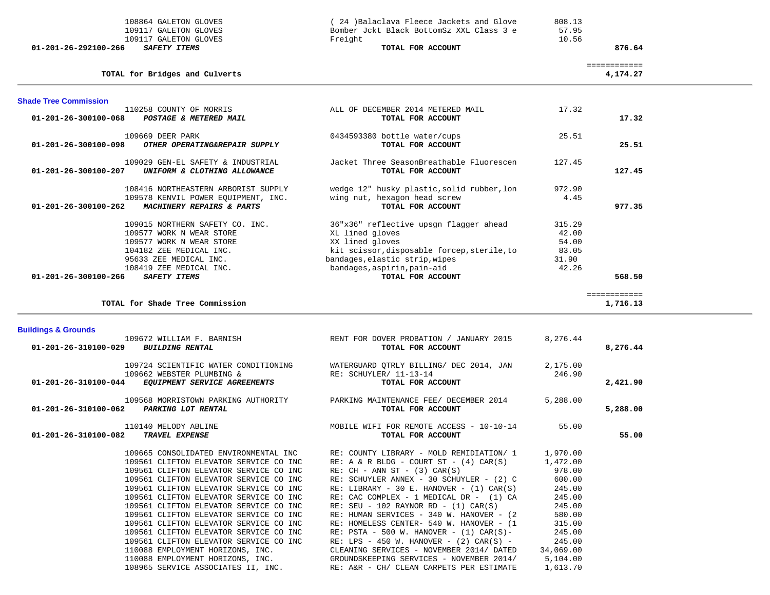|                                | 109117 GALETON GLOVES<br>109117 GALETON GLOVES                                   | Bomber Jokt Black BottomSz XXL Class 3 e<br>Freight                                      | 57.95<br>10.56   |                          |  |
|--------------------------------|----------------------------------------------------------------------------------|------------------------------------------------------------------------------------------|------------------|--------------------------|--|
| 01-201-26-292100-266           | SAFETY ITEMS                                                                     | TOTAL FOR ACCOUNT                                                                        |                  | 876.64                   |  |
|                                | TOTAL for Bridges and Culverts                                                   |                                                                                          |                  | ============<br>4,174.27 |  |
| <b>Shade Tree Commission</b>   |                                                                                  |                                                                                          |                  |                          |  |
| 01-201-26-300100-068           | 110258 COUNTY OF MORRIS<br>POSTAGE & METERED MAIL                                | ALL OF DECEMBER 2014 METERED MAIL<br>TOTAL FOR ACCOUNT                                   | 17.32            | 17.32                    |  |
| $01 - 201 - 26 - 300100 - 098$ | 109669 DEER PARK                                                                 | 0434593380 bottle water/cups<br>TOTAL FOR ACCOUNT                                        | 25.51            | 25.51                    |  |
|                                | OTHER OPERATING&REPAIR SUPPLY                                                    |                                                                                          |                  |                          |  |
| 01-201-26-300100-207           | 109029 GEN-EL SAFETY & INDUSTRIAL<br>UNIFORM & CLOTHING ALLOWANCE                | Jacket Three SeasonBreathable Fluorescen<br>TOTAL FOR ACCOUNT                            | 127.45           | 127.45                   |  |
|                                | 108416 NORTHEASTERN ARBORIST SUPPLY                                              | wedge 12" husky plastic, solid rubber, lon<br>wing nut, hexagon head screw               | 972.90           |                          |  |
| 01-201-26-300100-262           | 109578 KENVIL POWER EQUIPMENT, INC.<br>MACHINERY REPAIRS & PARTS                 | TOTAL FOR ACCOUNT                                                                        | 4.45             | 977.35                   |  |
|                                | 109015 NORTHERN SAFETY CO. INC.                                                  | 36"x36" reflective upsgn flagger ahead                                                   | 315.29           |                          |  |
|                                | 109577 WORK N WEAR STORE<br>109577 WORK N WEAR STORE                             | XL lined gloves<br>XX lined gloves                                                       | 42.00<br>54.00   |                          |  |
|                                | 104182 ZEE MEDICAL INC.                                                          | kit scissor, disposable forcep, sterile, to                                              | 83.05            |                          |  |
|                                | 95633 ZEE MEDICAL INC.                                                           | bandages, elastic strip, wipes                                                           | 31.90            |                          |  |
|                                | 108419 ZEE MEDICAL INC.                                                          | bandages, aspirin, pain-aid                                                              | 42.26            |                          |  |
| 01-201-26-300100-266           | <b>SAFETY ITEMS</b>                                                              | TOTAL FOR ACCOUNT                                                                        |                  | 568.50                   |  |
|                                | TOTAL for Shade Tree Commission                                                  |                                                                                          |                  | ============<br>1,716.13 |  |
| <b>Buildings &amp; Grounds</b> |                                                                                  |                                                                                          |                  |                          |  |
|                                | 109672 WILLIAM F. BARNISH                                                        | RENT FOR DOVER PROBATION / JANUARY 2015                                                  | 8,276.44         |                          |  |
| 01-201-26-310100-029           | <b>BUILDING RENTAL</b>                                                           | TOTAL FOR ACCOUNT                                                                        |                  | 8,276.44                 |  |
|                                | 109724 SCIENTIFIC WATER CONDITIONING                                             | WATERGUARD QTRLY BILLING/ DEC 2014, JAN                                                  | 2,175.00         |                          |  |
| 01-201-26-310100-044           | 109662 WEBSTER PLUMBING &<br>EQUIPMENT SERVICE AGREEMENTS                        | RE: SCHUYLER/ 11-13-14<br>TOTAL FOR ACCOUNT                                              | 246.90           | 2,421.90                 |  |
|                                | 109568 MORRISTOWN PARKING AUTHORITY                                              | PARKING MAINTENANCE FEE/ DECEMBER 2014                                                   | 5,288.00         |                          |  |
| 01-201-26-310100-062           | PARKING LOT RENTAL                                                               | TOTAL FOR ACCOUNT                                                                        |                  | 5,288.00                 |  |
| 01-201-26-310100-082           | 110140 MELODY ABLINE<br>TRAVEL EXPENSE                                           | MOBILE WIFI FOR REMOTE ACCESS - 10-10-14<br>TOTAL FOR ACCOUNT                            | 55.00            | 55.00                    |  |
|                                |                                                                                  |                                                                                          |                  |                          |  |
|                                | 109665 CONSOLIDATED ENVIRONMENTAL INC                                            | RE: COUNTY LIBRARY - MOLD REMIDIATION/ 1                                                 | 1,970.00         |                          |  |
|                                | 109561 CLIFTON ELEVATOR SERVICE CO INC                                           | RE: A & R BLDG - COURT ST - $(4)$ CAR $(S)$                                              | 1,472.00         |                          |  |
|                                | 109561 CLIFTON ELEVATOR SERVICE CO INC                                           | $RE: CH - ANN ST - (3) CAR(S)$                                                           | 978.00           |                          |  |
|                                | 109561 CLIFTON ELEVATOR SERVICE CO INC                                           | RE: SCHUYLER ANNEX - 30 SCHUYLER - (2) C                                                 | 600.00<br>245.00 |                          |  |
|                                | 109561 CLIFTON ELEVATOR SERVICE CO INC<br>109561 CLIFTON ELEVATOR SERVICE CO INC | RE: LIBRARY - 30 E. HANOVER - $(1)$ CAR $(S)$<br>RE: CAC COMPLEX - 1 MEDICAL DR - (1) CA | 245.00           |                          |  |
|                                | 109561 CLIFTON ELEVATOR SERVICE CO INC                                           | RE: SEU - 102 RAYNOR RD - $(1)$ CAR $(S)$                                                | 245.00           |                          |  |
|                                | 109561 CLIFTON ELEVATOR SERVICE CO INC                                           | RE: HUMAN SERVICES - 340 W. HANOVER - (2)                                                | 580.00           |                          |  |
|                                | 109561 CLIFTON ELEVATOR SERVICE CO INC                                           | RE: HOMELESS CENTER- 540 W. HANOVER - (1                                                 | 315.00           |                          |  |
|                                | 109561 CLIFTON ELEVATOR SERVICE CO INC                                           | RE: PSTA - 500 W. HANOVER - $(1)$ CAR $(S)$ -                                            | 245.00           |                          |  |
|                                | 109561 CLIFTON ELEVATOR SERVICE CO INC                                           | RE: LPS - 450 W. HANOVER - $(2)$ CAR $(S)$ -                                             | 245.00           |                          |  |
|                                | 110088 EMPLOYMENT HORIZONS, INC.                                                 | CLEANING SERVICES - NOVEMBER 2014/ DATED                                                 | 34,069.00        |                          |  |
|                                | 110088 EMPLOYMENT HORIZONS, INC.                                                 | GROUNDSKEEPING SERVICES - NOVEMBER 2014/                                                 | 5,104.00         |                          |  |
|                                |                                                                                  |                                                                                          |                  |                          |  |
|                                | 108965 SERVICE ASSOCIATES II, INC.                                               | RE: A&R - CH/ CLEAN CARPETS PER ESTIMATE                                                 | 1,613.70         |                          |  |

108864 GALETON GLOVES (24 )Balaclava Fleece Jackets and Glove 808.13<br>109117 GALETON GLOVES (Bomber Jckt Black BottomSz XXL Class 3 e 57.95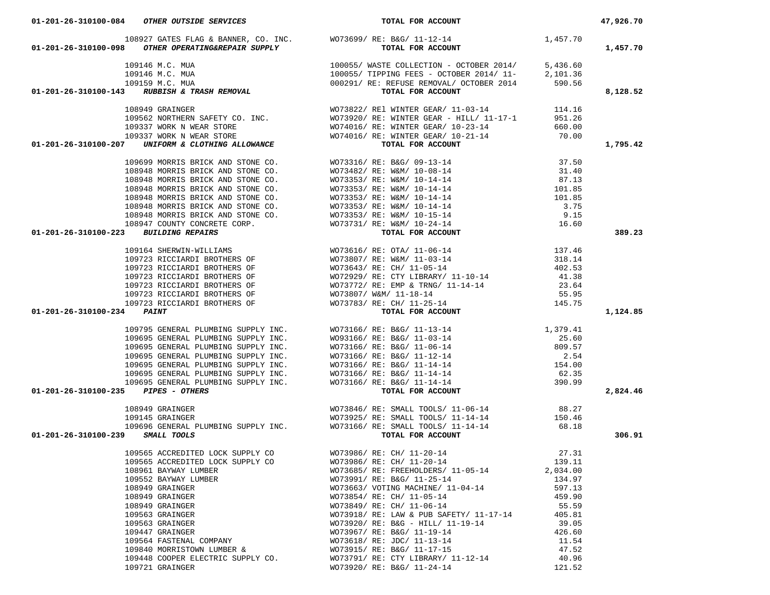| 01-201-26-310100-084 OTHER OUTSIDE SERVICES                                                                                                                                                                                                                     | TOTAL FOR ACCOUNT                                                                                                                                                                                                                                                                                                                                                                              |        | 47,926.70 |
|-----------------------------------------------------------------------------------------------------------------------------------------------------------------------------------------------------------------------------------------------------------------|------------------------------------------------------------------------------------------------------------------------------------------------------------------------------------------------------------------------------------------------------------------------------------------------------------------------------------------------------------------------------------------------|--------|-----------|
|                                                                                                                                                                                                                                                                 |                                                                                                                                                                                                                                                                                                                                                                                                |        |           |
| 01-201-26-310100-098 OTHER OPERATING&REPAIR SUPPLY                                                                                                                                                                                                              | 108927 GATES FLAG & BANNER, CO. INC. WO73699/RE: B&G/11-12-14 1 1,457.70<br><b>28 OTHER OPERATING&amp;REPAIR SUPPLY</b> WOT3699/RE: B&G/11-12-14                                                                                                                                                                                                                                               |        | 1,457.70  |
|                                                                                                                                                                                                                                                                 |                                                                                                                                                                                                                                                                                                                                                                                                |        |           |
|                                                                                                                                                                                                                                                                 |                                                                                                                                                                                                                                                                                                                                                                                                |        |           |
|                                                                                                                                                                                                                                                                 |                                                                                                                                                                                                                                                                                                                                                                                                |        |           |
| 109146 M.C. MUA<br>109146 M.C. MUA<br>109146 M.C. MUA<br>109159 M.C. MUA<br>109159 M.C. MUA<br>100055/ TIPPING FEES - OCTOBER 2014/ 11-<br>109159 M.C. MUA<br>109159 M.C. MUA<br>109291/ RE: REFUSE REMOVAL/ OCTOBER 2014<br>590.56<br><b>TOTAL FOR ACCOUNT</b> |                                                                                                                                                                                                                                                                                                                                                                                                |        | 8,128.52  |
|                                                                                                                                                                                                                                                                 |                                                                                                                                                                                                                                                                                                                                                                                                |        |           |
|                                                                                                                                                                                                                                                                 |                                                                                                                                                                                                                                                                                                                                                                                                |        |           |
|                                                                                                                                                                                                                                                                 |                                                                                                                                                                                                                                                                                                                                                                                                |        |           |
|                                                                                                                                                                                                                                                                 |                                                                                                                                                                                                                                                                                                                                                                                                |        |           |
| 109949 GRAINGER<br>109949 GRAINGER<br>1099562 NORTHERN SAFETY CO. INC.<br>109337 WORK N WEAR STORE<br>109337 WORK N WEAR STORE<br>109337 WORK N WEAR STORE<br>109337 WORK N WEAR STORE<br>109337 WORKIS BRICK AND STONE CO.<br>109699 MORRIS B                  |                                                                                                                                                                                                                                                                                                                                                                                                |        | 1,795.42  |
|                                                                                                                                                                                                                                                                 |                                                                                                                                                                                                                                                                                                                                                                                                |        |           |
|                                                                                                                                                                                                                                                                 |                                                                                                                                                                                                                                                                                                                                                                                                |        |           |
|                                                                                                                                                                                                                                                                 |                                                                                                                                                                                                                                                                                                                                                                                                |        |           |
|                                                                                                                                                                                                                                                                 |                                                                                                                                                                                                                                                                                                                                                                                                |        |           |
|                                                                                                                                                                                                                                                                 |                                                                                                                                                                                                                                                                                                                                                                                                |        |           |
|                                                                                                                                                                                                                                                                 |                                                                                                                                                                                                                                                                                                                                                                                                |        |           |
|                                                                                                                                                                                                                                                                 |                                                                                                                                                                                                                                                                                                                                                                                                |        |           |
|                                                                                                                                                                                                                                                                 |                                                                                                                                                                                                                                                                                                                                                                                                |        |           |
|                                                                                                                                                                                                                                                                 |                                                                                                                                                                                                                                                                                                                                                                                                |        | 389.23    |
|                                                                                                                                                                                                                                                                 |                                                                                                                                                                                                                                                                                                                                                                                                |        |           |
|                                                                                                                                                                                                                                                                 |                                                                                                                                                                                                                                                                                                                                                                                                |        |           |
|                                                                                                                                                                                                                                                                 |                                                                                                                                                                                                                                                                                                                                                                                                |        |           |
|                                                                                                                                                                                                                                                                 |                                                                                                                                                                                                                                                                                                                                                                                                |        |           |
|                                                                                                                                                                                                                                                                 |                                                                                                                                                                                                                                                                                                                                                                                                |        |           |
|                                                                                                                                                                                                                                                                 |                                                                                                                                                                                                                                                                                                                                                                                                |        |           |
|                                                                                                                                                                                                                                                                 |                                                                                                                                                                                                                                                                                                                                                                                                |        |           |
| 01-201-26-310100-234 PAINT                                                                                                                                                                                                                                      |                                                                                                                                                                                                                                                                                                                                                                                                |        | 1,124.85  |
|                                                                                                                                                                                                                                                                 |                                                                                                                                                                                                                                                                                                                                                                                                |        |           |
|                                                                                                                                                                                                                                                                 |                                                                                                                                                                                                                                                                                                                                                                                                |        |           |
|                                                                                                                                                                                                                                                                 |                                                                                                                                                                                                                                                                                                                                                                                                |        |           |
|                                                                                                                                                                                                                                                                 |                                                                                                                                                                                                                                                                                                                                                                                                |        |           |
|                                                                                                                                                                                                                                                                 |                                                                                                                                                                                                                                                                                                                                                                                                |        |           |
|                                                                                                                                                                                                                                                                 |                                                                                                                                                                                                                                                                                                                                                                                                |        |           |
|                                                                                                                                                                                                                                                                 |                                                                                                                                                                                                                                                                                                                                                                                                |        |           |
| 01-201-26-310100-235 PIPES - OTHERS                                                                                                                                                                                                                             | 109795 GENERAL PLUMBING SUPPLY INC. WO73166/RE: B&G/11-13-14 1,379.41<br>109695 GENERAL PLUMBING SUPPLY INC. WO93166/RE: B&G/11-03-14 25.60<br>109695 GENERAL PLUMBING SUPPLY INC. WO73166/RE: B&G/11-06-14 809.57<br>109695 GENERA                                                                                                                                                            |        | 2,824.46  |
|                                                                                                                                                                                                                                                                 |                                                                                                                                                                                                                                                                                                                                                                                                |        |           |
|                                                                                                                                                                                                                                                                 |                                                                                                                                                                                                                                                                                                                                                                                                |        |           |
|                                                                                                                                                                                                                                                                 |                                                                                                                                                                                                                                                                                                                                                                                                |        |           |
| 01-201-26-310100-239 SMALL TOOLS                                                                                                                                                                                                                                | $\begin{array}{lllllllllllll} 108949&\text{GRAINGER} & & & & & & & & 88.27\\ 109145&\text{GRAINGER} & & & & & & & 89.27\\ 109145&\text{GRAINGER} & & & & & & & 80.27\\ 109696&\text{GENERAL PLUMBING SUPPLY INC} & & & & & & & 80.27\\ 109696&\text{GENERAL PLUMBING SUPPLY INC} & & & & & & & 80.27\\ 109696&\text{GENERAL PLUMBING SUPPLY INC} & & & & & & & 80.27\\ 109696&\text{WOMT} & &$ |        | 306.91    |
|                                                                                                                                                                                                                                                                 |                                                                                                                                                                                                                                                                                                                                                                                                | 27.31  |           |
|                                                                                                                                                                                                                                                                 | 109565 ACCREDITED LOCK SUPPLY CO<br>109565 ACCREDITED LOCK SUPPLY CO<br>WO73986/RE: CH/ 11-20-14                                                                                                                                                                                                                                                                                               |        |           |
| 108961 BAYWAY LUMBER                                                                                                                                                                                                                                            |                                                                                                                                                                                                                                                                                                                                                                                                | 139.11 |           |
| 108961 BAYWAY LUMBER<br>109552 BAYWAY LUMBER                                                                                                                                                                                                                    | WO73685/RE: FREEHOLDERS/11-05-14<br>WO73991/RE: B&G/11-25-14<br>WO7363/ VOTING MACHINE/11-04-14<br>WO73854/RE: CH/11-05-14<br>WO73849/RE: CH/11-06-14<br>The discrete state of the discrete state of the discrete state<br>The discrete st                                                                                                                                                     |        |           |
| 108949 GRAINGER                                                                                                                                                                                                                                                 |                                                                                                                                                                                                                                                                                                                                                                                                |        |           |
| 108949 GRAINGER                                                                                                                                                                                                                                                 |                                                                                                                                                                                                                                                                                                                                                                                                |        |           |
| 108949 GRAINGER                                                                                                                                                                                                                                                 |                                                                                                                                                                                                                                                                                                                                                                                                |        |           |
| 109563 GRAINGER                                                                                                                                                                                                                                                 | WO73918/ RE: LAW & PUB SAFETY/ 11-17-14 405.81                                                                                                                                                                                                                                                                                                                                                 |        |           |
| 109563 GRAINGER                                                                                                                                                                                                                                                 |                                                                                                                                                                                                                                                                                                                                                                                                | 39.05  |           |
| 109447 GRAINGER                                                                                                                                                                                                                                                 |                                                                                                                                                                                                                                                                                                                                                                                                | 426.60 |           |
|                                                                                                                                                                                                                                                                 |                                                                                                                                                                                                                                                                                                                                                                                                | 11.54  |           |
| 109564 FASTENAL COMPANY<br>109840 MORRISTOWN LUMBER &                                                                                                                                                                                                           | WO73920/ RE: B&G - HILL/ 11-19-14<br>WO73967/ RE: B&G/ 11-19-14<br>WO73618/ RE: JDC/ 11-13-14<br>WO73915/ RE: B&G/ 11-17-15                                                                                                                                                                                                                                                                    | 47.52  |           |
|                                                                                                                                                                                                                                                                 | 109448 COOPER ELECTRIC SUPPLY CO. WO73791/ RE: CTY LIBRARY/ 11-12-14                                                                                                                                                                                                                                                                                                                           | 40.96  |           |
| 109721 GRAINGER                                                                                                                                                                                                                                                 | WO73920/ RE: B&G/ 11-24-14                                                                                                                                                                                                                                                                                                                                                                     | 121.52 |           |
|                                                                                                                                                                                                                                                                 |                                                                                                                                                                                                                                                                                                                                                                                                |        |           |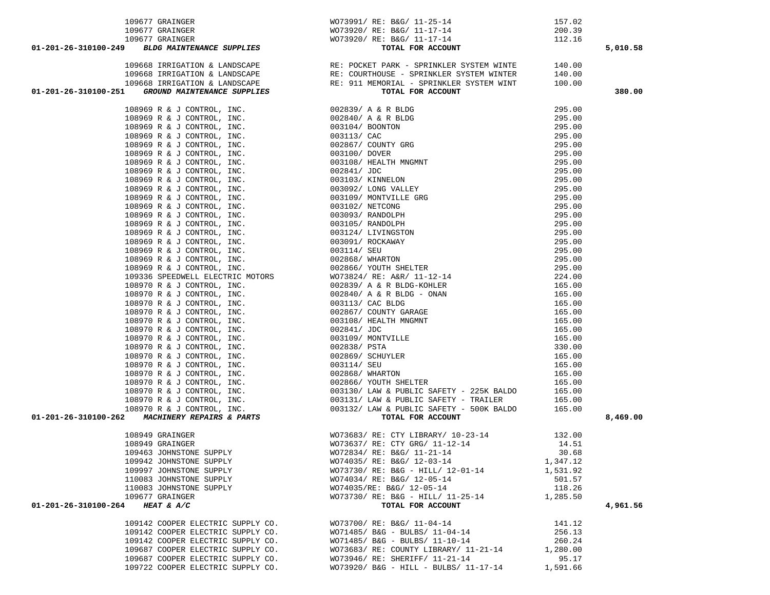|                      |                                   |                                                                                                                                                                                                                                                                                                                                                                                |          | 5,010.58 |
|----------------------|-----------------------------------|--------------------------------------------------------------------------------------------------------------------------------------------------------------------------------------------------------------------------------------------------------------------------------------------------------------------------------------------------------------------------------|----------|----------|
|                      |                                   |                                                                                                                                                                                                                                                                                                                                                                                |          |          |
|                      |                                   |                                                                                                                                                                                                                                                                                                                                                                                |          |          |
|                      |                                   |                                                                                                                                                                                                                                                                                                                                                                                |          |          |
|                      |                                   |                                                                                                                                                                                                                                                                                                                                                                                |          |          |
|                      |                                   | $01-201-26-310100-249$ $109677 GRAINGER\n109677 GRAINGER\n109677 GRAINGER\n109679 PRINGER\n109668 IRRIGATION & LANDSCAPE\n109668 IRRIGATION & LANDSCAPE\n109668 IRRIGATION & LANDSCAPE\n109668 IRRIGATION & LANDSCAPE\n109668 IRRIGATION & LANDSCAPE\n109668 IRRIGATION & LANDSCAPE\n109668 IRRIGATION & LANDSCAPE\n109668 IRRIGATION & LANDSCAPE\n109668 IRRIGATION & LANDSC$ |          | 380.00   |
|                      |                                   |                                                                                                                                                                                                                                                                                                                                                                                |          |          |
|                      |                                   |                                                                                                                                                                                                                                                                                                                                                                                |          |          |
|                      |                                   |                                                                                                                                                                                                                                                                                                                                                                                |          |          |
|                      |                                   |                                                                                                                                                                                                                                                                                                                                                                                |          |          |
|                      |                                   |                                                                                                                                                                                                                                                                                                                                                                                |          |          |
|                      |                                   |                                                                                                                                                                                                                                                                                                                                                                                |          |          |
|                      |                                   |                                                                                                                                                                                                                                                                                                                                                                                |          |          |
|                      |                                   |                                                                                                                                                                                                                                                                                                                                                                                |          |          |
|                      |                                   |                                                                                                                                                                                                                                                                                                                                                                                |          |          |
|                      |                                   |                                                                                                                                                                                                                                                                                                                                                                                |          |          |
|                      |                                   |                                                                                                                                                                                                                                                                                                                                                                                |          |          |
|                      |                                   |                                                                                                                                                                                                                                                                                                                                                                                |          |          |
|                      |                                   |                                                                                                                                                                                                                                                                                                                                                                                |          |          |
|                      |                                   |                                                                                                                                                                                                                                                                                                                                                                                |          |          |
|                      |                                   |                                                                                                                                                                                                                                                                                                                                                                                |          |          |
|                      |                                   |                                                                                                                                                                                                                                                                                                                                                                                |          |          |
|                      |                                   |                                                                                                                                                                                                                                                                                                                                                                                |          |          |
|                      |                                   |                                                                                                                                                                                                                                                                                                                                                                                |          |          |
|                      |                                   |                                                                                                                                                                                                                                                                                                                                                                                |          |          |
|                      |                                   |                                                                                                                                                                                                                                                                                                                                                                                |          |          |
|                      |                                   |                                                                                                                                                                                                                                                                                                                                                                                |          |          |
|                      |                                   |                                                                                                                                                                                                                                                                                                                                                                                |          |          |
|                      |                                   |                                                                                                                                                                                                                                                                                                                                                                                |          |          |
|                      |                                   |                                                                                                                                                                                                                                                                                                                                                                                |          |          |
|                      |                                   |                                                                                                                                                                                                                                                                                                                                                                                |          |          |
|                      |                                   |                                                                                                                                                                                                                                                                                                                                                                                |          |          |
|                      |                                   |                                                                                                                                                                                                                                                                                                                                                                                |          |          |
|                      |                                   |                                                                                                                                                                                                                                                                                                                                                                                |          |          |
|                      |                                   |                                                                                                                                                                                                                                                                                                                                                                                |          |          |
|                      |                                   |                                                                                                                                                                                                                                                                                                                                                                                |          |          |
|                      |                                   |                                                                                                                                                                                                                                                                                                                                                                                |          |          |
|                      |                                   |                                                                                                                                                                                                                                                                                                                                                                                |          |          |
|                      |                                   |                                                                                                                                                                                                                                                                                                                                                                                |          |          |
|                      |                                   |                                                                                                                                                                                                                                                                                                                                                                                |          |          |
|                      |                                   |                                                                                                                                                                                                                                                                                                                                                                                |          |          |
|                      |                                   |                                                                                                                                                                                                                                                                                                                                                                                |          |          |
|                      |                                   |                                                                                                                                                                                                                                                                                                                                                                                |          | 8,469.00 |
|                      |                                   |                                                                                                                                                                                                                                                                                                                                                                                |          |          |
|                      |                                   |                                                                                                                                                                                                                                                                                                                                                                                |          |          |
|                      |                                   | 108949 GRAINGER<br>108949 GRAINGER<br>108949 GRAINGER<br>109463 JOHNSTONE SUPPLY<br>14.51<br>109463 JOHNSTONE SUPPLY<br>109463 JOHNSTONE SUPPLY<br>14.51<br>109463 JOHNSTONE SUPPLY<br>20.68                                                                                                                                                                                   |          |          |
|                      |                                   |                                                                                                                                                                                                                                                                                                                                                                                |          |          |
|                      | 109942 JOHNSTONE SUPPLY           | WO74035/ RE: B&G/ 12-03-14                                                                                                                                                                                                                                                                                                                                                     | 1,347.12 |          |
|                      | 109997 JOHNSTONE SUPPLY           | WO73730/ RE: B&G - HILL/ 12-01-14                                                                                                                                                                                                                                                                                                                                              | 1,531.92 |          |
|                      | 110083 JOHNSTONE SUPPLY           | WO74034/ RE: B&G/ 12-05-14                                                                                                                                                                                                                                                                                                                                                     | 501.57   |          |
|                      | 110083 JOHNSTONE SUPPLY           | WO74035/RE: B&G/ 12-05-14                                                                                                                                                                                                                                                                                                                                                      | 118.26   |          |
|                      | 109677 GRAINGER                   | WO73730/ RE: B&G - HILL/ 11-25-14                                                                                                                                                                                                                                                                                                                                              | 1,285.50 |          |
| 01-201-26-310100-264 | HEAT & A/C                        | TOTAL FOR ACCOUNT                                                                                                                                                                                                                                                                                                                                                              |          | 4,961.56 |
|                      | 109142 COOPER ELECTRIC SUPPLY CO. | WO73700/ RE: B&G/ 11-04-14                                                                                                                                                                                                                                                                                                                                                     | 141.12   |          |
|                      | 109142 COOPER ELECTRIC SUPPLY CO. | WO71485/ B&G - BULBS/ 11-04-14                                                                                                                                                                                                                                                                                                                                                 | 256.13   |          |
|                      | 109142 COOPER ELECTRIC SUPPLY CO. | WO71485/ B&G - BULBS/ 11-10-14                                                                                                                                                                                                                                                                                                                                                 | 260.24   |          |
|                      | 109687 COOPER ELECTRIC SUPPLY CO. | WO73683/ RE: COUNTY LIBRARY/ 11-21-14                                                                                                                                                                                                                                                                                                                                          | 1,280.00 |          |
|                      | 109687 COOPER ELECTRIC SUPPLY CO. | WO73946/ RE: SHERIFF/ 11-21-14                                                                                                                                                                                                                                                                                                                                                 | 95.17    |          |
|                      |                                   |                                                                                                                                                                                                                                                                                                                                                                                |          |          |

109722 COOPER ELECTRIC SUPPLY CO. WO73920/ B&G - HILL - BULBS/ 11-17-14 1,591.66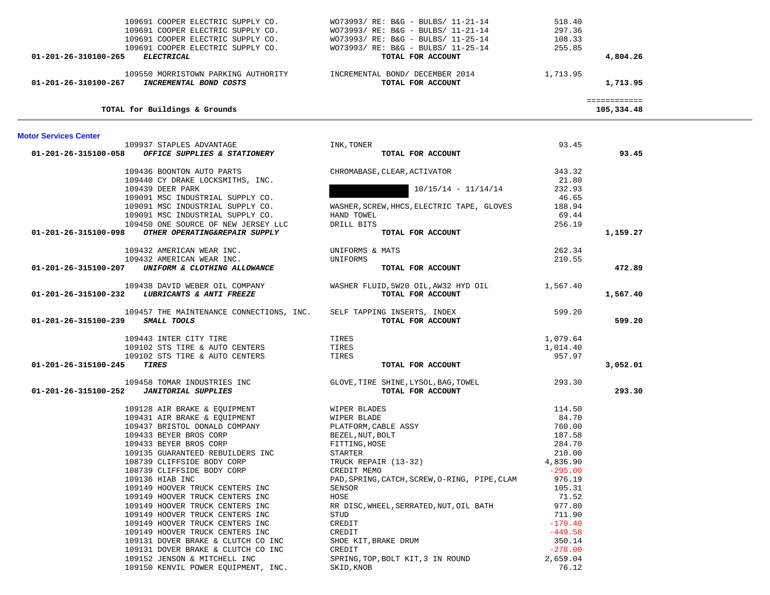| 109691 COOPER ELECTRIC SUPPLY CO.<br>109691 COOPER ELECTRIC SUPPLY CO.<br>109691 COOPER ELECTRIC SUPPLY CO. | WO73993/ RE: B&G - BULBS/ 11-21-14<br>WO73993/ RE: B&G - BULBS/ 11-21-14<br>109691 COOPER ELECTRIC SUPPLY CO. $WO73993/RE: BAG - BULBS/ 11-25-14$<br>109691 COOPER ELECTRIC SUPPLY CO. $WO73993/RE: BAG - BULBS/ 11-25-14$ | 518.40<br>297.36<br>108.33<br>255.85 |                            |  |
|-------------------------------------------------------------------------------------------------------------|----------------------------------------------------------------------------------------------------------------------------------------------------------------------------------------------------------------------------|--------------------------------------|----------------------------|--|
| 01-201-26-310100-265 ELECTRICAL                                                                             | TOTAL FOR ACCOUNT                                                                                                                                                                                                          |                                      | 4,804.26                   |  |
| 109550 MORRISTOWN PARKING AUTHORITY<br>INCREMENTAL BOND COSTS<br>01-201-26-310100-267                       | INCREMENTAL BOND/ DECEMBER 2014<br>TOTAL FOR ACCOUNT                                                                                                                                                                       | 1,713.95                             | 1,713.95                   |  |
| TOTAL for Buildings & Grounds                                                                               |                                                                                                                                                                                                                            |                                      | ============<br>105,334.48 |  |
| <b>Motor Services Center</b>                                                                                |                                                                                                                                                                                                                            |                                      |                            |  |
| 109937 STAPLES ADVANTAGE<br>01-201-26-315100-058                                                            | INK, TONER<br>TOTAL FOR ACCOUNT                                                                                                                                                                                            | 93.45                                | 93.45                      |  |
| OFFICE SUPPLIES & STATIONERY                                                                                |                                                                                                                                                                                                                            |                                      |                            |  |
| 109436 BOONTON AUTO PARTS                                                                                   | CHROMABASE, CLEAR, ACTIVATOR                                                                                                                                                                                               | 343.32                               |                            |  |
| 109440 CY DRAKE LOCKSMITHS, INC.                                                                            |                                                                                                                                                                                                                            | 21.80                                |                            |  |
| 109439 DEER PARK                                                                                            | $10/15/14 - 11/14/14$                                                                                                                                                                                                      | 232.93                               |                            |  |
| 109091 MSC INDUSTRIAL SUPPLY CO.                                                                            |                                                                                                                                                                                                                            | 46.65                                |                            |  |
| 109091 MSC INDUSTRIAL SUPPLY CO.<br>109091 MSC INDUSTRIAL SUPPLY CO.                                        | WASHER, SCREW, HHCS, ELECTRIC TAPE, GLOVES<br>HAND TOWEL                                                                                                                                                                   | 188.94<br>69.44                      |                            |  |
| 109450 ONE SOURCE OF NEW JERSEY LLC                                                                         | DRILL BITS                                                                                                                                                                                                                 | 256.19                               |                            |  |
| OTHER OPERATING&REPAIR SUPPLY<br>01-201-26-315100-098                                                       | TOTAL FOR ACCOUNT                                                                                                                                                                                                          |                                      | 1,159.27                   |  |
|                                                                                                             |                                                                                                                                                                                                                            |                                      |                            |  |
| 109432 AMERICAN WEAR INC.                                                                                   | UNIFORMS & MATS                                                                                                                                                                                                            | 262.34                               |                            |  |
| 109432 AMERICAN WEAR INC.                                                                                   | UNIFORMS                                                                                                                                                                                                                   | 210.55                               |                            |  |
| 01-201-26-315100-207 UNIFORM & CLOTHING ALLOWANCE                                                           | TOTAL FOR ACCOUNT                                                                                                                                                                                                          |                                      | 472.89                     |  |
| 109438 DAVID WEBER OIL COMPANY                                                                              | WASHER FLUID, 5W20 OIL, AW32 HYD OIL 1, 567.40                                                                                                                                                                             |                                      |                            |  |
| 01-201-26-315100-232 LUBRICANTS & ANTI FREEZE                                                               | TOTAL FOR ACCOUNT                                                                                                                                                                                                          |                                      | 1,567.40                   |  |
|                                                                                                             |                                                                                                                                                                                                                            |                                      |                            |  |
| 109457 THE MAINTENANCE CONNECTIONS, INC.                                                                    | SELF TAPPING INSERTS, INDEX                                                                                                                                                                                                | 599.20                               |                            |  |
| 01-201-26-315100-239 SMALL TOOLS                                                                            | TOTAL FOR ACCOUNT                                                                                                                                                                                                          |                                      | 599.20                     |  |
|                                                                                                             |                                                                                                                                                                                                                            |                                      |                            |  |
| 109443 INTER CITY TIRE                                                                                      | TIRES                                                                                                                                                                                                                      | 1,079.64                             |                            |  |
| 109102 STS TIRE & AUTO CENTERS<br>109102 STS TIRE & AUTO CENTERS                                            | TIRES<br>TIRES                                                                                                                                                                                                             | 1,014.40<br>957.97                   |                            |  |
| 01-201-26-315100-245<br>TIRES                                                                               | TOTAL FOR ACCOUNT                                                                                                                                                                                                          |                                      | 3,052.01                   |  |
|                                                                                                             |                                                                                                                                                                                                                            |                                      |                            |  |
| 109458 TOMAR INDUSTRIES INC                                                                                 | GLOVE, TIRE SHINE, LYSOL, BAG, TOWEL                                                                                                                                                                                       | 293.30                               |                            |  |
| <b>JANITORIAL SUPPLIES</b><br>01-201-26-315100-252                                                          | TOTAL FOR ACCOUNT                                                                                                                                                                                                          |                                      | 293.30                     |  |
|                                                                                                             |                                                                                                                                                                                                                            |                                      |                            |  |
| 109128 AIR BRAKE & EQUIPMENT $\hfill$ WIPER BLADES<br>109431 AIR BRAKE & EQUIPMENT                          | WIPER BLADE                                                                                                                                                                                                                | 114.50<br>84.70                      |                            |  |
| 109437 BRISTOL DONALD COMPANY                                                                               | PLATFORM, CABLE ASSY                                                                                                                                                                                                       | 760.00                               |                            |  |
| 109433 BEYER BROS CORP                                                                                      | BEZEL, NUT, BOLT                                                                                                                                                                                                           | 187.58                               |                            |  |
| 109433 BEYER BROS CORP                                                                                      | FITTING, HOSE                                                                                                                                                                                                              | 284.70                               |                            |  |
| 109135 GUARANTEED REBUILDERS INC                                                                            | STARTER                                                                                                                                                                                                                    | 210.00                               |                            |  |
| 108739 CLIFFSIDE BODY CORP                                                                                  | TRUCK REPAIR (13-32)                                                                                                                                                                                                       | 4,836.90                             |                            |  |
| 108739 CLIFFSIDE BODY CORP                                                                                  | CREDIT MEMO                                                                                                                                                                                                                | $-295.00$                            |                            |  |
| 109136 HIAB INC                                                                                             | PAD, SPRING, CATCH, SCREW, O-RING, PIPE, CLAM                                                                                                                                                                              | 976.19                               |                            |  |
| 109149 HOOVER TRUCK CENTERS INC                                                                             | SENSOR                                                                                                                                                                                                                     | 105.31                               |                            |  |
| 109149 HOOVER TRUCK CENTERS INC                                                                             | HOSE                                                                                                                                                                                                                       | 71.52                                |                            |  |
| 109149 HOOVER TRUCK CENTERS INC                                                                             | RR DISC, WHEEL, SERRATED, NUT, OIL BATH                                                                                                                                                                                    | 977.80                               |                            |  |
| 109149 HOOVER TRUCK CENTERS INC<br>109149 HOOVER TRUCK CENTERS INC                                          | STUD<br>CREDIT                                                                                                                                                                                                             | 711.90<br>$-170.40$                  |                            |  |
| 109149 HOOVER TRUCK CENTERS INC                                                                             | CREDIT                                                                                                                                                                                                                     | $-449.58$                            |                            |  |
| 109131 DOVER BRAKE & CLUTCH CO INC                                                                          | SHOE KIT, BRAKE DRUM                                                                                                                                                                                                       | 350.14                               |                            |  |
| 109131 DOVER BRAKE & CLUTCH CO INC                                                                          | CREDIT                                                                                                                                                                                                                     | $-278.00$                            |                            |  |
| 109152 JENSON & MITCHELL INC                                                                                | SPRING, TOP, BOLT KIT, 3 IN ROUND                                                                                                                                                                                          | 2,659.04                             |                            |  |
| 109150 KENVIL POWER EQUIPMENT, INC.                                                                         | SKID, KNOB                                                                                                                                                                                                                 | 76.12                                |                            |  |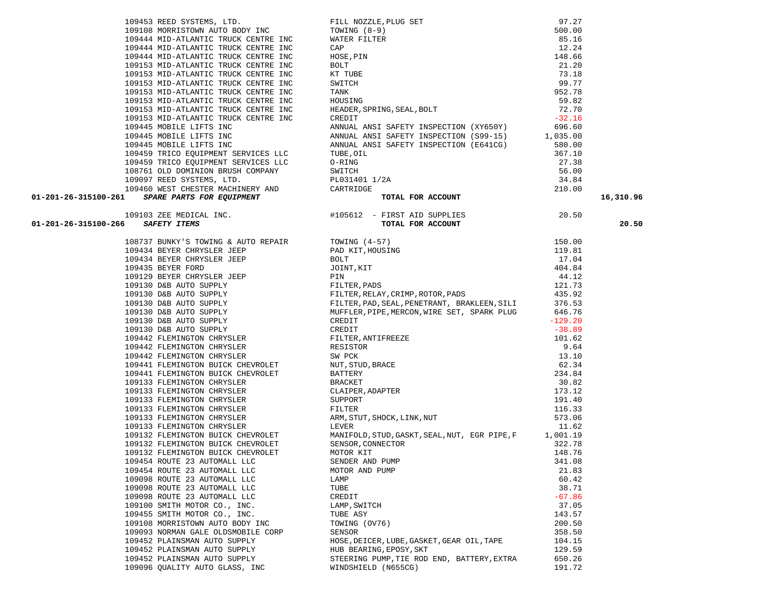|        | 109103 ZEE MEDICAL INC.            |
|--------|------------------------------------|
|        | SAFETY ITEMS                       |
| 108737 | BUNKY'S TOWING & AUTO REPAIR       |
|        | 109434 BEYER CHRYSLER JEEP         |
|        | 109434 BEYER CHRYSLER JEEP         |
|        | 109435 BEYER FORD                  |
|        | 109129 BEYER CHRYSLER JEEP         |
|        | 109130 D&B AUTO SUPPLY             |
|        | 109130 D&B AUTO SUPPLY             |
|        | 109130 D&B AUTO SUPPLY             |
|        | 109130 D&B AUTO SUPPLY             |
|        | 109130 D&B AUTO SUPPLY             |
|        | 109130 D&B AUTO SUPPLY             |
|        | 109442 FLEMINGTON CHRYSLER         |
|        | 109442 FLEMINGTON CHRYSLER         |
|        | 109442 FLEMINGTON CHRYSLER         |
|        | 109441 FLEMINGTON BUICK CHEVROLET  |
|        | 109441 FLEMINGTON BUICK CHEVROLET  |
|        | 109133 FLEMINGTON CHRYSLER         |
|        | 109133 FLEMINGTON CHRYSLER         |
|        | 109133 FLEMINGTON CHRYSLER         |
|        | 109133 FLEMINGTON CHRYSLER         |
|        | 109133 FLEMINGTON CHRYSLER         |
|        | 109133 FLEMINGTON CHRYSLER         |
|        | 109132 FLEMINGTON BUICK CHEVROLET  |
|        | 109132 FLEMINGTON BUICK CHEVROLET  |
|        | 109132 FLEMINGTON BUICK CHEVROLET  |
|        | 109454 ROUTE 23 AUTOMALL LLC       |
|        | 109454 ROUTE 23 AUTOMALL LLC       |
|        | 109098 ROUTE 23 AUTOMALL LLC       |
|        | 109098 ROUTE 23 AUTOMALL LLC       |
|        | 109098 ROUTE 23 AUTOMALL LLC       |
|        | 109100 SMITH MOTOR CO., INC.       |
|        | 109455 SMITH MOTOR CO., INC.       |
|        | 109108 MORRISTOWN AUTO BODY INC    |
|        | 109093 NORMAN GALE OLDSMOBILE CORP |
|        | 109452 PLAINSMAN AUTO SUPPLY       |
|        | 109452 PLAINSMAN AUTO SUPPLY       |
|        | 109452 PLAINSMAN AUTO SUPPLY       |
| 109096 | OUALITY AUTO GLASS, INC            |

|                                                                                                                                                                                                                                            | $\begin{tabular}{lllllllllllllllllllllll} \textsc{109153} & \text{M1D-ATLANTIC TRUCK CENTRE INC} & \text{KT TUEE} & 73.18 \\ \text{109153} & \text{MID-ATLANTIC TRUCK CENTRE INC} & \text{TANK} & 99.77 \\ \text{109153} & \text{MID-ATLANTIC TRUCK CENTRE INC} & \text{HNNUSING} & 92.78 \\ \text{109153} & \text{MID-ATLANTIC TRUCK CENTRE INC} & \text{HEDDER, SPRING, SEAL, BOLT} & 59.82 \\ \text{109153} & \text{MID$ |           |
|--------------------------------------------------------------------------------------------------------------------------------------------------------------------------------------------------------------------------------------------|-----------------------------------------------------------------------------------------------------------------------------------------------------------------------------------------------------------------------------------------------------------------------------------------------------------------------------------------------------------------------------------------------------------------------------|-----------|
|                                                                                                                                                                                                                                            |                                                                                                                                                                                                                                                                                                                                                                                                                             |           |
|                                                                                                                                                                                                                                            |                                                                                                                                                                                                                                                                                                                                                                                                                             |           |
|                                                                                                                                                                                                                                            |                                                                                                                                                                                                                                                                                                                                                                                                                             |           |
|                                                                                                                                                                                                                                            |                                                                                                                                                                                                                                                                                                                                                                                                                             |           |
|                                                                                                                                                                                                                                            |                                                                                                                                                                                                                                                                                                                                                                                                                             |           |
|                                                                                                                                                                                                                                            |                                                                                                                                                                                                                                                                                                                                                                                                                             |           |
|                                                                                                                                                                                                                                            |                                                                                                                                                                                                                                                                                                                                                                                                                             |           |
|                                                                                                                                                                                                                                            |                                                                                                                                                                                                                                                                                                                                                                                                                             |           |
|                                                                                                                                                                                                                                            |                                                                                                                                                                                                                                                                                                                                                                                                                             |           |
|                                                                                                                                                                                                                                            |                                                                                                                                                                                                                                                                                                                                                                                                                             |           |
|                                                                                                                                                                                                                                            |                                                                                                                                                                                                                                                                                                                                                                                                                             |           |
|                                                                                                                                                                                                                                            |                                                                                                                                                                                                                                                                                                                                                                                                                             |           |
|                                                                                                                                                                                                                                            |                                                                                                                                                                                                                                                                                                                                                                                                                             |           |
| 109459 TRICO EQUIPMENT SERVICES LLC<br>109459 TRICO EQUIPMENT SERVICES LLC<br>109459 TRICO EQUIPMENT SERVICES LLC<br>109761 OLD DOMINION RUSH COMPANY<br>109761 OLD DOMINION RUSH COMPANY<br>109761 OLD DOMINION RUSH COMPANY<br>109761 OL |                                                                                                                                                                                                                                                                                                                                                                                                                             | 16,310.96 |
|                                                                                                                                                                                                                                            |                                                                                                                                                                                                                                                                                                                                                                                                                             |           |
|                                                                                                                                                                                                                                            |                                                                                                                                                                                                                                                                                                                                                                                                                             | 20.50     |
|                                                                                                                                                                                                                                            | 1031012 REMANDAL INC.<br>103312 REMANDAL INC.<br>103312 REMANDAL INC.<br>103343 REVIN CONTROL REV.<br>103443 REVIN CONTROL REV.<br>103443 REVIN CONTROL REV.<br>103443 REVIN CONTROL REV.<br>103443 REVIN CONTROL REV.<br>103443 REVIN CONTRO                                                                                                                                                                               |           |
|                                                                                                                                                                                                                                            |                                                                                                                                                                                                                                                                                                                                                                                                                             |           |
|                                                                                                                                                                                                                                            |                                                                                                                                                                                                                                                                                                                                                                                                                             |           |
|                                                                                                                                                                                                                                            |                                                                                                                                                                                                                                                                                                                                                                                                                             |           |
|                                                                                                                                                                                                                                            |                                                                                                                                                                                                                                                                                                                                                                                                                             |           |
|                                                                                                                                                                                                                                            |                                                                                                                                                                                                                                                                                                                                                                                                                             |           |
|                                                                                                                                                                                                                                            |                                                                                                                                                                                                                                                                                                                                                                                                                             |           |
|                                                                                                                                                                                                                                            |                                                                                                                                                                                                                                                                                                                                                                                                                             |           |
|                                                                                                                                                                                                                                            |                                                                                                                                                                                                                                                                                                                                                                                                                             |           |
|                                                                                                                                                                                                                                            |                                                                                                                                                                                                                                                                                                                                                                                                                             |           |
|                                                                                                                                                                                                                                            |                                                                                                                                                                                                                                                                                                                                                                                                                             |           |
|                                                                                                                                                                                                                                            |                                                                                                                                                                                                                                                                                                                                                                                                                             |           |
|                                                                                                                                                                                                                                            |                                                                                                                                                                                                                                                                                                                                                                                                                             |           |
|                                                                                                                                                                                                                                            |                                                                                                                                                                                                                                                                                                                                                                                                                             |           |
|                                                                                                                                                                                                                                            |                                                                                                                                                                                                                                                                                                                                                                                                                             |           |
|                                                                                                                                                                                                                                            |                                                                                                                                                                                                                                                                                                                                                                                                                             |           |
|                                                                                                                                                                                                                                            |                                                                                                                                                                                                                                                                                                                                                                                                                             |           |
|                                                                                                                                                                                                                                            |                                                                                                                                                                                                                                                                                                                                                                                                                             |           |
|                                                                                                                                                                                                                                            |                                                                                                                                                                                                                                                                                                                                                                                                                             |           |
|                                                                                                                                                                                                                                            |                                                                                                                                                                                                                                                                                                                                                                                                                             |           |
|                                                                                                                                                                                                                                            |                                                                                                                                                                                                                                                                                                                                                                                                                             |           |
|                                                                                                                                                                                                                                            |                                                                                                                                                                                                                                                                                                                                                                                                                             |           |
|                                                                                                                                                                                                                                            |                                                                                                                                                                                                                                                                                                                                                                                                                             |           |
|                                                                                                                                                                                                                                            |                                                                                                                                                                                                                                                                                                                                                                                                                             |           |
|                                                                                                                                                                                                                                            |                                                                                                                                                                                                                                                                                                                                                                                                                             |           |
|                                                                                                                                                                                                                                            |                                                                                                                                                                                                                                                                                                                                                                                                                             |           |
|                                                                                                                                                                                                                                            |                                                                                                                                                                                                                                                                                                                                                                                                                             |           |
|                                                                                                                                                                                                                                            |                                                                                                                                                                                                                                                                                                                                                                                                                             |           |
|                                                                                                                                                                                                                                            |                                                                                                                                                                                                                                                                                                                                                                                                                             |           |
|                                                                                                                                                                                                                                            |                                                                                                                                                                                                                                                                                                                                                                                                                             |           |
|                                                                                                                                                                                                                                            |                                                                                                                                                                                                                                                                                                                                                                                                                             |           |
|                                                                                                                                                                                                                                            |                                                                                                                                                                                                                                                                                                                                                                                                                             |           |
|                                                                                                                                                                                                                                            |                                                                                                                                                                                                                                                                                                                                                                                                                             |           |
|                                                                                                                                                                                                                                            |                                                                                                                                                                                                                                                                                                                                                                                                                             |           |
|                                                                                                                                                                                                                                            |                                                                                                                                                                                                                                                                                                                                                                                                                             |           |
|                                                                                                                                                                                                                                            |                                                                                                                                                                                                                                                                                                                                                                                                                             |           |
|                                                                                                                                                                                                                                            |                                                                                                                                                                                                                                                                                                                                                                                                                             |           |
|                                                                                                                                                                                                                                            |                                                                                                                                                                                                                                                                                                                                                                                                                             |           |
|                                                                                                                                                                                                                                            |                                                                                                                                                                                                                                                                                                                                                                                                                             |           |

| 109453 REED SYSTEMS, LTD.            | FILL NOZZLE, PLUG SET                  | 97.27    |
|--------------------------------------|----------------------------------------|----------|
| 109108 MORRISTOWN AUTO BODY INC      | TOWING (8-9)                           | 500.00   |
| 109444 MID-ATLANTIC TRUCK CENTRE INC | WATER FILTER                           | 85.16    |
| 109444 MID-ATLANTIC TRUCK CENTRE INC | CAP                                    | 12.24    |
| 109444 MID-ATLANTIC TRUCK CENTRE INC | HOSE, PIN                              | 148.66   |
| 109153 MID-ATLANTIC TRUCK CENTRE INC | BOLT                                   | 21.20    |
| 109153 MID-ATLANTIC TRUCK CENTRE INC | KT TUBE                                | 73.18    |
| 109153 MID-ATLANTIC TRUCK CENTRE INC | SWITCH                                 | 99.77    |
| 109153 MID-ATLANTIC TRUCK CENTRE INC | TANK                                   | 952.78   |
| 109153 MID-ATLANTIC TRUCK CENTRE INC | HOUSING                                | 59.82    |
| 109153 MID-ATLANTIC TRUCK CENTRE INC | HEADER, SPRING, SEAL, BOLT             | 72.70    |
| 109153 MID-ATLANTIC TRUCK CENTRE INC | CREDIT                                 | $-32.16$ |
| 109445 MOBILE LIFTS INC              | ANNUAL ANSI SAFETY INSPECTION (XY650Y) | 696.60   |
| 109445 MOBILE LIFTS INC              | ANNUAL ANSI SAFETY INSPECTION (S99-15) | 1,035.00 |
| 109445 MOBILE LIFTS INC              | ANNUAL ANSI SAFETY INSPECTION (E641CG) | 580.00   |
| 109459 TRICO EOUIPMENT SERVICES LLC  | TUBE, OIL                              | 367.10   |
| 109459 TRICO EOUIPMENT SERVICES LLC  | O-RING                                 | 27.38    |
| 108761 OLD DOMINION BRUSH COMPANY    | SWITCH                                 | 56.00    |
| 109097 REED SYSTEMS, LTD.            | PL031401 1/2A                          | 34.84    |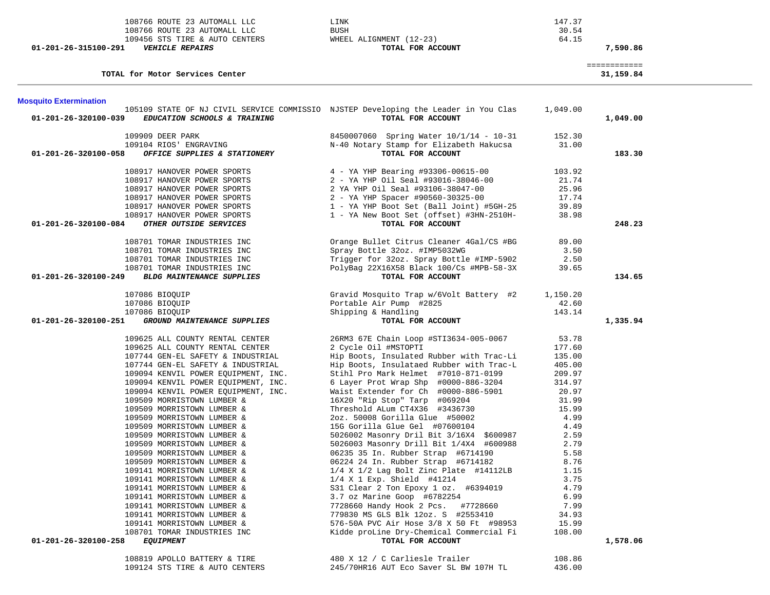| 108766 ROUTE 23 AUTOMALL LLC<br>108766 ROUTE 23 AUTOMALL LLC<br>109456 STS TIRE & AUTO CENTERS<br>01-201-26-315100-291<br><b>VEHICLE REPAIRS</b> | LINK<br><b>BUSH</b><br>WHEEL ALIGNMENT (12-23)<br>TOTAL FOR ACCOUNT                                      | 147.37<br>30.54<br>64.15 | 7,590.86                  |
|--------------------------------------------------------------------------------------------------------------------------------------------------|----------------------------------------------------------------------------------------------------------|--------------------------|---------------------------|
| TOTAL for Motor Services Center                                                                                                                  |                                                                                                          |                          | ============<br>31,159.84 |
| <b>Mosquito Extermination</b>                                                                                                                    |                                                                                                          |                          |                           |
| 01-201-26-320100-039<br>EDUCATION SCHOOLS & TRAINING                                                                                             | 105109 STATE OF NJ CIVIL SERVICE COMMISSIO NJSTEP Developing the Leader in You Clas<br>TOTAL FOR ACCOUNT | 1,049.00                 | 1,049.00                  |
| 109909 DEER PARK                                                                                                                                 | 8450007060 Spring Water 10/1/14 - 10-31                                                                  | 152.30                   |                           |
| 109104 RIOS' ENGRAVING<br>01-201-26-320100-058<br>OFFICE SUPPLIES & STATIONERY                                                                   | N-40 Notary Stamp for Elizabeth Hakucsa<br>TOTAL FOR ACCOUNT                                             | 31.00                    | 183.30                    |
| 108917 HANOVER POWER SPORTS                                                                                                                      | 4 - YA YHP Bearing #93306-00615-00                                                                       | 103.92                   |                           |
| 108917 HANOVER POWER SPORTS                                                                                                                      | 2 - YA YHP Oil Seal #93016-38046-00                                                                      | 21.74                    |                           |
| 108917 HANOVER POWER SPORTS                                                                                                                      | 2 YA YHP Oil Seal #93106-38047-00                                                                        | 25.96                    |                           |
| 108917 HANOVER POWER SPORTS                                                                                                                      | 2 - YA YHP Spacer #90560-30325-00                                                                        | 17.74                    |                           |
| 108917 HANOVER POWER SPORTS                                                                                                                      | 1 - YA YHP Boot Set (Ball Joint) #5GH-25                                                                 | 39.89                    |                           |
| 108917 HANOVER POWER SPORTS                                                                                                                      | 1 - YA New Boot Set (offset) #3HN-2510H-                                                                 | 38.98                    |                           |
| 01-201-26-320100-084<br>OTHER OUTSIDE SERVICES                                                                                                   | TOTAL FOR ACCOUNT                                                                                        |                          | 248.23                    |
| 108701 TOMAR INDUSTRIES INC                                                                                                                      | Orange Bullet Citrus Cleaner 4Gal/CS #BG                                                                 | 89.00                    |                           |
| 108701 TOMAR INDUSTRIES INC                                                                                                                      | Spray Bottle 32oz. #IMP5032WG                                                                            | 3.50                     |                           |
| 108701 TOMAR INDUSTRIES INC                                                                                                                      | Trigger for 32oz. Spray Bottle #IMP-5902                                                                 | 2.50                     |                           |
| 108701 TOMAR INDUSTRIES INC                                                                                                                      | PolyBag 22X16X58 Black 100/Cs #MPB-58-3X                                                                 | 39.65                    |                           |
| 01-201-26-320100-249<br><b>BLDG MAINTENANCE SUPPLIES</b>                                                                                         | TOTAL FOR ACCOUNT                                                                                        |                          | 134.65                    |
| 107086 BIOQUIP                                                                                                                                   | Gravid Mosquito Trap w/6Volt Battery #2                                                                  | 1,150.20                 |                           |
| 107086 BIOQUIP                                                                                                                                   | Portable Air Pump #2825                                                                                  | 42.60                    |                           |
| 107086 BIOQUIP                                                                                                                                   | Shipping & Handling                                                                                      | 143.14                   |                           |
| 01-201-26-320100-251<br>GROUND MAINTENANCE SUPPLIES                                                                                              | TOTAL FOR ACCOUNT                                                                                        |                          | 1,335.94                  |
| 109625 ALL COUNTY RENTAL CENTER                                                                                                                  | 26RM3 67E Chain Loop #STI3634-005-0067                                                                   | 53.78                    |                           |
| 109625 ALL COUNTY RENTAL CENTER                                                                                                                  | 2 Cycle Oil #MSTOPTI                                                                                     | 177.60                   |                           |
| 107744 GEN-EL SAFETY & INDUSTRIAL                                                                                                                | Hip Boots, Insulated Rubber with Trac-Li                                                                 | 135.00                   |                           |
| 107744 GEN-EL SAFETY & INDUSTRIAL                                                                                                                | Hip Boots, Insulataed Rubber with Trac-L                                                                 | 405.00                   |                           |
| 109094 KENVIL POWER EQUIPMENT, INC.                                                                                                              | Stihl Pro Mark Helmet #7010-871-0199                                                                     | 209.97                   |                           |
| 109094 KENVIL POWER EQUIPMENT, INC.                                                                                                              | 6 Layer Prot Wrap Shp #0000-886-3204                                                                     | 314.97                   |                           |
| 109094 KENVIL POWER EQUIPMENT, INC.                                                                                                              | Waist Extender for Ch #0000-886-5901                                                                     | 20.97                    |                           |
| 109509 MORRISTOWN LUMBER &                                                                                                                       | 16X20 "Rip Stop" Tarp #069204                                                                            | 31.99                    |                           |
| 109509 MORRISTOWN LUMBER &                                                                                                                       | Threshold ALum CT4X36 #3436730                                                                           | 15.99                    |                           |
| 109509 MORRISTOWN LUMBER &                                                                                                                       | 2oz. 50008 Gorilla Glue #50002                                                                           | 4.99                     |                           |
| 109509 MORRISTOWN LUMBER &                                                                                                                       | 15G Gorilla Glue Gel #07600104                                                                           | 4.49                     |                           |
| 109509 MORRISTOWN LUMBER &                                                                                                                       | 5026002 Masonry Dril Bit 3/16X4 \$600987                                                                 | 2.59                     |                           |
| 109509 MORRISTOWN LUMBER &                                                                                                                       | 5026003 Masonry Drill Bit 1/4X4 #600988                                                                  | 2.79                     |                           |
| 109509 MORRISTOWN LUMBER &                                                                                                                       | 06235 35 In. Rubber Strap #6714190                                                                       | 5.58                     |                           |
| 109509 MORRISTOWN LUMBER &                                                                                                                       | 06224 24 In. Rubber Strap #6714182                                                                       | 8.76                     |                           |
| 109141 MORRISTOWN LUMBER &                                                                                                                       | $1/4$ X $1/2$ Lag Bolt Zinc Plate #14112LB                                                               | 1.15                     |                           |
| 109141 MORRISTOWN LUMBER &                                                                                                                       | 1/4 X 1 Exp. Shield #41214                                                                               | 3.75                     |                           |
| 109141 MORRISTOWN LUMBER &                                                                                                                       | S31 Clear 2 Ton Epoxy 1 oz. #6394019                                                                     | 4.79                     |                           |
| 109141 MORRISTOWN LUMBER &                                                                                                                       | 3.7 oz Marine Goop #6782254                                                                              | 6.99                     |                           |
| 109141 MORRISTOWN LUMBER &                                                                                                                       | 7728660 Handy Hook 2 Pcs. #7728660                                                                       | 7.99                     |                           |
| 109141 MORRISTOWN LUMBER &<br>109141 MORRISTOWN LUMBER &                                                                                         | 779830 MS GLS Blk 12oz. S #2553410                                                                       | 34.93                    |                           |
| 108701 TOMAR INDUSTRIES INC                                                                                                                      | 576-50A PVC Air Hose 3/8 X 50 Ft #98953<br>Kidde proLine Dry-Chemical Commercial Fi                      | 15.99<br>108.00          |                           |
| 01-201-26-320100-258<br><i>EQUIPMENT</i>                                                                                                         | TOTAL FOR ACCOUNT                                                                                        |                          | 1,578.06                  |
|                                                                                                                                                  |                                                                                                          |                          |                           |
| 108819 APOLLO BATTERY & TIRE                                                                                                                     | 480 X 12 / C Carliesle Trailer                                                                           | 108.86                   |                           |
| 109124 STS TIRE & AUTO CENTERS                                                                                                                   | 245/70HR16 AUT Eco Saver SL BW 107H TL                                                                   | 436.00                   |                           |

and the control of the control of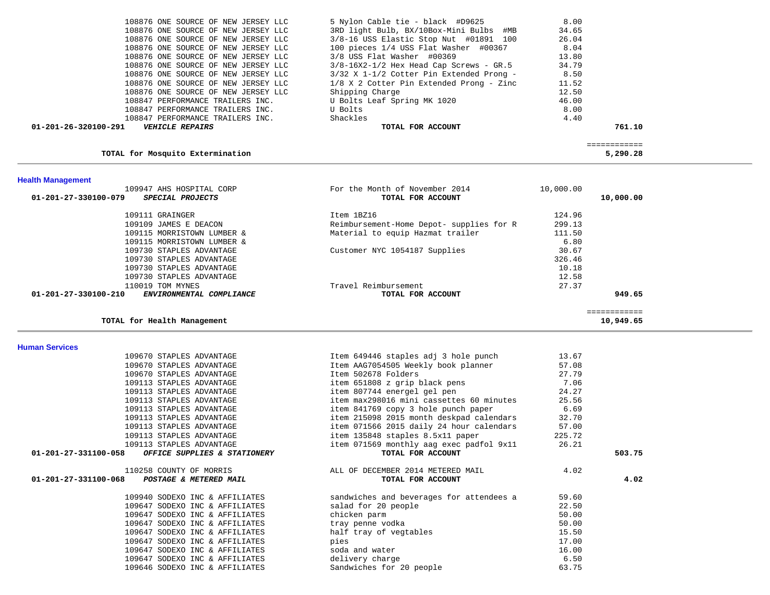| 01-201-26-320100-291<br><b>VEHICLE REPAIRS</b> | TOTAL FOR ACCOUNT                          | 761.10 |
|------------------------------------------------|--------------------------------------------|--------|
| 108847 PERFORMANCE TRAILERS INC.               | Shackles                                   | 4.40   |
| 108847 PERFORMANCE TRAILERS INC.               | U Bolts                                    | 8.00   |
| 108847 PERFORMANCE TRAILERS INC.               | U Bolts Leaf Spring MK 1020                | 46.00  |
| 108876 ONE SOURCE OF NEW JERSEY LLC            | Shipping Charge                            | 12.50  |
| 108876 ONE SOURCE OF NEW JERSEY LLC            | 1/8 X 2 Cotter Pin Extended Prong - Zinc   | 11.52  |
| 108876 ONE SOURCE OF NEW JERSEY LLC            | $3/32$ X 1-1/2 Cotter Pin Extended Prong - | 8.50   |
| 108876 ONE SOURCE OF NEW JERSEY LLC            | $3/8-16X2-1/2$ Hex Head Cap Screws - GR.5  | 34.79  |
| 108876 ONE SOURCE OF NEW JERSEY LLC            | 3/8 USS Flat Washer #00369                 | 13.80  |
| 108876 ONE SOURCE OF NEW JERSEY LLC            | 100 pieces 1/4 USS Flat Washer #00367      | 8.04   |
| 108876 ONE SOURCE OF NEW JERSEY LLC            | 3/8-16 USS Elastic Stop Nut #01891 100     | 26.04  |
| 108876 ONE SOURCE OF NEW JERSEY LLC            | 3RD light Bulb, BX/10Box-Mini Bulbs #MB    | 34.65  |
| 108876 ONE SOURCE OF NEW JERSEY LLC            | 5 Nylon Cable tie - black #D9625           | 8.00   |

#### **TOTAL for Mosquito Extermination 5,290.28**

============

## **Health Management**

| For the Month of November 2014           | 10,000.00         |           |
|------------------------------------------|-------------------|-----------|
|                                          |                   | 10,000.00 |
| Item 1BZ16                               | 124.96            |           |
| Reimbursement-Home Depot- supplies for R | 299.13            |           |
| Material to equip Hazmat trailer         | 111.50            |           |
|                                          | 6.80              |           |
| Customer NYC 1054187 Supplies            | 30.67             |           |
|                                          | 326.46            |           |
|                                          | 10.18             |           |
|                                          | 12.58             |           |
| Travel Reimbursement                     | 27.37             |           |
| TOTAL FOR ACCOUNT                        |                   | 949.65    |
|                                          |                   |           |
|                                          |                   |           |
|                                          | TOTAL FOR ACCOUNT |           |

### **TOTAL for Health Management 10,949.65**

#### **Human Services**

| 109670 STAPLES ADVANTAGE                             | Item 649446 staples adj 3 hole punch     | 13.67  |        |
|------------------------------------------------------|------------------------------------------|--------|--------|
| 109670 STAPLES ADVANTAGE                             | Item AAG7054505 Weekly book planner      | 57.08  |        |
| 109670 STAPLES ADVANTAGE                             | Item 502678 Folders                      | 27.79  |        |
| 109113 STAPLES ADVANTAGE                             | item 651808 z grip black pens            | 7.06   |        |
| 109113 STAPLES ADVANTAGE                             | item 807744 energel gel pen              | 24.27  |        |
| 109113 STAPLES ADVANTAGE                             | item max298016 mini cassettes 60 minutes | 25.56  |        |
| 109113 STAPLES ADVANTAGE                             | item 841769 copy 3 hole punch paper      | 6.69   |        |
| 109113 STAPLES ADVANTAGE                             | item 215098 2015 month deskpad calendars | 32.70  |        |
| 109113 STAPLES ADVANTAGE                             | item 071566 2015 daily 24 hour calendars | 57.00  |        |
| 109113 STAPLES ADVANTAGE                             | item 135848 staples 8.5x11 paper         | 225.72 |        |
| 109113 STAPLES ADVANTAGE                             | item 071569 monthly aag exec padfol 9x11 | 26.21  |        |
| 01-201-27-331100-058<br>OFFICE SUPPLIES & STATIONERY | TOTAL FOR ACCOUNT                        |        | 503.75 |
|                                                      |                                          |        |        |
| 110258 COUNTY OF MORRIS                              | ALL OF DECEMBER 2014 METERED MAIL        | 4.02   |        |
| 01-201-27-331100-068 POSTAGE & METERED MAIL          | TOTAL FOR ACCOUNT                        |        | 4.02   |
| 109940 SODEXO INC & AFFILIATES                       | sandwiches and beverages for attendees a | 59.60  |        |
| 109647 SODEXO INC & AFFILIATES                       | salad for 20 people                      | 22.50  |        |
| 109647 SODEXO INC & AFFILIATES                       | chicken parm                             | 50.00  |        |
| 109647 SODEXO INC & AFFILIATES                       | tray penne vodka                         | 50.00  |        |
| 109647 SODEXO INC & AFFILIATES                       | half tray of vegtables                   | 15.50  |        |
| 109647 SODEXO INC & AFFILIATES                       | pies                                     | 17.00  |        |
| 109647 SODEXO INC & AFFILIATES                       | soda and water                           | 16.00  |        |
| 109647 SODEXO INC & AFFILIATES                       | delivery charge                          | 6.50   |        |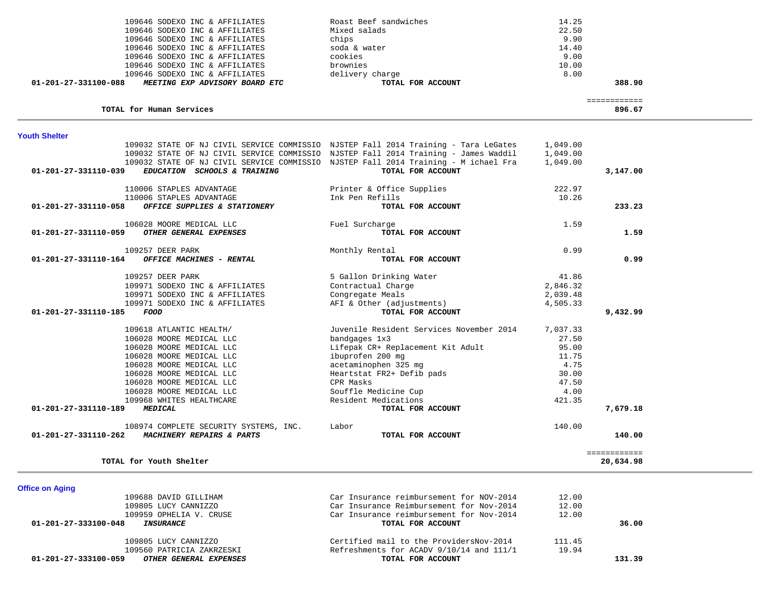| 01-201-27-331110-189<br><i><b>MEDICAL</b></i>                                               | TOTAL FOR ACCOUNT                        | 7,679.18                  |  |
|---------------------------------------------------------------------------------------------|------------------------------------------|---------------------------|--|
| 108974 COMPLETE SECURITY SYSTEMS, INC.<br>01-201-27-331110-262<br>MACHINERY REPAIRS & PARTS | Labor<br>TOTAL FOR ACCOUNT               | 140.00<br>140.00          |  |
| TOTAL for Youth Shelter                                                                     |                                          | ============<br>20,634.98 |  |
| <b>Office on Aging</b>                                                                      |                                          |                           |  |
| 109688 DAVID GILLIHAM                                                                       | Car Insurance reimbursement for NOV-2014 | 12.00                     |  |
| 109805 LUCY CANNIZZO                                                                        | Car Insurance Reimbursement for Nov-2014 | 12.00                     |  |
| 109959 OPHELIA V. CRUSE                                                                     | Car Insurance reimbursement for Nov-2014 | 12.00                     |  |
| 01-201-27-333100-048<br><i><b>INSURANCE</b></i>                                             | TOTAL FOR ACCOUNT                        | 36.00                     |  |
| 109805 LUCY CANNIZZO                                                                        | Certified mail to the ProvidersNov-2014  | 111.45                    |  |
|                                                                                             |                                          |                           |  |
| 109560 PATRICIA ZAKRZESKI                                                                   | Refreshments for ACADV 9/10/14 and 111/1 | 19.94                     |  |

| EDUCATION SCHOOLS & TRAINING<br>01-201-27-331110-039 | 109032 STATE OF NJ CIVIL SERVICE COMMISSIO NJSTEP Fall 2014 Training - Tara LeGates<br>109032 STATE OF NJ CIVIL SERVICE COMMISSIO NJSTEP Fall 2014 Training - James Waddil<br>109032 STATE OF NJ CIVIL SERVICE COMMISSIO NJSTEP Fall 2014 Training - M ichael Fra<br>TOTAL FOR ACCOUNT | 1,049.00<br>1,049.00<br>1,049.00 | 3,147.00 |
|------------------------------------------------------|----------------------------------------------------------------------------------------------------------------------------------------------------------------------------------------------------------------------------------------------------------------------------------------|----------------------------------|----------|
|                                                      |                                                                                                                                                                                                                                                                                        |                                  |          |
| 110006 STAPLES ADVANTAGE                             | Printer & Office Supplies                                                                                                                                                                                                                                                              | 222.97                           |          |
| 110006 STAPLES ADVANTAGE                             | Ink Pen Refills                                                                                                                                                                                                                                                                        | 10.26                            |          |
| 01-201-27-331110-058<br>OFFICE SUPPLIES & STATIONERY | TOTAL FOR ACCOUNT                                                                                                                                                                                                                                                                      |                                  | 233.23   |
| 106028 MOORE MEDICAL LLC                             | Fuel Surcharge                                                                                                                                                                                                                                                                         | 1.59                             |          |
| 01-201-27-331110-059<br>OTHER GENERAL EXPENSES       | TOTAL FOR ACCOUNT                                                                                                                                                                                                                                                                      |                                  | 1.59     |
| 109257 DEER PARK                                     | Monthly Rental                                                                                                                                                                                                                                                                         | 0.99                             |          |
| 01-201-27-331110-164<br>OFFICE MACHINES - RENTAL     | TOTAL FOR ACCOUNT                                                                                                                                                                                                                                                                      |                                  | 0.99     |
| 109257 DEER PARK                                     | 5 Gallon Drinking Water                                                                                                                                                                                                                                                                | 41.86                            |          |
| 109971 SODEXO INC & AFFILIATES                       | Contractual Charge                                                                                                                                                                                                                                                                     | 2,846.32                         |          |
| 109971 SODEXO INC & AFFILIATES                       | Congregate Meals                                                                                                                                                                                                                                                                       | 2,039.48                         |          |
| 109971 SODEXO INC & AFFILIATES                       | AFI & Other (adjustments)                                                                                                                                                                                                                                                              | 4,505.33                         |          |
| 01-201-27-331110-185<br>FOOD                         | TOTAL FOR ACCOUNT                                                                                                                                                                                                                                                                      |                                  | 9,432.99 |
| 109618 ATLANTIC HEALTH/                              | Juvenile Resident Services November 2014                                                                                                                                                                                                                                               | 7,037.33                         |          |
| 106028 MOORE MEDICAL LLC                             | bandgages 1x3                                                                                                                                                                                                                                                                          | 27.50                            |          |
| 106028 MOORE MEDICAL LLC                             | Lifepak CR+ Replacement Kit Adult                                                                                                                                                                                                                                                      | 95.00                            |          |
| 106028 MOORE MEDICAL LLC                             | ibuprofen 200 mg                                                                                                                                                                                                                                                                       | 11.75                            |          |
| 106028 MOORE MEDICAL LLC                             | acetaminophen 325 mg                                                                                                                                                                                                                                                                   | 4.75                             |          |
| 106028 MOORE MEDICAL LLC                             | Heartstat FR2+ Defib pads                                                                                                                                                                                                                                                              | 30.00                            |          |
| 106028 MOORE MEDICAL LLC                             | CPR Masks                                                                                                                                                                                                                                                                              | 47.50                            |          |
| 106028 MOORE MEDICAL LLC                             | Souffle Medicine Cup                                                                                                                                                                                                                                                                   | 4.00                             |          |
| 109968 WHITES HEALTHCARE                             | Resident Medications                                                                                                                                                                                                                                                                   | 421.35                           |          |
| 01-201-27-331110-189<br><b>MEDICAL</b>               | TOTAL FOR ACCOUNT                                                                                                                                                                                                                                                                      |                                  | 7,679.18 |
| 108974 COMPLETE SECURITY SYSTEMS, INC.               | Labor                                                                                                                                                                                                                                                                                  | 140.00                           |          |
| 01-201-27-331110-262<br>MACHINERY REPAIRS & PARTS    | TOTAL FOR ACCOUNT                                                                                                                                                                                                                                                                      |                                  | 140.00   |

| <b>Youth Shelter</b>                                          |                       |        |
|---------------------------------------------------------------|-----------------------|--------|
| TOTAL for Human Services                                      |                       | 896.67 |
| 01-201-27-331100-088<br><i>MEETING EXP ADVISORY BOARD ETC</i> | TOTAL FOR ACCOUNT     | 388.90 |
| 109646 SODEXO INC & AFFILIATES                                | delivery charge       | 8.00   |
| 109646 SODEXO INC & AFFILIATES                                | brownies              | 10.00  |
| 109646 SODEXO INC & AFFILIATES                                | cookies               | 9.00   |
| 109646 SODEXO INC & AFFILIATES                                | soda & water          | 14.40  |
| 109646 SODEXO INC & AFFILIATES                                | chips                 | 9.90   |
| 109646 SODEXO INC & AFFILIATES                                | Mixed salads          | 22.50  |
| 109646 SODEXO INC & AFFILIATES                                | Roast Beef sandwiches | 14.25  |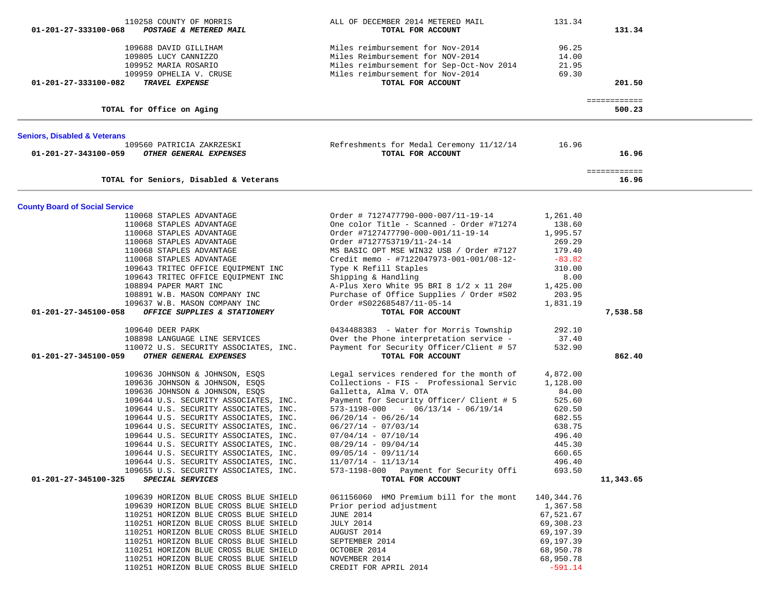| 01-201-27-333100-068                    | 110258 COUNTY OF MORRIS<br>POSTAGE & METERED MAIL                                                                                                                                                                                                                                                                                                                                                                                                                                                       | ALL OF DECEMBER 2014 METERED MAIL<br>TOTAL FOR ACCOUNT                                                                                                                                                                                                                                                                                                                                                                  | 131.34                                                                                                                  | 131.34                 |  |
|-----------------------------------------|---------------------------------------------------------------------------------------------------------------------------------------------------------------------------------------------------------------------------------------------------------------------------------------------------------------------------------------------------------------------------------------------------------------------------------------------------------------------------------------------------------|-------------------------------------------------------------------------------------------------------------------------------------------------------------------------------------------------------------------------------------------------------------------------------------------------------------------------------------------------------------------------------------------------------------------------|-------------------------------------------------------------------------------------------------------------------------|------------------------|--|
| 01-201-27-333100-082                    | 109688 DAVID GILLIHAM<br>109805 LUCY CANNIZZO<br>109952 MARIA ROSARIO<br>109959 OPHELIA V. CRUSE<br>TRAVEL EXPENSE                                                                                                                                                                                                                                                                                                                                                                                      | Miles reimbursement for Nov-2014<br>Miles Reimbursement for NOV-2014<br>Miles reimbursement for Sep-Oct-Nov 2014<br>Miles reimbursement for Nov-2014<br>TOTAL FOR ACCOUNT                                                                                                                                                                                                                                               | 96.25<br>14.00<br>21.95<br>69.30                                                                                        | 201.50                 |  |
|                                         | TOTAL for Office on Aging                                                                                                                                                                                                                                                                                                                                                                                                                                                                               |                                                                                                                                                                                                                                                                                                                                                                                                                         |                                                                                                                         | ============<br>500.23 |  |
| <b>Seniors, Disabled &amp; Veterans</b> |                                                                                                                                                                                                                                                                                                                                                                                                                                                                                                         |                                                                                                                                                                                                                                                                                                                                                                                                                         |                                                                                                                         |                        |  |
| 01-201-27-343100-059                    | 109560 PATRICIA ZAKRZESKI<br>OTHER GENERAL EXPENSES                                                                                                                                                                                                                                                                                                                                                                                                                                                     | Refreshments for Medal Ceremony 11/12/14<br>TOTAL FOR ACCOUNT                                                                                                                                                                                                                                                                                                                                                           | 16.96                                                                                                                   | 16.96                  |  |
|                                         | TOTAL for Seniors, Disabled & Veterans                                                                                                                                                                                                                                                                                                                                                                                                                                                                  |                                                                                                                                                                                                                                                                                                                                                                                                                         |                                                                                                                         | ============<br>16.96  |  |
| <b>County Board of Social Service</b>   |                                                                                                                                                                                                                                                                                                                                                                                                                                                                                                         |                                                                                                                                                                                                                                                                                                                                                                                                                         |                                                                                                                         |                        |  |
|                                         | 110068 STAPLES ADVANTAGE<br>110068 STAPLES ADVANTAGE<br>110068 STAPLES ADVANTAGE<br>110068 STAPLES ADVANTAGE<br>110068 STAPLES ADVANTAGE<br>110068 STAPLES ADVANTAGE<br>109643 TRITEC OFFICE EQUIPMENT INC<br>109643 TRITEC OFFICE EQUIPMENT INC<br>108894 PAPER MART INC<br>108891 W.B. MASON COMPANY INC<br>109637 W.B. MASON COMPANY INC                                                                                                                                                             | Order # 7127477790-000-007/11-19-14<br>One color Title - Scanned - Order #71274<br>Order #7127477790-000-001/11-19-14<br>Order #7127753719/11-24-14<br>MS BASIC OPT MSE WIN32 USB / Order #7127<br>Credit memo - #7122047973-001-001/08-12-<br>Type K Refill Staples<br>Shipping & Handling<br>A-Plus Xero White 95 BRI 8 $1/2 \times 11$ 20#<br>Purchase of Office Supplies / Order #S02<br>Order #S022685487/11-05-14 | 1,261.40<br>138.60<br>1,995.57<br>269.29<br>179.40<br>$-83.82$<br>310.00<br>8.00<br>1,425.00<br>203.95<br>1,831.19      |                        |  |
| 01-201-27-345100-058                    | OFFICE SUPPLIES & STATIONERY                                                                                                                                                                                                                                                                                                                                                                                                                                                                            | TOTAL FOR ACCOUNT                                                                                                                                                                                                                                                                                                                                                                                                       |                                                                                                                         | 7,538.58               |  |
| 01-201-27-345100-059                    | 109640 DEER PARK<br>108898 LANGUAGE LINE SERVICES<br>110072 U.S. SECURITY ASSOCIATES, INC.<br>OTHER GENERAL EXPENSES                                                                                                                                                                                                                                                                                                                                                                                    | 0434488383 - Water for Morris Township<br>Over the Phone interpretation service -<br>Payment for Security Officer/Client # 57<br>TOTAL FOR ACCOUNT                                                                                                                                                                                                                                                                      | 292.10<br>37.40<br>532.90                                                                                               | 862.40                 |  |
| 01-201-27-345100-325                    | 109636 JOHNSON & JOHNSON, ESQS<br>109636 JOHNSON & JOHNSON, ESQS<br>109636 JOHNSON & JOHNSON, ESQS<br>109644 U.S. SECURITY ASSOCIATES, INC.<br>109644 U.S. SECURITY ASSOCIATES, INC.<br>109644 U.S. SECURITY ASSOCIATES, INC.<br>109644 U.S. SECURITY ASSOCIATES, INC.<br>109644 U.S. SECURITY ASSOCIATES, INC.<br>109644 U.S. SECURITY ASSOCIATES, INC.<br>109644 U.S. SECURITY ASSOCIATES, INC.<br>109644 U.S. SECURITY ASSOCIATES, INC.<br>109655 U.S. SECURITY ASSOCIATES, INC.<br>SPECIAL SERVICES | Legal services rendered for the month of<br>Collections - FIS - Professional Servic<br>Galletta, Alma V. OTA<br>Payment for Security Officer/ Client # 5<br>$573-1198-000 = 06/13/14 - 06/19/14$<br>$06/20/14 - 06/26/14$<br>$06/27/14 - 07/03/14$<br>$07/04/14 - 07/10/14$<br>$08/29/14 - 09/04/14$<br>$09/05/14 - 09/11/14$<br>$11/07/14 - 11/13/14$<br>573-1198-000 Payment for Security Offi<br>TOTAL FOR ACCOUNT   | 4,872.00<br>1,128.00<br>84.00<br>525.60<br>620.50<br>682.55<br>638.75<br>496.40<br>445.30<br>660.65<br>496.40<br>693.50 | 11,343.65              |  |
|                                         | 109639 HORIZON BLUE CROSS BLUE SHIELD<br>109639 HORIZON BLUE CROSS BLUE SHIELD<br>110251 HORIZON BLUE CROSS BLUE SHIELD<br>110251 HORIZON BLUE CROSS BLUE SHIELD<br>110251 HORIZON BLUE CROSS BLUE SHIELD<br>110251 HORIZON BLUE CROSS BLUE SHIELD<br>110251 HORIZON BLUE CROSS BLUE SHIELD<br>110251 HORIZON BLUE CROSS BLUE SHIELD<br>110251 HORIZON BLUE CROSS BLUE SHIELD                                                                                                                           | 061156060 HMO Premium bill for the mont<br>Prior period adjustment<br><b>JUNE 2014</b><br><b>JULY 2014</b><br>AUGUST 2014<br>SEPTEMBER 2014<br>OCTOBER 2014<br>NOVEMBER 2014<br>CREDIT FOR APRIL 2014                                                                                                                                                                                                                   | 140,344.76<br>1,367.58<br>67,521.67<br>69,308.23<br>69,197.39<br>69,197.39<br>68,950.78<br>68,950.78<br>$-591.14$       |                        |  |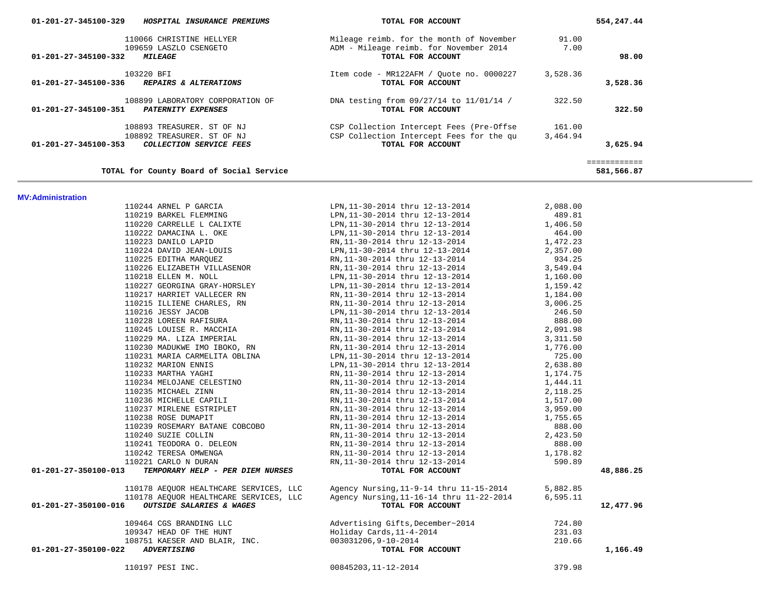| 110066 CHRISTINE HELLYER                                 | Mileage reimb. for the month of November  | 91.00    |              |
|----------------------------------------------------------|-------------------------------------------|----------|--------------|
| 109659 LASZLO CSENGETO                                   | ADM - Mileage reimb. for November 2014    | 7.00     |              |
| 01-201-27-345100-332<br><i><b>MILEAGE</b></i>            | TOTAL FOR ACCOUNT                         |          | 98.00        |
|                                                          |                                           |          |              |
| 103220 BFI                                               | Item code - MR122AFM / Quote no. 0000227  | 3,528.36 |              |
| REPAIRS & ALTERATIONS<br>01-201-27-345100-336            | TOTAL FOR ACCOUNT                         |          | 3,528.36     |
|                                                          |                                           |          |              |
| 108899 LABORATORY CORPORATION OF                         | DNA testing from 09/27/14 to 11/01/14 /   | 322.50   |              |
| 01-201-27-345100-351<br>PATERNITY EXPENSES               | TOTAL FOR ACCOUNT                         |          | 322.50       |
|                                                          |                                           |          |              |
| 108893 TREASURER. ST OF NJ                               | CSP Collection Intercept Fees (Pre-Offse) | 161.00   |              |
| 108892 TREASURER. ST OF NJ                               | CSP Collection Intercept Fees for the qu  | 3,464.94 |              |
| 01-201-27-345100-353<br>COLLECTION SERVICE FEES          | TOTAL FOR ACCOUNT                         |          | 3,625.94     |
|                                                          |                                           |          |              |
|                                                          |                                           |          | ============ |
| TOTAL for County Board of Social Service                 |                                           |          | 581,566.87   |
|                                                          |                                           |          |              |
|                                                          |                                           |          |              |
| <b>MV:Administration</b>                                 |                                           |          |              |
| 110244 ARNEL P GARCIA                                    | LPN, 11-30-2014 thru 12-13-2014           | 2,088.00 |              |
| 110219 BARKEL FLEMMING                                   | LPN, 11-30-2014 thru 12-13-2014           | 489.81   |              |
| 110220 CARRELLE L CALIXTE                                | LPN, 11-30-2014 thru 12-13-2014           | 1,406.50 |              |
| 110222 DAMACINA L. OKE                                   | LPN, 11-30-2014 thru 12-13-2014           | 464.00   |              |
| 110223 DANILO LAPID                                      | RN, 11-30-2014 thru 12-13-2014            | 1,472.23 |              |
| 110224 DAVID JEAN-LOUIS                                  | LPN, 11-30-2014 thru 12-13-2014           | 2,357.00 |              |
| 110225 EDITHA MARQUEZ                                    | RN, 11-30-2014 thru 12-13-2014            | 934.25   |              |
| 110226 ELIZABETH VILLASENOR                              | RN, 11-30-2014 thru 12-13-2014            | 3,549.04 |              |
| 110218 ELLEN M. NOLL                                     | LPN, 11-30-2014 thru 12-13-2014           | 1,160.00 |              |
| 110227 GEORGINA GRAY-HORSLEY                             | LPN, 11-30-2014 thru 12-13-2014           | 1,159.42 |              |
| 110217 HARRIET VALLECER RN                               | RN, 11-30-2014 thru 12-13-2014            | 1,184.00 |              |
| 110215 ILLIENE CHARLES, RN                               | RN, 11-30-2014 thru 12-13-2014            | 3,006.25 |              |
| 110216 JESSY JACOB                                       | LPN, 11-30-2014 thru 12-13-2014           | 246.50   |              |
| 110228 LOREEN RAFISURA                                   | RN, 11-30-2014 thru 12-13-2014            | 888.00   |              |
| 110245 LOUISE R. MACCHIA                                 | RN, 11-30-2014 thru 12-13-2014            | 2,091.98 |              |
| 110229 MA. LIZA IMPERIAL                                 | RN, 11-30-2014 thru 12-13-2014            | 3,311.50 |              |
| 110230 MADUKWE IMO IBOKO, RN                             | RN, 11-30-2014 thru 12-13-2014            | 1,776.00 |              |
| 110231 MARIA CARMELITA OBLINA                            | LPN, 11-30-2014 thru 12-13-2014           | 725.00   |              |
| 110232 MARION ENNIS                                      | LPN, 11-30-2014 thru 12-13-2014           | 2,638.80 |              |
| 110233 MARTHA YAGHI                                      | RN, 11-30-2014 thru 12-13-2014            | 1,174.75 |              |
| 110234 MELOJANE CELESTINO                                | RN, 11-30-2014 thru 12-13-2014            | 1,444.11 |              |
| 110235 MICHAEL ZINN                                      | RN, 11-30-2014 thru 12-13-2014            | 2,118.25 |              |
| 110236 MICHELLE CAPILI                                   | RN, 11-30-2014 thru 12-13-2014            | 1,517.00 |              |
| 110237 MIRLENE ESTRIPLET                                 | RN, 11-30-2014 thru 12-13-2014            | 3,959.00 |              |
| 110238 ROSE DUMAPIT                                      | RN, 11-30-2014 thru 12-13-2014            | 1,755.65 |              |
| 110239 ROSEMARY BATANE COBCOBO                           | RN, 11-30-2014 thru 12-13-2014            | 888.00   |              |
| 110240 SUZIE COLLIN                                      | RN, 11-30-2014 thru 12-13-2014            | 2,423.50 |              |
| 110241 TEODORA O. DELEON                                 | RN, 11-30-2014 thru 12-13-2014            | 888.00   |              |
| 110242 TERESA OMWENGA                                    | RN, 11-30-2014 thru 12-13-2014            | 1,178.82 |              |
| 110221 CARLO N DURAN                                     | RN, 11-30-2014 thru 12-13-2014            | 590.89   |              |
| 01-201-27-350100-013<br>TEMPORARY HELP - PER DIEM NURSES | TOTAL FOR ACCOUNT                         |          | 48,886.25    |
|                                                          |                                           |          |              |
| 110178 AEQUOR HEALTHCARE SERVICES, LLC                   | Agency Nursing, 11-9-14 thru 11-15-2014   | 5,882.85 |              |
| 110178 AEQUOR HEALTHCARE SERVICES, LLC                   | Agency Nursing, 11-16-14 thru 11-22-2014  | 6,595.11 |              |
| 01-201-27-350100-016<br>OUTSIDE SALARIES & WAGES         | TOTAL FOR ACCOUNT                         |          | 12,477.96    |
|                                                          |                                           |          |              |
| 109464 CGS BRANDING LLC                                  | Advertising Gifts, December~2014          | 724.80   |              |
|                                                          | Holiday Cards, 11-4-2014                  | 231.03   |              |
| 109347 HEAD OF THE HUNT                                  | 003031206,9-10-2014                       | 210.66   |              |
| 108751 KAESER AND BLAIR, INC.<br>01-201-27-350100-022    | TOTAL FOR ACCOUNT                         |          |              |
| <i><b>ADVERTISING</b></i>                                |                                           |          | 1,166.49     |
| 110197 PESI INC.                                         | 00845203, 11-12-2014                      | 379.98   |              |
|                                                          |                                           |          |              |
|                                                          |                                           |          |              |

 **01-201-27-345100-329** *HOSPITAL INSURANCE PREMIUMS* **TOTAL FOR ACCOUNT 554,247.44**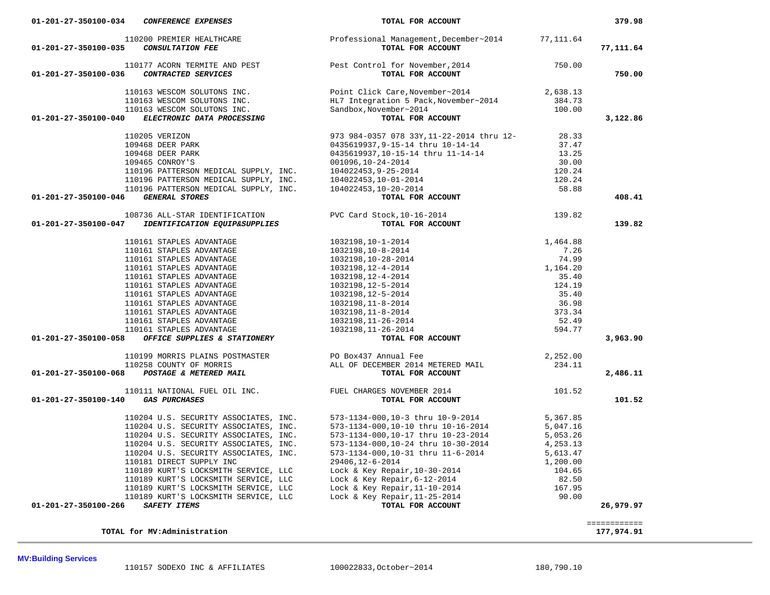**TOTAL for MV:Administration 177,974.91**

**MV:Building Services** 

============

| 110200 PREMIER HEALTHCARE<br>01-201-27-350100-035<br><b>CONSULTATION FEE</b>               | Professional Management, December~2014<br>TOTAL FOR ACCOUNT                                                                                                                                                                                                            | 77,111.64 | 77,111.64 |
|--------------------------------------------------------------------------------------------|------------------------------------------------------------------------------------------------------------------------------------------------------------------------------------------------------------------------------------------------------------------------|-----------|-----------|
| 01-201-27-350100-036                                                                       | 110177 ACORN TERMITE AND PEST<br>5 CONTRACTED SERVICES TOTAL FOR ACCOUNT                                                                                                                                                                                               | 750.00    | 750.00    |
| 110163 WESCOM SOLUTONS INC.                                                                | Point Click Care, November~2014 2,638.13                                                                                                                                                                                                                               |           |           |
|                                                                                            |                                                                                                                                                                                                                                                                        | 384.73    |           |
|                                                                                            |                                                                                                                                                                                                                                                                        | 100.00    |           |
| 01-201-27-350100-040                                                                       | And the properties of the series of the series of the series of the series of the series of the series of the same series of the series of the series of the series of the series of the series of the series of the series of                                         |           | 3,122.86  |
| 110205 VERIZON                                                                             | 973 984-0357 078 33Y, 11-22-2014 thru 12-                                                                                                                                                                                                                              | 28.33     |           |
| 109468 DEER PARK                                                                           | 0435619937,9-15-14 thru 10-14-14                                                                                                                                                                                                                                       | 37.47     |           |
| 109468 DEER PARK                                                                           |                                                                                                                                                                                                                                                                        | 13.25     |           |
|                                                                                            | 0435619937,10-15-14 thru 11-14-14<br>001096,10-24-2014                                                                                                                                                                                                                 | 30.00     |           |
|                                                                                            |                                                                                                                                                                                                                                                                        | 120.24    |           |
|                                                                                            |                                                                                                                                                                                                                                                                        | 120.24    |           |
|                                                                                            |                                                                                                                                                                                                                                                                        | 58.88     |           |
| 01-201-27-350100-046                                                                       |                                                                                                                                                                                                                                                                        |           | 408.41    |
| 108736 ALL-STAR IDENTIFICATION                                                             |                                                                                                                                                                                                                                                                        |           |           |
| 01-201-27-350100-047<br>IDENTIFICATION EQUIP&SUPPLIES                                      | PVC Card Stock, 10-16-2014 139.82<br>TOTAL FOR ACCOUNT                                                                                                                                                                                                                 |           | 139.82    |
|                                                                                            |                                                                                                                                                                                                                                                                        |           |           |
| 110161 STAPLES ADVANTAGE                                                                   |                                                                                                                                                                                                                                                                        | 1,464.88  |           |
| 110161 STAPLES ADVANTAGE                                                                   | $\begin{array}{l} 1032198\,, 10\!-\!1\!-\!2014\\ 1032198\,, 10\!-\!8\!-\!2014\\ 1032198\,, 10\!-\!28\!-\!2014\\ 1032198\,, 12\!-\!4\!-\!2014\\ 1032198\,, 12\!-\!4\!-\!2014\\ 1032198\,, 12\!-\!5\!-\!2014\\ 1032198\,, 12\!-\!5\!-\!2014\\ 1032198\,, 11\!-\!8\!-\!2$ | 7.26      |           |
| 110161 STAPLES ADVANTAGE                                                                   |                                                                                                                                                                                                                                                                        | 74.99     |           |
| 110161 STAPLES ADVANTAGE                                                                   |                                                                                                                                                                                                                                                                        | 1,164.20  |           |
| 110161 STAPLES ADVANTAGE                                                                   |                                                                                                                                                                                                                                                                        | 35.40     |           |
| 110161 STAPLES ADVANTAGE                                                                   |                                                                                                                                                                                                                                                                        | 124.19    |           |
| 110161 STAPLES ADVANTAGE                                                                   |                                                                                                                                                                                                                                                                        | 35.40     |           |
| 110161 STAPLES ADVANTAGE                                                                   |                                                                                                                                                                                                                                                                        | 36.98     |           |
| 110161 STAPLES ADVANTAGE                                                                   |                                                                                                                                                                                                                                                                        | 373.34    |           |
| 110161 STAPLES ADVANTAGE                                                                   |                                                                                                                                                                                                                                                                        | 52.49     |           |
| 110161 STAPLES ADVANTAGE                                                                   |                                                                                                                                                                                                                                                                        | 594.77    |           |
| OFFICE SUPPLIES & STATIONERY<br>01-201-27-350100-058                                       | TOTAL FOR ACCOUNT                                                                                                                                                                                                                                                      |           | 3,963.90  |
| 110199 MORRIS PLAINS POSTMASTER<br>110258 COUNTY OF MORRIS<br>ALL OF DECEMBER 2014 I       |                                                                                                                                                                                                                                                                        | 2,252.00  |           |
|                                                                                            | ALL OF DECEMBER 2014 METERED MAIL                                                                                                                                                                                                                                      | 234.11    |           |
| POSTAGE & METERED MAIL<br>01-201-27-350100-068                                             | TOTAL FOR ACCOUNT                                                                                                                                                                                                                                                      |           | 2,486.11  |
| 110111 NATIONAL FUEL OIL INC.<br><b>EUEL CHARGES NOVEMBER 2014</b><br><b>GAS PURCHASES</b> |                                                                                                                                                                                                                                                                        | 101.52    |           |
| <b>GAS PURCHASES</b><br>01-201-27-350100-140                                               |                                                                                                                                                                                                                                                                        |           | 101.52    |
| 110204 U.S. SECURITY ASSOCIATES, INC.                                                      | 573-1134-000,10-3 thru 10-9-2014                                                                                                                                                                                                                                       | 5,367.85  |           |
| 110204 U.S. SECURITY ASSOCIATES, INC.                                                      | 573-1134-000,10-10 thru 10-16-2014                                                                                                                                                                                                                                     | 5,047.16  |           |
| 110204 U.S. SECURITY ASSOCIATES, INC.                                                      | 573-1134-000,10-17 thru 10-23-2014                                                                                                                                                                                                                                     | 5,053.26  |           |
| 110204 U.S. SECURITY ASSOCIATES, INC.                                                      | 573-1134-000,10-24 thru 10-30-2014                                                                                                                                                                                                                                     | 4,253.13  |           |
| 110204 U.S. SECURITY ASSOCIATES, INC.                                                      | 573-1134-000,10-31 thru 11-6-2014                                                                                                                                                                                                                                      | 5,613.47  |           |
| 110181 DIRECT SUPPLY INC                                                                   | 29406, 12-6-2014                                                                                                                                                                                                                                                       | 1,200.00  |           |
| 110189 KURT'S LOCKSMITH SERVICE, LLC                                                       | Lock & Key Repair, $10-30-2014$<br>Lock & Key Repair, $6-12-2014$<br>Lock & Key Repair, $11-10-2014$<br>Lock & Key Repair, $11-25-2014$                                                                                                                                | 104.65    |           |
| 110189 KURT'S LOCKSMITH SERVICE, LLC                                                       |                                                                                                                                                                                                                                                                        | 82.50     |           |
| 110189 KURT'S LOCKSMITH SERVICE, LLC                                                       |                                                                                                                                                                                                                                                                        | 167.95    |           |
| 110189 KURT'S LOCKSMITH SERVICE, LLC                                                       |                                                                                                                                                                                                                                                                        | 90.00     |           |
| <b>SAFETY ITEMS</b><br>01-201-27-350100-266                                                | TOTAL FOR ACCOUNT                                                                                                                                                                                                                                                      |           | 26,979.97 |
|                                                                                            |                                                                                                                                                                                                                                                                        |           |           |

 **01-201-27-350100-034** *CONFERENCE EXPENSES* **TOTAL FOR ACCOUNT 379.98**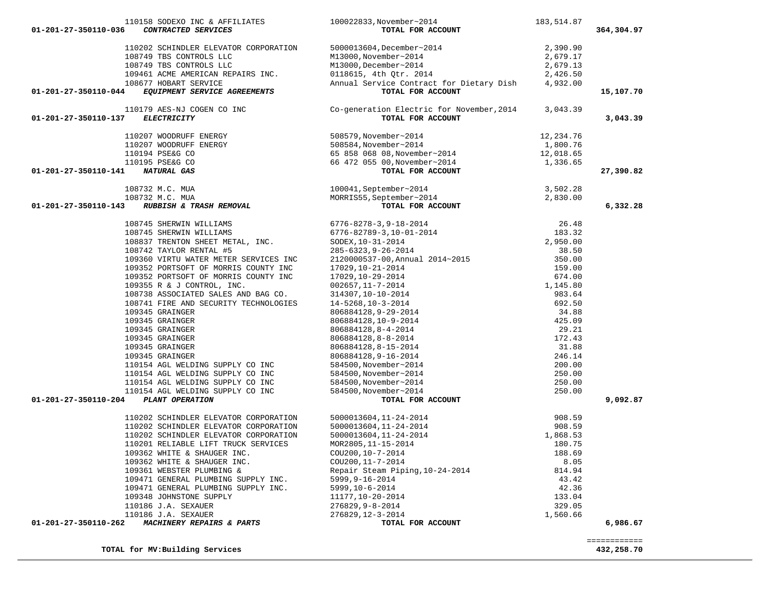| 110158 SODEXO INC & AFFILIATES<br>01-201-27-350110-036<br>CONTRACTED SERVICES                                | 100022833, November~2014<br>TOTAL FOR ACCOUNT                                                                                                                                                                                                                                                                                                                                                                                                                                  | 183,514.87 | 364,304.97                 |
|--------------------------------------------------------------------------------------------------------------|--------------------------------------------------------------------------------------------------------------------------------------------------------------------------------------------------------------------------------------------------------------------------------------------------------------------------------------------------------------------------------------------------------------------------------------------------------------------------------|------------|----------------------------|
| 110202 SCHINDLER ELEVATOR CORPORATION                                                                        |                                                                                                                                                                                                                                                                                                                                                                                                                                                                                | 2,390.90   |                            |
| 108749 TBS CONTROLS LLC                                                                                      |                                                                                                                                                                                                                                                                                                                                                                                                                                                                                | 2,679.17   |                            |
| 108749 TBS CONTROLS LLC                                                                                      | 5000013604, December~2014<br>M13000, November~2014<br>M13000, December~2014<br>0118615, 4th Qtr. 2014                                                                                                                                                                                                                                                                                                                                                                          | 2,679.13   |                            |
| 109461 ACME AMERICAN REPAIRS INC.                                                                            |                                                                                                                                                                                                                                                                                                                                                                                                                                                                                | 2,426.50   |                            |
| 108677 HOBART SERVICE                                                                                        | 0118615, 4th Qtr. 2014<br>Annual Service Contract for Dietary Dish                                                                                                                                                                                                                                                                                                                                                                                                             | 4,932.00   |                            |
| EQUIPMENT SERVICE AGREEMENTS<br>01-201-27-350110-044                                                         | TOTAL FOR ACCOUNT                                                                                                                                                                                                                                                                                                                                                                                                                                                              |            | 15,107.70                  |
| 110179 AES-NJ COGEN CO INC<br>01-201-27-350110-137<br><b>ELECTRICITY</b>                                     | Co-generation Electric for November, 2014<br>TOTAL FOR ACCOUNT                                                                                                                                                                                                                                                                                                                                                                                                                 | 3,043.39   | 3,043.39                   |
| 110207 WOODRUFF ENERGY                                                                                       | 508579, November~2014<br>508584, November~2014<br>65 858 068 08, November~2014<br>66 472 055 00, November~2014                                                                                                                                                                                                                                                                                                                                                                 | 12,234.76  |                            |
|                                                                                                              |                                                                                                                                                                                                                                                                                                                                                                                                                                                                                | 1,800.76   |                            |
|                                                                                                              |                                                                                                                                                                                                                                                                                                                                                                                                                                                                                | 12,018.65  |                            |
|                                                                                                              |                                                                                                                                                                                                                                                                                                                                                                                                                                                                                | 1,336.65   |                            |
| 110207 WOODRUFF ENERGY<br>110194 PSE&G CO<br>110195 PSE&G CO<br>1 <b>NATURAL GAS</b><br>01-201-27-350110-141 | TOTAL FOR ACCOUNT                                                                                                                                                                                                                                                                                                                                                                                                                                                              |            | 27,390.82                  |
| 732 M.C. MUA<br>732 M.C. MUA<br><b>RUBBISH &amp; TRASH REMOVAL</b><br>108732 M.C. MUA                        |                                                                                                                                                                                                                                                                                                                                                                                                                                                                                | 3,502.28   |                            |
| 108732 M.C. MUA                                                                                              |                                                                                                                                                                                                                                                                                                                                                                                                                                                                                | 2,830.00   |                            |
| 01-201-27-350110-143                                                                                         | MORRISS5, September~2014<br>MORRISS5, September~2014<br>TOTAL FOR ACCOUNT                                                                                                                                                                                                                                                                                                                                                                                                      |            | 6,332.28                   |
| 108745 SHERWIN WILLIAMS                                                                                      |                                                                                                                                                                                                                                                                                                                                                                                                                                                                                |            |                            |
| 108745 SHERWIN WILLIAMS                                                                                      |                                                                                                                                                                                                                                                                                                                                                                                                                                                                                |            |                            |
| 108837 TRENTON SHEET METAL, INC.                                                                             |                                                                                                                                                                                                                                                                                                                                                                                                                                                                                |            |                            |
| 108742 TAYLOR RENTAL #5                                                                                      |                                                                                                                                                                                                                                                                                                                                                                                                                                                                                |            |                            |
| 109360 VIRTU WATER METER SERVICES INC                                                                        |                                                                                                                                                                                                                                                                                                                                                                                                                                                                                |            |                            |
| 109352 PORTSOFT OF MORRIS COUNTY INC                                                                         |                                                                                                                                                                                                                                                                                                                                                                                                                                                                                |            |                            |
| 109352 PORTSOFT OF MORRIS COUNTY INC                                                                         |                                                                                                                                                                                                                                                                                                                                                                                                                                                                                |            |                            |
| 109355 R & J CONTROL, INC.                                                                                   |                                                                                                                                                                                                                                                                                                                                                                                                                                                                                |            |                            |
| 108738 ASSOCIATED SALES AND BAG CO.<br>108741 FIRE AND SECURITY TECHNOLOGIES                                 |                                                                                                                                                                                                                                                                                                                                                                                                                                                                                |            |                            |
| 109345 GRAINGER                                                                                              |                                                                                                                                                                                                                                                                                                                                                                                                                                                                                |            |                            |
| 109345 GRAINGER                                                                                              |                                                                                                                                                                                                                                                                                                                                                                                                                                                                                |            |                            |
| 109345 GRAINGER                                                                                              |                                                                                                                                                                                                                                                                                                                                                                                                                                                                                |            |                            |
| 109345 GRAINGER                                                                                              |                                                                                                                                                                                                                                                                                                                                                                                                                                                                                |            |                            |
| 109345 GRAINGER                                                                                              |                                                                                                                                                                                                                                                                                                                                                                                                                                                                                |            |                            |
| 109345 GRAINGER                                                                                              |                                                                                                                                                                                                                                                                                                                                                                                                                                                                                |            |                            |
| 110154 AGL WELDING SUPPLY CO INC                                                                             |                                                                                                                                                                                                                                                                                                                                                                                                                                                                                |            |                            |
| 110154 AGL WELDING SUPPLY CO INC                                                                             |                                                                                                                                                                                                                                                                                                                                                                                                                                                                                |            |                            |
| 110154 AGL WELDING SUPPLY CO INC                                                                             |                                                                                                                                                                                                                                                                                                                                                                                                                                                                                |            |                            |
| 110154 AGL WELDING SUPPLY CO INC                                                                             |                                                                                                                                                                                                                                                                                                                                                                                                                                                                                |            |                            |
| 01-201-27-350110-204<br>PLANT OPERATION                                                                      | $\begin{tabular}{l c c c} \multicolumn{4}{l}{\textbf{r07AL POR ACCOMP}} \hline \multicolumn{4}{l}{\textbf{r07AL POR ACCOMP}} \hline \multicolumn{4}{l}{\textbf{r07AL POR ACCOMP}} \hline \multicolumn{4}{l}{\textbf{r07AL POR ACCOMP}} \hline \multicolumn{4}{l}{\textbf{r07AL POR ACCOMP}} \hline \multicolumn{4}{l}{\textbf{r07AL POR ACCOMP}} \hline \multicolumn{4}{l}{\textbf{r07AL POR ACCOMP}} \hline \multicolumn{4}{l}{\textbf{r07AL POR DAMU1}} \hline \multicolumn$ |            | 9,092.87                   |
| 110202 SCHINDLER ELEVATOR CORPORATION                                                                        | 5000013604, 11-24-2014                                                                                                                                                                                                                                                                                                                                                                                                                                                         | 908.59     |                            |
| 110202 SCHINDLER ELEVATOR CORPORATION                                                                        | 5000013604, 11-24-2014                                                                                                                                                                                                                                                                                                                                                                                                                                                         | 908.59     |                            |
| 110202 SCHINDLER ELEVATOR CORPORATION                                                                        | 5000013604, 11-24-2014                                                                                                                                                                                                                                                                                                                                                                                                                                                         | 1,868.53   |                            |
| 110201 RELIABLE LIFT TRUCK SERVICES                                                                          | MOR2805, 11-15-2014                                                                                                                                                                                                                                                                                                                                                                                                                                                            | 180.75     |                            |
| 109362 WHITE & SHAUGER INC.                                                                                  | COU200, 10-7-2014                                                                                                                                                                                                                                                                                                                                                                                                                                                              | 188.69     |                            |
| 109362 WHITE & SHAUGER INC.                                                                                  | COU200, 11-7-2014                                                                                                                                                                                                                                                                                                                                                                                                                                                              | 8.05       |                            |
| 109361 WEBSTER PLUMBING &                                                                                    | Repair Steam Piping, 10-24-2014                                                                                                                                                                                                                                                                                                                                                                                                                                                | 814.94     |                            |
| 109471 GENERAL PLUMBING SUPPLY INC.                                                                          | $5999, 9 - 16 - 2014$                                                                                                                                                                                                                                                                                                                                                                                                                                                          | 43.42      |                            |
| 109471 GENERAL PLUMBING SUPPLY INC.                                                                          | $5999, 10 - 6 - 2014$                                                                                                                                                                                                                                                                                                                                                                                                                                                          | 42.36      |                            |
| 109348 JOHNSTONE SUPPLY                                                                                      | 11177, 10-20-2014                                                                                                                                                                                                                                                                                                                                                                                                                                                              | 133.04     |                            |
| 110186 J.A. SEXAUER                                                                                          | 276829, 9-8-2014                                                                                                                                                                                                                                                                                                                                                                                                                                                               | 329.05     |                            |
| 110186 J.A. SEXAUER                                                                                          | 276829, 12-3-2014                                                                                                                                                                                                                                                                                                                                                                                                                                                              | 1,560.66   |                            |
| MACHINERY REPAIRS & PARTS<br>01-201-27-350110-262                                                            | TOTAL FOR ACCOUNT                                                                                                                                                                                                                                                                                                                                                                                                                                                              |            | 6,986.67                   |
| TOTAL for MV: Building Services                                                                              |                                                                                                                                                                                                                                                                                                                                                                                                                                                                                |            | ============<br>432,258.70 |
|                                                                                                              |                                                                                                                                                                                                                                                                                                                                                                                                                                                                                |            |                            |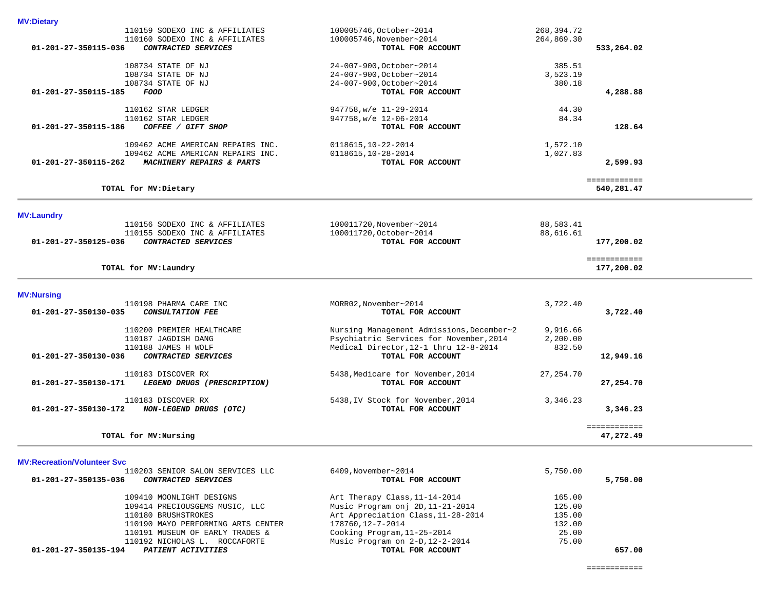# 110159 SODEXO INC & AFFILIATES 100005746,October~2014 268,394.72 110160 SODEXO INC & AFFILIATES 100005746,November~2014<br>3 **CONTRACTED SERVICES** 100005746,November~2014  **01-201-27-350115-036** *CONTRACTED SERVICES* **TOTAL FOR ACCOUNT 533,264.02** 108734 STATE OF NJ 24-007-900,October~2014 385.51 108734 STATE OF NJ 24-007-900,October~2014 3,523.19 108734 STATE OF NJ<br>24-007-900,October~2014<br>**108734 STATE OF NJ** 24-007-900,October~2014<br>**107AL FOR ACCOUNT 01-201-27-350115-185** *FOOD* **TOTAL FOR ACCOUNT 4,288.88** 110162 STAR LEDGER 947758,w/e 11-29-2014 44.30 947758, $w/e$  12-06-2014<br>**TOTAL FOR ACCOUNT 01-201-27-350115-186** *COFFEE / GIFT SHOP* **TOTAL FOR ACCOUNT 128.64** 109462 ACME AMERICAN REPAIRS INC. <br>109462 ACME AMERICAN REPAIRS INC. 0118615,10-28-2014 1,027.83 109462 ACME AMERICAN REPAIRS INC. 0118615,10-28-2014<br>01-201-27-350115-262 MACHINERY REPAIRS & PARTS TOTAL FOR ACCOUNT  **01-201-27-350115-262** *MACHINERY REPAIRS & PARTS* **TOTAL FOR ACCOUNT 2,599.93** ============ **TOTAL for MV:Dietary 540,281.47 MV:Laundry**  110156 SODEXO INC & AFFILIATES 100011720,November~2014 88,583.41<br>110155 SODEXO INC & AFFILIATES 100011720,October~2014 88,616.61 110155 SODEXO INC & AFFILIATES 100011720, October~2014<br> **CONTRACTED SERVICES 100011720, OCTAL FOR ACCOUNT 01-201-27-350125-036** *CONTRACTED SERVICES* **TOTAL FOR ACCOUNT 177,200.02**

============

**TOTAL for MV:Laundry 177,200.02**

#### **MV:Nursing**

**MV:Dietary** 

| 110198 PHARMA CARE INC                              | MORR02, November~2014                     | 3,722.40  |              |
|-----------------------------------------------------|-------------------------------------------|-----------|--------------|
| 01-201-27-350130-035<br><i>CONSULTATION FEE</i>     | TOTAL FOR ACCOUNT                         |           | 3,722.40     |
| 110200 PREMIER HEALTHCARE                           | Nursing Management Admissions, December~2 | 9,916.66  |              |
| 110187 JAGDISH DANG                                 | Psychiatric Services for November, 2014   | 2,200.00  |              |
| 110188 JAMES H WOLF                                 | Medical Director, 12-1 thru 12-8-2014     | 832.50    |              |
| 01-201-27-350130-036<br><i>CONTRACTED SERVICES</i>  | TOTAL FOR ACCOUNT                         |           | 12,949.16    |
| 110183 DISCOVER RX                                  | 5438, Medicare for November, 2014         | 27,254.70 |              |
| 01-201-27-350130-171<br>LEGEND DRUGS (PRESCRIPTION) | TOTAL FOR ACCOUNT                         |           | 27,254.70    |
| 110183 DISCOVER RX                                  | 5438, IV Stock for November, 2014         | 3,346.23  |              |
| 01-201-27-350130-172<br>NON-LEGEND DRUGS (OTC)      | TOTAL FOR ACCOUNT                         |           | 3,346.23     |
|                                                     |                                           |           | ============ |
| TOTAL for MV: Nursing                               |                                           |           | 47,272.49    |

#### **MV:Recreation/Volunteer Svc**

| 110203 SENIOR SALON SERVICES LLC                   | 6409, November~2014                | 5,750.00 |          |
|----------------------------------------------------|------------------------------------|----------|----------|
| 01-201-27-350135-036<br><i>CONTRACTED SERVICES</i> | TOTAL FOR ACCOUNT                  |          | 5,750.00 |
| 109410 MOONLIGHT DESIGNS                           | Art Therapy Class, 11-14-2014      | 165.00   |          |
| 109414 PRECIOUSGEMS MUSIC, LLC                     | Music Program onj 2D, 11-21-2014   | 125.00   |          |
| 110180 BRUSHSTROKES                                | Art Appreciation Class, 11-28-2014 | 135.00   |          |
| 110190 MAYO PERFORMING ARTS CENTER                 | 178760,12-7-2014                   | 132.00   |          |
| 110191 MUSEUM OF EARLY TRADES &                    | Cooking Program, 11-25-2014        | 25.00    |          |
| 110192 NICHOLAS L. ROCCAFORTE                      | Music Program on 2-D, 12-2-2014    | 75.00    |          |
| 01-201-27-350135-194<br>PATIENT ACTIVITIES         | TOTAL FOR ACCOUNT                  |          | 657.00   |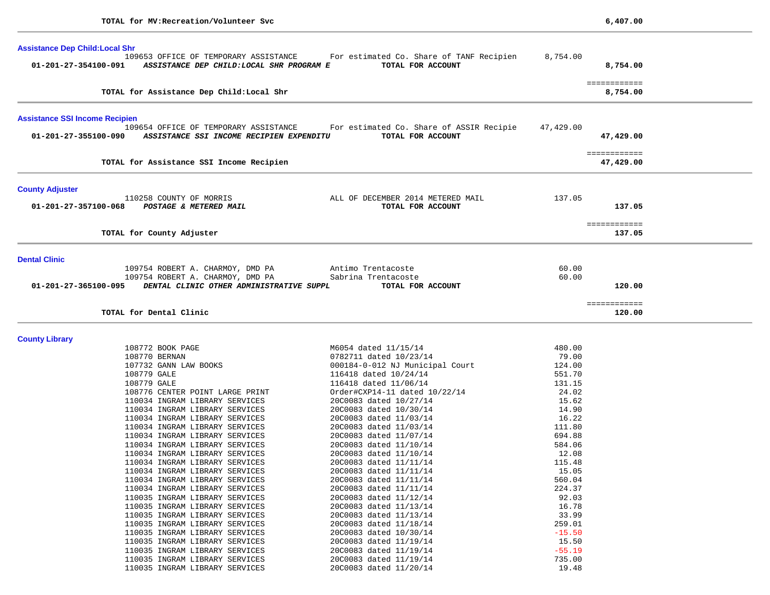| <b>Assistance Dep Child: Local Shr</b> |                                                                                    |                                                               |                 |                           |
|----------------------------------------|------------------------------------------------------------------------------------|---------------------------------------------------------------|-----------------|---------------------------|
| 01-201-27-354100-091                   | 109653 OFFICE OF TEMPORARY ASSISTANCE<br>ASSISTANCE DEP CHILD: LOCAL SHR PROGRAM E | For estimated Co. Share of TANF Recipien<br>TOTAL FOR ACCOUNT | 8,754.00        | 8,754.00                  |
|                                        | TOTAL for Assistance Dep Child: Local Shr                                          |                                                               |                 | ============<br>8,754.00  |
| <b>Assistance SSI Income Recipien</b>  |                                                                                    |                                                               |                 |                           |
|                                        | 109654 OFFICE OF TEMPORARY ASSISTANCE                                              | For estimated Co. Share of ASSIR Recipie                      | 47,429.00       |                           |
| 01-201-27-355100-090                   | ASSISTANCE SSI INCOME RECIPIEN EXPENDITU                                           | TOTAL FOR ACCOUNT                                             |                 | 47,429.00                 |
|                                        | TOTAL for Assistance SSI Income Recipien                                           |                                                               |                 | ============<br>47,429.00 |
| <b>County Adjuster</b>                 |                                                                                    |                                                               |                 |                           |
| 01-201-27-357100-068                   | 110258 COUNTY OF MORRIS<br>POSTAGE & METERED MAIL                                  | ALL OF DECEMBER 2014 METERED MAIL<br>TOTAL FOR ACCOUNT        | 137.05          | 137.05                    |
|                                        | TOTAL for County Adjuster                                                          |                                                               |                 | ============<br>137.05    |
| <b>Dental Clinic</b>                   |                                                                                    |                                                               |                 |                           |
|                                        | 109754 ROBERT A. CHARMOY, DMD PA                                                   | Antimo Trentacoste                                            | 60.00           |                           |
|                                        | 109754 ROBERT A. CHARMOY, DMD PA                                                   | Sabrina Trentacoste                                           | 60.00           |                           |
| 01-201-27-365100-095                   | DENTAL CLINIC OTHER ADMINISTRATIVE SUPPL                                           | TOTAL FOR ACCOUNT                                             |                 | 120.00                    |
|                                        | TOTAL for Dental Clinic                                                            |                                                               |                 | ============<br>120.00    |
|                                        |                                                                                    |                                                               |                 |                           |
| <b>County Library</b>                  |                                                                                    |                                                               |                 |                           |
|                                        | 108772 BOOK PAGE                                                                   | M6054 dated 11/15/14                                          | 480.00          |                           |
|                                        | 108770 BERNAN<br>107732 GANN LAW BOOKS                                             | 0782711 dated 10/23/14                                        | 79.00<br>124.00 |                           |
|                                        | 108779 GALE                                                                        | 000184-0-012 NJ Municipal Court<br>116418 dated 10/24/14      | 551.70          |                           |
|                                        | 108779 GALE                                                                        | 116418 dated 11/06/14                                         | 131.15          |                           |
|                                        | 108776 CENTER POINT LARGE PRINT                                                    | Order#CXP14-11 dated 10/22/14                                 | 24.02           |                           |
|                                        | 110034 INGRAM LIBRARY SERVICES                                                     | 20C0083 dated 10/27/14                                        | 15.62           |                           |
|                                        | 110034 INGRAM LIBRARY SERVICES                                                     | 20C0083 dated 10/30/14                                        | 14.90           |                           |
|                                        | 110034 INGRAM LIBRARY SERVICES                                                     | 20C0083 dated 11/03/14                                        | 16.22           |                           |
|                                        | 110034 INGRAM LIBRARY SERVICES                                                     | 20C0083 dated 11/03/14                                        | 111.80          |                           |
|                                        | 110034 INGRAM LIBRARY SERVICES                                                     | 20C0083 dated 11/07/14                                        | 694.88          |                           |
|                                        | 110034 INGRAM LIBRARY SERVICES                                                     | 20C0083 dated 11/10/14                                        | 584.06          |                           |
|                                        | 110034 INGRAM LIBRARY SERVICES                                                     | 20C0083 dated 11/10/14                                        | 12.08           |                           |
|                                        | 110034 INGRAM LIBRARY SERVICES<br>110034 INGRAM LIBRARY SERVICES                   | 20C0083 dated 11/11/14<br>20C0083 dated 11/11/14              | 115.48<br>15.05 |                           |
|                                        | 110034 INGRAM LIBRARY SERVICES                                                     | 20C0083 dated 11/11/14                                        | 560.04          |                           |
|                                        | 110034 INGRAM LIBRARY SERVICES                                                     | 20C0083 dated 11/11/14                                        | 224.37          |                           |
|                                        | 110035 INGRAM LIBRARY SERVICES                                                     | 20C0083 dated 11/12/14                                        | 92.03           |                           |
|                                        | 110035 INGRAM LIBRARY SERVICES                                                     | 20C0083 dated 11/13/14                                        | 16.78           |                           |
|                                        | 110035 INGRAM LIBRARY SERVICES                                                     | 20C0083 dated 11/13/14                                        | 33.99           |                           |
|                                        | 110035 INGRAM LIBRARY SERVICES                                                     | 20C0083 dated 11/18/14                                        | 259.01          |                           |
|                                        | 110035 INGRAM LIBRARY SERVICES                                                     | 20C0083 dated 10/30/14                                        | $-15.50$        |                           |
|                                        | 110035 INGRAM LIBRARY SERVICES                                                     | 20C0083 dated 11/19/14                                        | 15.50           |                           |
|                                        | 110035 INGRAM LIBRARY SERVICES                                                     | 20C0083 dated 11/19/14                                        | $-55.19$        |                           |
|                                        | 110035 INGRAM LIBRARY SERVICES<br>110035 INGRAM LIBRARY SERVICES                   | 20C0083 dated 11/19/14<br>20C0083 dated 11/20/14              | 735.00<br>19.48 |                           |
|                                        |                                                                                    |                                                               |                 |                           |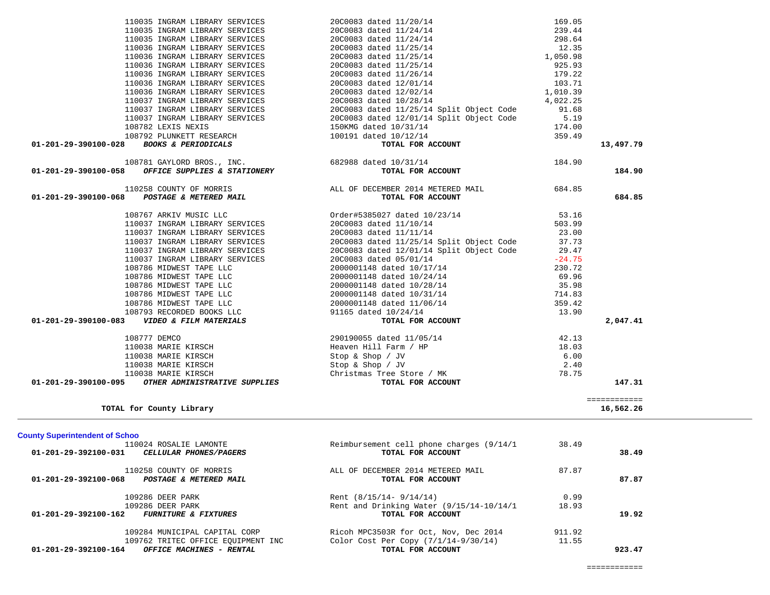÷.

| TOTAL for County Library                                 |                                            |        | 16,562.26 |
|----------------------------------------------------------|--------------------------------------------|--------|-----------|
| <b>County Superintendent of Schoo</b>                    |                                            |        |           |
| 110024 ROSALIE LAMONTE                                   | Reimbursement cell phone charges (9/14/1)  | 38.49  |           |
| 01-201-29-392100-031<br><i>CELLULAR PHONES/PAGERS</i>    | TOTAL FOR ACCOUNT                          |        | 38.49     |
| 110258 COUNTY OF MORRIS                                  | ALL OF DECEMBER 2014 METERED MAIL          | 87.87  |           |
| $01 - 201 - 29 - 392100 - 068$<br>POSTAGE & METERED MAIL | TOTAL FOR ACCOUNT                          |        | 87.87     |
| 109286 DEER PARK                                         | Rent $(8/15/14 - 9/14/14)$                 | 0.99   |           |
| 109286 DEER PARK                                         | Rent and Drinking Water $(9/15/14-10/14/1$ | 18.93  |           |
| 01-201-29-392100-162<br><b>FURNITURE &amp; FIXTURES</b>  | TOTAL FOR ACCOUNT                          |        | 19.92     |
| 109284 MUNICIPAL CAPITAL CORP                            | Ricoh MPC3503R for Oct, Nov, Dec 2014      | 911.92 |           |
| 109762 TRITEC OFFICE EQUIPMENT INC                       | Color Cost Per Copy $(7/1/14-9/30/14)$     | 11.55  |           |
| 01-201-29-392100-164<br><b>OFFICE MACHINES - RENTAL</b>  | TOTAL FOR ACCOUNT                          |        | 923.47    |

| 108792 PLUNKETT RESEARCH                                 |                                                                                                                                                                                                                                                                                                                                                                                                                                                                                                   |                                                                                                                                                                                                                                                                                                                                                            |
|----------------------------------------------------------|---------------------------------------------------------------------------------------------------------------------------------------------------------------------------------------------------------------------------------------------------------------------------------------------------------------------------------------------------------------------------------------------------------------------------------------------------------------------------------------------------|------------------------------------------------------------------------------------------------------------------------------------------------------------------------------------------------------------------------------------------------------------------------------------------------------------------------------------------------------------|
| TOTAL FOR ACCOUNT                                        |                                                                                                                                                                                                                                                                                                                                                                                                                                                                                                   | 13,497.79                                                                                                                                                                                                                                                                                                                                                  |
|                                                          |                                                                                                                                                                                                                                                                                                                                                                                                                                                                                                   |                                                                                                                                                                                                                                                                                                                                                            |
| TOTAL FOR ACCOUNT                                        |                                                                                                                                                                                                                                                                                                                                                                                                                                                                                                   | 184.90                                                                                                                                                                                                                                                                                                                                                     |
|                                                          |                                                                                                                                                                                                                                                                                                                                                                                                                                                                                                   |                                                                                                                                                                                                                                                                                                                                                            |
|                                                          |                                                                                                                                                                                                                                                                                                                                                                                                                                                                                                   | 684.85                                                                                                                                                                                                                                                                                                                                                     |
| 108767 ARKIV MUSIC LLC                                   |                                                                                                                                                                                                                                                                                                                                                                                                                                                                                                   |                                                                                                                                                                                                                                                                                                                                                            |
| 110037 INGRAM LIBRARY SERVICES<br>20C0083 dated 11/10/14 | 503.99                                                                                                                                                                                                                                                                                                                                                                                                                                                                                            |                                                                                                                                                                                                                                                                                                                                                            |
| 110037 INGRAM LIBRARY SERVICES                           | 23.00                                                                                                                                                                                                                                                                                                                                                                                                                                                                                             |                                                                                                                                                                                                                                                                                                                                                            |
|                                                          |                                                                                                                                                                                                                                                                                                                                                                                                                                                                                                   |                                                                                                                                                                                                                                                                                                                                                            |
| 110037 INGRAM LIBRARY SERVICES                           |                                                                                                                                                                                                                                                                                                                                                                                                                                                                                                   |                                                                                                                                                                                                                                                                                                                                                            |
|                                                          |                                                                                                                                                                                                                                                                                                                                                                                                                                                                                                   |                                                                                                                                                                                                                                                                                                                                                            |
|                                                          |                                                                                                                                                                                                                                                                                                                                                                                                                                                                                                   |                                                                                                                                                                                                                                                                                                                                                            |
|                                                          |                                                                                                                                                                                                                                                                                                                                                                                                                                                                                                   |                                                                                                                                                                                                                                                                                                                                                            |
|                                                          |                                                                                                                                                                                                                                                                                                                                                                                                                                                                                                   |                                                                                                                                                                                                                                                                                                                                                            |
|                                                          |                                                                                                                                                                                                                                                                                                                                                                                                                                                                                                   |                                                                                                                                                                                                                                                                                                                                                            |
|                                                          |                                                                                                                                                                                                                                                                                                                                                                                                                                                                                                   |                                                                                                                                                                                                                                                                                                                                                            |
|                                                          |                                                                                                                                                                                                                                                                                                                                                                                                                                                                                                   |                                                                                                                                                                                                                                                                                                                                                            |
| TOTAL FOR ACCOUNT                                        |                                                                                                                                                                                                                                                                                                                                                                                                                                                                                                   | 2,047.41                                                                                                                                                                                                                                                                                                                                                   |
| 290190055 dated 11/05/14                                 |                                                                                                                                                                                                                                                                                                                                                                                                                                                                                                   |                                                                                                                                                                                                                                                                                                                                                            |
| Heaven Hill Farm / HP                                    | 18.03                                                                                                                                                                                                                                                                                                                                                                                                                                                                                             |                                                                                                                                                                                                                                                                                                                                                            |
| Stop & Shop / $JV$                                       | 6.00                                                                                                                                                                                                                                                                                                                                                                                                                                                                                              |                                                                                                                                                                                                                                                                                                                                                            |
|                                                          | 2.40                                                                                                                                                                                                                                                                                                                                                                                                                                                                                              |                                                                                                                                                                                                                                                                                                                                                            |
| Christmas Tree Store / MK                                | 78.75                                                                                                                                                                                                                                                                                                                                                                                                                                                                                             |                                                                                                                                                                                                                                                                                                                                                            |
| TOTAL FOR ACCOUNT                                        |                                                                                                                                                                                                                                                                                                                                                                                                                                                                                                   | 147.31                                                                                                                                                                                                                                                                                                                                                     |
|                                                          |                                                                                                                                                                                                                                                                                                                                                                                                                                                                                                   | ============<br>16,562.26                                                                                                                                                                                                                                                                                                                                  |
|                                                          | 108781 GAYLORD BROS., INC. 682988 dated 10/31/14<br>TOTAL FOR ACCOUNT<br>20C0083 dated 11/11/14<br>110037 INGRAM LIBRARY SERVICES<br>110037 INGRAM LIBRARY SERVICES<br>108786 MIDWEST TAPE LLC<br>20C0083 dated 05/01/14<br>2000001148 dated 10/17/14<br>2000001148 dated 10/24/14<br>108786 MIDWEST TAPE LLC<br>108786 MIDWEST TAPE LLC<br>108786 MIDWEST TAPE LLC<br>108786 MIDWEST TAPE LLC<br>2000001148 dated 11/06/14<br>108793 RECORDED BOOKS LLC 91165 dated 10/24/14<br>Stop & Shop / JV | 184.90<br>110258 COUNTY OF MORRIS ALL OF DECEMBER 2014 METERED MAIL 684.85<br>Order#5385027 dated 10/23/14 53.16<br>20C0083 dated 11/25/14 Split Object Code 37.73<br>20C0083 dated 12/01/14 Split Object Code 29.47<br>$-24.75$<br>230.72<br>69.96<br>2000001148 dated $10/28/14$ 35.98<br>2000001148 dated $10/31/14$ 714.83<br>359.42<br>13.90<br>42.13 |

| 01-201-29-390100-058<br><i>OFFICE SUPPLIES &amp; STATIONERY</i> | TOTAL FOR ACCOUNT                        |          |
|-----------------------------------------------------------------|------------------------------------------|----------|
| 108781 GAYLORD BROS., INC.                                      | 682988 dated 10/31/14                    | 184.90   |
| 01-201-29-390100-028 BOOKS & PERIODICALS                        | TOTAL FOR ACCOUNT                        |          |
| 108792 PLUNKETT RESEARCH                                        | 100191 dated 10/12/14                    | 359.49   |
| 108782 LEXIS NEXIS                                              | 150KMG dated 10/31/14                    | 174.00   |
| 110037 INGRAM LIBRARY SERVICES                                  | 20C0083 dated 12/01/14 Split Object Code | 5.19     |
| 110037 INGRAM LIBRARY SERVICES                                  | 20C0083 dated 11/25/14 Split Object Code | 91.68    |
| 110037 INGRAM LIBRARY SERVICES                                  | 20C0083 dated 10/28/14                   | 4,022.25 |
| 110036 INGRAM LIBRARY SERVICES                                  | 20C0083 dated 12/02/14                   | 1,010.39 |
| 110036 INGRAM LIBRARY SERVICES                                  | 20C0083 dated 12/01/14                   | 103.71   |
| 110036 INGRAM LIBRARY SERVICES                                  | 20C0083 dated 11/26/14                   | 179.22   |
| 110036 INGRAM LIBRARY SERVICES                                  | 20C0083 dated 11/25/14                   | 925.93   |
| 110036 INGRAM LIBRARY SERVICES                                  | 20C0083 dated 11/25/14                   | 1,050.98 |
| 110036 INGRAM LIBRARY SERVICES                                  | 20C0083 dated 11/25/14                   | 12.35    |
| 110035 INGRAM LIBRARY SERVICES                                  | 20C0083 dated 11/24/14                   | 298.64   |
| 110035 INGRAM LIBRARY SERVICES                                  | 20C0083 dated 11/24/14                   | 239.44   |
| 110035 INGRAM LIBRARY SERVICES                                  | 20C0083 dated 11/20/14                   | 169.05   |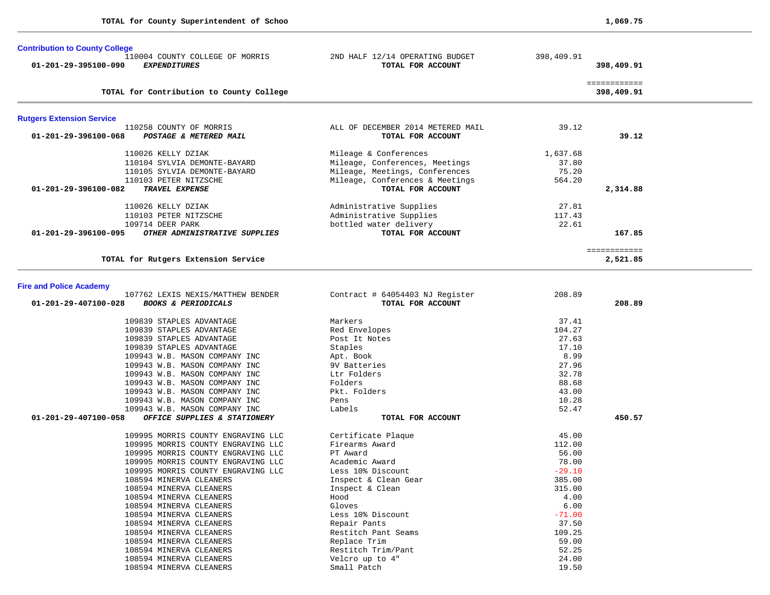| <b>Contribution to County College</b>                                                       |                                                        |                 |                            |
|---------------------------------------------------------------------------------------------|--------------------------------------------------------|-----------------|----------------------------|
| 110004 COUNTY COLLEGE OF MORRIS<br>01-201-29-395100-090<br><b>EXPENDITURES</b>              | 2ND HALF 12/14 OPERATING BUDGET<br>TOTAL FOR ACCOUNT   | 398,409.91      | 398,409.91                 |
| TOTAL for Contribution to County College                                                    |                                                        |                 | ============<br>398,409.91 |
| <b>Rutgers Extension Service</b>                                                            |                                                        |                 |                            |
| 110258 COUNTY OF MORRIS<br>01-201-29-396100-068<br>POSTAGE & METERED MAIL                   | ALL OF DECEMBER 2014 METERED MAIL<br>TOTAL FOR ACCOUNT | 39.12           | 39.12                      |
| 110026 KELLY DZIAK                                                                          | Mileage & Conferences                                  | 1,637.68        |                            |
| 110104 SYLVIA DEMONTE-BAYARD                                                                | Mileage, Conferences, Meetings                         | 37.80           |                            |
| 110105 SYLVIA DEMONTE-BAYARD                                                                | Mileage, Meetings, Conferences                         | 75.20           |                            |
| 110103 PETER NITZSCHE                                                                       | Mileage, Conferences & Meetings                        | 564.20          |                            |
| 01-201-29-396100-082<br>TRAVEL EXPENSE                                                      | TOTAL FOR ACCOUNT                                      |                 | 2,314.88                   |
| 110026 KELLY DZIAK                                                                          | Administrative Supplies                                | 27.81           |                            |
| 110103 PETER NITZSCHE                                                                       | Administrative Supplies                                | 117.43          |                            |
| 109714 DEER PARK                                                                            | bottled water delivery                                 | 22.61           |                            |
| 01-201-29-396100-095<br>OTHER ADMINISTRATIVE SUPPLIES                                       | TOTAL FOR ACCOUNT                                      |                 | 167.85                     |
| TOTAL for Rutgers Extension Service                                                         |                                                        |                 | ============<br>2,521.85   |
|                                                                                             |                                                        |                 |                            |
| <b>Fire and Police Academy</b>                                                              |                                                        |                 |                            |
| 107762 LEXIS NEXIS/MATTHEW BENDER<br>01-201-29-407100-028<br><b>BOOKS &amp; PERIODICALS</b> | Contract # 64054403 NJ Register<br>TOTAL FOR ACCOUNT   | 208.89          | 208.89                     |
| 109839 STAPLES ADVANTAGE                                                                    | Markers                                                | 37.41           |                            |
| 109839 STAPLES ADVANTAGE                                                                    | Red Envelopes                                          | 104.27          |                            |
| 109839 STAPLES ADVANTAGE                                                                    | Post It Notes                                          | 27.63           |                            |
| 109839 STAPLES ADVANTAGE<br>109943 W.B. MASON COMPANY INC                                   | Staples<br>Apt. Book                                   | 17.10<br>8.99   |                            |
| 109943 W.B. MASON COMPANY INC                                                               | 9V Batteries                                           | 27.96           |                            |
| 109943 W.B. MASON COMPANY INC                                                               | Ltr Folders                                            | 32.78           |                            |
| 109943 W.B. MASON COMPANY INC                                                               | Folders                                                | 88.68           |                            |
| 109943 W.B. MASON COMPANY INC                                                               | Pkt. Folders                                           | 43.00           |                            |
| 109943 W.B. MASON COMPANY INC                                                               | Pens                                                   | 10.28           |                            |
| 109943 W.B. MASON COMPANY INC<br>01-201-29-407100-058<br>OFFICE SUPPLIES & STATIONERY       | Labels<br>TOTAL FOR ACCOUNT                            | 52.47           | 450.57                     |
|                                                                                             |                                                        |                 |                            |
| 109995 MORRIS COUNTY ENGRAVING LLC<br>109995 MORRIS COUNTY ENGRAVING LLC                    | Certificate Plaque<br>Firearms Award                   | 45.00<br>112.00 |                            |
| 109995 MORRIS COUNTY ENGRAVING LLC                                                          | PT Award                                               | 56.00           |                            |
| 109995 MORRIS COUNTY ENGRAVING LLC                                                          | Academic Award                                         | 78.00           |                            |
| 109995 MORRIS COUNTY ENGRAVING LLC                                                          | Less 10% Discount                                      | $-29.10$        |                            |
| 108594 MINERVA CLEANERS                                                                     | Inspect & Clean Gear                                   | 385.00          |                            |
| 108594 MINERVA CLEANERS                                                                     | Inspect & Clean                                        | 315.00          |                            |
| 108594 MINERVA CLEANERS<br>108594 MINERVA CLEANERS                                          | Hood<br>Gloves                                         | 4.00<br>6.00    |                            |
| 108594 MINERVA CLEANERS                                                                     | Less 10% Discount                                      | $-71.00$        |                            |
| 108594 MINERVA CLEANERS                                                                     | Repair Pants                                           | 37.50           |                            |
| 108594 MINERVA CLEANERS                                                                     | Restitch Pant Seams                                    | 109.25          |                            |
| 108594 MINERVA CLEANERS                                                                     | Replace Trim                                           | 59.00           |                            |
| 108594 MINERVA CLEANERS                                                                     | Restitch Trim/Pant                                     | 52.25           |                            |
| 108594 MINERVA CLEANERS                                                                     | Velcro up to 4"                                        | 24.00           |                            |
| 108594 MINERVA CLEANERS                                                                     | Small Patch                                            | 19.50           |                            |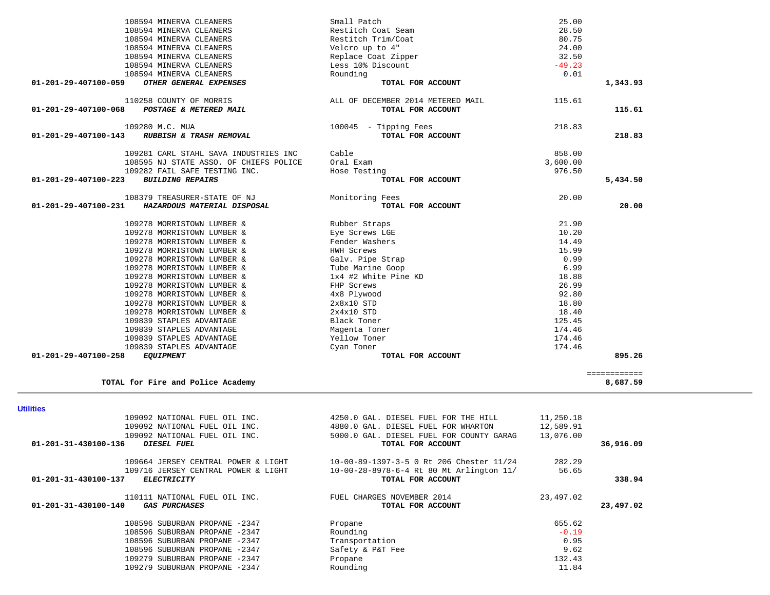| 110258 COUNTY OF MORRIS                             | ALL OF DECEMBER 2014 METERED MAIL        | 115.61    |                          |  |
|-----------------------------------------------------|------------------------------------------|-----------|--------------------------|--|
| POSTAGE & METERED MAIL<br>01-201-29-407100-068      | TOTAL FOR ACCOUNT                        |           | 115.61                   |  |
|                                                     |                                          |           |                          |  |
| 109280 M.C. MUA                                     | 100045 - Tipping Fees                    | 218.83    |                          |  |
| RUBBISH & TRASH REMOVAL<br>01-201-29-407100-143     | TOTAL FOR ACCOUNT                        |           | 218.83                   |  |
|                                                     |                                          |           |                          |  |
| 109281 CARL STAHL SAVA INDUSTRIES INC               | Cable                                    | 858.00    |                          |  |
| 108595 NJ STATE ASSO. OF CHIEFS POLICE              | Oral Exam                                | 3,600.00  |                          |  |
| 109282 FAIL SAFE TESTING INC.                       | Hose Testing                             | 976.50    |                          |  |
| 01-201-29-407100-223<br><b>BUILDING REPAIRS</b>     | TOTAL FOR ACCOUNT                        |           | 5,434.50                 |  |
| 108379 TREASURER-STATE OF NJ                        | Monitoring Fees                          | 20.00     |                          |  |
| HAZARDOUS MATERIAL DISPOSAL<br>01-201-29-407100-231 | TOTAL FOR ACCOUNT                        |           | 20.00                    |  |
|                                                     |                                          |           |                          |  |
| 109278 MORRISTOWN LUMBER &                          | Rubber Straps                            | 21.90     |                          |  |
| 109278 MORRISTOWN LUMBER &                          | Eye Screws LGE                           | 10.20     |                          |  |
| 109278 MORRISTOWN LUMBER &                          | Fender Washers                           | 14.49     |                          |  |
| 109278 MORRISTOWN LUMBER &                          | HWH Screws                               | 15.99     |                          |  |
| 109278 MORRISTOWN LUMBER &                          | Galv. Pipe Strap                         | 0.99      |                          |  |
| 109278 MORRISTOWN LUMBER &                          | Tube Marine Goop                         | 6.99      |                          |  |
| 109278 MORRISTOWN LUMBER &                          | 1x4 #2 White Pine KD                     | 18.88     |                          |  |
| 109278 MORRISTOWN LUMBER &                          | FHP Screws                               | 26.99     |                          |  |
| 109278 MORRISTOWN LUMBER &                          | 4x8 Plywood                              | 92.80     |                          |  |
| 109278 MORRISTOWN LUMBER &                          | $2x8x10$ STD                             | 18.80     |                          |  |
| 109278 MORRISTOWN LUMBER &                          | $2x4x10$ STD                             | 18.40     |                          |  |
| 109839 STAPLES ADVANTAGE                            | Black Toner                              | 125.45    |                          |  |
| 109839 STAPLES ADVANTAGE                            | Magenta Toner                            | 174.46    |                          |  |
| 109839 STAPLES ADVANTAGE                            | Yellow Toner                             | 174.46    |                          |  |
| 109839 STAPLES ADVANTAGE                            | Cyan Toner                               | 174.46    |                          |  |
| 01-201-29-407100-258<br><i>EQUIPMENT</i>            | TOTAL FOR ACCOUNT                        |           | 895.26                   |  |
|                                                     |                                          |           |                          |  |
| TOTAL for Fire and Police Academy                   |                                          |           | ============<br>8,687.59 |  |
|                                                     |                                          |           |                          |  |
|                                                     |                                          |           |                          |  |
| <b>Utilities</b>                                    |                                          |           |                          |  |
| 109092 NATIONAL FUEL OIL INC.                       | 4250.0 GAL. DIESEL FUEL FOR THE HILL     | 11,250.18 |                          |  |
| 109092 NATIONAL FUEL OIL INC.                       | 4880.0 GAL. DIESEL FUEL FOR WHARTON      | 12,589.91 |                          |  |
| 109092 NATIONAL FUEL OIL INC.                       | 5000.0 GAL. DIESEL FUEL FOR COUNTY GARAG | 13,076.00 |                          |  |
| 01-201-31-430100-136<br>DIESEL FUEL                 | TOTAL FOR ACCOUNT                        |           | 36,916.09                |  |
| 109664 JERSEY CENTRAL POWER & LIGHT                 | 10-00-89-1397-3-5 0 Rt 206 Chester 11/24 | 282.29    |                          |  |
| 109716 JERSEY CENTRAL POWER & LIGHT                 | 10-00-28-8978-6-4 Rt 80 Mt Arlington 11/ | 56.65     |                          |  |
| <b>ELECTRICITY</b><br>01-201-31-430100-137          | TOTAL FOR ACCOUNT                        |           | 338.94                   |  |
|                                                     |                                          |           |                          |  |
| 110111 NATIONAL FUEL OIL INC.                       | FUEL CHARGES NOVEMBER 2014               | 23,497.02 |                          |  |
| <b>GAS PURCHASES</b><br>01-201-31-430100-140        | TOTAL FOR ACCOUNT                        |           | 23,497.02                |  |
| 108596 SUBURBAN PROPANE -2347                       | Propane                                  | 655.62    |                          |  |
|                                                     | Rounding                                 | $-0.19$   |                          |  |
|                                                     |                                          |           |                          |  |
| 108596 SUBURBAN PROPANE -2347                       |                                          |           |                          |  |
| 108596 SUBURBAN PROPANE -2347                       | Transportation                           | 0.95      |                          |  |
| 108596 SUBURBAN PROPANE -2347                       | Safety & P&T Fee                         | 9.62      |                          |  |
| 109279 SUBURBAN PROPANE -2347                       | Propane                                  | 132.43    |                          |  |
| 109279 SUBURBAN PROPANE -2347                       | Rounding                                 | 11.84     |                          |  |
|                                                     |                                          |           |                          |  |
|                                                     |                                          |           |                          |  |

 108594 MINERVA CLEANERS Small Patch 25.00 108594 MINERVA CLEANERS Restitch Coat Seam 28.50 108594 MINERVA CLEANERS Restitch Trim/Coat 80.75 108594 MINERVA CLEANERS Velcro up to 4" 24.00 108594 MINERVA CLEANERS Replace Coat Zipper 32.50 108594 MINERVA CLEANERS Less 10% Discount -49.23<br>108594 MINERVA CLEANERS Rounding Rounding 20.01

 **01-201-29-407100-059** *OTHER GENERAL EXPENSES* **TOTAL FOR ACCOUNT 1,343.93**

108594 MINERVA CLEANERS<br> **108594 MINERVA CLEANERS RESOUNT** Rounding **TOTAL FOR ACCOUNT**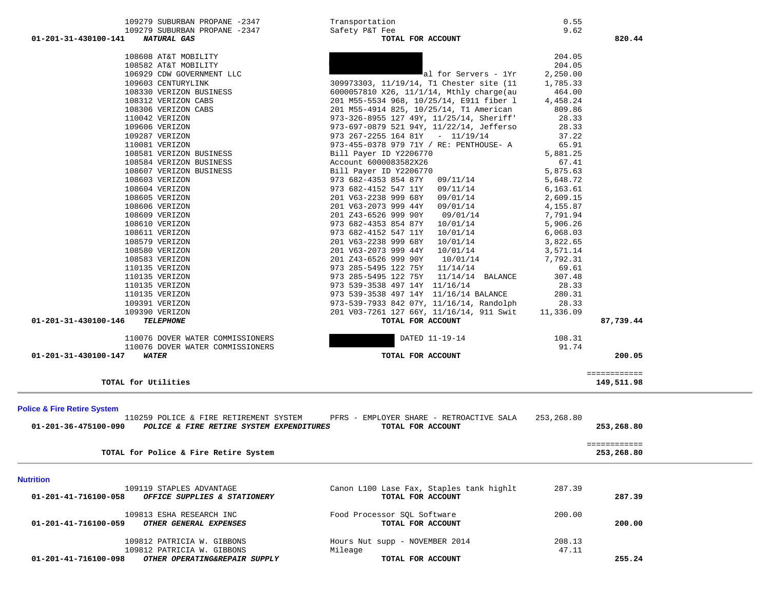| TOTAL for Utilities<br><b>Police &amp; Fire Retire System</b><br>01-201-36-475100-090<br>POLICE & FIRE RETIRE SYSTEM EXPENDITURES<br>TOTAL for Police & Fire Retire System<br><b>Nutrition</b><br>109119 STAPLES ADVANTAGE<br>OFFICE SUPPLIES & STATIONERY<br>01-201-41-716100-058<br>109813 ESHA RESEARCH INC<br>OTHER GENERAL EXPENSES<br>01-201-41-716100-059<br>109812 PATRICIA W. GIBBONS<br>109812 PATRICIA W. GIBBONS<br>01-201-41-716100-098<br>OTHER OPERATING&REPAIR SUPPLY | 110259 POLICE & FIRE RETIREMENT SYSTEM PFRS - EMPLOYER SHARE - RETROACTIVE SALA<br>TOTAL FOR ACCOUNT<br>Canon L100 Lase Fax, Staples tank highlt<br>TOTAL FOR ACCOUNT<br>Food Processor SQL Software<br>TOTAL FOR ACCOUNT<br>Hours Nut supp - NOVEMBER 2014<br>Mileage<br>TOTAL FOR ACCOUNT | 253,268.80<br>287.39<br>200.00<br>208.13<br>47.11 | 253,268.80<br>============<br>253,268.80<br>287.39<br>200.00<br>255.24 |
|---------------------------------------------------------------------------------------------------------------------------------------------------------------------------------------------------------------------------------------------------------------------------------------------------------------------------------------------------------------------------------------------------------------------------------------------------------------------------------------|---------------------------------------------------------------------------------------------------------------------------------------------------------------------------------------------------------------------------------------------------------------------------------------------|---------------------------------------------------|------------------------------------------------------------------------|
|                                                                                                                                                                                                                                                                                                                                                                                                                                                                                       |                                                                                                                                                                                                                                                                                             |                                                   |                                                                        |
|                                                                                                                                                                                                                                                                                                                                                                                                                                                                                       |                                                                                                                                                                                                                                                                                             |                                                   |                                                                        |
|                                                                                                                                                                                                                                                                                                                                                                                                                                                                                       |                                                                                                                                                                                                                                                                                             |                                                   |                                                                        |
|                                                                                                                                                                                                                                                                                                                                                                                                                                                                                       |                                                                                                                                                                                                                                                                                             |                                                   |                                                                        |
|                                                                                                                                                                                                                                                                                                                                                                                                                                                                                       |                                                                                                                                                                                                                                                                                             |                                                   |                                                                        |
|                                                                                                                                                                                                                                                                                                                                                                                                                                                                                       |                                                                                                                                                                                                                                                                                             |                                                   |                                                                        |
|                                                                                                                                                                                                                                                                                                                                                                                                                                                                                       |                                                                                                                                                                                                                                                                                             |                                                   | ============<br>149,511.98                                             |
| 01-201-31-430100-147<br><b>WATER</b>                                                                                                                                                                                                                                                                                                                                                                                                                                                  | TOTAL FOR ACCOUNT                                                                                                                                                                                                                                                                           |                                                   | 200.05                                                                 |
| 110076 DOVER WATER COMMISSIONERS<br>110076 DOVER WATER COMMISSIONERS                                                                                                                                                                                                                                                                                                                                                                                                                  | DATED 11-19-14                                                                                                                                                                                                                                                                              | 108.31<br>91.74                                   |                                                                        |
| 01-201-31-430100-146<br><b>TELEPHONE</b>                                                                                                                                                                                                                                                                                                                                                                                                                                              | TOTAL FOR ACCOUNT                                                                                                                                                                                                                                                                           |                                                   | 87,739.44                                                              |
| 109391 VERIZON<br>109390 VERIZON                                                                                                                                                                                                                                                                                                                                                                                                                                                      | 973-539-7933 842 07Y, 11/16/14, Randolph<br>201 V03-7261 127 66Y, 11/16/14, 911 Swit                                                                                                                                                                                                        | 28.33<br>11,336.09                                |                                                                        |
| 110135 VERIZON                                                                                                                                                                                                                                                                                                                                                                                                                                                                        | 973 539-3538 497 14Y 11/16/14 BALANCE                                                                                                                                                                                                                                                       | 280.31                                            |                                                                        |
| 110135 VERIZON                                                                                                                                                                                                                                                                                                                                                                                                                                                                        | 973 539-3538 497 14Y 11/16/14                                                                                                                                                                                                                                                               | 28.33                                             |                                                                        |
| 110135 VERIZON                                                                                                                                                                                                                                                                                                                                                                                                                                                                        | 973 285-5495 122 75Y 11/14/14 BALANCE                                                                                                                                                                                                                                                       | 307.48                                            |                                                                        |
| 110135 VERIZON                                                                                                                                                                                                                                                                                                                                                                                                                                                                        | 973 285-5495 122 75Y 11/14/14                                                                                                                                                                                                                                                               | 69.61                                             |                                                                        |
| 108583 VERIZON                                                                                                                                                                                                                                                                                                                                                                                                                                                                        | 201 Z43-6526 999 90Y<br>10/01/14                                                                                                                                                                                                                                                            | 7,792.31                                          |                                                                        |
| 108580 VERIZON                                                                                                                                                                                                                                                                                                                                                                                                                                                                        | 201 V63-2073 999 44Y 10/01/14                                                                                                                                                                                                                                                               | 3,571.14                                          |                                                                        |
| 108611 VERIZON<br>108579 VERIZON                                                                                                                                                                                                                                                                                                                                                                                                                                                      | 973 682-4152 547 11Y 10/01/14<br>201 V63-2238 999 68Y 10/01/14                                                                                                                                                                                                                              | 6,068.03<br>3,822.65                              |                                                                        |
| 108610 VERIZON                                                                                                                                                                                                                                                                                                                                                                                                                                                                        | 973 682-4353 854 87Y 10/01/14                                                                                                                                                                                                                                                               | 5,906.26                                          |                                                                        |
| 108609 VERIZON                                                                                                                                                                                                                                                                                                                                                                                                                                                                        | 201 Z43-6526 999 90Y<br>09/01/14                                                                                                                                                                                                                                                            | 7,791.94                                          |                                                                        |
| 108606 VERIZON                                                                                                                                                                                                                                                                                                                                                                                                                                                                        | 201 V63-2073 999 44Y 09/01/14                                                                                                                                                                                                                                                               | 4,155.87                                          |                                                                        |
| 108605 VERIZON                                                                                                                                                                                                                                                                                                                                                                                                                                                                        | 201 V63-2238 999 68Y 09/01/14                                                                                                                                                                                                                                                               | 2,609.15                                          |                                                                        |
| 108604 VERIZON                                                                                                                                                                                                                                                                                                                                                                                                                                                                        | 973 682-4152 547 11Y<br>09/11/14                                                                                                                                                                                                                                                            | 6,163.61                                          |                                                                        |
| 108603 VERIZON                                                                                                                                                                                                                                                                                                                                                                                                                                                                        | 973 682-4353 854 87Y 09/11/14                                                                                                                                                                                                                                                               | 5,648.72                                          |                                                                        |
| 108584 VERIZON BUSINESS<br>108607 VERIZON BUSINESS                                                                                                                                                                                                                                                                                                                                                                                                                                    | Account 6000083582X26<br>Bill Payer ID Y2206770                                                                                                                                                                                                                                             | 67.41<br>5,875.63                                 |                                                                        |
| 108581 VERIZON BUSINESS                                                                                                                                                                                                                                                                                                                                                                                                                                                               | Bill Payer ID Y2206770                                                                                                                                                                                                                                                                      | 5,881.25                                          |                                                                        |
| 110081 VERIZON                                                                                                                                                                                                                                                                                                                                                                                                                                                                        | 973-455-0378 979 71Y / RE: PENTHOUSE- A                                                                                                                                                                                                                                                     | 65.91                                             |                                                                        |
| 109287 VERIZON                                                                                                                                                                                                                                                                                                                                                                                                                                                                        | 973 267-2255 164 81Y - 11/19/14                                                                                                                                                                                                                                                             | 37.22                                             |                                                                        |
| 109606 VERIZON                                                                                                                                                                                                                                                                                                                                                                                                                                                                        | 973-697-0879 521 94Y, 11/22/14, Jefferso                                                                                                                                                                                                                                                    | 28.33                                             |                                                                        |
| 110042 VERIZON                                                                                                                                                                                                                                                                                                                                                                                                                                                                        | 973-326-8955 127 49Y, 11/25/14, Sheriff'                                                                                                                                                                                                                                                    | 28.33                                             |                                                                        |
|                                                                                                                                                                                                                                                                                                                                                                                                                                                                                       | 201 M55-4914 825, 10/25/14, T1 American                                                                                                                                                                                                                                                     | 809.86                                            |                                                                        |
| 108306 VERIZON CABS                                                                                                                                                                                                                                                                                                                                                                                                                                                                   |                                                                                                                                                                                                                                                                                             | 4,458.24                                          |                                                                        |
| 108312 VERIZON CABS                                                                                                                                                                                                                                                                                                                                                                                                                                                                   | 201 M55-5534 968, 10/25/14, E911 fiber 1                                                                                                                                                                                                                                                    |                                                   |                                                                        |
| 109603 CENTURYLINK<br>108330 VERIZON BUSINESS                                                                                                                                                                                                                                                                                                                                                                                                                                         | 309973303, 11/19/14, T1 Chester site (11)<br>6000057810 X26, 11/1/14, Mthly charge(au                                                                                                                                                                                                       | 1,785.33<br>464.00                                |                                                                        |

 109279 SUBURBAN PROPANE -2347 Transportation 0.55 109279 SUBURBAN PROPANE -2347 Safety P&T Fee 9.625 TOTAL FOR ACCOUNT  **01-201-31-430100-141** *NATURAL GAS* **TOTAL FOR ACCOUNT 820.44**

108608 AT&T MOBILITY 204.05

108582 AT&T MOBILITY 204.05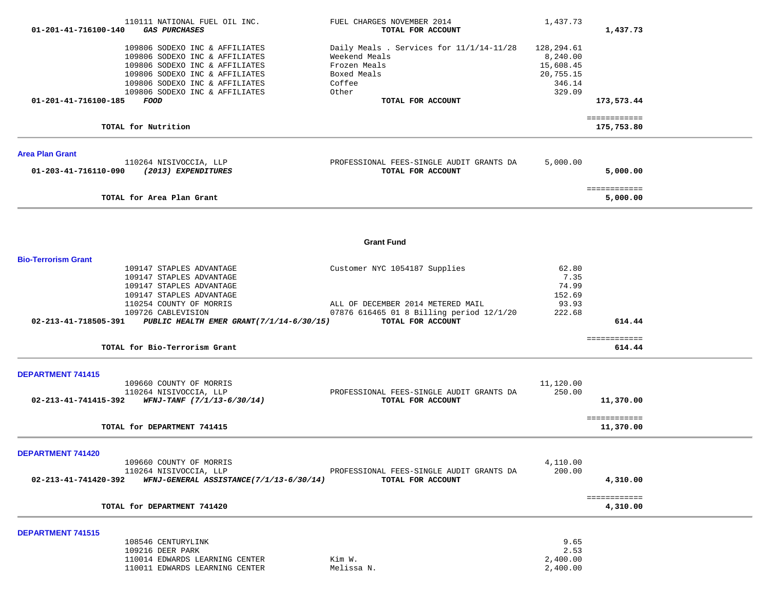| 01-201-41-716100-140       | 110111 NATIONAL FUEL OIL INC.<br><b>GAS PURCHASES</b>                                                                                                                                                    | FUEL CHARGES NOVEMBER 2014<br>TOTAL FOR ACCOUNT                                                             | 1,437.73                                                             | 1,437.73                   |  |
|----------------------------|----------------------------------------------------------------------------------------------------------------------------------------------------------------------------------------------------------|-------------------------------------------------------------------------------------------------------------|----------------------------------------------------------------------|----------------------------|--|
|                            | 109806 SODEXO INC & AFFILIATES<br>109806 SODEXO INC & AFFILIATES<br>109806 SODEXO INC & AFFILIATES<br>109806 SODEXO INC & AFFILIATES<br>109806 SODEXO INC & AFFILIATES<br>109806 SODEXO INC & AFFILIATES | Daily Meals . Services for 11/1/14-11/28<br>Weekend Meals<br>Frozen Meals<br>Boxed Meals<br>Coffee<br>Other | 128,294.61<br>8,240.00<br>15,608.45<br>20,755.15<br>346.14<br>329.09 |                            |  |
| 01-201-41-716100-185       | FOOD                                                                                                                                                                                                     | TOTAL FOR ACCOUNT                                                                                           |                                                                      | 173,573.44                 |  |
|                            | TOTAL for Nutrition                                                                                                                                                                                      |                                                                                                             |                                                                      | ============<br>175,753.80 |  |
| <b>Area Plan Grant</b>     |                                                                                                                                                                                                          |                                                                                                             |                                                                      |                            |  |
| 01-203-41-716110-090       | 110264 NISIVOCCIA, LLP<br>(2013) EXPENDITURES                                                                                                                                                            | PROFESSIONAL FEES-SINGLE AUDIT GRANTS DA<br>TOTAL FOR ACCOUNT                                               | 5,000.00                                                             | 5,000.00                   |  |
|                            | TOTAL for Area Plan Grant                                                                                                                                                                                |                                                                                                             |                                                                      | ============<br>5,000.00   |  |
|                            |                                                                                                                                                                                                          |                                                                                                             |                                                                      |                            |  |
|                            |                                                                                                                                                                                                          | <b>Grant Fund</b>                                                                                           |                                                                      |                            |  |
| <b>Bio-Terrorism Grant</b> |                                                                                                                                                                                                          |                                                                                                             |                                                                      |                            |  |
|                            | 109147 STAPLES ADVANTAGE<br>109147 STAPLES ADVANTAGE                                                                                                                                                     | Customer NYC 1054187 Supplies                                                                               | 62.80<br>7.35                                                        |                            |  |
|                            | 109147 STAPLES ADVANTAGE                                                                                                                                                                                 |                                                                                                             | 74.99                                                                |                            |  |
|                            | 109147 STAPLES ADVANTAGE                                                                                                                                                                                 |                                                                                                             | 152.69                                                               |                            |  |
|                            | 110254 COUNTY OF MORRIS                                                                                                                                                                                  | ALL OF DECEMBER 2014 METERED MAIL                                                                           | 93.93                                                                |                            |  |
| 02-213-41-718505-391       | 109726 CABLEVISION<br>PUBLIC HEALTH EMER GRANT(7/1/14-6/30/15)                                                                                                                                           | 07876 616465 01 8 Billing period 12/1/20<br>TOTAL FOR ACCOUNT                                               | 222.68                                                               | 614.44                     |  |
|                            |                                                                                                                                                                                                          |                                                                                                             |                                                                      |                            |  |
|                            | TOTAL for Bio-Terrorism Grant                                                                                                                                                                            |                                                                                                             |                                                                      | ============<br>614.44     |  |
| <b>DEPARTMENT 741415</b>   |                                                                                                                                                                                                          |                                                                                                             |                                                                      |                            |  |
|                            | 109660 COUNTY OF MORRIS<br>110264 NISIVOCCIA, LLP                                                                                                                                                        | PROFESSIONAL FEES-SINGLE AUDIT GRANTS DA                                                                    | 11,120.00<br>250.00                                                  |                            |  |
| 02-213-41-741415-392       | WFNJ-TANF (7/1/13-6/30/14)                                                                                                                                                                               | TOTAL FOR ACCOUNT                                                                                           |                                                                      | 11,370.00                  |  |
|                            | TOTAL for DEPARTMENT 741415                                                                                                                                                                              |                                                                                                             |                                                                      | ============<br>11,370.00  |  |
| DEPARTMENT 741420          |                                                                                                                                                                                                          |                                                                                                             |                                                                      |                            |  |
|                            | 109660 COUNTY OF MORRIS                                                                                                                                                                                  |                                                                                                             | 4,110.00                                                             |                            |  |
| 02-213-41-741420-392       | 110264 NISIVOCCIA, LLP<br>WFNJ-GENERAL ASSISTANCE(7/1/13-6/30/14)                                                                                                                                        | PROFESSIONAL FEES-SINGLE AUDIT GRANTS DA<br>TOTAL FOR ACCOUNT                                               | 200.00                                                               | 4,310.00                   |  |
|                            | TOTAL for DEPARTMENT 741420                                                                                                                                                                              |                                                                                                             |                                                                      | ============<br>4,310.00   |  |
| <b>DEPARTMENT 741515</b>   |                                                                                                                                                                                                          |                                                                                                             |                                                                      |                            |  |
|                            | 108546 CENTURYLINK                                                                                                                                                                                       |                                                                                                             | 9.65                                                                 |                            |  |
|                            | 109216 DEER PARK<br>110014 EDWARDS LEARNING CENTER                                                                                                                                                       | Kim W.                                                                                                      | 2.53<br>2,400.00                                                     |                            |  |
|                            | 110011 EDWARDS LEARNING CENTER                                                                                                                                                                           | Melissa N.                                                                                                  | 2,400.00                                                             |                            |  |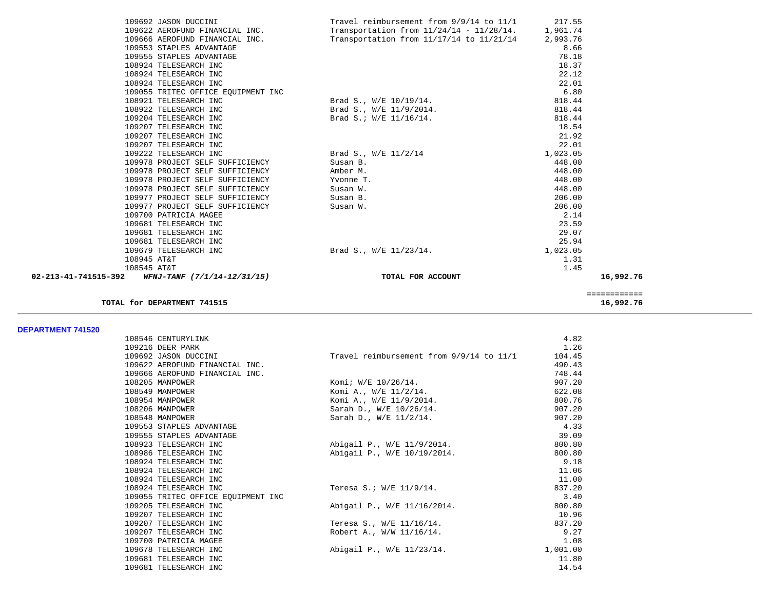|                                                                | 109692 JASON DUCCINI               | Travel reimbursement from 9/9/14 to 11/1             | 217.55   |              |
|----------------------------------------------------------------|------------------------------------|------------------------------------------------------|----------|--------------|
|                                                                | 109622 AEROFUND FINANCIAL INC.     | Transportation from $11/24/14 - 11/28/14$ . 1,961.74 |          |              |
|                                                                | 109666 AEROFUND FINANCIAL INC.     | Transportation from 11/17/14 to 11/21/14 2,993.76    |          |              |
|                                                                | 109553 STAPLES ADVANTAGE           |                                                      | 8.66     |              |
|                                                                | 109555 STAPLES ADVANTAGE           |                                                      | 78.18    |              |
|                                                                | 108924 TELESEARCH INC              |                                                      | 18.37    |              |
|                                                                | 108924 TELESEARCH INC              |                                                      | 22.12    |              |
|                                                                | 108924 TELESEARCH INC              |                                                      | 22.01    |              |
|                                                                | 109055 TRITEC OFFICE EQUIPMENT INC |                                                      | 6.80     |              |
|                                                                | 108921 TELESEARCH INC              | Brad S., W/E 10/19/14.                               | 818.44   |              |
|                                                                | 108922 TELESEARCH INC              | Brad S., W/E 11/9/2014.                              | 818.44   |              |
|                                                                | 109204 TELESEARCH INC              | Brad S.; W/E 11/16/14.                               | 818.44   |              |
|                                                                | 109207 TELESEARCH INC              |                                                      | 18.54    |              |
|                                                                | 109207 TELESEARCH INC              |                                                      | 21.92    |              |
|                                                                | 109207 TELESEARCH INC              |                                                      | 22.01    |              |
|                                                                | 109222 TELESEARCH INC              | Brad S., W/E 11/2/14                                 | 1,023.05 |              |
|                                                                | 109978 PROJECT SELF SUFFICIENCY    | Susan B.                                             | 448.00   |              |
|                                                                | 109978 PROJECT SELF SUFFICIENCY    | Amber M.                                             | 448.00   |              |
|                                                                | 109978 PROJECT SELF SUFFICIENCY    | Yvonne T.                                            | 448.00   |              |
|                                                                | 109978 PROJECT SELF SUFFICIENCY    | Susan W.                                             | 448.00   |              |
|                                                                | 109977 PROJECT SELF SUFFICIENCY    | Susan B.                                             | 206.00   |              |
|                                                                | 109977 PROJECT SELF SUFFICIENCY    | Susan W.                                             | 206.00   |              |
|                                                                | 109700 PATRICIA MAGEE              |                                                      | 2.14     |              |
|                                                                | 109681 TELESEARCH INC              |                                                      | 23.59    |              |
|                                                                | 109681 TELESEARCH INC              |                                                      | 29.07    |              |
|                                                                | 109681 TELESEARCH INC              |                                                      | 25.94    |              |
|                                                                | 109679 TELESEARCH INC              | Brad S., W/E 11/23/14.                               | 1,023.05 |              |
| 108945 AT&T                                                    |                                    |                                                      | 1.31     |              |
| 108545 AT&T                                                    |                                    |                                                      | 1.45     |              |
| $02 - 213 - 41 - 741515 - 392$ WFNJ-TANF $(7/1/14 - 12/31/15)$ |                                    | TOTAL FOR ACCOUNT                                    |          | 16,992.76    |
|                                                                |                                    |                                                      |          | ============ |
|                                                                | TOTAL for DEPARTMENT 741515        |                                                      |          | 16,992.76    |

| 108546 CENTURYLINK                 |                                          | 4.82     |
|------------------------------------|------------------------------------------|----------|
| 109216 DEER PARK                   |                                          | 1.26     |
| 109692 JASON DUCCINI               | Travel reimbursement from 9/9/14 to 11/1 | 104.45   |
| 109622 AEROFUND FINANCIAL INC.     |                                          | 490.43   |
| 109666 AEROFUND FINANCIAL INC.     |                                          | 748.44   |
| 108205 MANPOWER                    | Komi; W/E 10/26/14.                      | 907.20   |
| 108549 MANPOWER                    | Komi A., W/E 11/2/14.                    | 622.08   |
| 108954 MANPOWER                    | Komi A., W/E 11/9/2014.                  | 800.76   |
| 108206 MANPOWER                    | Sarah D., W/E 10/26/14.                  | 907.20   |
| 108548 MANPOWER                    | Sarah D., W/E 11/2/14.                   | 907.20   |
| 109553 STAPLES ADVANTAGE           |                                          | 4.33     |
| 109555 STAPLES ADVANTAGE           |                                          | 39.09    |
| 108923 TELESEARCH INC              | Abigail P., W/E 11/9/2014.               | 800.80   |
| 108986 TELESEARCH INC              | Abigail P., W/E 10/19/2014.              | 800.80   |
| 108924 TELESEARCH INC              |                                          | 9.18     |
| 108924 TELESEARCH INC              |                                          | 11.06    |
| 108924 TELESEARCH INC              |                                          | 11.00    |
| 108924 TELESEARCH INC              | Teresa S.; W/E 11/9/14.                  | 837.20   |
| 109055 TRITEC OFFICE EQUIPMENT INC |                                          | 3.40     |
| 109205 TELESEARCH INC              | Abigail P., W/E 11/16/2014.              | 800.80   |
| 109207 TELESEARCH INC              |                                          | 10.96    |
| 109207 TELESEARCH INC              | Teresa S., W/E 11/16/14.                 | 837.20   |
| 109207 TELESEARCH INC              | Robert A., W/W 11/16/14.                 | 9.27     |
| 109700 PATRICIA MAGEE              |                                          | 1.08     |
| 109678 TELESEARCH INC              | Abigail P., W/E 11/23/14.                | 1,001.00 |
| 109681 TELESEARCH INC              |                                          | 11.80    |
| 109681 TELESEARCH INC              |                                          | 14.54    |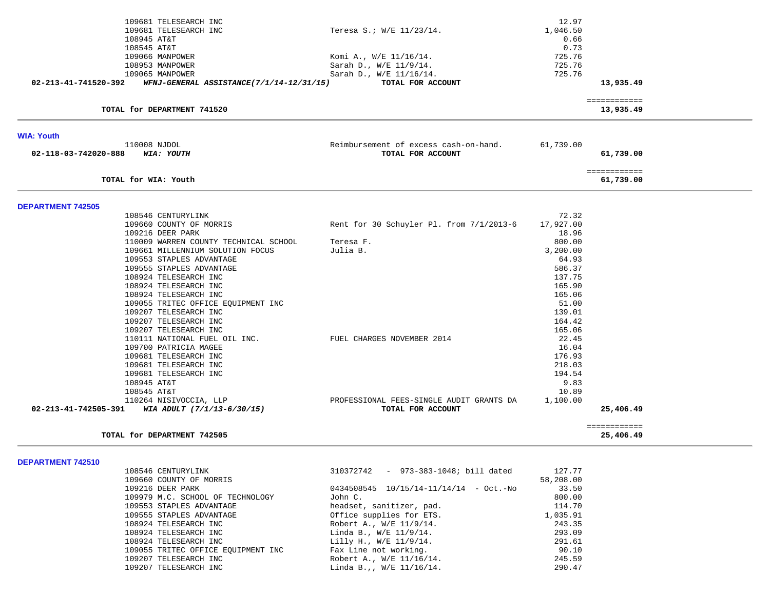|                          | 109681 TELESEARCH INC                                                       |                                                               | 12.97     |                           |  |
|--------------------------|-----------------------------------------------------------------------------|---------------------------------------------------------------|-----------|---------------------------|--|
|                          | 109681 TELESEARCH INC                                                       | Teresa S.; W/E 11/23/14.                                      | 1,046.50  |                           |  |
|                          | 108945 AT&T                                                                 |                                                               | 0.66      |                           |  |
|                          | 108545 AT&T                                                                 |                                                               | 0.73      |                           |  |
|                          | 109066 MANPOWER                                                             | Komi A., W/E 11/16/14.                                        | 725.76    |                           |  |
|                          | 108953 MANPOWER                                                             | Sarah D., W/E 11/9/14.                                        | 725.76    |                           |  |
|                          | 109065 MANPOWER                                                             | Sarah D., W/E 11/16/14.                                       | 725.76    |                           |  |
| 02-213-41-741520-392     | WFNJ-GENERAL ASSISTANCE(7/1/14-12/31/15)                                    | TOTAL FOR ACCOUNT                                             |           | 13,935.49                 |  |
|                          | TOTAL for DEPARTMENT 741520                                                 |                                                               |           | ============<br>13,935.49 |  |
|                          |                                                                             |                                                               |           |                           |  |
| <b>WIA: Youth</b>        |                                                                             |                                                               |           |                           |  |
|                          | 110008 NJDOL                                                                | Reimbursement of excess cash-on-hand.                         | 61,739.00 |                           |  |
| 02-118-03-742020-888     | WIA: YOUTH                                                                  | TOTAL FOR ACCOUNT                                             |           | 61,739.00                 |  |
|                          |                                                                             |                                                               |           | ============              |  |
|                          | TOTAL for WIA: Youth                                                        |                                                               |           | 61,739.00                 |  |
| <b>DEPARTMENT 742505</b> |                                                                             |                                                               |           |                           |  |
|                          | 108546 CENTURYLINK                                                          |                                                               | 72.32     |                           |  |
|                          | 109660 COUNTY OF MORRIS                                                     | Rent for 30 Schuyler Pl. from 7/1/2013-6                      | 17,927.00 |                           |  |
|                          | 109216 DEER PARK                                                            |                                                               | 18.96     |                           |  |
|                          | 110009 WARREN COUNTY TECHNICAL SCHOOL                                       | Teresa F.                                                     | 800.00    |                           |  |
|                          | 109661 MILLENNIUM SOLUTION FOCUS                                            | Julia B.                                                      | 3,200.00  |                           |  |
|                          | 109553 STAPLES ADVANTAGE                                                    |                                                               | 64.93     |                           |  |
|                          | 109555 STAPLES ADVANTAGE                                                    |                                                               | 586.37    |                           |  |
|                          | 108924 TELESEARCH INC                                                       |                                                               | 137.75    |                           |  |
|                          | 108924 TELESEARCH INC                                                       |                                                               | 165.90    |                           |  |
|                          | 108924 TELESEARCH INC                                                       |                                                               | 165.06    |                           |  |
|                          | 109055 TRITEC OFFICE EQUIPMENT INC                                          |                                                               | 51.00     |                           |  |
|                          | 109207 TELESEARCH INC                                                       |                                                               | 139.01    |                           |  |
|                          | 109207 TELESEARCH INC                                                       |                                                               | 164.42    |                           |  |
|                          | 109207 TELESEARCH INC                                                       |                                                               | 165.06    |                           |  |
|                          | 110111 NATIONAL FUEL OIL INC.                                               | FUEL CHARGES NOVEMBER 2014                                    | 22.45     |                           |  |
|                          | 109700 PATRICIA MAGEE                                                       |                                                               | 16.04     |                           |  |
|                          | 109681 TELESEARCH INC                                                       |                                                               | 176.93    |                           |  |
|                          | 109681 TELESEARCH INC                                                       |                                                               | 218.03    |                           |  |
|                          | 109681 TELESEARCH INC                                                       |                                                               | 194.54    |                           |  |
|                          | 108945 AT&T                                                                 |                                                               | 9.83      |                           |  |
|                          | 108545 AT&T                                                                 |                                                               | 10.89     |                           |  |
|                          | 110264 NISIVOCCIA, LLP<br>02-213-41-742505-391 WIA ADULT $(7/1/13-6/30/15)$ | PROFESSIONAL FEES-SINGLE AUDIT GRANTS DA<br>TOTAL FOR ACCOUNT | 1,100.00  | 25,406.49                 |  |
|                          |                                                                             |                                                               |           |                           |  |
|                          | TOTAL for DEPARTMENT 742505                                                 |                                                               |           | ============<br>25,406.49 |  |
|                          |                                                                             |                                                               |           |                           |  |
| DEPARTMENT 742510        |                                                                             |                                                               |           |                           |  |
|                          | 108546 CENTURYLINK                                                          | 310372742 - 973-383-1048; bill dated                          | 127.77    |                           |  |
|                          | 109660 COUNTY OF MORRIS                                                     |                                                               | 58,208.00 |                           |  |
|                          | 109216 DEER PARK                                                            | $0434508545$ $10/15/14-11/14/14$ - Oct.-No                    | 33.50     |                           |  |
|                          | 109979 M.C. SCHOOL OF TECHNOLOGY                                            | John C.                                                       | 800.00    |                           |  |
|                          | 109553 STAPLES ADVANTAGE                                                    | headset, sanitizer, pad.                                      | 114.70    |                           |  |
|                          | 109555 STAPLES ADVANTAGE                                                    | Office supplies for ETS.                                      | 1,035.91  |                           |  |
|                          | 108924 TELESEARCH INC                                                       | Robert A., W/E 11/9/14.                                       | 243.35    |                           |  |
|                          | 108924 TELESEARCH INC                                                       | Linda B., W/E 11/9/14.                                        | 293.09    |                           |  |
|                          | 108924 TELESEARCH INC                                                       | Lilly H., W/E 11/9/14.                                        | 291.61    |                           |  |
|                          | 109055 TRITEC OFFICE EQUIPMENT INC                                          | Fax Line not working.                                         | 90.10     |                           |  |

109055 TRITEC OFFICE EQUIPMENT INC Fax Line not working. 90.10<br>109207 TELESEARCH INC Robert A., W/E 11/16/14. 245.59 109207 TELESEARCH INC Robert A., W/E 11/16/14. 245.59

 $Linda B.,, W/E 11/16/14.$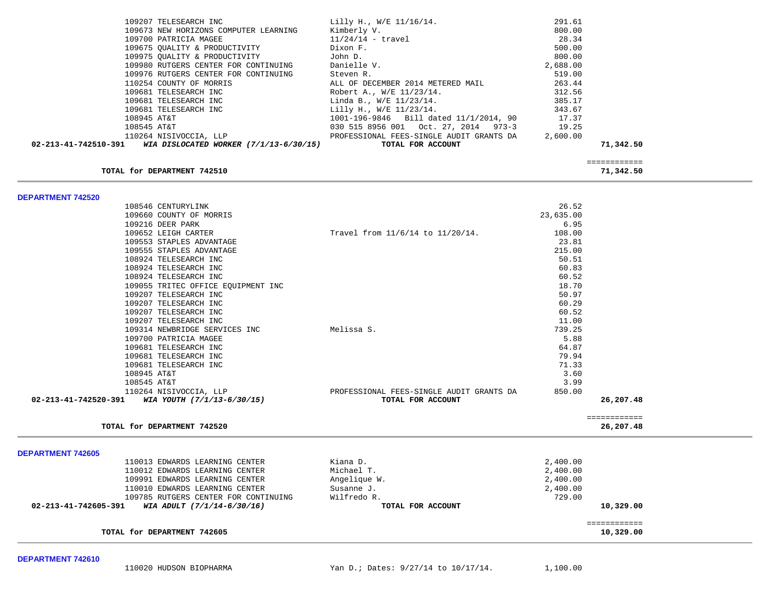| 109207 TELESEARCH INC<br>109673 NEW HORIZONS COMPUTER LEARNING<br>109700 PATRICIA MAGEE<br>109675 OUALITY & PRODUCTIVITY<br>109975 QUALITY & PRODUCTIVITY<br>109980 RUTGERS CENTER FOR CONTINUING<br>109976 RUTGERS CENTER FOR CONTINUING<br>110254 COUNTY OF MORRIS<br>109681 TELESEARCH INC<br>109681 TELESEARCH INC<br>109681 TELESEARCH INC<br>108945 AT&T<br>108545 AT&T<br>110264 NISIVOCCIA, LLP<br>02-213-41-742510-391 WIA DISLOCATED WORKER (7/1/13-6/30/15)                                                                                                                                                | Lilly H., W/E 11/16/14.<br>Kimberly V.<br>$11/24/14$ - travel<br>Dixon F.<br>John D.<br>Danielle V.<br>Steven R.<br>ALL OF DECEMBER 2014 METERED MAIL<br>Robert A., W/E 11/23/14.<br>Linda B., $W/E$ 11/23/14.<br>Lilly H., W/E 11/23/14.<br>1001-196-9846 Bill dated 11/1/2014, 90<br>PROFESSIONAL FEES-SINGLE AUDIT GRANTS DA<br>TOTAL FOR ACCOUNT | 291.61<br>800.00<br>28.34<br>500.00<br>800.00<br>2,688.00<br>519.00<br>263.44<br>312.56<br>385.17<br>343.67<br>17.37<br>19.25<br>2,600.00                                                              | 71,342.50                 |  |
|-----------------------------------------------------------------------------------------------------------------------------------------------------------------------------------------------------------------------------------------------------------------------------------------------------------------------------------------------------------------------------------------------------------------------------------------------------------------------------------------------------------------------------------------------------------------------------------------------------------------------|------------------------------------------------------------------------------------------------------------------------------------------------------------------------------------------------------------------------------------------------------------------------------------------------------------------------------------------------------|--------------------------------------------------------------------------------------------------------------------------------------------------------------------------------------------------------|---------------------------|--|
| TOTAL for DEPARTMENT 742510                                                                                                                                                                                                                                                                                                                                                                                                                                                                                                                                                                                           |                                                                                                                                                                                                                                                                                                                                                      |                                                                                                                                                                                                        | ============<br>71,342.50 |  |
| DEPARTMENT 742520                                                                                                                                                                                                                                                                                                                                                                                                                                                                                                                                                                                                     |                                                                                                                                                                                                                                                                                                                                                      |                                                                                                                                                                                                        |                           |  |
| 108546 CENTURYLINK<br>109660 COUNTY OF MORRIS<br>109216 DEER PARK<br>109652 LEIGH CARTER<br>109553 STAPLES ADVANTAGE<br>109555 STAPLES ADVANTAGE<br>108924 TELESEARCH INC<br>108924 TELESEARCH INC<br>108924 TELESEARCH INC<br>109055 TRITEC OFFICE EQUIPMENT INC<br>109207 TELESEARCH INC<br>109207 TELESEARCH INC<br>109207 TELESEARCH INC<br>109207 TELESEARCH INC<br>109314 NEWBRIDGE SERVICES INC<br>109700 PATRICIA MAGEE<br>109681 TELESEARCH INC<br>109681 TELESEARCH INC<br>109681 TELESEARCH INC<br>108945 AT&T<br>108545 AT&T<br>110264 NISIVOCCIA, LLP<br>02-213-41-742520-391 WIA YOUTH (7/1/13-6/30/15) | Travel from 11/6/14 to 11/20/14.<br>Melissa S.<br>PROFESSIONAL FEES-SINGLE AUDIT GRANTS DA<br>TOTAL FOR ACCOUNT                                                                                                                                                                                                                                      | 26.52<br>23,635.00<br>6.95<br>108.00<br>23.81<br>215.00<br>50.51<br>60.83<br>60.52<br>18.70<br>50.97<br>60.29<br>60.52<br>11.00<br>739.25<br>5.88<br>64.87<br>79.94<br>71.33<br>3.60<br>3.99<br>850.00 | 26,207.48                 |  |
| TOTAL for DEPARTMENT 742520                                                                                                                                                                                                                                                                                                                                                                                                                                                                                                                                                                                           |                                                                                                                                                                                                                                                                                                                                                      |                                                                                                                                                                                                        | ============<br>26,207.48 |  |
|                                                                                                                                                                                                                                                                                                                                                                                                                                                                                                                                                                                                                       |                                                                                                                                                                                                                                                                                                                                                      |                                                                                                                                                                                                        |                           |  |
| <b>DEPARTMENT 742605</b><br>110013 EDWARDS LEARNING CENTER                                                                                                                                                                                                                                                                                                                                                                                                                                                                                                                                                            | Kiana D.                                                                                                                                                                                                                                                                                                                                             | 2,400.00                                                                                                                                                                                               |                           |  |
| 110012 EDWARDS LEARNING CENTER                                                                                                                                                                                                                                                                                                                                                                                                                                                                                                                                                                                        | Michael T.                                                                                                                                                                                                                                                                                                                                           | 2,400.00                                                                                                                                                                                               |                           |  |
| 109991 EDWARDS LEARNING CENTER                                                                                                                                                                                                                                                                                                                                                                                                                                                                                                                                                                                        | Angelique W.                                                                                                                                                                                                                                                                                                                                         | 2,400.00                                                                                                                                                                                               |                           |  |
| 110010 EDWARDS LEARNING CENTER                                                                                                                                                                                                                                                                                                                                                                                                                                                                                                                                                                                        | Susanne J.                                                                                                                                                                                                                                                                                                                                           | 2,400.00                                                                                                                                                                                               |                           |  |
| 109785 RUTGERS CENTER FOR CONTINUING<br>02-213-41-742605-391<br>WIA ADULT (7/1/14-6/30/16)                                                                                                                                                                                                                                                                                                                                                                                                                                                                                                                            | Wilfredo R.<br>TOTAL FOR ACCOUNT                                                                                                                                                                                                                                                                                                                     | 729.00                                                                                                                                                                                                 | 10,329.00                 |  |
| TOTAL for DEPARTMENT 742605                                                                                                                                                                                                                                                                                                                                                                                                                                                                                                                                                                                           |                                                                                                                                                                                                                                                                                                                                                      |                                                                                                                                                                                                        | ============<br>10,329.00 |  |

110020 HUDSON BIOPHARMA Yan D.; Dates: 9/27/14 to 10/17/14. 1,100.00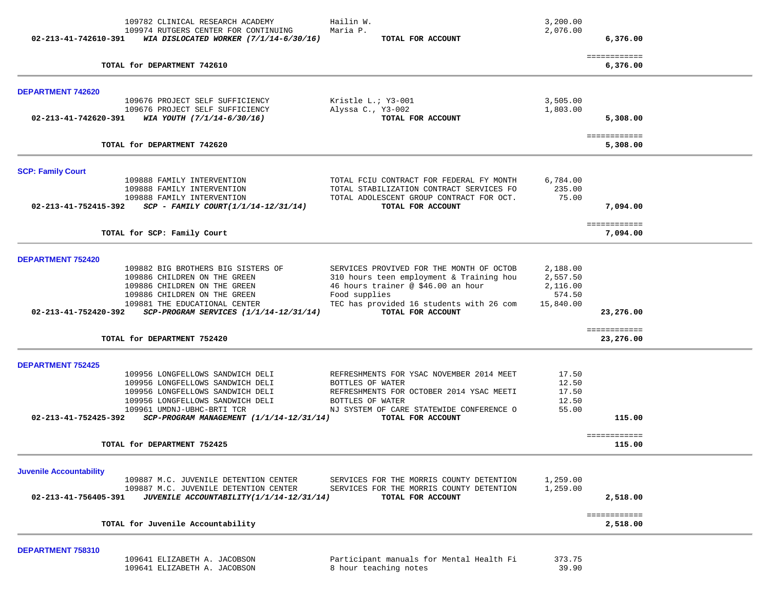| 02-213-41-742610-391           | 109782 CLINICAL RESEARCH ACADEMY<br>109974 RUTGERS CENTER FOR CONTINUING<br>WIA DISLOCATED WORKER (7/1/14-6/30/16) | Hailin W.<br>Maria P.<br>TOTAL FOR ACCOUNT                                           | 3,200.00<br>2,076.00 | 6,376.00                  |
|--------------------------------|--------------------------------------------------------------------------------------------------------------------|--------------------------------------------------------------------------------------|----------------------|---------------------------|
|                                | TOTAL for DEPARTMENT 742610                                                                                        |                                                                                      |                      | ============<br>6,376.00  |
| <b>DEPARTMENT 742620</b>       |                                                                                                                    |                                                                                      |                      |                           |
|                                | 109676 PROJECT SELF SUFFICIENCY                                                                                    | Kristle L.; Y3-001                                                                   | 3,505.00             |                           |
| 02-213-41-742620-391           | 109676 PROJECT SELF SUFFICIENCY<br>WIA YOUTH (7/1/14-6/30/16)                                                      | Alyssa C., Y3-002<br>TOTAL FOR ACCOUNT                                               | 1,803.00             | 5,308.00                  |
|                                | TOTAL for DEPARTMENT 742620                                                                                        |                                                                                      |                      | ============<br>5,308.00  |
| <b>SCP: Family Court</b>       |                                                                                                                    |                                                                                      |                      |                           |
|                                | 109888 FAMILY INTERVENTION<br>109888 FAMILY INTERVENTION                                                           | TOTAL FCIU CONTRACT FOR FEDERAL FY MONTH<br>TOTAL STABILIZATION CONTRACT SERVICES FO | 6,784.00<br>235.00   |                           |
|                                | 109888 FAMILY INTERVENTION                                                                                         | TOTAL ADOLESCENT GROUP CONTRACT FOR OCT.                                             | 75.00                |                           |
| 02-213-41-752415-392           | $SCP - FAMILY COURT(1/1/14-12/31/14)$                                                                              | TOTAL FOR ACCOUNT                                                                    |                      | 7,094.00                  |
|                                | TOTAL for SCP: Family Court                                                                                        |                                                                                      |                      | ============<br>7,094.00  |
| <b>DEPARTMENT 752420</b>       |                                                                                                                    |                                                                                      |                      |                           |
|                                | 109882 BIG BROTHERS BIG SISTERS OF<br>109886 CHILDREN ON THE GREEN                                                 | SERVICES PROVIVED FOR THE MONTH OF OCTOB<br>310 hours teen employment & Training hou | 2,188.00<br>2,557.50 |                           |
|                                | 109886 CHILDREN ON THE GREEN                                                                                       | 46 hours trainer @ \$46.00 an hour                                                   | 2,116.00             |                           |
|                                | 109886 CHILDREN ON THE GREEN                                                                                       | Food supplies                                                                        | 574.50               |                           |
| 02-213-41-752420-392           | 109881 THE EDUCATIONAL CENTER<br>SCP-PROGRAM SERVICES (1/1/14-12/31/14)                                            | TEC has provided 16 students with 26 com<br>TOTAL FOR ACCOUNT                        | 15,840.00            | 23,276.00                 |
|                                | TOTAL for DEPARTMENT 752420                                                                                        |                                                                                      |                      | ============<br>23,276.00 |
|                                |                                                                                                                    |                                                                                      |                      |                           |
| <b>DEPARTMENT 752425</b>       |                                                                                                                    |                                                                                      |                      |                           |
|                                | 109956 LONGFELLOWS SANDWICH DELI<br>109956 LONGFELLOWS SANDWICH DELI                                               | REFRESHMENTS FOR YSAC NOVEMBER 2014 MEET<br>BOTTLES OF WATER                         | 17.50<br>12.50       |                           |
|                                | 109956 LONGFELLOWS SANDWICH DELI                                                                                   | REFRESHMENTS FOR OCTOBER 2014 YSAC MEETI                                             | 17.50                |                           |
|                                | 109956 LONGFELLOWS SANDWICH DELI                                                                                   | BOTTLES OF WATER                                                                     | 12.50                |                           |
| 02-213-41-752425-392           | 109961 UMDNJ-UBHC-BRTI TCR<br>SCP-PROGRAM MANAGEMENT (1/1/14-12/31/14)                                             | NJ SYSTEM OF CARE STATEWIDE CONFERENCE O<br>TOTAL FOR ACCOUNT                        | 55.00                | 115.00                    |
|                                | TOTAL for DEPARTMENT 752425                                                                                        |                                                                                      |                      | ============<br>115.00    |
| <b>Juvenile Accountability</b> |                                                                                                                    |                                                                                      |                      |                           |
|                                | 109887 M.C. JUVENILE DETENTION CENTER                                                                              | SERVICES FOR THE MORRIS COUNTY DETENTION                                             | 1,259.00             |                           |
| 02-213-41-756405-391           | 109887 M.C. JUVENILE DETENTION CENTER<br>JUVENILE ACCOUNTABILITY(1/1/14-12/31/14)                                  | SERVICES FOR THE MORRIS COUNTY DETENTION<br>TOTAL FOR ACCOUNT                        | 1,259.00             | 2,518.00                  |
|                                | TOTAL for Juvenile Accountability                                                                                  |                                                                                      |                      | ============<br>2,518.00  |
| DEPARTMENT 758310              |                                                                                                                    |                                                                                      |                      |                           |

 109641 ELIZABETH A. JACOBSON Participant manuals for Mental Health Fi 373.75 109641 ELIZABETH A. JACOBSON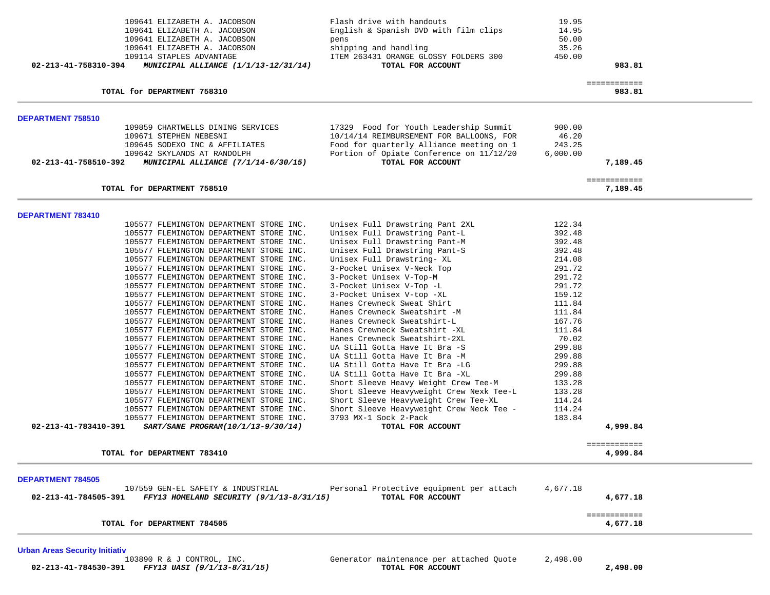| 109641 ELIZABETH A. JACOBSON                                                       | Flash drive with handouts                                              | 19.95            |                          |
|------------------------------------------------------------------------------------|------------------------------------------------------------------------|------------------|--------------------------|
| 109641 ELIZABETH A. JACOBSON                                                       | English & Spanish DVD with film clips                                  | 14.95            |                          |
| 109641 ELIZABETH A. JACOBSON                                                       | pens                                                                   | 50.00            |                          |
| 109641 ELIZABETH A. JACOBSON                                                       | shipping and handling                                                  | 35.26            |                          |
| 109114 STAPLES ADVANTAGE                                                           | ITEM 263431 ORANGE GLOSSY FOLDERS 300                                  | 450.00           |                          |
| 02-213-41-758310-394<br>MUNICIPAL ALLIANCE (1/1/13-12/31/14)                       | TOTAL FOR ACCOUNT                                                      |                  | 983.81                   |
|                                                                                    |                                                                        |                  | ============             |
| TOTAL for DEPARTMENT 758310                                                        |                                                                        |                  | 983.81                   |
| DEPARTMENT 758510                                                                  |                                                                        |                  |                          |
| 109859 CHARTWELLS DINING SERVICES                                                  | 17329 Food for Youth Leadership Summit                                 | 900.00           |                          |
| 109671 STEPHEN NEBESNI                                                             | 10/14/14 REIMBURSEMENT FOR BALLOONS, FOR                               | 46.20            |                          |
| 109645 SODEXO INC & AFFILIATES                                                     | Food for quarterly Alliance meeting on 1                               | 243.25           |                          |
| 109642 SKYLANDS AT RANDOLPH                                                        | Portion of Opiate Conference on 11/12/20                               | 6,000.00         |                          |
| 02-213-41-758510-392<br><b>MUNICIPAL ALLIANCE (7/1/14-6/30/15)</b>                 | TOTAL FOR ACCOUNT                                                      |                  | 7,189.45                 |
|                                                                                    |                                                                        |                  | ============             |
| TOTAL for DEPARTMENT 758510                                                        |                                                                        |                  | 7,189.45                 |
| DEPARTMENT 783410                                                                  |                                                                        |                  |                          |
| 105577 FLEMINGTON DEPARTMENT STORE INC.                                            | Unisex Full Drawstring Pant 2XL                                        | 122.34           |                          |
| 105577 FLEMINGTON DEPARTMENT STORE INC.                                            | Unisex Full Drawstring Pant-L                                          | 392.48           |                          |
| 105577 FLEMINGTON DEPARTMENT STORE INC.                                            | Unisex Full Drawstring Pant-M                                          | 392.48           |                          |
| 105577 FLEMINGTON DEPARTMENT STORE INC.                                            | Unisex Full Drawstring Pant-S                                          | 392.48           |                          |
| 105577 FLEMINGTON DEPARTMENT STORE INC.                                            | Unisex Full Drawstring- XL                                             | 214.08           |                          |
| 105577 FLEMINGTON DEPARTMENT STORE INC.                                            | 3-Pocket Unisex V-Neck Top                                             | 291.72           |                          |
| 105577 FLEMINGTON DEPARTMENT STORE INC.                                            | 3-Pocket Unisex V-Top-M                                                | 291.72           |                          |
| 105577 FLEMINGTON DEPARTMENT STORE INC.                                            | 3-Pocket Unisex V-Top -L                                               | 291.72           |                          |
| 105577 FLEMINGTON DEPARTMENT STORE INC.                                            | 3-Pocket Unisex V-top -XL                                              | 159.12           |                          |
| 105577 FLEMINGTON DEPARTMENT STORE INC.                                            | Hanes Crewneck Sweat Shirt                                             | 111.84           |                          |
| 105577 FLEMINGTON DEPARTMENT STORE INC.                                            | Hanes Crewneck Sweatshirt -M                                           | 111.84           |                          |
| 105577 FLEMINGTON DEPARTMENT STORE INC.                                            | Hanes Crewneck Sweatshirt-L                                            | 167.76           |                          |
| 105577 FLEMINGTON DEPARTMENT STORE INC.                                            | Hanes Crewneck Sweatshirt -XL                                          | 111.84           |                          |
| 105577 FLEMINGTON DEPARTMENT STORE INC.                                            | Hanes Crewneck Sweatshirt-2XL                                          | 70.02            |                          |
| 105577 FLEMINGTON DEPARTMENT STORE INC.                                            | UA Still Gotta Have It Bra -S                                          | 299.88           |                          |
| 105577 FLEMINGTON DEPARTMENT STORE INC.                                            | UA Still Gotta Have It Bra -M                                          | 299.88           |                          |
| 105577 FLEMINGTON DEPARTMENT STORE INC.                                            | UA Still Gotta Have It Bra -LG                                         | 299.88<br>299.88 |                          |
| 105577 FLEMINGTON DEPARTMENT STORE INC.<br>105577 FLEMINGTON DEPARTMENT STORE INC. | UA Still Gotta Have It Bra -XL<br>Short Sleeve Heavy Weight Crew Tee-M | 133.28           |                          |
| 105577 FLEMINGTON DEPARTMENT STORE INC.                                            | Short Sleeve Heavyweight Crew Nexk Tee-L                               | 133.28           |                          |
| 105577 FLEMINGTON DEPARTMENT STORE INC.                                            | Short Sleeve Heavyweight Crew Tee-XL                                   | 114.24           |                          |
| 105577 FLEMINGTON DEPARTMENT STORE INC.                                            | Short Sleeve Heavyweight Crew Neck Tee -                               | 114.24           |                          |
| 105577 FLEMINGTON DEPARTMENT STORE INC.                                            | 3793 MX-1 Sock 2-Pack                                                  | 183.84           |                          |
| 02-213-41-783410-391<br>SART/SANE PROGRAM(10/1/13-9/30/14)                         | TOTAL FOR ACCOUNT                                                      |                  | 4,999.84                 |
|                                                                                    |                                                                        |                  | ============             |
| TOTAL for DEPARTMENT 783410                                                        |                                                                        |                  | 4,999.84                 |
| <b>DEPARTMENT 784505</b>                                                           |                                                                        |                  |                          |
| 107559 GEN-EL SAFETY & INDUSTRIAL                                                  | Personal Protective equipment per attach                               | 4,677.18         |                          |
| FFY13 HOMELAND SECURITY (9/1/13-8/31/15)<br>02-213-41-784505-391                   | TOTAL FOR ACCOUNT                                                      |                  | 4,677.18                 |
| TOTAL for DEPARTMENT 784505                                                        |                                                                        |                  | ============<br>4,677.18 |
|                                                                                    |                                                                        |                  |                          |

Urban Areas Security Initiativ<br>103890 R & J CONTROL, INC.

69991 Generator maintenance per attached Quote 2,498.00<br>TOTAL FOR ACCOUNT  **02-213-41-784530-391** *FFY13 UASI (9/1/13-8/31/15)* **TOTAL FOR ACCOUNT 2,498.00**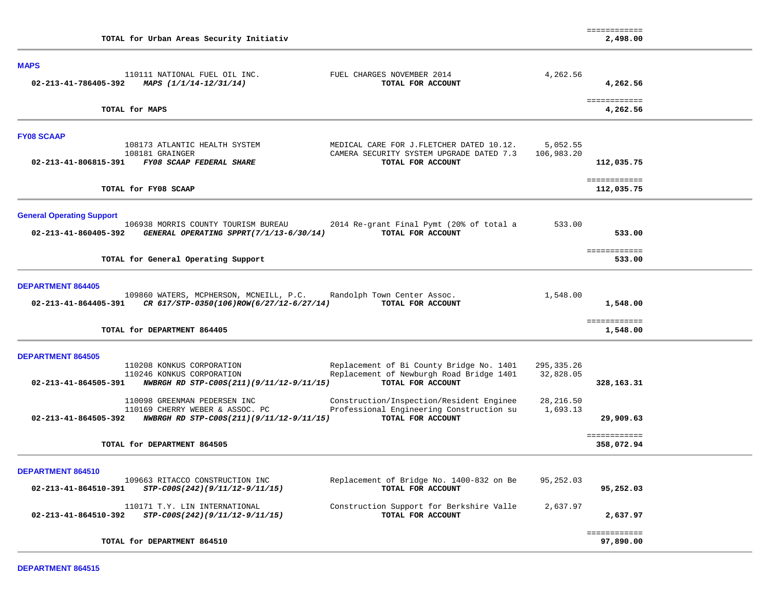| TOTAL for Urban Areas Security Initiativ                                                                                                                                                                                                      |                         | ============<br>2,498.00   |  |
|-----------------------------------------------------------------------------------------------------------------------------------------------------------------------------------------------------------------------------------------------|-------------------------|----------------------------|--|
| <b>MAPS</b><br>110111 NATIONAL FUEL OIL INC.<br>FUEL CHARGES NOVEMBER 2014                                                                                                                                                                    | 4,262.56                |                            |  |
| 02-213-41-786405-392 MAPS $(1/1/14-12/31/14)$<br>TOTAL FOR ACCOUNT                                                                                                                                                                            |                         | 4,262.56                   |  |
| TOTAL for MAPS                                                                                                                                                                                                                                |                         | ============<br>4,262.56   |  |
| <b>FY08 SCAAP</b>                                                                                                                                                                                                                             |                         |                            |  |
| 108173 ATLANTIC HEALTH SYSTEM<br>MEDICAL CARE FOR J.FLETCHER DATED 10.12.<br>CAMERA SECURITY SYSTEM UPGRADE DATED 7.3<br>108181 GRAINGER<br>02-213-41-806815-391 FY08 SCAAP FEDERAL SHARE<br>TOTAL FOR ACCOUNT                                | 5,052.55<br>106,983.20  | 112,035.75                 |  |
| TOTAL for FY08 SCAAP                                                                                                                                                                                                                          |                         | ============<br>112,035.75 |  |
| <b>General Operating Support</b><br>106938 MORRIS COUNTY TOURISM BUREAU<br>2014 Re-grant Final Pymt (20% of total a                                                                                                                           | 533.00                  |                            |  |
| GENERAL OPERATING SPPRT(7/1/13-6/30/14)<br>TOTAL FOR ACCOUNT<br>02-213-41-860405-392                                                                                                                                                          |                         | 533.00                     |  |
| TOTAL for General Operating Support                                                                                                                                                                                                           |                         | ============<br>533.00     |  |
| <b>DEPARTMENT 864405</b>                                                                                                                                                                                                                      |                         |                            |  |
| 109860 WATERS, MCPHERSON, MCNEILL, P.C. Randolph Town Center Assoc.<br>02-213-41-864405-391 CR 617/STP-0350(106)ROW(6/27/12-6/27/14)<br>TOTAL FOR ACCOUNT                                                                                     | 1,548.00                | 1,548.00                   |  |
| TOTAL for DEPARTMENT 864405                                                                                                                                                                                                                   |                         | ============<br>1,548.00   |  |
| <b>DEPARTMENT 864505</b>                                                                                                                                                                                                                      |                         |                            |  |
| Replacement of Bi County Bridge No. 1401<br>110208 KONKUS CORPORATION<br>Replacement of Newburgh Road Bridge 1401<br>110246 KONKUS CORPORATION<br>TOTAL FOR ACCOUNT<br>02-213-41-864505-391 NWBRGH RD STP-C00S(211)(9/11/12-9/11/15)          | 295,335.26<br>32,828.05 | 328,163.31                 |  |
| 110098 GREENMAN PEDERSEN INC<br>Construction/Inspection/Resident Enginee<br>Professional Engineering Construction su<br>110169 CHERRY WEBER & ASSOC. PC<br>TOTAL FOR ACCOUNT<br>02-213-41-864505-392 NWBRGH RD STP-C00S(211)(9/11/12-9/11/15) | 28, 216.50<br>1,693.13  | 29,909.63                  |  |
| TOTAL for DEPARTMENT 864505                                                                                                                                                                                                                   |                         | ============<br>358,072.94 |  |
| DEPARTMENT 864510                                                                                                                                                                                                                             |                         |                            |  |
| Replacement of Bridge No. 1400-832 on Be<br>109663 RITACCO CONSTRUCTION INC<br>02-213-41-864510-391<br>STP-C00S(242)(9/11/12-9/11/15)<br>TOTAL FOR ACCOUNT                                                                                    | 95,252.03               | 95,252.03                  |  |
| 110171 T.Y. LIN INTERNATIONAL<br>Construction Support for Berkshire Valle<br>02-213-41-864510-392<br>STP-C00S(242)(9/11/12-9/11/15)<br>TOTAL FOR ACCOUNT                                                                                      | 2,637.97                | 2,637.97                   |  |
| TOTAL for DEPARTMENT 864510                                                                                                                                                                                                                   |                         | ============<br>97,890.00  |  |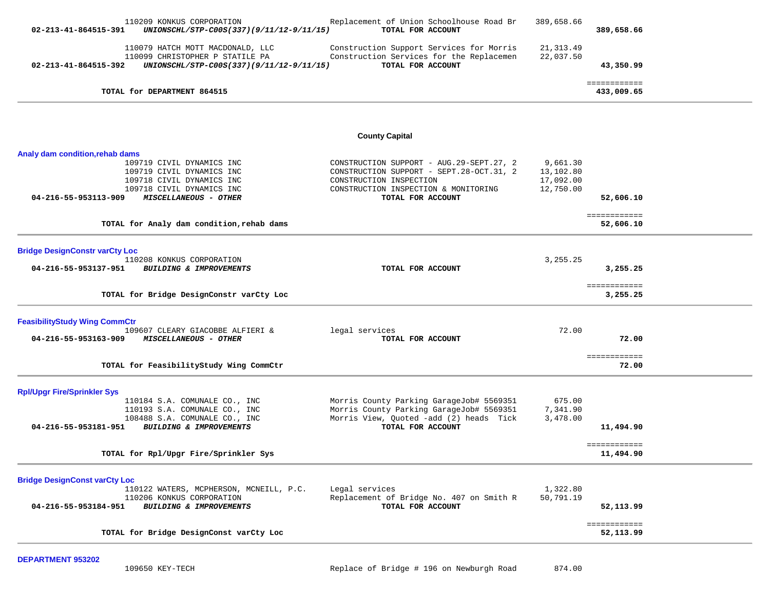| 110209 KONKUS CORPORATION<br>02-213-41-864515-391<br>UNIONSCHL/STP-C00S(337)(9/11/12-9/11/15) | Replacement of Union Schoolhouse Road Br<br>TOTAL FOR ACCOUNT                        | 389,658.66              | 389,658.66                 |  |
|-----------------------------------------------------------------------------------------------|--------------------------------------------------------------------------------------|-------------------------|----------------------------|--|
| 110079 HATCH MOTT MACDONALD, LLC<br>110099 CHRISTOPHER P STATILE PA                           | Construction Support Services for Morris<br>Construction Services for the Replacemen | 21, 313.49<br>22,037.50 |                            |  |
| 02-213-41-864515-392<br>UNIONSCHL/STP-C00S(337)(9/11/12-9/11/15)                              | TOTAL FOR ACCOUNT                                                                    |                         | 43,350.99                  |  |
| TOTAL for DEPARTMENT 864515                                                                   |                                                                                      |                         | ============<br>433,009.65 |  |
|                                                                                               |                                                                                      |                         |                            |  |
|                                                                                               | <b>County Capital</b>                                                                |                         |                            |  |
| Analy dam condition,rehab dams                                                                |                                                                                      |                         |                            |  |
| 109719 CIVIL DYNAMICS INC                                                                     | CONSTRUCTION SUPPORT - AUG. 29-SEPT. 27, 2                                           | 9,661.30                |                            |  |
| 109719 CIVIL DYNAMICS INC                                                                     | CONSTRUCTION SUPPORT - SEPT.28-OCT.31, 2                                             | 13,102.80               |                            |  |
| 109718 CIVIL DYNAMICS INC                                                                     | CONSTRUCTION INSPECTION                                                              | 17,092.00               |                            |  |
| 109718 CIVIL DYNAMICS INC<br>04-216-55-953113-909<br>MISCELLANEOUS - OTHER                    | CONSTRUCTION INSPECTION & MONITORING<br>TOTAL FOR ACCOUNT                            | 12,750.00               |                            |  |
|                                                                                               |                                                                                      |                         | 52,606.10                  |  |
|                                                                                               |                                                                                      |                         | ============               |  |
| TOTAL for Analy dam condition, rehab dams                                                     |                                                                                      |                         | 52,606.10                  |  |
|                                                                                               |                                                                                      |                         |                            |  |
| <b>Bridge DesignConstr varCty Loc</b>                                                         |                                                                                      |                         |                            |  |
| 110208 KONKUS CORPORATION                                                                     |                                                                                      | 3,255.25                |                            |  |
| 04-216-55-953137-951<br>BUILDING & IMPROVEMENTS                                               | TOTAL FOR ACCOUNT                                                                    |                         | 3,255.25                   |  |
|                                                                                               |                                                                                      |                         | ============               |  |
| TOTAL for Bridge DesignConstr varCty Loc                                                      |                                                                                      |                         | 3,255.25                   |  |
|                                                                                               |                                                                                      |                         |                            |  |
| <b>FeasibilityStudy Wing CommCtr</b>                                                          |                                                                                      |                         |                            |  |
| 109607 CLEARY GIACOBBE ALFIERI &                                                              | legal services                                                                       | 72.00                   |                            |  |
| 04-216-55-953163-909<br>MISCELLANEOUS - OTHER                                                 | TOTAL FOR ACCOUNT                                                                    |                         | 72.00                      |  |
|                                                                                               |                                                                                      |                         | ============               |  |
| TOTAL for FeasibilityStudy Wing CommCtr                                                       |                                                                                      |                         | 72.00                      |  |
|                                                                                               |                                                                                      |                         |                            |  |
| <b>Rpl/Upgr Fire/Sprinkler Sys</b><br>110184 S.A. COMUNALE CO., INC                           | Morris County Parking GarageJob# 5569351                                             | 675.00                  |                            |  |
| 110193 S.A. COMUNALE CO., INC                                                                 | Morris County Parking GarageJob# 5569351                                             | 7,341.90                |                            |  |
| 108488 S.A. COMUNALE CO., INC                                                                 | Morris View, Quoted -add (2) heads Tick                                              | 3,478.00                |                            |  |
| 04-216-55-953181-951<br>BUILDING & IMPROVEMENTS                                               | TOTAL FOR ACCOUNT                                                                    |                         | 11,494.90                  |  |
|                                                                                               |                                                                                      |                         |                            |  |
| TOTAL for Rpl/Upgr Fire/Sprinkler Sys                                                         |                                                                                      |                         | 11,494.90                  |  |
|                                                                                               |                                                                                      |                         |                            |  |
| <b>Bridge DesignConst varCty Loc</b>                                                          |                                                                                      |                         |                            |  |
| 110122 WATERS, MCPHERSON, MCNEILL, P.C.<br>110206 KONKUS CORPORATION                          | Legal services<br>Replacement of Bridge No. 407 on Smith R                           | 1,322.80<br>50,791.19   |                            |  |
| 04-216-55-953184-951<br>BUILDING & IMPROVEMENTS                                               | TOTAL FOR ACCOUNT                                                                    |                         | 52,113.99                  |  |
|                                                                                               |                                                                                      |                         |                            |  |
| TOTAL for Bridge DesignConst varCty Loc                                                       |                                                                                      |                         | ============<br>52,113.99  |  |
|                                                                                               |                                                                                      |                         |                            |  |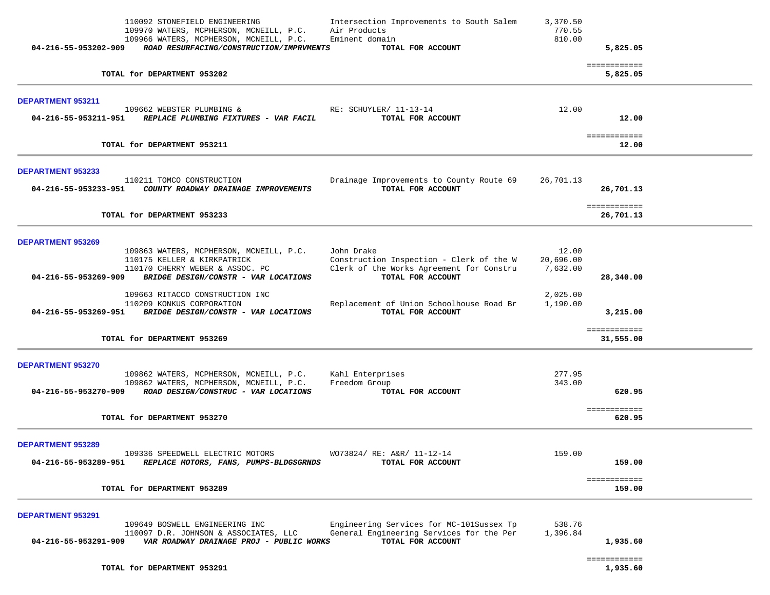| 110092 STONEFIELD ENGINEERING<br>109970 WATERS, MCPHERSON, MCNEILL, P.C.<br>109966 WATERS, MCPHERSON, MCNEILL, P.C.<br>ROAD RESURFACING/CONSTRUCTION/IMPRVMENTS<br>04-216-55-953202-909                                                                               | Intersection Improvements to South Salem<br>Air Products<br>Eminent domain<br>TOTAL FOR ACCOUNT                                                                     | 3,370.50<br>770.55<br>810.00                           | 5,825.05                         |  |
|-----------------------------------------------------------------------------------------------------------------------------------------------------------------------------------------------------------------------------------------------------------------------|---------------------------------------------------------------------------------------------------------------------------------------------------------------------|--------------------------------------------------------|----------------------------------|--|
| TOTAL for DEPARTMENT 953202                                                                                                                                                                                                                                           |                                                                                                                                                                     |                                                        | ============<br>5,825.05         |  |
| DEPARTMENT 953211<br>109662 WEBSTER PLUMBING &<br>04-216-55-953211-951 REPLACE PLUMBING FIXTURES - VAR FACIL                                                                                                                                                          | RE: SCHUYLER/ 11-13-14<br>TOTAL FOR ACCOUNT                                                                                                                         | 12.00                                                  | 12.00                            |  |
| TOTAL for DEPARTMENT 953211                                                                                                                                                                                                                                           |                                                                                                                                                                     |                                                        | ============<br>12.00            |  |
| <b>DEPARTMENT 953233</b><br>110211 TOMCO CONSTRUCTION<br>04-216-55-953233-951    COUNTY ROADWAY DRAINAGE IMPROVEMENTS                                                                                                                                                 | Drainage Improvements to County Route 69<br>TOTAL FOR ACCOUNT                                                                                                       | 26,701.13                                              | 26,701.13<br>============        |  |
| TOTAL for DEPARTMENT 953233                                                                                                                                                                                                                                           |                                                                                                                                                                     |                                                        | 26,701.13                        |  |
| <b>DEPARTMENT 953269</b><br>109863 WATERS, MCPHERSON, MCNEILL, P.C.<br>110175 KELLER & KIRKPATRICK<br>110170 CHERRY WEBER & ASSOC. PC<br>04-216-55-953269-909<br>BRIDGE DESIGN/CONSTR - VAR LOCATIONS<br>109663 RITACCO CONSTRUCTION INC<br>110209 KONKUS CORPORATION | John Drake<br>Construction Inspection - Clerk of the W<br>Clerk of the Works Agreement for Constru<br>TOTAL FOR ACCOUNT<br>Replacement of Union Schoolhouse Road Br | 12.00<br>20,696.00<br>7,632.00<br>2,025.00<br>1,190.00 | 28,340.00                        |  |
| 04-216-55-953269-951 BRIDGE DESIGN/CONSTR - VAR LOCATIONS                                                                                                                                                                                                             | TOTAL FOR ACCOUNT                                                                                                                                                   |                                                        | 3,215.00                         |  |
| TOTAL for DEPARTMENT 953269                                                                                                                                                                                                                                           |                                                                                                                                                                     |                                                        | ============<br>31,555.00        |  |
| DEPARTMENT 953270<br>109862 WATERS, MCPHERSON, MCNEILL, P.C.<br>109862 WATERS, MCPHERSON, MCNEILL, P.C.<br>ROAD DESIGN/CONSTRUC - VAR LOCATIONS<br>04-216-55-953270-909<br>TOTAL for DEPARTMENT 953270                                                                | Kahl Enterprises<br>Freedom Group<br>TOTAL FOR ACCOUNT                                                                                                              | 277.95<br>343.00                                       | 620.95<br>============<br>620.95 |  |
| <b>DEPARTMENT 953289</b><br>109336 SPEEDWELL ELECTRIC MOTORS<br>04-216-55-953289-951<br>REPLACE MOTORS, FANS, PUMPS-BLDGSGRNDS                                                                                                                                        | WO73824/ RE: A&R/ 11-12-14<br>TOTAL FOR ACCOUNT                                                                                                                     | 159.00                                                 | 159.00<br>============           |  |
| TOTAL for DEPARTMENT 953289                                                                                                                                                                                                                                           |                                                                                                                                                                     |                                                        | 159.00                           |  |
| <b>DEPARTMENT 953291</b><br>109649 BOSWELL ENGINEERING INC<br>110097 D.R. JOHNSON & ASSOCIATES, LLC<br>VAR ROADWAY DRAINAGE PROJ - PUBLIC WORKS<br>04-216-55-953291-909                                                                                               | Engineering Services for MC-101Sussex Tp<br>General Engineering Services for the Per<br>TOTAL FOR ACCOUNT                                                           | 538.76<br>1,396.84                                     | 1,935.60<br>============         |  |
| TOTAL for DEPARTMENT 953291                                                                                                                                                                                                                                           |                                                                                                                                                                     |                                                        | 1,935.60                         |  |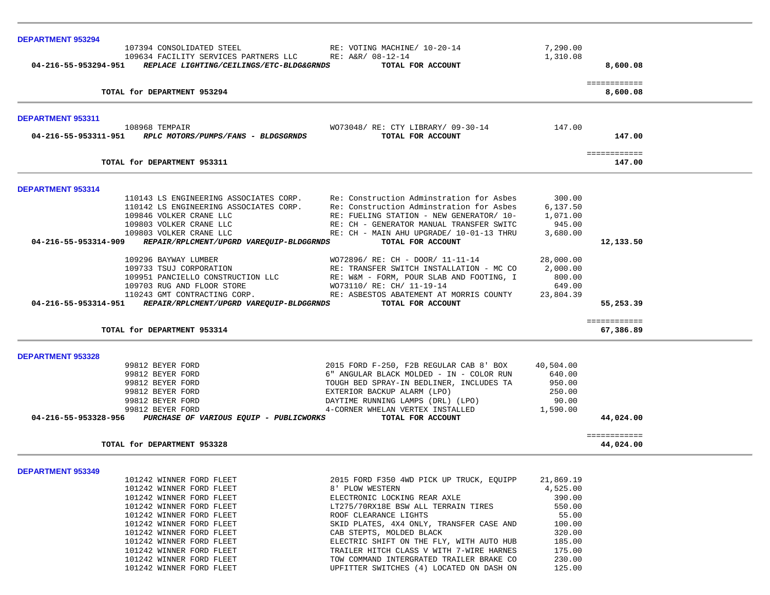| <b>DEPARTMENT 953294</b> |                                                               |                                                                                      |                    |                           |
|--------------------------|---------------------------------------------------------------|--------------------------------------------------------------------------------------|--------------------|---------------------------|
|                          | 107394 CONSOLIDATED STEEL                                     | RE: VOTING MACHINE/ 10-20-14                                                         | 7,290.00           |                           |
|                          | 109634 FACILITY SERVICES PARTNERS LLC RE: A&R/ 08-12-14       |                                                                                      | 1,310.08           |                           |
|                          | 04-216-55-953294-951 REPLACE LIGHTING/CEILINGS/ETC-BLDG&GRNDS | TOTAL FOR ACCOUNT                                                                    |                    | 8,600.08                  |
|                          | TOTAL for DEPARTMENT 953294                                   |                                                                                      |                    | ============<br>8,600.08  |
|                          |                                                               |                                                                                      |                    |                           |
| DEPARTMENT 953311        | 108968 TEMPAIR                                                | WO73048/ RE: CTY LIBRARY/ 09-30-14                                                   | 147.00             |                           |
|                          | 04-216-55-953311-951 RPLC MOTORS/PUMPS/FANS - BLDGSGRNDS      | TOTAL FOR ACCOUNT                                                                    |                    | 147.00                    |
|                          | TOTAL for DEPARTMENT 953311                                   |                                                                                      |                    | ============<br>147.00    |
|                          |                                                               |                                                                                      |                    |                           |
| DEPARTMENT 953314        |                                                               |                                                                                      |                    |                           |
|                          |                                                               | 110143 LS ENGINEERING ASSOCIATES CORP. Re: Construction Adminstration for Asbes      | 300.00             |                           |
|                          |                                                               | 110142 LS ENGINEERING ASSOCIATES CORP. Re: Construction Adminstration for Asbes      | 6,137.50           |                           |
|                          | 109846 VOLKER CRANE LLC<br>109803 VOLKER CRANE LLC            | RE: FUELING STATION - NEW GENERATOR/ 10-<br>RE: CH - GENERATOR MANUAL TRANSFER SWITC | 1,071.00<br>945.00 |                           |
|                          | 109803 VOLKER CRANE LLC                                       | RE: CH - MAIN AHU UPGRADE/ 10-01-13 THRU                                             | 3,680.00           |                           |
|                          | 04-216-55-953314-909 REPAIR/RPLCMENT/UPGRD VAREQUIP-BLDGGRNDS | TOTAL FOR ACCOUNT                                                                    |                    | 12,133.50                 |
|                          | 109296 BAYWAY LUMBER                                          | WO72896/ RE: CH - DOOR/ 11-11-14                                                     | 28,000.00          |                           |
|                          | 109733 TSUJ CORPORATION                                       | RE: TRANSFER SWITCH INSTALLATION - MC CO                                             | 2,000.00           |                           |
|                          | 109951 PANCIELLO CONSTRUCTION LLC                             | RE: W&M - FORM, POUR SLAB AND FOOTING, I                                             | 800.00             |                           |
|                          | 109703 RUG AND FLOOR STORE                                    | WO73110/ RE: CH/ 11-19-14                                                            | 649.00             |                           |
|                          | 110243 GMT CONTRACTING CORP.                                  | RE: ASBESTOS ABATEMENT AT MORRIS COUNTY                                              | 23,804.39          |                           |
| 04-216-55-953314-951     | REPAIR/RPLCMENT/UPGRD VAREQUIP-BLDGGRNDS                      | TOTAL FOR ACCOUNT                                                                    |                    | 55,253.39                 |
|                          |                                                               |                                                                                      |                    | ============              |
|                          | TOTAL for DEPARTMENT 953314                                   |                                                                                      |                    | 67,386.89                 |
| DEPARTMENT 953328        |                                                               |                                                                                      |                    |                           |
|                          | 99812 BEYER FORD                                              | 2015 FORD F-250, F2B REGULAR CAB 8' BOX                                              | 40,504.00          |                           |
|                          | 99812 BEYER FORD                                              | 6" ANGULAR BLACK MOLDED - IN - COLOR RUN                                             | 640.00             |                           |
|                          | 99812 BEYER FORD                                              | TOUGH BED SPRAY-IN BEDLINER, INCLUDES TA                                             | 950.00             |                           |
|                          | 99812 BEYER FORD                                              | EXTERIOR BACKUP ALARM (LPO)                                                          | 250.00             |                           |
|                          | 99812 BEYER FORD                                              | DAYTIME RUNNING LAMPS (DRL) (LPO)                                                    | 90.00              |                           |
|                          | 99812 BEYER FORD                                              | 4-CORNER WHELAN VERTEX INSTALLED                                                     | 1,590.00           |                           |
|                          | 04-216-55-953328-956 PURCHASE OF VARIOUS EQUIP - PUBLICWORKS  | TOTAL FOR ACCOUNT                                                                    |                    | 44,024.00                 |
|                          | TOTAL for DEPARTMENT 953328                                   |                                                                                      |                    | ============<br>44,024,00 |
|                          |                                                               |                                                                                      |                    |                           |
| DEPARTMENT 953349        |                                                               |                                                                                      |                    |                           |
|                          | 101242 WINNER FORD FLEET                                      | 2015 FORD F350 4WD PICK UP TRUCK, EQUIPP                                             | 21,869.19          |                           |
|                          | 101242 WINNER FORD FLEET                                      | 8' PLOW WESTERN                                                                      | 4,525.00           |                           |
|                          | 101242 WINNER FORD FLEET                                      | ELECTRONIC LOCKING REAR AXLE                                                         | 390.00             |                           |
|                          | 101242 WINNER FORD FLEET                                      | LT275/70RX18E BSW ALL TERRAIN TIRES                                                  | 550.00             |                           |
|                          | 101242 WINNER FORD FLEET                                      | ROOF CLEARANCE LIGHTS                                                                | 55.00              |                           |
|                          | 101242 WINNER FORD FLEET                                      | SKID PLATES, 4X4 ONLY, TRANSFER CASE AND                                             | 100.00             |                           |
|                          | 101242 WINNER FORD FLEET                                      | CAB STEPTS, MOLDED BLACK                                                             | 320.00             |                           |
|                          | 101242 WINNER FORD FLEET                                      | ELECTRIC SHIFT ON THE FLY, WITH AUTO HUB                                             | 185.00             |                           |
|                          | 101242 WINNER FORD FLEET                                      | TRAILER HITCH CLASS V WITH 7-WIRE HARNES                                             | 175.00             |                           |
|                          | 101242 WINNER FORD FLEET                                      | TOW COMMAND INTERGRATED TRAILER BRAKE CO                                             | 230.00             |                           |
|                          | 101242 WINNER FORD FLEET                                      | UPFITTER SWITCHES (4) LOCATED ON DASH ON                                             | 125.00             |                           |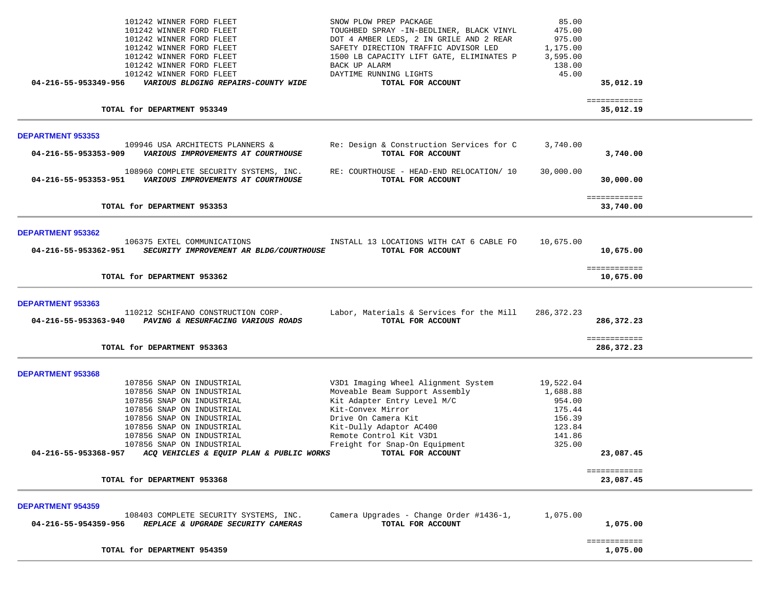| 101242 WINNER FORD FLEET<br>101242 WINNER FORD FLEET<br>101242 WINNER FORD FLEET<br>101242 WINNER FORD FLEET<br>101242 WINNER FORD FLEET<br>101242 WINNER FORD FLEET<br>101242 WINNER FORD FLEET<br>04-216-55-953349-956<br>VARIOUS BLDGING REPAIRS-COUNTY WIDE                                                               | SNOW PLOW PREP PACKAGE<br>TOUGHBED SPRAY - IN-BEDLINER, BLACK VINYL<br>DOT 4 AMBER LEDS, 2 IN GRILE AND 2 REAR<br>SAFETY DIRECTION TRAFFIC ADVISOR LED<br>1500 LB CAPACITY LIFT GATE, ELIMINATES P<br>BACK UP ALARM<br>DAYTIME RUNNING LIGHTS<br>TOTAL FOR ACCOUNT | 85.00<br>475.00<br>975.00<br>1,175.00<br>3,595.00<br>138.00<br>45.00              | 35,012.19                  |  |
|-------------------------------------------------------------------------------------------------------------------------------------------------------------------------------------------------------------------------------------------------------------------------------------------------------------------------------|--------------------------------------------------------------------------------------------------------------------------------------------------------------------------------------------------------------------------------------------------------------------|-----------------------------------------------------------------------------------|----------------------------|--|
| TOTAL for DEPARTMENT 953349                                                                                                                                                                                                                                                                                                   |                                                                                                                                                                                                                                                                    |                                                                                   | ============<br>35,012.19  |  |
| <b>DEPARTMENT 953353</b>                                                                                                                                                                                                                                                                                                      |                                                                                                                                                                                                                                                                    |                                                                                   |                            |  |
| 109946 USA ARCHITECTS PLANNERS &<br>04-216-55-953353-909<br>VARIOUS IMPROVEMENTS AT COURTHOUSE                                                                                                                                                                                                                                | Re: Design & Construction Services for C<br>TOTAL FOR ACCOUNT                                                                                                                                                                                                      | 3,740.00                                                                          | 3,740.00                   |  |
| 108960 COMPLETE SECURITY SYSTEMS, INC.<br>04-216-55-953353-951<br>VARIOUS IMPROVEMENTS AT COURTHOUSE                                                                                                                                                                                                                          | RE: COURTHOUSE - HEAD-END RELOCATION/ 10<br>TOTAL FOR ACCOUNT                                                                                                                                                                                                      | 30,000.00                                                                         | 30,000.00                  |  |
| TOTAL for DEPARTMENT 953353                                                                                                                                                                                                                                                                                                   |                                                                                                                                                                                                                                                                    |                                                                                   | ============<br>33,740.00  |  |
| DEPARTMENT 953362<br>106375 EXTEL COMMUNICATIONS<br>04-216-55-953362-951<br>SECURITY IMPROVEMENT AR BLDG/COURTHOUSE                                                                                                                                                                                                           | INSTALL 13 LOCATIONS WITH CAT 6 CABLE FO<br>TOTAL FOR ACCOUNT                                                                                                                                                                                                      | 10,675.00                                                                         | 10,675.00                  |  |
| TOTAL for DEPARTMENT 953362                                                                                                                                                                                                                                                                                                   |                                                                                                                                                                                                                                                                    |                                                                                   | ============<br>10,675.00  |  |
| DEPARTMENT 953363<br>110212 SCHIFANO CONSTRUCTION CORP.<br>04-216-55-953363-940<br>PAVING & RESURFACING VARIOUS ROADS                                                                                                                                                                                                         | Labor, Materials & Services for the Mill<br>TOTAL FOR ACCOUNT                                                                                                                                                                                                      | 286,372.23                                                                        | 286,372.23                 |  |
| TOTAL for DEPARTMENT 953363                                                                                                                                                                                                                                                                                                   |                                                                                                                                                                                                                                                                    |                                                                                   | ============<br>286,372.23 |  |
| DEPARTMENT 953368<br>107856 SNAP ON INDUSTRIAL<br>107856 SNAP ON INDUSTRIAL<br>107856 SNAP ON INDUSTRIAL<br>107856 SNAP ON INDUSTRIAL<br>107856 SNAP ON INDUSTRIAL<br>107856 SNAP ON INDUSTRIAL<br>107856 SNAP ON INDUSTRIAL<br>107856 SNAP ON INDUSTRIAL<br>04-216-55-953368-957<br>ACQ VEHICLES & EQUIP PLAN & PUBLIC WORKS | V3D1 Imaging Wheel Alignment System<br>Moveable Beam Support Assembly<br>Kit Adapter Entry Level M/C<br>Kit-Convex Mirror<br>Drive On Camera Kit<br>Kit-Dully Adaptor AC400<br>Remote Control Kit V3D1<br>Freight for Snap-On Equipment<br>TOTAL FOR ACCOUNT       | 19,522.04<br>1,688.88<br>954.00<br>175.44<br>156.39<br>123.84<br>141.86<br>325.00 | 23,087.45<br>============  |  |
| TOTAL for DEPARTMENT 953368                                                                                                                                                                                                                                                                                                   |                                                                                                                                                                                                                                                                    |                                                                                   | 23,087.45                  |  |
| <b>DEPARTMENT 954359</b><br>108403 COMPLETE SECURITY SYSTEMS, INC.<br>04-216-55-954359-956<br>REPLACE & UPGRADE SECURITY CAMERAS                                                                                                                                                                                              | Camera Upgrades - Change Order #1436-1,<br>TOTAL FOR ACCOUNT                                                                                                                                                                                                       | 1,075.00                                                                          | 1,075.00                   |  |
| TOTAL for DEPARTMENT 954359                                                                                                                                                                                                                                                                                                   |                                                                                                                                                                                                                                                                    |                                                                                   | ============<br>1,075.00   |  |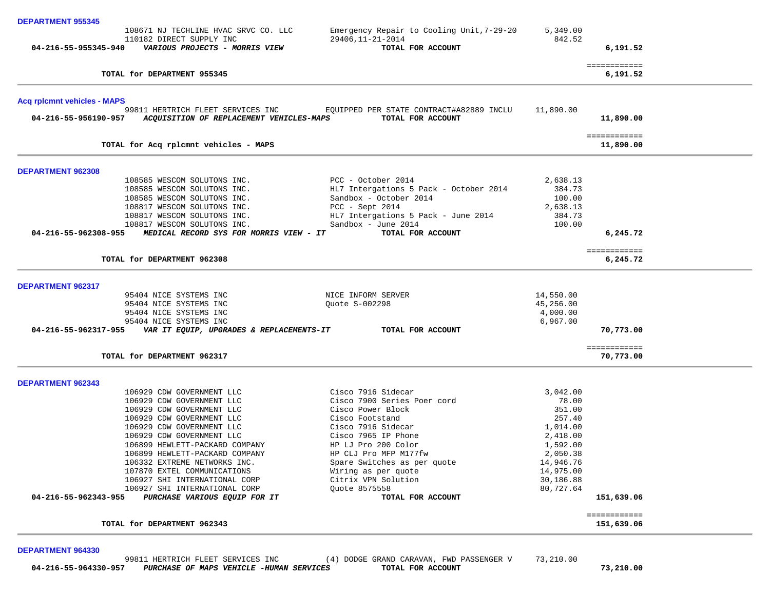| <b>DEPARTMENT 955345</b>           |                                                                                                    |                                                               |                        |                           |  |
|------------------------------------|----------------------------------------------------------------------------------------------------|---------------------------------------------------------------|------------------------|---------------------------|--|
|                                    | 108671 NJ TECHLINE HVAC SRVC CO. LLC                                                               | Emergency Repair to Cooling Unit, 7-29-20                     | 5,349.00               |                           |  |
|                                    | 110182 DIRECT SUPPLY INC                                                                           | 29406, 11-21-2014                                             | 842.52                 |                           |  |
|                                    | 04-216-55-955345-940 VARIOUS PROJECTS - MORRIS VIEW                                                | TOTAL FOR ACCOUNT                                             |                        | 6,191.52                  |  |
|                                    | TOTAL for DEPARTMENT 955345                                                                        |                                                               |                        | ============<br>6,191.52  |  |
| <b>Acq rplcmnt vehicles - MAPS</b> |                                                                                                    |                                                               |                        |                           |  |
|                                    | 99811 HERTRICH FLEET SERVICES INC<br>04-216-55-956190-957 ACQUISITION OF REPLACEMENT VEHICLES-MAPS | EQUIPPED PER STATE CONTRACT#A82889 INCLU<br>TOTAL FOR ACCOUNT | 11,890.00              | 11,890.00                 |  |
|                                    | TOTAL for Acq rplcmnt vehicles - MAPS                                                              |                                                               |                        | ============<br>11,890.00 |  |
| DEPARTMENT 962308                  |                                                                                                    |                                                               |                        |                           |  |
|                                    | 108585 WESCOM SOLUTONS INC.                                                                        | PCC - October 2014                                            | 2,638.13               |                           |  |
|                                    | 108585 WESCOM SOLUTONS INC.                                                                        | HL7 Intergations 5 Pack - October 2014                        | 384.73                 |                           |  |
|                                    | 108585 WESCOM SOLUTONS INC.                                                                        | Sandbox - October 2014                                        | 100.00                 |                           |  |
|                                    | 108817 WESCOM SOLUTONS INC.                                                                        | $PCC - Sept 2014$                                             | 2,638.13               |                           |  |
|                                    | 108817 WESCOM SOLUTONS INC.                                                                        | HL7 Intergations 5 Pack - June 2014                           | 384.73                 |                           |  |
| 04-216-55-962308-955               | 108817 WESCOM SOLUTONS INC.<br>MEDICAL RECORD SYS FOR MORRIS VIEW - IT                             | Sandbox - June $2014$<br>TOTAL FOR ACCOUNT                    | 100.00                 | 6,245.72                  |  |
|                                    |                                                                                                    |                                                               |                        |                           |  |
|                                    | TOTAL for DEPARTMENT 962308                                                                        |                                                               |                        | ============<br>6,245.72  |  |
| DEPARTMENT 962317                  |                                                                                                    |                                                               |                        |                           |  |
|                                    | 95404 NICE SYSTEMS INC                                                                             | NICE INFORM SERVER                                            | 14,550.00              |                           |  |
|                                    | 95404 NICE SYSTEMS INC                                                                             | Quote S-002298                                                | 45,256.00              |                           |  |
|                                    | 95404 NICE SYSTEMS INC                                                                             |                                                               | 4,000.00               |                           |  |
|                                    | 95404 NICE SYSTEMS INC                                                                             |                                                               | 6,967.00               |                           |  |
|                                    | 04-216-55-962317-955 VAR IT EQUIP, UPGRADES & REPLACEMENTS-IT TOTAL FOR ACCOUNT                    |                                                               |                        | 70,773.00                 |  |
|                                    | TOTAL for DEPARTMENT 962317                                                                        |                                                               |                        | ============<br>70,773.00 |  |
| DEPARTMENT 962343                  |                                                                                                    |                                                               |                        |                           |  |
|                                    | 106929 CDW GOVERNMENT LLC                                                                          | Cisco 7916 Sidecar                                            | 3,042.00               |                           |  |
|                                    | 106929 CDW GOVERNMENT LLC                                                                          | Cisco 7900 Series Poer cord                                   | 78.00                  |                           |  |
|                                    | 106929 CDW GOVERNMENT LLC                                                                          | Cisco Power Block                                             | 351.00                 |                           |  |
|                                    | 106929 CDW GOVERNMENT LLC                                                                          | Cisco Footstand                                               | 257.40                 |                           |  |
|                                    | 106929 CDW GOVERNMENT LLC                                                                          | Cisco 7916 Sidecar                                            | 1,014.00               |                           |  |
|                                    | 106929 CDW GOVERNMENT LLC                                                                          | Cisco 7965 IP Phone                                           | 2,418.00               |                           |  |
|                                    | 106899 HEWLETT-PACKARD COMPANY                                                                     | HP LJ Pro 200 Color                                           | 1,592.00               |                           |  |
|                                    | 106899 HEWLETT-PACKARD COMPANY                                                                     | HP CLJ Pro MFP M177fw                                         | 2,050.38               |                           |  |
|                                    | 106332 EXTREME NETWORKS INC.                                                                       | Spare Switches as per quote                                   | 14,946.76              |                           |  |
|                                    | 107870 EXTEL COMMUNICATIONS                                                                        | Wiring as per quote                                           | 14,975.00<br>30,186.88 |                           |  |
|                                    | 106927 SHI INTERNATIONAL CORP<br>106927 SHI INTERNATIONAL CORP                                     | Citrix VPN Solution<br>Ouote 8575558                          | 80,727.64              |                           |  |
| 04-216-55-962343-955               | PURCHASE VARIOUS EQUIP FOR IT                                                                      | TOTAL FOR ACCOUNT                                             |                        | 151,639.06                |  |
|                                    |                                                                                                    |                                                               |                        | ============              |  |
|                                    | TOTAL for DEPARTMENT 962343                                                                        |                                                               |                        | 151,639.06                |  |
|                                    |                                                                                                    |                                                               |                        |                           |  |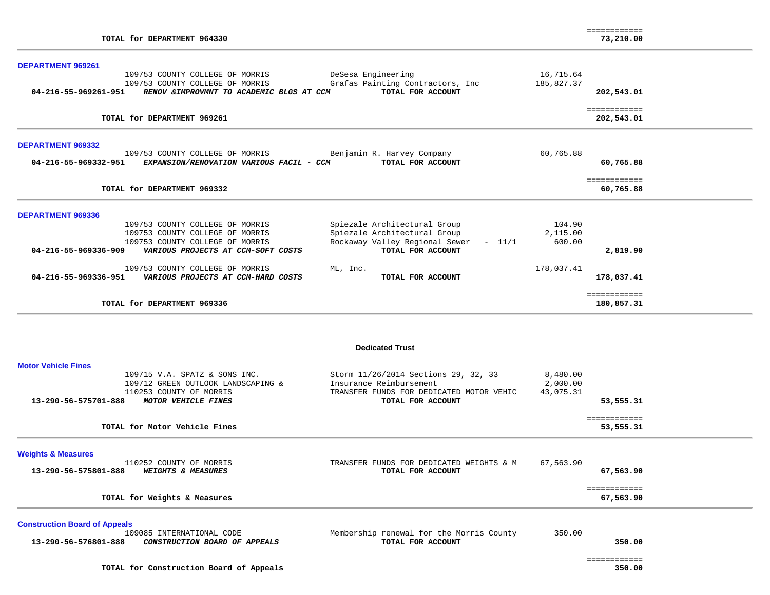| TOTAL for DEPARTMENT 964330                                                                                                                                         |                                                                                                                                  |                                   | ============<br>73,210.00  |
|---------------------------------------------------------------------------------------------------------------------------------------------------------------------|----------------------------------------------------------------------------------------------------------------------------------|-----------------------------------|----------------------------|
| DEPARTMENT 969261                                                                                                                                                   |                                                                                                                                  |                                   |                            |
| 109753 COUNTY COLLEGE OF MORRIS<br>109753 COUNTY COLLEGE OF MORRIS<br>04-216-55-969261-951<br>RENOV & IMPROVMNT TO ACADEMIC BLGS AT CCM                             | DeSesa Engineering<br>Grafas Painting Contractors, Inc<br>TOTAL FOR ACCOUNT                                                      | 16,715.64<br>185,827.37           | 202,543.01                 |
| TOTAL for DEPARTMENT 969261                                                                                                                                         |                                                                                                                                  |                                   | ============<br>202,543.01 |
| <b>DEPARTMENT 969332</b>                                                                                                                                            |                                                                                                                                  |                                   |                            |
| 109753 COUNTY COLLEGE OF MORRIS<br>04-216-55-969332-951<br>EXPANSION/RENOVATION VARIOUS FACIL - CCM                                                                 | Benjamin R. Harvey Company<br>TOTAL FOR ACCOUNT                                                                                  | 60,765.88                         | 60,765.88                  |
| TOTAL for DEPARTMENT 969332                                                                                                                                         |                                                                                                                                  |                                   | ============<br>60,765.88  |
| <b>DEPARTMENT 969336</b>                                                                                                                                            |                                                                                                                                  |                                   |                            |
| 109753 COUNTY COLLEGE OF MORRIS<br>109753 COUNTY COLLEGE OF MORRIS<br>109753 COUNTY COLLEGE OF MORRIS<br>04-216-55-969336-909<br>VARIOUS PROJECTS AT CCM-SOFT COSTS | Spiezale Architectural Group<br>Spiezale Architectural Group<br>Rockaway Valley Regional Sewer - 11/1<br>TOTAL FOR ACCOUNT       | 104.90<br>2,115.00<br>600.00      | 2,819.90                   |
| 109753 COUNTY COLLEGE OF MORRIS<br>04-216-55-969336-951<br>VARIOUS PROJECTS AT CCM-HARD COSTS                                                                       | ML, Inc.<br>TOTAL FOR ACCOUNT                                                                                                    | 178,037.41                        | 178,037.41                 |
| TOTAL for DEPARTMENT 969336                                                                                                                                         |                                                                                                                                  |                                   | ============<br>180,857.31 |
|                                                                                                                                                                     | <b>Dedicated Trust</b>                                                                                                           |                                   |                            |
| <b>Motor Vehicle Fines</b><br>109715 V.A. SPATZ & SONS INC.                                                                                                         |                                                                                                                                  |                                   |                            |
| 109712 GREEN OUTLOOK LANDSCAPING &<br>110253 COUNTY OF MORRIS<br>MOTOR VEHICLE FINES<br>13-290-56-575701-888                                                        | Storm 11/26/2014 Sections 29, 32, 33<br>Insurance Reimbursement<br>TRANSFER FUNDS FOR DEDICATED MOTOR VEHIC<br>TOTAL FOR ACCOUNT | 8,480.00<br>2,000.00<br>43,075.31 | 53,555.31                  |
| TOTAL for Motor Vehicle Fines                                                                                                                                       |                                                                                                                                  |                                   | ============<br>53,555.31  |
| <b>Weights &amp; Measures</b>                                                                                                                                       |                                                                                                                                  |                                   |                            |
| 110252 COUNTY OF MORRIS<br>13-290-56-575801-888<br><b>WEIGHTS &amp; MEASURES</b>                                                                                    | TRANSFER FUNDS FOR DEDICATED WEIGHTS & M<br>TOTAL FOR ACCOUNT                                                                    | 67,563.90                         | 67,563.90                  |
| TOTAL for Weights & Measures                                                                                                                                        |                                                                                                                                  |                                   | ============<br>67,563.90  |
| <b>Construction Board of Appeals</b>                                                                                                                                |                                                                                                                                  |                                   |                            |
| 109085 INTERNATIONAL CODE<br>13-290-56-576801-888<br>CONSTRUCTION BOARD OF APPEALS                                                                                  | Membership renewal for the Morris County<br>TOTAL FOR ACCOUNT                                                                    | 350.00                            | 350.00                     |

============

**TOTAL for Construction Board of Appeals 350.00**